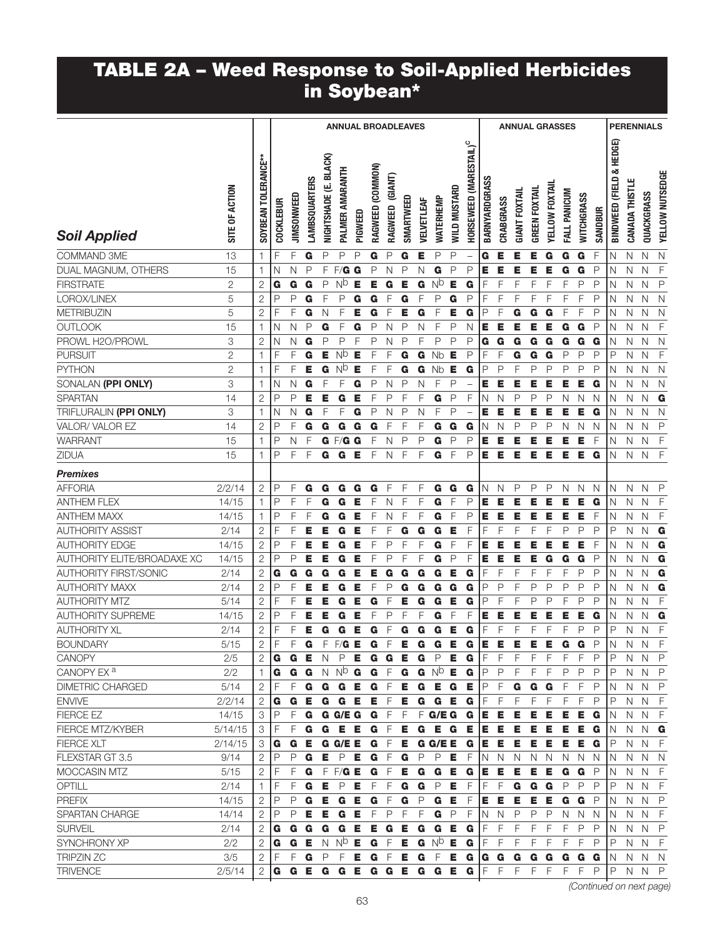## TABLE 2A – Weed Response to Soil-Applied Herbicides in Soybean\*

|                              |                |                     |                  |                   |                      |                       | <b>ANNUAL BROADLEAVES</b> |         |                  |                 |             |              |                |                |                                              |                |           | <b>ANNUAL GRASSES</b> |                      |                |              |                   |                |                          |                | <b>PERENNIALS</b> |                 |
|------------------------------|----------------|---------------------|------------------|-------------------|----------------------|-----------------------|---------------------------|---------|------------------|-----------------|-------------|--------------|----------------|----------------|----------------------------------------------|----------------|-----------|-----------------------|----------------------|----------------|--------------|-------------------|----------------|--------------------------|----------------|-------------------|-----------------|
| <b>Soil Applied</b>          | SITE OF ACTION | SOYBEAN TOLERANCE** | <b>COCKLEBUR</b> | <b>JIMSONWEED</b> | <b>LAMBSQUARTERS</b> | NIGHTSHADE (E. BLACK) | PALMER AMARANTH           | PIGWEED | RAGWEED (COMMON) | RAGWEED (GIANT) | SMARTWEED   | VELVETLEAF   | WATERHEMP      | WILD MUSTARD   | (MARESTAIL) <sup>C</sup><br><b>HORSEWEED</b> | BARNYARDGRASS  | CRABGRASS | <b>GIANT FOXTAIL</b>  | <b>GREEN FOXTAIL</b> | YELLOW FOXTAIL | FALL PANICUM | <b>WITCHGRASS</b> | <b>SANDBUR</b> | BINDWEED (FIELD & HEDGE) | CANADA THISTLE | QUACKGRASS        | YELLOW NUTSEDGE |
| COMMAND 3ME                  | 13             | 1                   | F                | F                 | G                    | P                     | P                         | P       | G                | P               | G           | Е            | P              | P              | $\overline{a}$                               | G              | Е         | Е                     | Е                    | G              | G            | G                 | F              | Ν                        | Ν              | $\mathsf{N}$      | $\mathsf N$     |
| DUAL MAGNUM, OTHERS          | 15             | $\mathbf{1}$        | N                | N                 | P                    | F                     | F/G                       | G       | P                | N               | P           | N            | G              | $\mathsf{P}$   | P                                            | Е              | Е         | Е                     | E                    | Е              | G            | G                 | P              | Ν                        | N              | $\mathsf{N}$      | F               |
| <b>FIRSTRATE</b>             | $\overline{2}$ | $\overline{2}$      | G                | G                 | G                    | P                     | $N_{\rm p}$               | Е       | Е                | G               | Е           | G            | Np             | Е              | G                                            | F              | F         | F                     | F                    | F              | F            | P                 | P              | N                        | Ν              | $\mathsf{N}$      | $\mathsf P$     |
| LOROX/LINEX                  | 5              | $\mathbf{2}$        | P                | P                 | G                    | F                     | P                         | G       | G                | F               | G           | F            | P              | G              | P                                            | F              | F         | F                     | F                    | F              | F            | F                 | P              | Ν                        | Ν              | $\mathsf{N}$      | $\mathsf N$     |
| <b>METRIBUZIN</b>            | 5              | $\mathbf{2}$        | F                | F                 | G                    | N                     | F                         | Е       | G                | F               | Е           | G            | F              | Е              | G                                            | $\mathsf{P}$   | F         | G                     | G                    | G              | F            | F                 | P              | N                        | N              | $\mathsf{N}$      | $\mathsf N$     |
| <b>OUTLOOK</b>               | 15             | 1                   | N                | N                 | P                    | G                     | F                         | G       | P                | $\mathsf{N}$    | P           | N            | F              | $\overline{P}$ | N                                            | Е              | Е         | Е                     | Е                    | Е              | G            | G                 | P              | N                        | N              | $\mathsf{N}$      | F               |
| PROWL H2O/PROWL              | 3              | $\overline{2}$      | Ν                | N                 | G                    | P                     | P                         | F       | P                | $\mathsf{N}$    | P           | F            | P              | P              | P                                            | G              | G         | G                     | G                    | G              | G            | G                 | G              | Ν                        | Ν              | $\mathsf{N}$      | $\mathsf{N}$    |
| <b>PURSUIT</b>               | $\overline{2}$ | 1                   | F                | F                 | G                    | E                     | N <sub>p</sub>            | Е       | F                | F               | G           | G            | <b>Nb</b>      | E              | $\mathsf{P}$                                 | F              | F         | G                     | G                    | G              | P            | P                 | P              | P                        | Ν              | $\mathsf{N}$      | $\mathsf F$     |
| <b>PYTHON</b>                | $\mathbf{2}$   | 1                   | F                | F                 | E                    | G                     | N <sub>p</sub>            | Е       | F                | F               | G           | G            | <b>Nb</b>      | Е              | G                                            | P              | P         | F                     | Ρ                    | P              | P            | P                 | P              | N                        | N              | $\mathsf{N}$      | $\mathsf N$     |
| SONALAN (PPI ONLY)           | 3              | 1                   | Ν                | N                 | G                    | F                     | F                         | G       | P                | N               | P           | Ν            | F              | P              | $\overline{\phantom{0}}$                     | Е              | Е         | Е                     | Е                    | Е              | E            | E                 | G              | Ν                        | N              | $\mathsf{N}$      | $\mathsf N$     |
| <b>SPARTAN</b>               | 14             | $\mathbf{2}$        | P                | P                 | Е                    | E                     | G                         | Е       | F                | $\mathsf{P}$    | F           | F            | G              | $\overline{P}$ | F                                            | N              | Ν         | P                     | P                    | P              | N            | N                 | N              | Ν                        | N              | $\mathsf{N}$      | G               |
| TRIFLURALIN (PPI ONLY)       | 3              | 1                   | N                | N                 | G                    | F                     | F                         | G       | P                | $\mathsf{N}$    | P           | Ν            | F              | P              | $\overline{\phantom{0}}$                     | Е              | Е         | Е                     | E                    | Е              | Е            | E                 | G              | Ν                        | Ν              | $\mathsf{N}$      | $\mathsf{N}$    |
| VALOR/VALOR EZ               | 14             | $\overline{2}$      | Ρ                | F                 | G                    | G                     | G                         | G       | G                | F               | F           | F            | G              | G              | G                                            | N              | Ν         | Ρ                     | Ρ                    | P              | N            | N                 | N              | N                        | Ν              | $\mathsf{N}$      | $\mathsf{P}$    |
| <b>WARRANT</b>               | 15             | 1                   | Ρ                | N                 | F                    |                       | $G$ $F/G$ $G$             |         | F                | Ν               | P           | P            | G              | P              | P                                            | Е              | Е         | Е                     | E                    | Е              | E            | E                 | F              | N                        | N              | $\mathsf{N}$      | F               |
| ZIDUA                        | 15             | 1                   | P                | F                 | F                    | G                     | G                         | Е       | F                | $\mathsf{N}$    | F           | F            | G              | $\overline{F}$ | P                                            | Е              | Е         | Е                     | E                    | Е              | Е            | Е                 | G              | N                        | Ν              | $\mathsf{N}$      | $\mathsf F$     |
| <b>Premixes</b>              |                |                     |                  |                   |                      |                       |                           |         |                  |                 |             |              |                |                |                                              |                |           |                       |                      |                |              |                   |                |                          |                |                   |                 |
| <b>AFFORIA</b>               | 2/2/14         | $\sqrt{2}$          | P                | F                 | G                    | G                     | G                         | G       | G                | F               | F           | F            | G              | G              | G                                            | N              | N         | Ρ                     | Ρ                    | P              | N            | N                 | N              | Ν                        | Ν              | N                 | $\mathsf{P}$    |
| <b>ANTHEM FLEX</b>           | 14/15          | 1                   | P                | F                 | F                    | G                     | G                         | Е       | F                | N               | F           | F            | G              | F              | P                                            | E              | Е         | Е                     |                      |                | E            | E                 | G              | Ν                        | N              | Ν                 | $\mathsf F$     |
| <b>ANTHEM MAXX</b>           | 14/15          | 1                   | P                | F                 | F                    | G                     | G                         | Е       | F                | N               | F           | F            | G              | F              | P                                            | E              | Е         | Е                     | E                    |                | Е            | E                 | F              | Ν                        | N              | Ν                 | $\mathsf F$     |
| <b>AUTHORITY ASSIST</b>      | 2/14           | $\mathbf{2}$        | F                | F                 | Е                    | Е                     | G                         | Е       | F                | F               | G           | G            | G              | E              | F                                            | F              | F         | F                     | F                    | F              | P            | P                 | P              | P                        | N              | N                 | G               |
| <b>AUTHORITY EDGE</b>        | 14/15          | $\mathbf{2}$        | P                | F                 | Е                    | Е                     | G                         | Е       | F                | P               | F           | F            | G              | F              | F                                            | E              | Е         | E                     |                      |                | Е            | E                 | F              | Ν                        | Ν              | Ν                 | G               |
| AUTHORITY ELITE/BROADAXE XC  | 14/15          | $\sqrt{2}$          | P                | P                 | Е                    | Е                     | G                         | Е       | F                | P               | F           | F            | G              | P              | F                                            | E              | Е         | Е                     | E                    | G              | G            | G                 | P              | Ν                        | N              | Ν                 | G               |
| <b>AUTHORITY FIRST/SONIC</b> | 2/14           | $\sqrt{2}$          | G                | G                 | G                    | G                     | G                         | Е       | Е                | G               | G           | G            | G              | Е              | G                                            | F              | F         | F                     | F                    | F              | F            | P                 | P              | N                        | N              | N                 | G               |
| <b>AUTHORITY MAXX</b>        | 2/14           | $\overline{2}$      | P                | F                 | Е                    | Е                     | G                         | Е       | F                | P               | G           | G            | G              | G              | G                                            | $\overline{P}$ | P         | F                     | P                    | P              | P            | P                 | P              | N                        | N              | N                 | G               |
| <b>AUTHORITY MTZ</b>         | 5/14           | $\mathbf{2}$        | F                | F                 | Е                    | Е                     | G                         | Е       | G                | F               | Е           | G            | G              | E              | G                                            | P              | F         | F                     | P                    | $\overline{P}$ | F            | P                 | P              | Ν                        | N              | Ν                 | $\mathsf F$     |
| <b>AUTHORITY SUPREME</b>     | 14/15          | $\mathbf{2}$        | P                | F                 | Е                    | Е                     | G                         | Е       | F                | P               | F           | F            | G              | F              | F                                            | E              | Е         | Е                     | E                    | Е              | E            | E                 | G              | Ν                        | N              | Ν                 | G               |
| <b>AUTHORITY XL</b>          | 2/14           | $\sqrt{2}$          | F                | F                 | E                    | G                     | G                         | Е       | G                | F               | G           | G            | G              | Е              | G                                            | F              | F         | F                     | F                    | F              | F            | P                 | P              | P                        | Ν              | Ν                 | $\overline{F}$  |
| <b>BOUNDARY</b>              | 5/15           | $\overline{2}$      | F                | F                 | G                    | F                     | F/G                       | E       | G                | F               | Е           | G            | G              | E              | G                                            | E              | E         | E                     | E                    | E              | G            | G                 | P              | N                        | N              | N                 | F               |
| CANOPY                       | 2/5            | 2                   | G                | G                 | Е                    | $\mathsf{N}$          | P                         | Е       | G                | G               | Е           | G            | $\mathsf{P}$   | Е              | G                                            | IF             | F         | F                     | F                    | F              | F            | F                 | P              | P                        | N              | N                 | $\mathsf{P}$    |
| CANOPY EX <sup>a</sup>       | 2/2            | 1.                  | G                | G                 | G                    | N                     | $N^b$ G                   |         | G                | F               | G           | G            | N <sub>p</sub> | E              | G                                            | IP             | P         | F                     | F                    | F              | P            | P                 | P              | P                        | N              | N                 | P               |
| <b>DIMETRIC CHARGED</b>      | 5/14           | 2                   | F                | F                 | G                    | G                     | G                         | E       | G                | $\overline{F}$  | Е           | G            | Е              | G              | Е                                            | <b>P</b>       | F         | G                     | G                    | G              | F            | F                 | P              | N                        | N              | N                 | $\mathsf{P}$    |
| <b>ENVIVE</b>                | 2/2/14         | 2                   | G                | G                 | Е                    | G                     | G                         | E       | Е                | $\mathsf{F}$    | Е           | G            | G              | - E            | G                                            | F              | F         | F                     | F                    | F              | F            | F                 | P              | P                        | N              | N                 | F               |
| <b>FIERCE EZ</b>             | 14/15          | 3                   | P                | F                 | G                    |                       | G G/E G                   |         | G                | $\overline{F}$  | $\mathsf F$ |              | F G/E G        |                | G                                            | E              | Е         | E                     | E                    | Е              | Е            | E                 | G              | N                        | N              | N                 | $\mathsf F$     |
| <b>FIERCE MTZ/KYBER</b>      | 5/14/15        | 3                   | F                | F                 | G                    | G                     | Е                         | E       | G                | $\overline{F}$  | Е           | G            | Е              | G              | Е                                            | E              | Е         | Е                     | E                    | Е              | Е            | Е                 | G              | Ν                        | N              | N                 | G               |
| <b>FIERCE XLT</b>            | 2/14/15        | 3                   | G                | G                 | Е                    |                       | G G/E E                   |         | G                | $\mathsf{F}$    | Е           |              | G G/E E        |                | G                                            | E              | Е         | Е                     | Е                    | Е              | Е            | E                 | G              | P                        | N              | N                 | $\mathsf F$     |
| FLEXSTAR GT 3.5              | 9/14           | 2                   | P                | P                 | G                    | Е                     | $\mathsf{P}$              | E       | G                | $\overline{F}$  | G           | P            | $\mathsf{P}$   | Е              | F                                            | IN.            | N         | $\mathsf{N}$          | N                    | $\mathsf{N}$   | N            | N                 | N              | Ν                        | N              | N                 | N               |
| MOCCASIN MTZ                 | 5/15           | 2                   | F                | F                 | G                    |                       | F F/G E                   |         | G                | $\mathsf{F}$    | Е           | G            | G              | Е              | G                                            | E              | Е         | Е                     | Е                    | Е              | G            | G                 | $\mathsf{P}$   | N                        | N              | N                 | $\mathsf F$     |
| OPTILL                       | 2/14           | 1.                  | F                | F                 | G                    | E                     | P                         | E       | F                | F               | G           | G            | P              | Е              | F                                            | F              | F         | G                     | G                    | G              | $\mathsf{P}$ | P                 | $\mathsf{P}$   | P                        | Ν              | N                 | $\mathsf F$     |
| <b>PREFIX</b>                | 14/15          | 2                   | P                | P                 | G                    | E                     | G                         | Е       | G                | F               | G           | $\mathsf{P}$ | G              | Е              | F                                            | Е              | Е         | Е                     | Е                    | Е              | G            | G                 | P              | N                        | N              | N                 | $\mathsf{P}$    |
| <b>SPARTAN CHARGE</b>        | 14/14          | 2                   | Ρ                | $\mathsf{P}$      | Е                    | Е                     | G                         | Е       | F                | $\mathsf{P}$    | F           | F            | G              | $\mathsf{P}$   | F                                            | IN.            | N         | Ρ                     | P                    | P              | N            | N                 | N              | N                        | N              | N                 | $\mathsf F$     |
| <b>SURVEIL</b>               | 2/14           | 2                   | G                | G                 | G                    | G                     | G                         | Е       | Е                | G               | Е           | G            | G              | Е              | G                                            | IF             | F         | F                     | F                    | F              | F            | P                 | P              | Ν                        | Ν              | N                 | $\mathsf{P}$    |
| SYNCHRONY XP                 | 2/2            | 2                   | G                | G                 | Е                    | $\mathsf{N}$          | $N^b$ E                   |         | G                | F               | Е           | G            | N <sub>p</sub> | E              | G                                            | IF             | F         | F                     | F                    | F              | F            | F                 | $\mathsf{P}$   | P                        | N              | N                 | $\mathsf F$     |
| <b>TRIPZIN ZC</b>            | 3/5            | 2                   | F                | F                 | G                    | $\mathsf P$           | F                         | Е       | G                | F               | Е           | G            | F              | Е              | G                                            | G              | G         | G                     | G                    | G              | G            | G                 | G              | N                        | N              | N                 | N               |
| <b>TRIVENCE</b>              | 2/5/14         | 2                   | G                | G                 | Е                    | G                     | G                         | Е       | G                | G               | E           | G            | G              | Е              | G                                            | F              | F         | F                     | F                    | F              | F            | F                 | P              | P                        | N              | N                 | $\mathsf{P}$    |
|                              |                |                     |                  |                   |                      |                       |                           |         |                  |                 |             |              |                |                |                                              |                |           |                       |                      |                |              |                   |                |                          |                |                   |                 |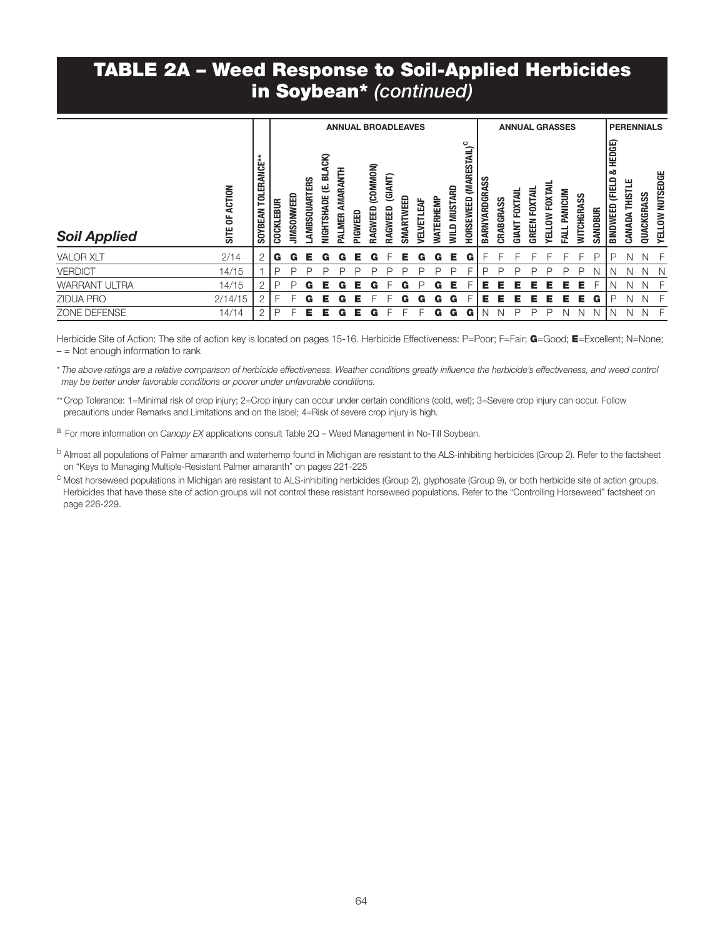## TABLE 2A – Weed Response to Soil-Applied Herbicides in Soybean\* *(continued)*

|                      |                                       |                              |                  |            |              |                              |                    |         | <b>ANNUAL BROADLEAVES</b> |                             |           |                       |           |                          |                                              |               |           | <b>ANNUAL GRASSES</b> |                  |                          |              |            |         |                                 |                          | <b>PERENNIALS</b> |                           |
|----------------------|---------------------------------------|------------------------------|------------------|------------|--------------|------------------------------|--------------------|---------|---------------------------|-----------------------------|-----------|-----------------------|-----------|--------------------------|----------------------------------------------|---------------|-----------|-----------------------|------------------|--------------------------|--------------|------------|---------|---------------------------------|--------------------------|-------------------|---------------------------|
| <b>Soil Applied</b>  | <b>ACTION</b><br>告<br>$\frac{12}{15}$ | <b>TOLERANCE*</b><br>SOYBEAN | <b>COCKLEBUR</b> | JIMSONWEED | AMBSQUARTERS | ξ<br>ळ<br>بيتا<br>NIGHTSHADE | AMARANTH<br>PALMER | PIGWEED | (COMMON)<br>RAGWEED       | <b>ANT)</b><br>ම<br>RAGWEED | SMARTWEED | LEAF<br><b>VELVET</b> | WATERHEMP | <b>MUSTARD</b><br>NILD I | (MARESTAIL) <sup>C</sup><br><b>HORSEWEED</b> | BARNYARDGRASS | CRABGRASS | FOXTAIL<br>GIANT      | FOXTAIL<br>GREEN | <b>FOXTAIL</b><br>VELLOW | PANICUM<br>짍 | WITCHGRASS | SANDBUR | & HED GE)<br>(FIELD<br>BINDWEED | <b>THISTLE</b><br>CANADA | QUACKGRASS        | NUTSEDGE<br><b>YELLOW</b> |
| <b>VALOR XLT</b>     | 2/14                                  | 2                            | G                | G          | Е            | G                            | G                  | Е       | G                         |                             | Е         | G                     | G         | Е                        | G                                            |               |           |                       |                  |                          |              | ⊢          | P       | Р                               | N                        | N                 |                           |
| <b>VERDICT</b>       | 14/15                                 |                              | ₽                | P          | Ρ            | ₽                            | Ρ                  | P       | P                         | P                           | P         | P                     | ₽         | P                        |                                              | P             | P         | ₽                     | P                | P                        | D            | P          | N       | N                               | N                        | N                 | N                         |
| <b>WARRANT ULTRA</b> | 14/15                                 | 2                            | D                | P          | G            | Е                            | G                  | Е       | G                         |                             | G         | P                     | G         | Е                        |                                              | Е             | Е         | Е                     | Е                | Е                        | Е            | Е          |         | N                               | N                        | N                 |                           |
| <b>ZIDUA PRO</b>     | 2/14/15                               | 2                            | F                | E          | G            | Е                            | G                  | Е       |                           |                             | G         | G                     | G         | G                        |                                              | Е             | Е         | F                     | Е                | Е                        | Е            | Е          | G       | P                               | N                        | N                 | F                         |
| <b>ZONE DEFENSE</b>  | 14/14                                 | 2                            | Р                | н.         | Е.           | Е.                           | G                  | Е       | G                         | ⊢                           | н.        | E                     | G         | G                        | G                                            |               | N         |                       | Р                | P                        | N            | ΙN         | N       | N                               | N                        | N                 | H                         |

Herbicide Site of Action: The site of action key is located on pages 15-16. Herbicide Effectiveness: P=Poor; F=Fair; G=Good; E=Excellent; N=None;  $-$  = Not enough information to rank

\* *The above ratings are a relative comparison of herbicide effectiveness. Weather conditions greatly influence the herbicide's effectiveness, and weed control may be better under favorable conditions or poorer under unfavorable conditions.*

\*\*Crop Tolerance: 1=Minimal risk of crop injury; 2=Crop injury can occur under certain conditions (cold, wet); 3=Severe crop injury can occur. Follow precautions under Remarks and Limitations and on the label; 4=Risk of severe crop injury is high.

a For more information on *Canopy EX* applications consult Table 2Q – Weed Management in No-Till Soybean.

b Almost all populations of Palmer amaranth and waterhemp found in Michigan are resistant to the ALS-inhibiting herbicides (Group 2). Refer to the factsheet on "Keys to Managing Multiple-Resistant Palmer amaranth" on pages 221-225

<sup>c</sup> Most horseweed populations in Michigan are resistant to ALS-inhibiting herbicides (Group 2), glyphosate (Group 9), or both herbicide site of action groups. Herbicides that have these site of action groups will not control these resistant horseweed populations. Refer to the "Controlling Horseweed" factsheet on page 226-229.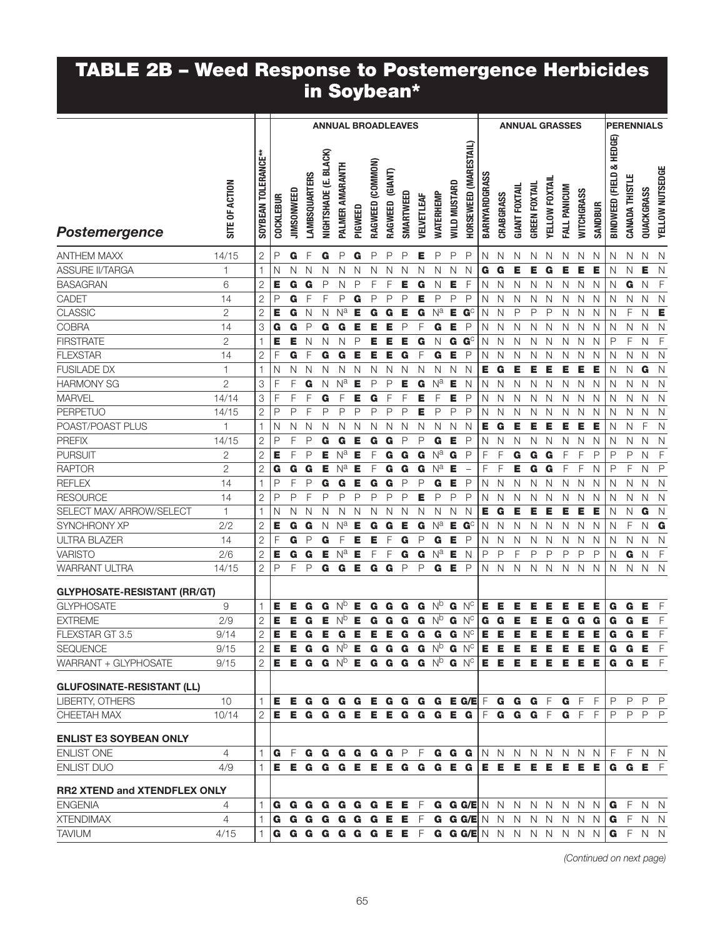## TABLE 2B – Weed Response to Postemergence Herbicides in Soybean\*

|                                     |                |                     |                  |            |                      |                       |                    |         |                  |                    | <b>ANNUAL BROADLEAVES</b>                                        |            |                |              |                         |               |           | <b>ANNUAL GRASSES</b> |                      |                       |              |                   |                |                          |                | PERENNIALS   |                 |
|-------------------------------------|----------------|---------------------|------------------|------------|----------------------|-----------------------|--------------------|---------|------------------|--------------------|------------------------------------------------------------------|------------|----------------|--------------|-------------------------|---------------|-----------|-----------------------|----------------------|-----------------------|--------------|-------------------|----------------|--------------------------|----------------|--------------|-----------------|
| Postemergence                       | SITE OF ACTION | SOYBEAN TOLERANCE** | <b>COCKLEBUR</b> | JIMSONWEED | <b>LAMBSQUARTERS</b> | NIGHTSHADE (E. BLACK) | PALMER AMARANTH    | PIGWEED | RAGWEED (COMMON) | (GIANT)<br>RAGWEED | SMARTWEED                                                        | VELVETLEAF | WATERHEMP      | WILD MUSTARD | HORSEWEED (MARESTAIL)   | BARNYARDGRASS | CRABGRASS | <b>GIANT FOXTAIL</b>  | <b>GREEN FOXTAIL</b> | <b>YELLOW FOXTAIL</b> | FALL PANICUM | <b>NITCHGRASS</b> | <b>SANDBUR</b> | BINDWEED (FIELD & HEDGE) | CANADA THISTLE | QUACKGRASS   | YELLOW NUTSEDGE |
| <b>ANTHEM MAXX</b>                  | 14/15          | $\sqrt{2}$          | Ρ                | G          | F                    | G                     | Ρ                  | G       | Ρ                | P                  | P                                                                | Е          | P              | P            | P                       | Ν             | N         | N                     | N                    | N                     | N            | N                 | N              | Ν                        | N              | N            | N               |
| <b>ASSURE II/TARGA</b>              | 1              | $\mathbf 1$         | N                | N          | N                    | N                     | N                  | N       | Ν                | $\mathsf{N}$       | $\mathbb N$                                                      | N          | $\mathsf{N}$   | $\mathsf{N}$ | N                       | G             | G         | Е                     | Е                    | G                     | E            | E                 | Е              | N                        | N              | E            | $\mathsf{N}$    |
| <b>BASAGRAN</b>                     | 6              | $\overline{c}$      | Е                | G          | G                    | $\mathsf{P}$          | N                  | P       | F                | F                  | Е                                                                | G          | N              | Е            | F                       | N             | Ν         | N                     | N                    | N                     | N            | N                 | N              | N                        | G              | N            | $\overline{F}$  |
| CADET                               | 14             | $\overline{c}$      | P                | G          | F                    | F                     | P                  | G       | P                | P                  | P                                                                | E          | P              | P            | P                       | N             | Ν         | N                     | N                    | $\mathsf{N}$          | N            | Ν                 | N              | N                        | N              | N            | $\mathsf{N}$    |
| <b>CLASSIC</b>                      | $\overline{2}$ | $\overline{c}$      | E                | G          | N                    | N                     | $N^{\overline{a}}$ | Е       | G                | G                  | Е                                                                | G          | N <sup>a</sup> | E            | $\mathbf{G}^{\text{C}}$ | N             | N         | P                     | P                    | P                     | N            | N                 | N              | Ν                        | F              | N            | Е               |
| <b>COBRA</b>                        | 14             | 3                   | G                | G          | P                    | G                     | G                  | Е       | Е                | Е                  | P                                                                | F          | G              | Е            | P                       | N             | Ν         | N                     | N                    | $\mathsf{N}$          | N            | Ν                 | N              | Ν                        | Ν              | Ν            | $\mathsf{N}$    |
| <b>FIRSTRATE</b>                    | $\overline{2}$ | 1                   | E                | Е          | N                    | N                     | N                  | P       | Е                | Е                  | Е                                                                | G          | N              | G            | $\mathbf{G}^{\text{C}}$ | N             | Ν         | N                     | N                    | N                     | N            | N                 | N              | P                        | F              | N            | F               |
| <b>FLEXSTAR</b>                     | 14             | $\overline{c}$      | F                | G          | F                    | G                     | G                  | Е       | Е                | Е                  | G                                                                | F          | G              | Е            | P                       | N             | Ν         | N                     | N                    | N                     | N            | Ν                 | N              | N                        | N              | N            | N               |
| <b>FUSILADE DX</b>                  | 1              | 1                   | Ν                | Ν          | $\mathsf{N}$         | N                     | N                  | N       | N                | N                  | N                                                                | N          | N              | N            | N                       | Е             | G         | Е                     | Е                    | Е                     | Е            | E                 | Е              | N                        | N              | G            | $\mathsf{N}$    |
| <b>HARMONY SG</b>                   | $\overline{2}$ | 3                   | F                | F          | G                    | N                     | N <sup>a</sup>     | Е       | P                | P                  | Е                                                                | G          | N <sup>a</sup> | E            | N                       | N             | Ν         | N                     | N                    | N                     | N            | N                 | N              | N                        | N              | N            | $\mathsf{N}$    |
| <b>MARVEL</b>                       | 14/14          | 3                   | F                | F          | F                    | G                     | F                  | Е       | G                | F                  | F                                                                | Е          | F              | Е            | P                       | N             | N         | N                     | N                    | N                     | N            | N                 | N              | Ν                        | N              | N            | $\mathsf{N}$    |
| <b>PERPETUO</b>                     | 14/15          | $\overline{c}$      | P                | P          | F                    | P                     | P                  | P       | P                | $\mathsf{P}$       | P                                                                | E          | P              | P            | P                       | N             | Ν         | N                     | N                    | N                     | N            | N                 | N              | Ν                        | N              | N            | $\mathsf{N}$    |
| POAST/POAST PLUS                    |                | 1                   | Ν                | N          | N                    | N                     | N                  | N       | N                | N                  | N                                                                | N          | N              | N            | N                       | Е             | G         | Е                     | Е                    | Е                     | Е            | E                 | Е              | Ν                        | N              | F            | $\mathsf{N}$    |
| <b>PREFIX</b>                       | 14/15          | $\overline{c}$      | P                | F          | P                    | G                     | G                  | Е       | G                | G                  | P                                                                | P          | G              | E            | P                       | N             | Ν         | N                     | N                    | N                     | N            | Ν                 | Ν              | N                        | Ν              | Ν            | $\mathsf{N}$    |
| <b>PURSUIT</b>                      | $\overline{2}$ | $\overline{c}$      | E                | F          | $\mathsf{P}$         | Е                     | $N^{\overline{a}}$ | Е       | F                | G                  | G                                                                | G          | N <sup>a</sup> | G            | P                       | F             | F         | G                     | G                    | G                     | F            | F                 | P              | P                        | Ρ              | N            | $\overline{F}$  |
| <b>RAPTOR</b>                       | $\overline{2}$ | $\overline{c}$      | G                | G          | G                    | Е                     | N <sup>a</sup>     | Е       | F                | G                  | G                                                                | G          | N <sup>a</sup> | Е            |                         | F             | F         | Е                     | G                    | G                     | F            | F                 | N              | P                        | F              | N            | $\mathsf{P}$    |
| <b>REFLEX</b>                       | 14             | 1                   | P                | F          | P                    | G                     | G                  | Е       | G                | G                  | P                                                                | P          | G              | Е            | P                       | N             | Ν         | N                     | N                    | $\mathsf{N}$          | N            | N                 | N              | N                        | N              | N            | $\mathsf{N}$    |
| <b>RESOURCE</b>                     | 14             | $\overline{c}$      | P                | P          | F                    | P                     | P                  | P       | P                | P                  | P                                                                | E          | P              | P            | P                       | N             | Ν         | N                     | N                    | N                     | N            | N                 | Ν              | Ν                        | N              | N            | $\mathsf{N}$    |
| SELECT MAX/ ARROW/SELECT            | 1              | 1                   | Ν                | N          | N                    | N                     | N                  | N       | N                | N                  | N                                                                | N          | N              | N            | N                       | E             | G         | Е                     | Е                    | Е                     | Е            | E                 | Е              | Ν                        | N              | G            | $\mathsf{N}$    |
| SYNCHRONY XP                        | 2/2            | $\overline{c}$      | E                | G          | G                    | N                     | N <sup>a</sup>     | Е       | G                | G                  | Е                                                                | G          | N <sup>a</sup> | Е            | $G^C$                   | N             | Ν         | N                     | N                    | N                     | N            | N                 | N              | Ν                        | F              | N            | G               |
| <b>ULTRA BLAZER</b>                 | 14             | $\overline{c}$      | F                | G          | P                    | G                     | F                  | Е       | Е                | F                  | G                                                                | P          | G              | Е            | P                       | Ν             | N         | N                     | N                    | $\mathsf{N}$          | N            | N                 | N              | Ν                        | N              | $\mathsf{N}$ | $\mathsf{N}$    |
| <b>VARISTO</b>                      | 2/6            | $\overline{c}$      | E                | G          | G                    | Е                     | N <sup>a</sup>     | Е       | F                | F                  | G                                                                | G          | N <sup>a</sup> | E            | N                       | P             | P         | F                     | P                    | P                     | P            | P                 | P              | N                        | G              | N            | $\overline{F}$  |
| <b>WARRANT ULTRA</b>                | 14/15          | $\overline{c}$      | P                | F          | $\mathsf{P}$         | G                     | G                  | Е       | G                | $\mathbf G$        | P                                                                | P          | G              | Е            | P                       | Ν             | N         | N                     | N                    | N                     | N            | N                 | N              | Ν                        | N              | $\mathsf{N}$ | $\mathsf{N}$    |
| <b>GLYPHOSATE-RESISTANT (RR/GT)</b> |                |                     |                  |            |                      |                       |                    |         |                  |                    |                                                                  |            |                |              |                         |               |           |                       |                      |                       |              |                   |                |                          |                |              |                 |
| <b>GLYPHOSATE</b>                   | 9              | 1                   | Е                | Е          | G                    | G                     | N <sub>p</sub>     | Е       | G                | G                  | G                                                                | G          | N <sub>p</sub> | G            | $N^{\circ}$             | Е             | Е         | Е                     | Е                    | Е                     | Е            | Е                 | Е              | G                        | G              | Е            | F               |
| <b>EXTREME</b>                      | 2/9            | 2                   | E                | Е          | G                    | Е                     | $N^{\overline{b}}$ | Е       | G                | G                  | G                                                                | G          | N <sup>b</sup> | G            | $N^{\circ}$             | G             | G         |                       |                      |                       | G            | G                 | G              | G                        | G              | E            | F               |
| FLEXSTAR GT 3.5                     | 9/14           | $\mathbf{2}$        | E                | E          | G                    | Е                     | G                  | Е       | Е                | Е                  | G                                                                | G          | G              | G            | $N^{\circ}$             | Е             | Е         | Е                     |                      | Е                     | Е            | E                 | Е              | G                        | G              | Е            | $\overline{F}$  |
| SEQUENCE                            | 9/15           |                     |                  |            |                      |                       |                    |         |                  |                    | E G G N <sup>b</sup> E G G G G N <sup>b</sup> G N <sup>c</sup>   |            |                |              |                         |               |           |                       |                      |                       |              |                   |                |                          |                | G E F        |                 |
| WARRANT + GLYPHOSATE                | 9/15           | $\overline{2}$      |                  |            |                      |                       |                    |         |                  |                    | E E G G N <sup>D</sup> E G G G G N <sup>D</sup> G N <sup>C</sup> |            |                |              |                         | Е,<br>E E     | E         | Е                     | Е                    | Е                     | Þ,<br>Е.     | Þ,<br>Е           | Е<br>E         | G                        |                | G G E F      |                 |
|                                     |                |                     |                  |            |                      |                       |                    |         |                  |                    |                                                                  |            |                |              |                         |               |           |                       |                      |                       |              |                   |                |                          |                |              |                 |
| <b>GLUFOSINATE-RESISTANT (LL)</b>   |                |                     |                  |            |                      |                       |                    |         |                  |                    |                                                                  |            |                |              |                         |               |           |                       |                      |                       |              |                   |                |                          |                |              |                 |
| LIBERTY, OTHERS                     | 10             | 1.                  |                  |            |                      |                       |                    |         |                  |                    | E E G G G G E G G G G E G/E F G G G F                            |            |                |              |                         |               |           |                       |                      |                       |              | G F F             |                | P                        | P              |              | P P             |
| CHEETAH MAX                         | 10/14          | $\overline{2}$      |                  |            |                      |                       |                    |         |                  |                    | $E$ E G G G E E E G G G E G F G G G F                            |            |                |              |                         |               |           |                       |                      |                       |              | G F F             |                | P                        | P              |              | P P             |
| <b>ENLIST E3 SOYBEAN ONLY</b>       |                |                     |                  |            |                      |                       |                    |         |                  |                    |                                                                  |            |                |              |                         |               |           |                       |                      |                       |              |                   |                |                          |                |              |                 |
| <b>ENLIST ONE</b>                   | 4              | 1                   |                  |            |                      |                       |                    |         |                  |                    | G F G G G G G G P F G G G IN N                                   |            |                |              |                         |               |           | $\overline{N}$        |                      | N N                   | N            |                   | N N            | F                        | F.             |              | N N             |
| <b>ENLIST DUO</b>                   | 4/9            | $\mathbf{1}$        |                  |            |                      |                       |                    |         |                  |                    | E E G G G E E E G G G E G                                        |            |                |              |                         |               |           | EEEEE.                |                      |                       |              |                   | E E E          |                          |                | G G E F      |                 |
| <b>RR2 XTEND and XTENDFLEX ONLY</b> |                |                     |                  |            |                      |                       |                    |         |                  |                    |                                                                  |            |                |              |                         |               |           |                       |                      |                       |              |                   |                |                          |                |              |                 |
| <b>ENGENIA</b>                      | 4              | 1.                  |                  |            |                      |                       |                    |         |                  |                    | G G G G G G G E E F G G G/E N N                                  |            |                |              |                         |               |           | $\mathsf{N}$          | N                    | N                     |              | N N N             |                | G                        | - F            | N N          |                 |
| <b>XTENDIMAX</b>                    | 4              | 1                   |                  |            |                      |                       |                    |         |                  |                    | G G G G G G G E E F G G G/E N N                                  |            |                |              |                         |               |           | $\mathbb N$           | N.                   | - N                   | N            |                   | N N            | G                        | F              | N N          |                 |
| <b>TAVIUM</b>                       | 4/15           | 1.                  |                  |            |                      |                       |                    |         |                  |                    | G G G G G G G E E F G G G/E N N                                  |            |                |              |                         |               |           | N                     | N N                  |                       |              | N N N             |                |                          | $G$ $F$        | N N          |                 |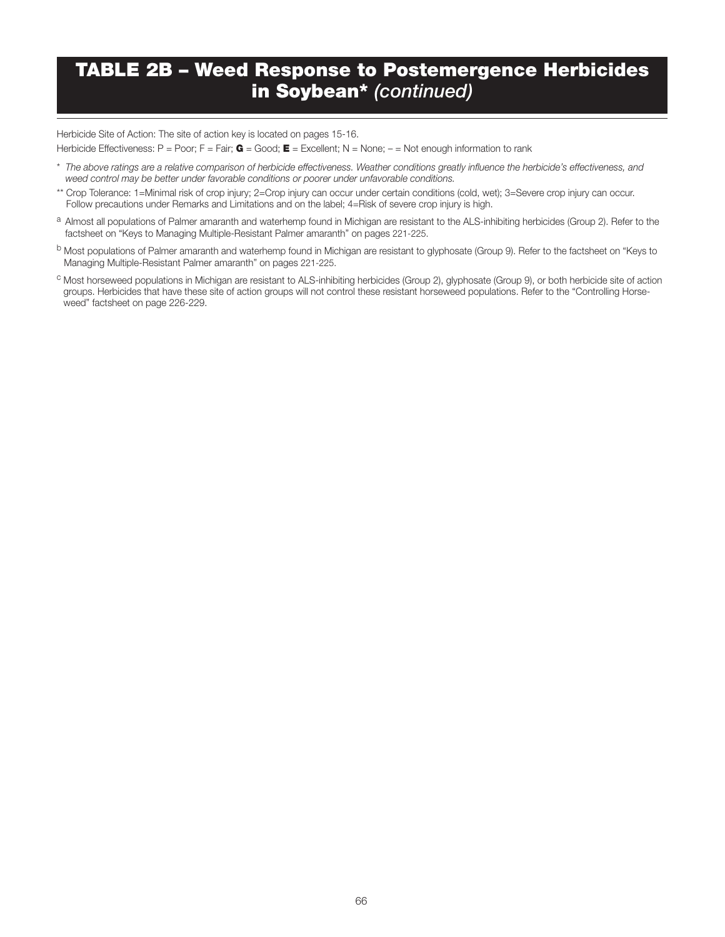## TABLE 2B – Weed Response to Postemergence Herbicides in Soybean\* *(continued)*

Herbicide Site of Action: The site of action key is located on pages 15-16.

Herbicide Effectiveness: P = Poor; F = Fair; G = Good; E = Excellent; N = None; - = Not enough information to rank

- \* *The above ratings are a relative comparison of herbicide effectiveness. Weather conditions greatly influence the herbicide's effectiveness, and weed control may be better under favorable conditions or poorer under unfavorable conditions.*
- \*\* Crop Tolerance: 1=Minimal risk of crop injury; 2=Crop injury can occur under certain conditions (cold, wet); 3=Severe crop injury can occur. Follow precautions under Remarks and Limitations and on the label; 4=Risk of severe crop injury is high.
- a Almost all populations of Palmer amaranth and waterhemp found in Michigan are resistant to the ALS-inhibiting herbicides (Group 2). Refer to the factsheet on "Keys to Managing Multiple-Resistant Palmer amaranth" on pages 221-225.
- <sup>b</sup> Most populations of Palmer amaranth and waterhemp found in Michigan are resistant to glyphosate (Group 9). Refer to the factsheet on "Keys to Managing Multiple-Resistant Palmer amaranth" on pages 221-225.
- <sup>c</sup> Most horseweed populations in Michigan are resistant to ALS-inhibiting herbicides (Group 2), glyphosate (Group 9), or both herbicide site of action groups. Herbicides that have these site of action groups will not control these resistant horseweed populations. Refer to the "Controlling Horseweed" factsheet on page 226-229.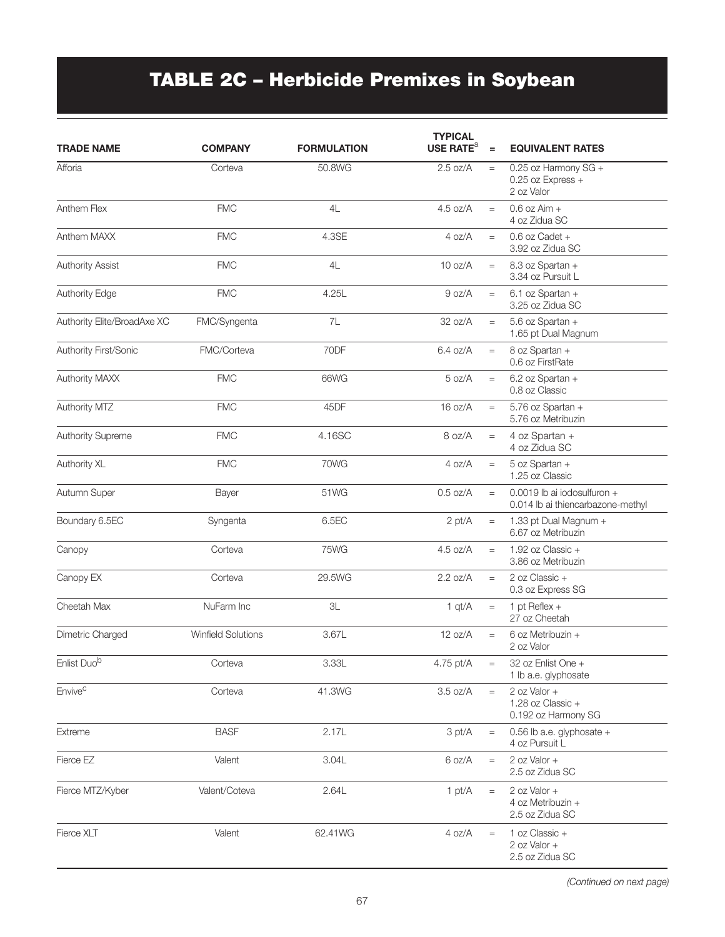# TABLE 2C – Herbicide Premixes in Soybean

| <b>TRADE NAME</b>           | <b>COMPANY</b>            | <b>FORMULATION</b> | <b>TYPICAL</b><br>USE RATE <sup>a</sup> | $=$       | <b>EQUIVALENT RATES</b>                                          |
|-----------------------------|---------------------------|--------------------|-----------------------------------------|-----------|------------------------------------------------------------------|
| Afforia                     | Corteva                   | 50.8WG             | 2.5 oz/A                                | $=$       | 0.25 oz Harmony SG +<br>$0.25$ oz Express +<br>2 oz Valor        |
| Anthem Flex                 | <b>FMC</b>                | 4L                 | 4.5 oz/A                                | $\equiv$  | $0.6$ oz Aim $+$<br>4 oz Zidua SC                                |
| Anthem MAXX                 | <b>FMC</b>                | 4.3SE              | 4 oz/A                                  | $=$       | $0.6$ oz Cadet +<br>3.92 oz Zidua SC                             |
| <b>Authority Assist</b>     | <b>FMC</b>                | 4L                 | 10 oz/A                                 | $=$       | 8.3 oz Spartan +<br>3.34 oz Pursuit L                            |
| <b>Authority Edge</b>       | <b>FMC</b>                | 4.25L              | 9 oz/A                                  | $\equiv$  | 6.1 oz Spartan +<br>3.25 oz Zidua SC                             |
| Authority Elite/BroadAxe XC | FMC/Syngenta              | 7L                 | 32 oz/A                                 | $=$       | 5.6 oz Spartan +<br>1.65 pt Dual Magnum                          |
| Authority First/Sonic       | FMC/Corteva               | 70DF               | $6.4$ oz/A                              | $=$       | 8 oz Spartan +<br>0.6 oz FirstRate                               |
| Authority MAXX              | <b>FMC</b>                | 66WG               | 5 oz/A                                  | $=$       | 6.2 oz Spartan +<br>0.8 oz Classic                               |
| Authority MTZ               | <b>FMC</b>                | 45DF               | 16 oz/A                                 | $\equiv$  | 5.76 oz Spartan +<br>5.76 oz Metribuzin                          |
| <b>Authority Supreme</b>    | <b>FMC</b>                | 4.16SC             | 8 oz/A                                  | $=$       | 4 oz Spartan +<br>4 oz Zidua SC                                  |
| Authority XL                | <b>FMC</b>                | 70WG               | 4 oz/A                                  | $=$       | 5 oz Spartan +<br>1.25 oz Classic                                |
| Autumn Super                | Bayer                     | 51WG               | $0.5$ oz/A                              | $\equiv$  | 0.0019 lb ai iodosulfuron +<br>0.014 lb ai thiencarbazone-methyl |
| Boundary 6.5EC              | Syngenta                  | 6.5EC              | 2 pt/A                                  | $=$       | 1.33 pt Dual Magnum +<br>6.67 oz Metribuzin                      |
| Canopy                      | Corteva                   | 75WG               | 4.5 oz/A                                | $=$       | 1.92 oz Classic $+$<br>3.86 oz Metribuzin                        |
| Canopy EX                   | Corteva                   | 29.5WG             | 2.2 oz/A                                | $=$       | 2 oz Classic +<br>0.3 oz Express SG                              |
| Cheetah Max                 | NuFarm Inc                | 3L                 | $1$ qt/ $A$                             | $\quad =$ | 1 pt Reflex $+$<br>27 oz Cheetah                                 |
| Dimetric Charged            | <b>Winfield Solutions</b> | 3.67L              | 12 oz/A                                 | $\equiv$  | 6 oz Metribuzin +<br>2 oz Valor                                  |
| Enlist Duo <sup>b</sup>     | Corteva                   | 3.33L              | 4.75 pt/A                               | $\quad =$ | 32 oz Enlist One +<br>1 lb a.e. glyphosate                       |
| Envive <sup>c</sup>         | Corteva                   | 41.3WG             | 3.5 oz/A                                | $=$       | 2 oz Valor +<br>1.28 oz Classic +<br>0.192 oz Harmony SG         |
| Extreme                     | <b>BASF</b>               | 2.17L              | 3 pt/A                                  | $\quad =$ | 0.56 lb a.e. glyphosate +<br>4 oz Pursuit L                      |
| Fierce EZ                   | Valent                    | 3.04L              | 6 oz/A                                  | $=$       | 2 oz Valor $+$<br>2.5 oz Zidua SC                                |
| Fierce MTZ/Kyber            | Valent/Coteva             | 2.64L              | 1 pt/ $A$                               | $=$       | 2 oz Valor +<br>4 oz Metribuzin +<br>2.5 oz Zidua SC             |
| Fierce XLT                  | Valent                    | 62.41WG            | 4 oz/A                                  | $=$       | 1 oz Classic +<br>2 oz Valor +<br>2.5 oz Zidua SC                |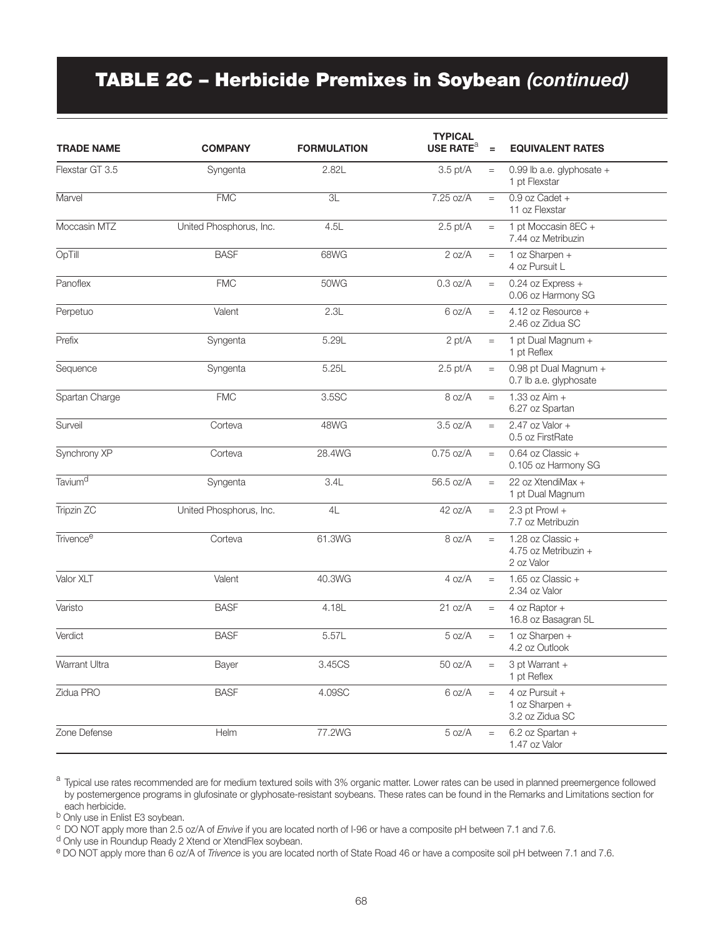## TABLE 2C – Herbicide Premixes in Soybean *(continued)*

| <b>TRADE NAME</b>     | <b>COMPANY</b>          | <b>FORMULATION</b> | <b>TYPICAL</b><br>USE RATE <sup>a</sup> | $=$       | <b>EQUIVALENT RATES</b>                                   |
|-----------------------|-------------------------|--------------------|-----------------------------------------|-----------|-----------------------------------------------------------|
| Flexstar GT 3.5       | Syngenta                | 2.82L              | 3.5 pt/A                                | $=$       | 0.99 lb a.e. glyphosate $+$<br>1 pt Flexstar              |
| Marvel                | <b>FMC</b>              | 3L                 | $7.25$ oz/A                             | $\equiv$  | $0.9$ oz Cadet +<br>11 oz Flexstar                        |
| Moccasin MTZ          | United Phosphorus, Inc. | 4.5L               | $2.5$ pt/A                              | $=$       | 1 pt Moccasin 8EC +<br>7.44 oz Metribuzin                 |
| OpTill                | <b>BASF</b>             | 68WG               | 2 oz/A                                  | $=$       | 1 oz Sharpen +<br>4 oz Pursuit L                          |
| Panoflex              | <b>FMC</b>              | 50WG               | $0.3$ oz/ $A$                           | $=$       | $0.24$ oz Express +<br>0.06 oz Harmony SG                 |
| Perpetuo              | Valent                  | 2.3L               | 6 oz/A                                  | $=$       | 4.12 oz Resource $+$<br>2.46 oz Zidua SC                  |
| Prefix                | Syngenta                | 5.29L              | 2 pt/A                                  | $=$       | 1 pt Dual Magnum +<br>1 pt Reflex                         |
| Sequence              | Syngenta                | 5.25L              | $2.5$ pt/A                              | $=$       | 0.98 pt Dual Magnum +<br>0.7 lb a.e. glyphosate           |
| Spartan Charge        | <b>FMC</b>              | 3.5SC              | 8 oz/A                                  | $=$       | 1.33 oz Aim $+$<br>6.27 oz Spartan                        |
| Surveil               | Corteva                 | 48WG               | 3.5 oz/A                                | $=$       | 2.47 oz Valor $+$<br>0.5 oz FirstRate                     |
| Synchrony XP          | Corteva                 | 28.4WG             | $0.75$ oz/A                             | $=$       | 0.64 oz Classic +<br>0.105 oz Harmony SG                  |
| Tavium <sup>d</sup>   | Syngenta                | 3.4L               | 56.5 oz/A                               | $=$       | 22 oz XtendiMax +<br>1 pt Dual Magnum                     |
| Tripzin ZC            | United Phosphorus, Inc. | 4L                 | 42 oz/A                                 | $=$       | 2.3 pt Prowl $+$<br>7.7 oz Metribuzin                     |
| Trivence <sup>e</sup> | Corteva                 | 61.3WG             | 8 oz/A                                  | $=$       | 1.28 oz Classic $+$<br>4.75 oz Metribuzin +<br>2 oz Valor |
| Valor XLT             | Valent                  | 40.3WG             | 4 oz/A                                  | $=$       | 1.65 oz Classic $+$<br>2.34 oz Valor                      |
| Varisto               | <b>BASF</b>             | 4.18L              | 21 oz/A                                 | $=$       | 4 oz Raptor +<br>16.8 oz Basagran 5L                      |
| Verdict               | <b>BASF</b>             | 5.57L              | 5 oz/A                                  | $=$       | 1 oz Sharpen +<br>4.2 oz Outlook                          |
| Warrant Ultra         | Bayer                   | 3.45CS             | 50 oz/A                                 | $\quad =$ | 3 pt Warrant +<br>1 pt Reflex                             |
| Zidua PRO             | <b>BASF</b>             | 4.09SC             | 6 oz/A                                  | $\quad =$ | 4 oz Pursuit +<br>1 oz Sharpen +<br>3.2 oz Zidua SC       |
| Zone Defense          | Helm                    | 77.2WG             | 5 oz/A                                  | $=$       | 6.2 oz Spartan +<br>1.47 oz Valor                         |

<sup>a</sup> Typical use rates recommended are for medium textured soils with 3% organic matter. Lower rates can be used in planned preemergence followed by postemergence programs in glufosinate or glyphosate-resistant soybeans. These rates can be found in the Remarks and Limitations section for each herbicide.

b Only use in Enlist E3 soybean.

<sup>c</sup> DO NOT apply more than 2.5 oz/A of *Envive* if you are located north of I-96 or have a composite pH between 7.1 and 7.6.

d Only use in Roundup Ready 2 Xtend or XtendFlex soybean.

e DO NOT apply more than 6 oz/A of *Trivence* is you are located north of State Road 46 or have a composite soil pH between 7.1 and 7.6.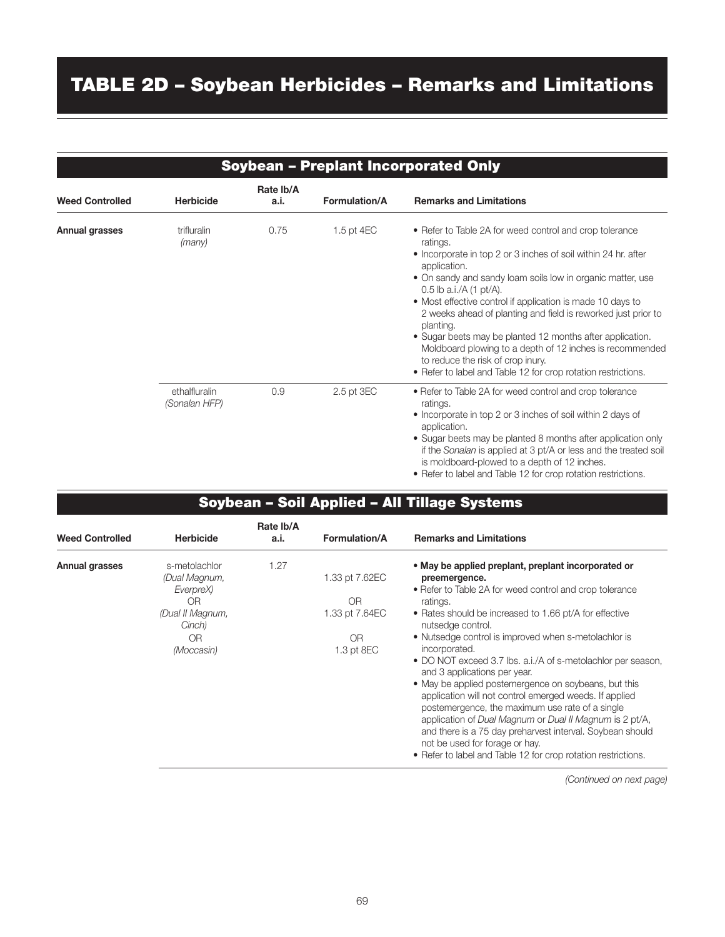# TABLE 2D – Soybean Herbicides – Remarks and Limitations

| <b>Soybean - Preplant Incorporated Only</b> |                                |                   |                      |                                                                                                                                                                                                                                                                                                                                                                                                                                                                                                                                                                                                                           |  |  |  |  |  |
|---------------------------------------------|--------------------------------|-------------------|----------------------|---------------------------------------------------------------------------------------------------------------------------------------------------------------------------------------------------------------------------------------------------------------------------------------------------------------------------------------------------------------------------------------------------------------------------------------------------------------------------------------------------------------------------------------------------------------------------------------------------------------------------|--|--|--|--|--|
| <b>Weed Controlled</b>                      | <b>Herbicide</b>               | Rate lb/A<br>a.i. | <b>Formulation/A</b> | <b>Remarks and Limitations</b>                                                                                                                                                                                                                                                                                                                                                                                                                                                                                                                                                                                            |  |  |  |  |  |
| Annual grasses                              | trifluralin<br>(many)          | 0.75              | 1.5 pt 4EC           | • Refer to Table 2A for weed control and crop tolerance<br>ratings.<br>• Incorporate in top 2 or 3 inches of soil within 24 hr. after<br>application.<br>• On sandy and sandy loam soils low in organic matter, use<br>0.5 lb a.i./A (1 pt/A).<br>• Most effective control if application is made 10 days to<br>2 weeks ahead of planting and field is reworked just prior to<br>planting.<br>• Sugar beets may be planted 12 months after application.<br>Moldboard plowing to a depth of 12 inches is recommended<br>to reduce the risk of crop inury.<br>• Refer to label and Table 12 for crop rotation restrictions. |  |  |  |  |  |
|                                             | ethalfluralin<br>(Sonalan HFP) | 0.9               | 2.5 pt 3EC           | • Refer to Table 2A for weed control and crop tolerance<br>ratings.<br>• Incorporate in top 2 or 3 inches of soil within 2 days of<br>application.<br>• Sugar beets may be planted 8 months after application only<br>if the Sonalan is applied at 3 pt/A or less and the treated soil<br>is moldboard-plowed to a depth of 12 inches.<br>• Refer to label and Table 12 for crop rotation restrictions.                                                                                                                                                                                                                   |  |  |  |  |  |

| Soybean – Soil Applied – All Tillage Systems |  |
|----------------------------------------------|--|
|                                              |  |

| <b>Weed Controlled</b> | <b>Herbicide</b>                                  | Rate Ib/A<br>a.i. | <b>Formulation/A</b>             | <b>Remarks and Limitations</b>                                                                                                                                                                                                                                                                                                                                                                                                                                                                                |
|------------------------|---------------------------------------------------|-------------------|----------------------------------|---------------------------------------------------------------------------------------------------------------------------------------------------------------------------------------------------------------------------------------------------------------------------------------------------------------------------------------------------------------------------------------------------------------------------------------------------------------------------------------------------------------|
| Annual grasses         | s-metolachlor<br>(Dual Magnum,<br>EverpreX)<br>ΟR | 1.27              | 1.33 pt 7.62EC<br>0 <sub>R</sub> | • May be applied preplant, preplant incorporated or<br>preemergence.<br>• Refer to Table 2A for weed control and crop tolerance<br>ratings.                                                                                                                                                                                                                                                                                                                                                                   |
|                        | (Dual II Magnum,<br>Cinch)                        |                   | 1.33 pt 7.64EC                   | • Rates should be increased to 1.66 pt/A for effective<br>nutsedge control.                                                                                                                                                                                                                                                                                                                                                                                                                                   |
|                        | 0 <sub>R</sub>                                    |                   | 0 <sub>R</sub>                   | • Nutsedge control is improved when s-metolachlor is                                                                                                                                                                                                                                                                                                                                                                                                                                                          |
|                        | (Moccasin)                                        |                   | 1.3 pt 8EC                       | incorporated.<br>• DO NOT exceed 3.7 lbs. a.i./A of s-metolachlor per season,<br>and 3 applications per year.<br>• May be applied postemergence on soybeans, but this<br>application will not control emerged weeds. If applied<br>postemergence, the maximum use rate of a single<br>application of Dual Magnum or Dual II Magnum is 2 pt/A,<br>and there is a 75 day preharvest interval. Soybean should<br>not be used for forage or hay.<br>• Refer to label and Table 12 for crop rotation restrictions. |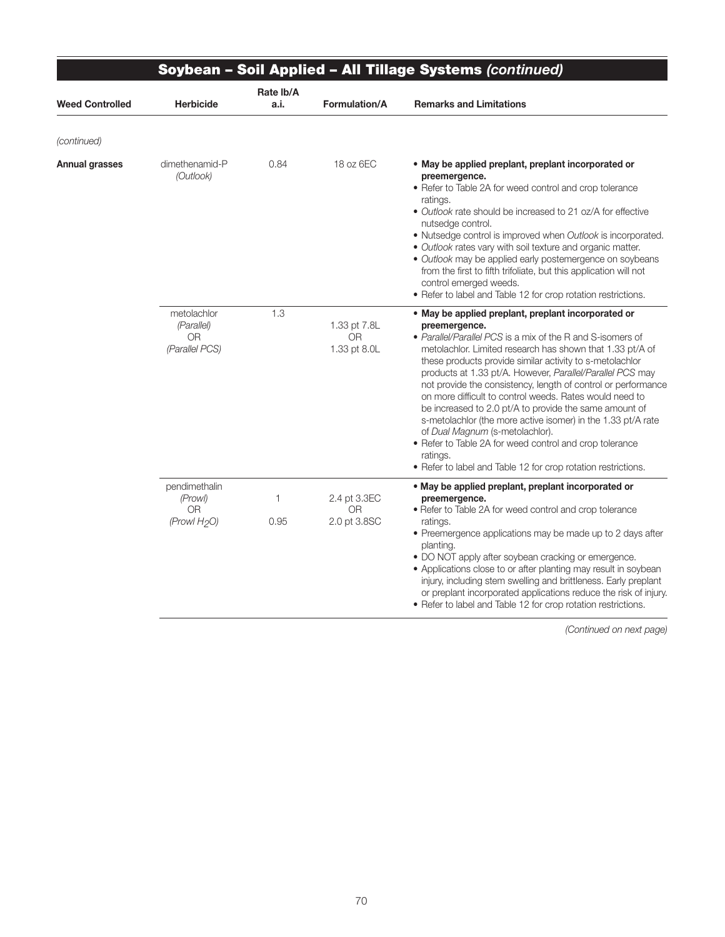|                        |                                                                        |                   |                                                | Soybean - Soil Applied - All Tillage Systems (continued)                                                                                                                                                                                                                                                                                                                                                                                                                                                                                                                                                                                                                                                                                                  |
|------------------------|------------------------------------------------------------------------|-------------------|------------------------------------------------|-----------------------------------------------------------------------------------------------------------------------------------------------------------------------------------------------------------------------------------------------------------------------------------------------------------------------------------------------------------------------------------------------------------------------------------------------------------------------------------------------------------------------------------------------------------------------------------------------------------------------------------------------------------------------------------------------------------------------------------------------------------|
| <b>Weed Controlled</b> | <b>Herbicide</b>                                                       | Rate Ib/A<br>a.i. | Formulation/A                                  | <b>Remarks and Limitations</b>                                                                                                                                                                                                                                                                                                                                                                                                                                                                                                                                                                                                                                                                                                                            |
| (continued)            |                                                                        |                   |                                                |                                                                                                                                                                                                                                                                                                                                                                                                                                                                                                                                                                                                                                                                                                                                                           |
| <b>Annual grasses</b>  | dimethenamid-P<br>(Outlook)                                            | 0.84              | 18 oz 6EC                                      | • May be applied preplant, preplant incorporated or<br>preemergence.<br>• Refer to Table 2A for weed control and crop tolerance<br>ratings.<br>• Outlook rate should be increased to 21 oz/A for effective<br>nutsedge control.<br>• Nutsedge control is improved when Outlook is incorporated.<br>· Outlook rates vary with soil texture and organic matter.<br>· Outlook may be applied early postemergence on soybeans<br>from the first to fifth trifoliate, but this application will not<br>control emerged weeds.<br>• Refer to label and Table 12 for crop rotation restrictions.                                                                                                                                                                 |
|                        | metolachlor<br>(Parallel)<br>0R<br>(Parallel PCS)                      | 1.3               | 1.33 pt 7.8L<br>0R<br>1.33 pt 8.0L             | • May be applied preplant, preplant incorporated or<br>preemergence.<br>• Parallel/Parallel PCS is a mix of the R and S-isomers of<br>metolachlor. Limited research has shown that 1.33 pt/A of<br>these products provide similar activity to s-metolachlor<br>products at 1.33 pt/A. However, Parallel/Parallel PCS may<br>not provide the consistency, length of control or performance<br>on more difficult to control weeds. Rates would need to<br>be increased to 2.0 pt/A to provide the same amount of<br>s-metolachlor (the more active isomer) in the 1.33 pt/A rate<br>of Dual Magnum (s-metolachlor).<br>• Refer to Table 2A for weed control and crop tolerance<br>ratings.<br>• Refer to label and Table 12 for crop rotation restrictions. |
|                        | pendimethalin<br>(Prowl)<br>0 <sub>R</sub><br>(Prowl H <sub>2</sub> O) | 1<br>0.95         | 2.4 pt 3.3EC<br>0 <sub>R</sub><br>2.0 pt 3.8SC | . May be applied preplant, preplant incorporated or<br>preemergence.<br>• Refer to Table 2A for weed control and crop tolerance<br>ratings.<br>• Preemergence applications may be made up to 2 days after<br>planting.<br>• DO NOT apply after soybean cracking or emergence.<br>• Applications close to or after planting may result in soybean<br>injury, including stem swelling and brittleness. Early preplant<br>or preplant incorporated applications reduce the risk of injury.<br>• Refer to label and Table 12 for crop rotation restrictions.                                                                                                                                                                                                  |

*(Continued on next page)*

Ξ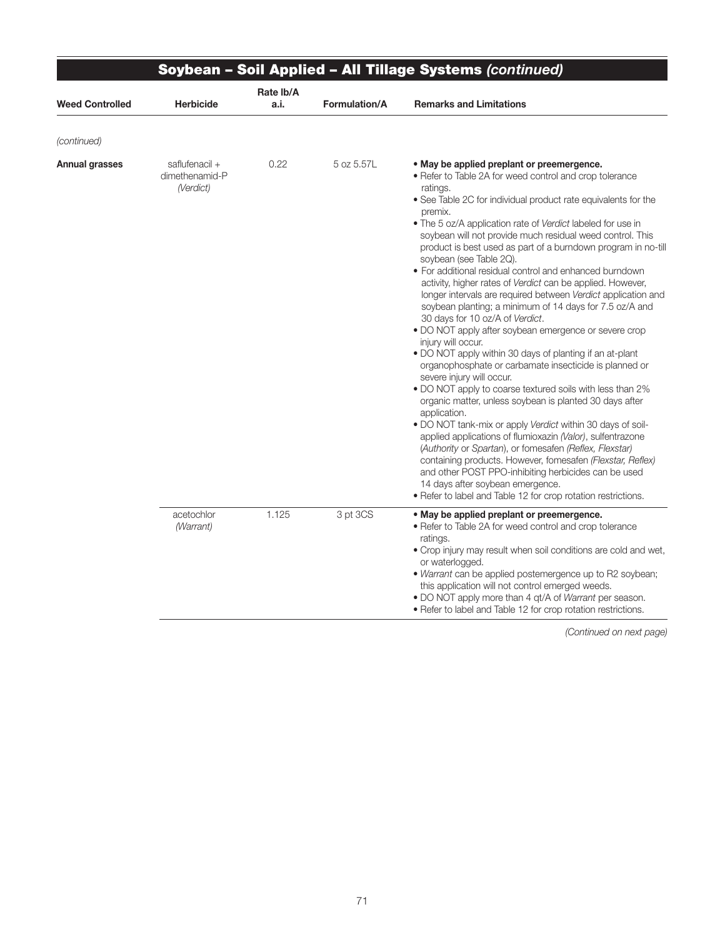|                        |                                               | Rate Ib/A |                      |                                                                                                                                                                                                                                                                                                                                                                                                                                                                                                                                                                                                                                                                                                                                                                                                                                                                                                                                                                                                                                                                                                                                                                                                                                                                                                                                                                                                                                                                                                            |
|------------------------|-----------------------------------------------|-----------|----------------------|------------------------------------------------------------------------------------------------------------------------------------------------------------------------------------------------------------------------------------------------------------------------------------------------------------------------------------------------------------------------------------------------------------------------------------------------------------------------------------------------------------------------------------------------------------------------------------------------------------------------------------------------------------------------------------------------------------------------------------------------------------------------------------------------------------------------------------------------------------------------------------------------------------------------------------------------------------------------------------------------------------------------------------------------------------------------------------------------------------------------------------------------------------------------------------------------------------------------------------------------------------------------------------------------------------------------------------------------------------------------------------------------------------------------------------------------------------------------------------------------------------|
| <b>Weed Controlled</b> | <b>Herbicide</b>                              | a.i.      | <b>Formulation/A</b> | <b>Remarks and Limitations</b>                                                                                                                                                                                                                                                                                                                                                                                                                                                                                                                                                                                                                                                                                                                                                                                                                                                                                                                                                                                                                                                                                                                                                                                                                                                                                                                                                                                                                                                                             |
| (continued)            |                                               |           |                      |                                                                                                                                                                                                                                                                                                                                                                                                                                                                                                                                                                                                                                                                                                                                                                                                                                                                                                                                                                                                                                                                                                                                                                                                                                                                                                                                                                                                                                                                                                            |
| Annual grasses         | saflufenacil +<br>dimethenamid-P<br>(Verdict) | 0.22      | 5 oz 5.57L           | • May be applied preplant or preemergence.<br>• Refer to Table 2A for weed control and crop tolerance<br>ratings.<br>• See Table 2C for individual product rate equivalents for the<br>premix.<br>. The 5 oz/A application rate of Verdict labeled for use in<br>soybean will not provide much residual weed control. This<br>product is best used as part of a burndown program in no-till<br>soybean (see Table 2Q).<br>• For additional residual control and enhanced burndown<br>activity, higher rates of Verdict can be applied. However,<br>longer intervals are required between Verdict application and<br>soybean planting; a minimum of 14 days for 7.5 oz/A and<br>30 days for 10 oz/A of Verdict.<br>• DO NOT apply after soybean emergence or severe crop<br>injury will occur.<br>. DO NOT apply within 30 days of planting if an at-plant<br>organophosphate or carbamate insecticide is planned or<br>severe injury will occur.<br>. DO NOT apply to coarse textured soils with less than 2%<br>organic matter, unless soybean is planted 30 days after<br>application.<br>• DO NOT tank-mix or apply Verdict within 30 days of soil-<br>applied applications of flumioxazin (Valor), sulfentrazone<br>(Authority or Spartan), or fomesafen (Reflex, Flexstar)<br>containing products. However, fomesafen (Flexstar, Reflex)<br>and other POST PPO-inhibiting herbicides can be used<br>14 days after soybean emergence.<br>• Refer to label and Table 12 for crop rotation restrictions. |
|                        | acetochlor<br>(Warrant)                       | 1.125     | 3 pt 3CS             | . May be applied preplant or preemergence.<br>. Refer to Table 2A for weed control and crop tolerance<br>ratings.<br>• Crop injury may result when soil conditions are cold and wet,<br>or waterlogged.<br>. Warrant can be applied postemergence up to R2 soybean;<br>this application will not control emerged weeds.<br>• DO NOT apply more than 4 qt/A of Warrant per season.<br>• Refer to label and Table 12 for crop rotation restrictions.                                                                                                                                                                                                                                                                                                                                                                                                                                                                                                                                                                                                                                                                                                                                                                                                                                                                                                                                                                                                                                                         |

∍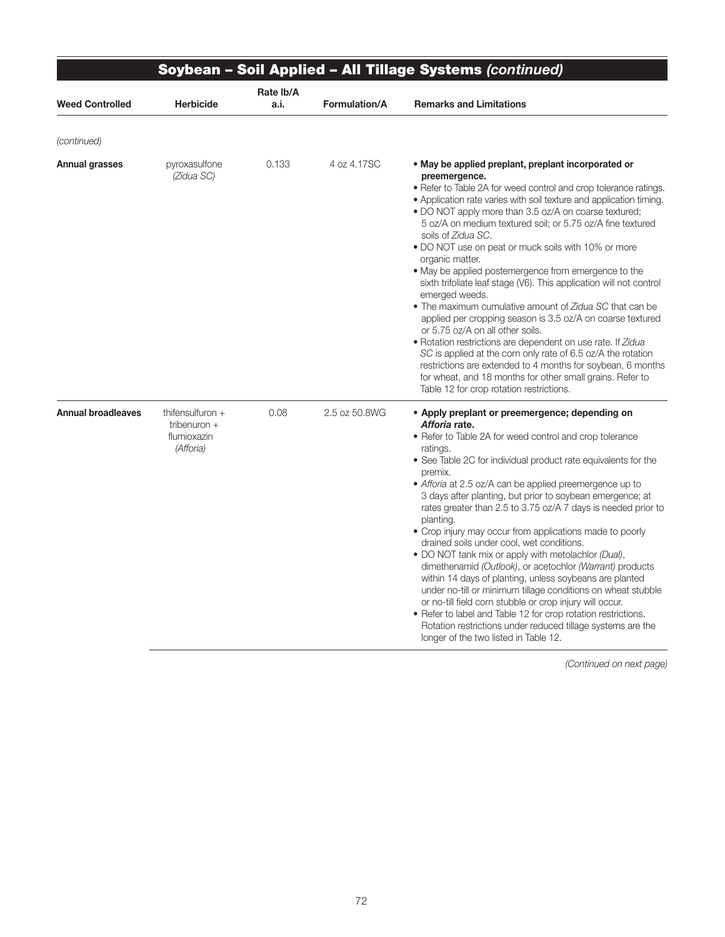|                           |                                                                  |                   |               | Soybean - Soil Applied - All Tillage Systems (continued)                                                                                                                                                                                                                                                                                                                                                                                                                                                                                                                                                                                                                                                                                                                                                                                                                                                                                                                                                                                                    |
|---------------------------|------------------------------------------------------------------|-------------------|---------------|-------------------------------------------------------------------------------------------------------------------------------------------------------------------------------------------------------------------------------------------------------------------------------------------------------------------------------------------------------------------------------------------------------------------------------------------------------------------------------------------------------------------------------------------------------------------------------------------------------------------------------------------------------------------------------------------------------------------------------------------------------------------------------------------------------------------------------------------------------------------------------------------------------------------------------------------------------------------------------------------------------------------------------------------------------------|
| <b>Weed Controlled</b>    | <b>Herbicide</b>                                                 | Rate Ib/A<br>a.i. | Formulation/A | <b>Remarks and Limitations</b>                                                                                                                                                                                                                                                                                                                                                                                                                                                                                                                                                                                                                                                                                                                                                                                                                                                                                                                                                                                                                              |
| (continued)               |                                                                  |                   |               |                                                                                                                                                                                                                                                                                                                                                                                                                                                                                                                                                                                                                                                                                                                                                                                                                                                                                                                                                                                                                                                             |
| <b>Annual grasses</b>     | pyroxasulfone<br>(Zidua SC)                                      | 0.133             | 4 oz 4.17SC   | • May be applied preplant, preplant incorporated or<br>preemergence.<br>• Refer to Table 2A for weed control and crop tolerance ratings.<br>• Application rate varies with soil texture and application timing.<br>• DO NOT apply more than 3.5 oz/A on coarse textured;<br>5 oz/A on medium textured soil; or 5.75 oz/A fine textured<br>soils of Zidua SC.<br>. DO NOT use on peat or muck soils with 10% or more<br>organic matter.<br>• May be applied postemergence from emergence to the<br>sixth trifoliate leaf stage (V6). This application will not control<br>emerged weeds.<br>• The maximum cumulative amount of Zidua SC that can be<br>applied per cropping season is 3.5 oz/A on coarse textured<br>or 5.75 oz/A on all other soils.<br>· Rotation restrictions are dependent on use rate. If Zidua<br>SC is applied at the corn only rate of 6.5 oz/A the rotation<br>restrictions are extended to 4 months for soybean, 6 months<br>for wheat, and 18 months for other small grains. Refer to<br>Table 12 for crop rotation restrictions. |
| <b>Annual broadleaves</b> | thifensulfuron $+$<br>tribenuron $+$<br>flumioxazin<br>(Afforia) | 0.08              | 2.5 oz 50.8WG | • Apply preplant or preemergence; depending on<br>Afforia rate.<br>• Refer to Table 2A for weed control and crop tolerance<br>ratings.<br>• See Table 2C for individual product rate equivalents for the<br>premix.<br>• Afforia at 2.5 oz/A can be applied preemergence up to<br>3 days after planting, but prior to soybean emergence; at<br>rates greater than 2.5 to 3.75 oz/A 7 days is needed prior to<br>planting.<br>• Crop injury may occur from applications made to poorly<br>drained soils under cool, wet conditions.<br>. DO NOT tank mix or apply with metolachlor (Dual),<br>dimethenamid (Outlook), or acetochlor (Warrant) products<br>within 14 days of planting, unless soybeans are planted<br>under no-till or minimum tillage conditions on wheat stubble<br>or no-till field corn stubble or crop injury will occur.<br>• Refer to label and Table 12 for crop rotation restrictions.<br>Rotation restrictions under reduced tillage systems are the<br>longer of the two listed in Table 12.                                       |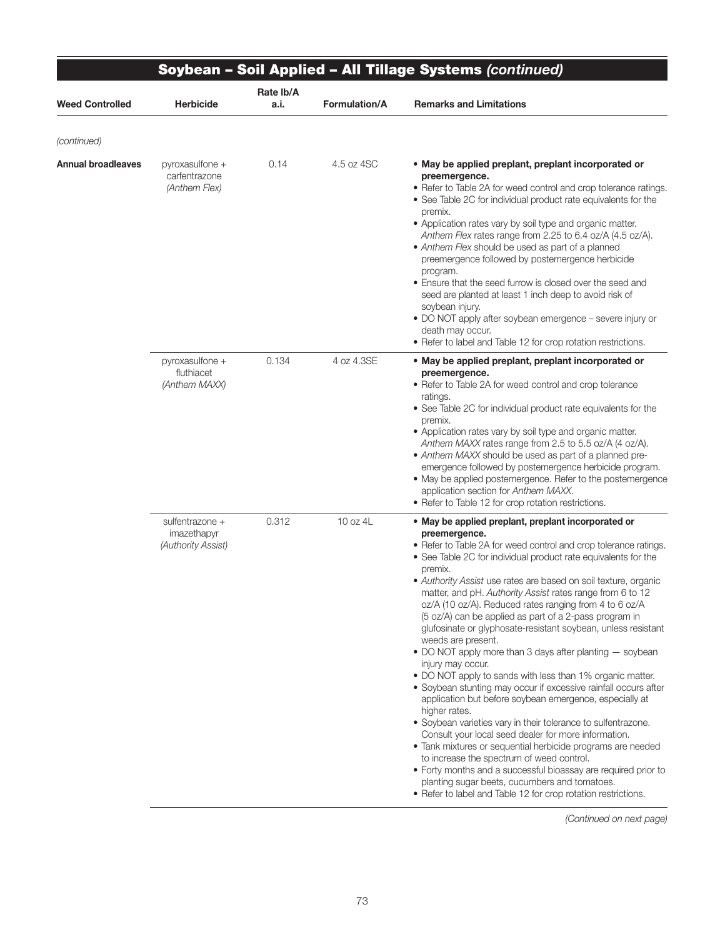|                        |                                                      |                   |                      | Soybean - Soil Applied - All Tillage Systems (continued)                                                                                                                                                                                                                                                                                                                                                                                                                                                                                                                                                                                                                                                                                                                                                                                                                                                                                                                                                                                                                                                                                                                                                                                                                               |
|------------------------|------------------------------------------------------|-------------------|----------------------|----------------------------------------------------------------------------------------------------------------------------------------------------------------------------------------------------------------------------------------------------------------------------------------------------------------------------------------------------------------------------------------------------------------------------------------------------------------------------------------------------------------------------------------------------------------------------------------------------------------------------------------------------------------------------------------------------------------------------------------------------------------------------------------------------------------------------------------------------------------------------------------------------------------------------------------------------------------------------------------------------------------------------------------------------------------------------------------------------------------------------------------------------------------------------------------------------------------------------------------------------------------------------------------|
| <b>Weed Controlled</b> | <b>Herbicide</b>                                     | Rate lb/A<br>a.i. | <b>Formulation/A</b> | <b>Remarks and Limitations</b>                                                                                                                                                                                                                                                                                                                                                                                                                                                                                                                                                                                                                                                                                                                                                                                                                                                                                                                                                                                                                                                                                                                                                                                                                                                         |
| (continued)            |                                                      |                   |                      |                                                                                                                                                                                                                                                                                                                                                                                                                                                                                                                                                                                                                                                                                                                                                                                                                                                                                                                                                                                                                                                                                                                                                                                                                                                                                        |
| Annual broadleaves     | pyroxasulfone +<br>carfentrazone<br>(Anthem Flex)    | 0.14              | 4.5 oz 4SC           | • May be applied preplant, preplant incorporated or<br>preemergence.<br>• Refer to Table 2A for weed control and crop tolerance ratings.<br>• See Table 2C for individual product rate equivalents for the<br>premix.<br>• Application rates vary by soil type and organic matter.<br>Anthem Flex rates range from 2.25 to 6.4 oz/A (4.5 oz/A).<br>• Anthem Flex should be used as part of a planned<br>preemergence followed by postemergence herbicide<br>program.<br>• Ensure that the seed furrow is closed over the seed and<br>seed are planted at least 1 inch deep to avoid risk of<br>soybean injury.<br>• DO NOT apply after soybean emergence - severe injury or<br>death may occur.<br>• Refer to label and Table 12 for crop rotation restrictions.                                                                                                                                                                                                                                                                                                                                                                                                                                                                                                                       |
|                        | pyroxasulfone +<br>fluthiacet<br>(Anthem MAXX)       | 0.134             | 4 oz 4.3SE           | . May be applied preplant, preplant incorporated or<br>preemergence.<br>• Refer to Table 2A for weed control and crop tolerance<br>ratings.<br>• See Table 2C for individual product rate equivalents for the<br>premix.<br>• Application rates vary by soil type and organic matter.<br>Anthem MAXX rates range from 2.5 to 5.5 oz/A (4 oz/A).<br>• Anthem MAXX should be used as part of a planned pre-<br>emergence followed by postemergence herbicide program.<br>• May be applied postemergence. Refer to the postemergence<br>application section for Anthem MAXX.<br>• Refer to Table 12 for crop rotation restrictions.                                                                                                                                                                                                                                                                                                                                                                                                                                                                                                                                                                                                                                                       |
|                        | sulfentrazone +<br>imazethapyr<br>(Authority Assist) | 0.312             | 10 oz 4L             | • May be applied preplant, preplant incorporated or<br>preemergence.<br>• Refer to Table 2A for weed control and crop tolerance ratings.<br>• See Table 2C for individual product rate equivalents for the<br>premix.<br>• Authority Assist use rates are based on soil texture, organic<br>matter, and pH. Authority Assist rates range from 6 to 12<br>oz/A (10 oz/A). Reduced rates ranging from 4 to 6 oz/A<br>(5 oz/A) can be applied as part of a 2-pass program in<br>glufosinate or glyphosate-resistant soybean, unless resistant<br>weeds are present.<br>• DO NOT apply more than 3 days after planting - soybean<br>injury may occur.<br>• DO NOT apply to sands with less than 1% organic matter.<br>• Soybean stunting may occur if excessive rainfall occurs after<br>application but before soybean emergence, especially at<br>higher rates.<br>• Soybean varieties vary in their tolerance to sulfentrazone.<br>Consult your local seed dealer for more information.<br>• Tank mixtures or sequential herbicide programs are needed<br>to increase the spectrum of weed control.<br>• Forty months and a successful bioassay are required prior to<br>planting sugar beets, cucumbers and tomatoes.<br>• Refer to label and Table 12 for crop rotation restrictions. |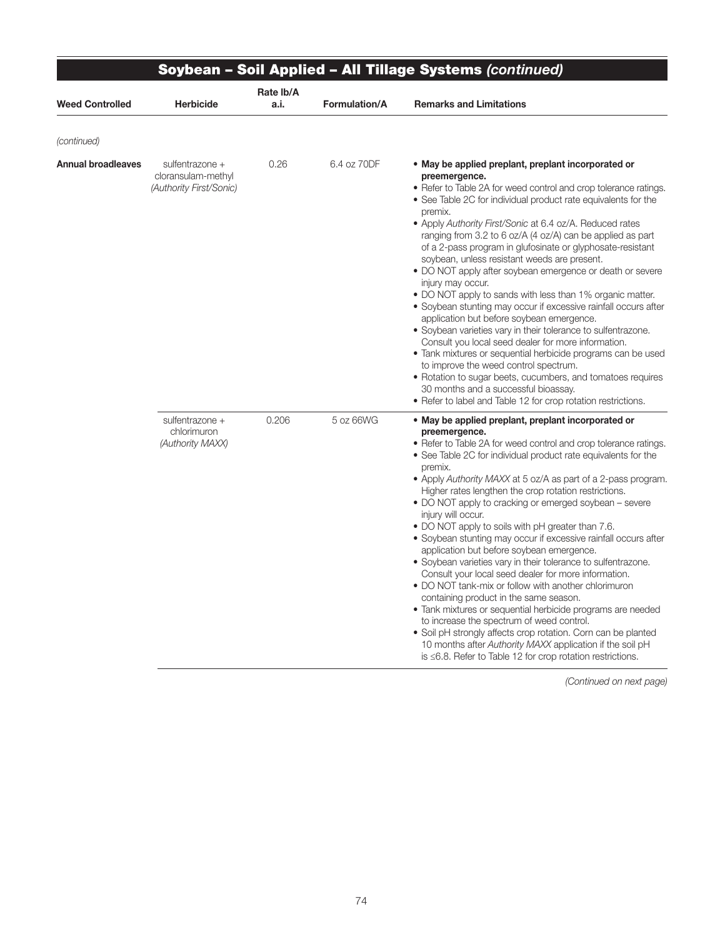|                           | Soybean - Soil Applied - All Tillage Systems (continued)         |                   |                      |                                                                                                                                                                                                                                                                                                                                                                                                                                                                                                                                                                                                                                                                                                                                                                                                                                                                                                                                                                                                                                                                                                                                               |  |  |  |
|---------------------------|------------------------------------------------------------------|-------------------|----------------------|-----------------------------------------------------------------------------------------------------------------------------------------------------------------------------------------------------------------------------------------------------------------------------------------------------------------------------------------------------------------------------------------------------------------------------------------------------------------------------------------------------------------------------------------------------------------------------------------------------------------------------------------------------------------------------------------------------------------------------------------------------------------------------------------------------------------------------------------------------------------------------------------------------------------------------------------------------------------------------------------------------------------------------------------------------------------------------------------------------------------------------------------------|--|--|--|
| <b>Weed Controlled</b>    | <b>Herbicide</b>                                                 | Rate Ib/A<br>a.i. | <b>Formulation/A</b> | <b>Remarks and Limitations</b>                                                                                                                                                                                                                                                                                                                                                                                                                                                                                                                                                                                                                                                                                                                                                                                                                                                                                                                                                                                                                                                                                                                |  |  |  |
| (continued)               |                                                                  |                   |                      |                                                                                                                                                                                                                                                                                                                                                                                                                                                                                                                                                                                                                                                                                                                                                                                                                                                                                                                                                                                                                                                                                                                                               |  |  |  |
| <b>Annual broadleaves</b> | sulfentrazone +<br>cloransulam-methyl<br>(Authority First/Sonic) | 0.26              | 6.4 oz 70DF          | • May be applied preplant, preplant incorporated or<br>preemergence.<br>• Refer to Table 2A for weed control and crop tolerance ratings.<br>• See Table 2C for individual product rate equivalents for the<br>premix.<br>• Apply Authority First/Sonic at 6.4 oz/A. Reduced rates<br>ranging from 3.2 to 6 oz/A (4 oz/A) can be applied as part<br>of a 2-pass program in glufosinate or glyphosate-resistant<br>soybean, unless resistant weeds are present.<br>• DO NOT apply after soybean emergence or death or severe<br>injury may occur.<br>• DO NOT apply to sands with less than 1% organic matter.<br>• Soybean stunting may occur if excessive rainfall occurs after<br>application but before soybean emergence.<br>• Soybean varieties vary in their tolerance to sulfentrazone.<br>Consult you local seed dealer for more information.<br>• Tank mixtures or sequential herbicide programs can be used<br>to improve the weed control spectrum.<br>• Rotation to sugar beets, cucumbers, and tomatoes requires<br>30 months and a successful bioassay.<br>• Refer to label and Table 12 for crop rotation restrictions.         |  |  |  |
|                           | sulfentrazone +<br>chlorimuron<br>(Authority MAXX)               | 0.206             | 5 oz 66WG            | • May be applied preplant, preplant incorporated or<br>preemergence.<br>• Refer to Table 2A for weed control and crop tolerance ratings.<br>• See Table 2C for individual product rate equivalents for the<br>premix.<br>• Apply Authority MAXX at 5 oz/A as part of a 2-pass program.<br>Higher rates lengthen the crop rotation restrictions.<br>• DO NOT apply to cracking or emerged soybean - severe<br>injury will occur.<br>. DO NOT apply to soils with pH greater than 7.6.<br>· Soybean stunting may occur if excessive rainfall occurs after<br>application but before soybean emergence.<br>• Soybean varieties vary in their tolerance to sulfentrazone.<br>Consult your local seed dealer for more information.<br>• DO NOT tank-mix or follow with another chlorimuron<br>containing product in the same season.<br>· Tank mixtures or sequential herbicide programs are needed<br>to increase the spectrum of weed control.<br>• Soil pH strongly affects crop rotation. Corn can be planted<br>10 months after Authority MAXX application if the soil pH<br>is $\leq$ 6.8. Refer to Table 12 for crop rotation restrictions. |  |  |  |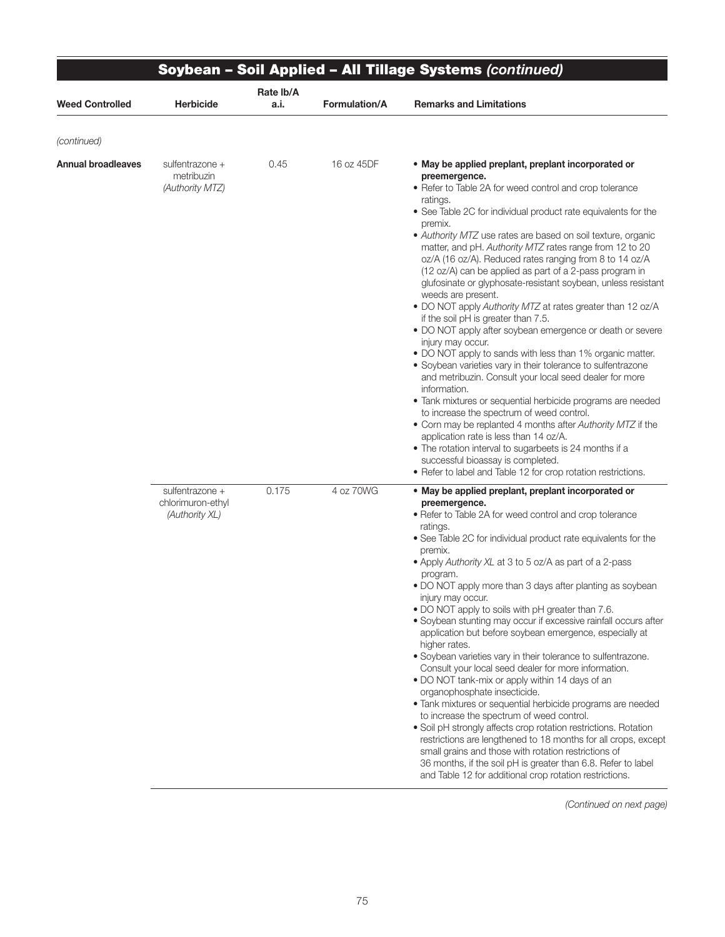|                           |                                                        |                   |               | Soybean - Soil Applied - All Tillage Systems (continued)                                                                                                                                                                                                                                                                                                                                                                                                                                                                                                                                                                                                                                                                                                                                                                                                                                                                                                                                                                                                                                                                                                                                                                                                                                                                                              |
|---------------------------|--------------------------------------------------------|-------------------|---------------|-------------------------------------------------------------------------------------------------------------------------------------------------------------------------------------------------------------------------------------------------------------------------------------------------------------------------------------------------------------------------------------------------------------------------------------------------------------------------------------------------------------------------------------------------------------------------------------------------------------------------------------------------------------------------------------------------------------------------------------------------------------------------------------------------------------------------------------------------------------------------------------------------------------------------------------------------------------------------------------------------------------------------------------------------------------------------------------------------------------------------------------------------------------------------------------------------------------------------------------------------------------------------------------------------------------------------------------------------------|
| <b>Weed Controlled</b>    | <b>Herbicide</b>                                       | Rate Ib/A<br>a.i. | Formulation/A | <b>Remarks and Limitations</b>                                                                                                                                                                                                                                                                                                                                                                                                                                                                                                                                                                                                                                                                                                                                                                                                                                                                                                                                                                                                                                                                                                                                                                                                                                                                                                                        |
| (continued)               |                                                        |                   |               |                                                                                                                                                                                                                                                                                                                                                                                                                                                                                                                                                                                                                                                                                                                                                                                                                                                                                                                                                                                                                                                                                                                                                                                                                                                                                                                                                       |
| <b>Annual broadleaves</b> | sulfentrazone +<br>metribuzin<br>(Authority MTZ)       | 0.45              | 16 oz 45DF    | • May be applied preplant, preplant incorporated or<br>preemergence.<br>• Refer to Table 2A for weed control and crop tolerance<br>ratings.<br>• See Table 2C for individual product rate equivalents for the<br>premix.<br>• Authority MTZ use rates are based on soil texture, organic<br>matter, and pH. Authority MTZ rates range from 12 to 20<br>oz/A (16 oz/A). Reduced rates ranging from 8 to 14 oz/A<br>(12 oz/A) can be applied as part of a 2-pass program in<br>glufosinate or glyphosate-resistant soybean, unless resistant<br>weeds are present.<br>. DO NOT apply Authority MTZ at rates greater than 12 oz/A<br>if the soil pH is greater than 7.5.<br>· DO NOT apply after soybean emergence or death or severe<br>injury may occur.<br>. DO NOT apply to sands with less than 1% organic matter.<br>• Soybean varieties vary in their tolerance to sulfentrazone<br>and metribuzin. Consult your local seed dealer for more<br>information.<br>• Tank mixtures or sequential herbicide programs are needed<br>to increase the spectrum of weed control.<br>• Corn may be replanted 4 months after Authority MTZ if the<br>application rate is less than 14 oz/A.<br>• The rotation interval to sugarbeets is 24 months if a<br>successful bioassay is completed.<br>• Refer to label and Table 12 for crop rotation restrictions. |
|                           | sulfentrazone +<br>chlorimuron-ethyl<br>(Authority XL) | 0.175             | 4 oz 70WG     | • May be applied preplant, preplant incorporated or<br>preemergence.<br>• Refer to Table 2A for weed control and crop tolerance<br>ratings.<br>• See Table 2C for individual product rate equivalents for the<br>premix.<br>• Apply Authority XL at 3 to 5 oz/A as part of a 2-pass<br>program.<br>• DO NOT apply more than 3 days after planting as soybean<br>injury may occur.<br>. DO NOT apply to soils with pH greater than 7.6.<br>· Soybean stunting may occur if excessive rainfall occurs after<br>application but before soybean emergence, especially at<br>higher rates.<br>· Soybean varieties vary in their tolerance to sulfentrazone.<br>Consult your local seed dealer for more information.<br>. DO NOT tank-mix or apply within 14 days of an<br>organophosphate insecticide.<br>. Tank mixtures or sequential herbicide programs are needed<br>to increase the spectrum of weed control.<br>· Soil pH strongly affects crop rotation restrictions. Rotation<br>restrictions are lengthened to 18 months for all crops, except<br>small grains and those with rotation restrictions of<br>36 months, if the soil pH is greater than 6.8. Refer to label<br>and Table 12 for additional crop rotation restrictions.                                                                                                                |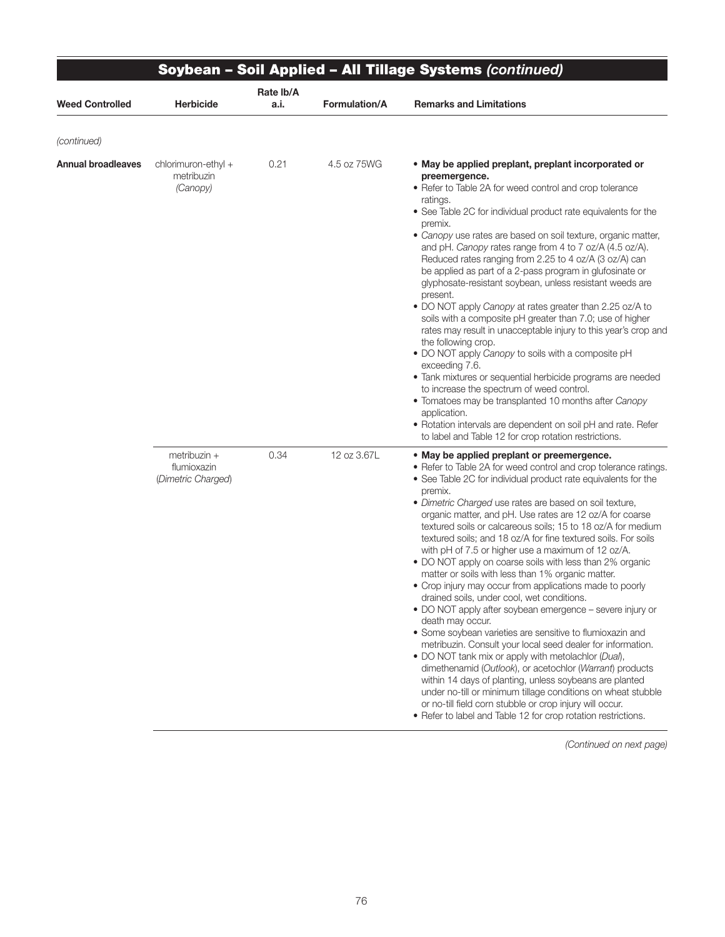| <b>Weed Controlled</b>    | <b>Herbicide</b>                                  | Rate lb/A<br>a.i. | Formulation/A | <b>Remarks and Limitations</b>                                                                                                                                                                                                                                                                                                                                                                                                                                                                                                                                                                                                                                                                                                                                                                                                                                                                                                                                                                                                                                                                                                                                                                                                                                                                                                |
|---------------------------|---------------------------------------------------|-------------------|---------------|-------------------------------------------------------------------------------------------------------------------------------------------------------------------------------------------------------------------------------------------------------------------------------------------------------------------------------------------------------------------------------------------------------------------------------------------------------------------------------------------------------------------------------------------------------------------------------------------------------------------------------------------------------------------------------------------------------------------------------------------------------------------------------------------------------------------------------------------------------------------------------------------------------------------------------------------------------------------------------------------------------------------------------------------------------------------------------------------------------------------------------------------------------------------------------------------------------------------------------------------------------------------------------------------------------------------------------|
| (continued)               |                                                   |                   |               |                                                                                                                                                                                                                                                                                                                                                                                                                                                                                                                                                                                                                                                                                                                                                                                                                                                                                                                                                                                                                                                                                                                                                                                                                                                                                                                               |
| <b>Annual broadleaves</b> | chlorimuron-ethyl +<br>metribuzin<br>(Canopy)     | 0.21              | 4.5 oz 75WG   | • May be applied preplant, preplant incorporated or<br>preemergence.<br>• Refer to Table 2A for weed control and crop tolerance<br>ratings.<br>• See Table 2C for individual product rate equivalents for the<br>premix.<br>• Canopy use rates are based on soil texture, organic matter,<br>and pH. Canopy rates range from 4 to 7 oz/A (4.5 oz/A).<br>Reduced rates ranging from 2.25 to 4 oz/A (3 oz/A) can<br>be applied as part of a 2-pass program in glufosinate or<br>glyphosate-resistant soybean, unless resistant weeds are<br>present.<br>• DO NOT apply Canopy at rates greater than 2.25 oz/A to<br>soils with a composite pH greater than 7.0; use of higher<br>rates may result in unacceptable injury to this year's crop and<br>the following crop.<br>• DO NOT apply Canopy to soils with a composite pH<br>exceeding 7.6.<br>• Tank mixtures or sequential herbicide programs are needed<br>to increase the spectrum of weed control.<br>• Tomatoes may be transplanted 10 months after Canopy<br>application.<br>• Rotation intervals are dependent on soil pH and rate. Refer<br>to label and Table 12 for crop rotation restrictions.                                                                                                                                                                  |
|                           | metribuzin +<br>flumioxazin<br>(Dimetric Charged) | 0.34              | 12 oz 3.67L   | • May be applied preplant or preemergence.<br>• Refer to Table 2A for weed control and crop tolerance ratings.<br>• See Table 2C for individual product rate equivalents for the<br>premix.<br>· Dimetric Charged use rates are based on soil texture,<br>organic matter, and pH. Use rates are 12 oz/A for coarse<br>textured soils or calcareous soils; 15 to 18 oz/A for medium<br>textured soils; and 18 oz/A for fine textured soils. For soils<br>with pH of 7.5 or higher use a maximum of 12 oz/A.<br>• DO NOT apply on coarse soils with less than 2% organic<br>matter or soils with less than 1% organic matter.<br>• Crop injury may occur from applications made to poorly<br>drained soils, under cool, wet conditions.<br>· DO NOT apply after soybean emergence - severe injury or<br>death may occur.<br>• Some soybean varieties are sensitive to flumioxazin and<br>metribuzin. Consult your local seed dealer for information.<br>• DO NOT tank mix or apply with metolachlor (Dual),<br>dimethenamid (Outlook), or acetochlor (Warrant) products<br>within 14 days of planting, unless soybeans are planted<br>under no-till or minimum tillage conditions on wheat stubble<br>or no-till field corn stubble or crop injury will occur.<br>• Refer to label and Table 12 for crop rotation restrictions. |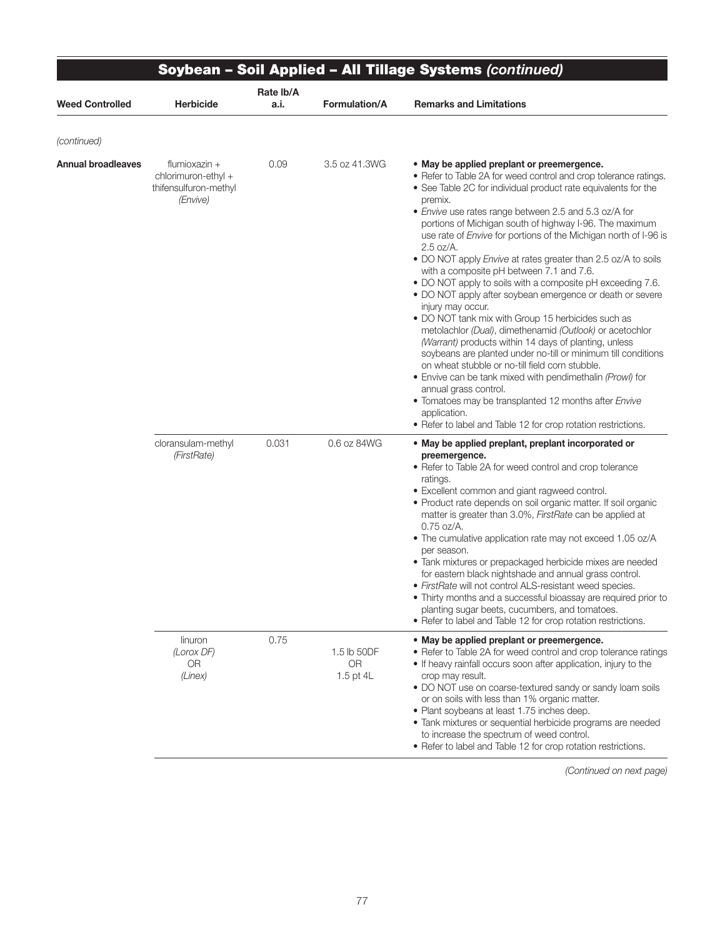| <b>Weed Controlled</b> | <b>Herbicide</b>                                                            | Rate Ib/A<br>a.i. | <b>Formulation/A</b>                  | <b>Remarks and Limitations</b>                                                                                                                                                                                                                                                                                                                                                                                                                                                                                                                                                                                                                                                                                                                                                                                                                                                                                                                                                                                                                                                                                                                                                                                |
|------------------------|-----------------------------------------------------------------------------|-------------------|---------------------------------------|---------------------------------------------------------------------------------------------------------------------------------------------------------------------------------------------------------------------------------------------------------------------------------------------------------------------------------------------------------------------------------------------------------------------------------------------------------------------------------------------------------------------------------------------------------------------------------------------------------------------------------------------------------------------------------------------------------------------------------------------------------------------------------------------------------------------------------------------------------------------------------------------------------------------------------------------------------------------------------------------------------------------------------------------------------------------------------------------------------------------------------------------------------------------------------------------------------------|
|                        |                                                                             |                   |                                       |                                                                                                                                                                                                                                                                                                                                                                                                                                                                                                                                                                                                                                                                                                                                                                                                                                                                                                                                                                                                                                                                                                                                                                                                               |
| (continued)            |                                                                             |                   |                                       |                                                                                                                                                                                                                                                                                                                                                                                                                                                                                                                                                                                                                                                                                                                                                                                                                                                                                                                                                                                                                                                                                                                                                                                                               |
| Annual broadleaves     | flumioxazin $+$<br>chlorimuron-ethyl +<br>thifensulfuron-methyl<br>(Envive) | 0.09              | 3.5 oz 41.3WG                         | . May be applied preplant or preemergence.<br>• Refer to Table 2A for weed control and crop tolerance ratings.<br>• See Table 2C for individual product rate equivalents for the<br>premix.<br>• Envive use rates range between 2.5 and 5.3 oz/A for<br>portions of Michigan south of highway I-96. The maximum<br>use rate of <i>Envive</i> for portions of the Michigan north of I-96 is<br>$2.5 \text{ oz/A}.$<br>. DO NOT apply Envive at rates greater than 2.5 oz/A to soils<br>with a composite pH between 7.1 and 7.6.<br>• DO NOT apply to soils with a composite pH exceeding 7.6.<br>• DO NOT apply after soybean emergence or death or severe<br>injury may occur.<br>• DO NOT tank mix with Group 15 herbicides such as<br>metolachlor (Dual), dimethenamid (Outlook) or acetochlor<br>(Warrant) products within 14 days of planting, unless<br>soybeans are planted under no-till or minimum till conditions<br>on wheat stubble or no-till field corn stubble.<br>• Envive can be tank mixed with pendimethalin (Prowl) for<br>annual grass control.<br>• Tomatoes may be transplanted 12 months after Envive<br>application.<br>• Refer to label and Table 12 for crop rotation restrictions. |
|                        | cloransulam-methyl<br>(FirstRate)                                           | 0.031             | 0.6 oz 84WG                           | . May be applied preplant, preplant incorporated or<br>preemergence.<br>• Refer to Table 2A for weed control and crop tolerance<br>ratings.<br>• Excellent common and giant ragweed control.<br>• Product rate depends on soil organic matter. If soil organic<br>matter is greater than 3.0%, FirstRate can be applied at<br>$0.75 \text{ oz/A}.$<br>• The cumulative application rate may not exceed 1.05 oz/A<br>per season.<br>· Tank mixtures or prepackaged herbicide mixes are needed<br>for eastern black nightshade and annual grass control.<br>· FirstRate will not control ALS-resistant weed species.<br>• Thirty months and a successful bioassay are required prior to<br>planting sugar beets, cucumbers, and tomatoes.<br>• Refer to label and Table 12 for crop rotation restrictions.                                                                                                                                                                                                                                                                                                                                                                                                      |
|                        | linuron<br>(Lorox DF)<br><b>OR</b><br>(Linex)                               | 0.75              | 1.5 lb 50DF<br><b>OR</b><br>1.5 pt 4L | . May be applied preplant or preemergence.<br>• Refer to Table 2A for weed control and crop tolerance ratings<br>• If heavy rainfall occurs soon after application, injury to the<br>crop may result.<br>• DO NOT use on coarse-textured sandy or sandy loam soils<br>or on soils with less than 1% organic matter.<br>• Plant soybeans at least 1.75 inches deep.<br>• Tank mixtures or sequential herbicide programs are needed<br>to increase the spectrum of weed control.<br>• Refer to label and Table 12 for crop rotation restrictions.                                                                                                                                                                                                                                                                                                                                                                                                                                                                                                                                                                                                                                                               |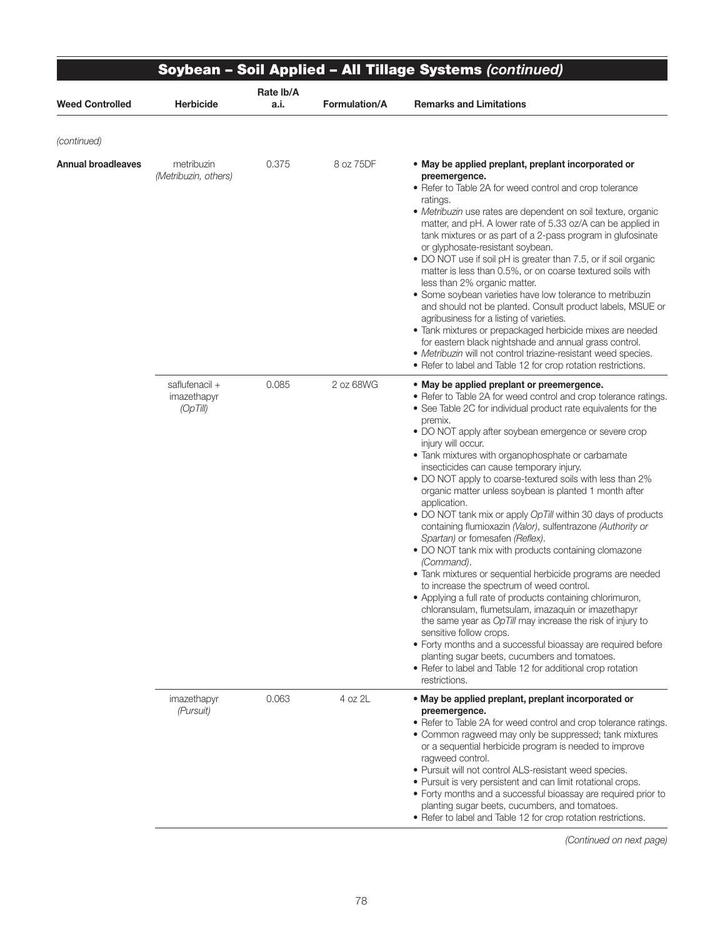|                    |                                           | Rate Ib/A |               | Soybean - Soil Applied - All Tillage Systems (continued)                                                                                                                                                                                                                                                                                                                                                                                                                                                                                                                                                                                                                                                                                                                                                                                                                                                                                                                                                                                                                                                                                                                                                                                                                             |
|--------------------|-------------------------------------------|-----------|---------------|--------------------------------------------------------------------------------------------------------------------------------------------------------------------------------------------------------------------------------------------------------------------------------------------------------------------------------------------------------------------------------------------------------------------------------------------------------------------------------------------------------------------------------------------------------------------------------------------------------------------------------------------------------------------------------------------------------------------------------------------------------------------------------------------------------------------------------------------------------------------------------------------------------------------------------------------------------------------------------------------------------------------------------------------------------------------------------------------------------------------------------------------------------------------------------------------------------------------------------------------------------------------------------------|
| Weed Controlled    | Herbicide                                 | a.i.      | Formulation/A | <b>Remarks and Limitations</b>                                                                                                                                                                                                                                                                                                                                                                                                                                                                                                                                                                                                                                                                                                                                                                                                                                                                                                                                                                                                                                                                                                                                                                                                                                                       |
| (continued)        |                                           |           |               |                                                                                                                                                                                                                                                                                                                                                                                                                                                                                                                                                                                                                                                                                                                                                                                                                                                                                                                                                                                                                                                                                                                                                                                                                                                                                      |
| Annual broadleaves | metribuzin<br>(Metribuzin, others)        | 0.375     | 8 oz 75DF     | • May be applied preplant, preplant incorporated or<br>preemergence.<br>• Refer to Table 2A for weed control and crop tolerance<br>ratings.<br>• Metribuzin use rates are dependent on soil texture, organic<br>matter, and pH. A lower rate of 5.33 oz/A can be applied in<br>tank mixtures or as part of a 2-pass program in glufosinate<br>or glyphosate-resistant soybean.<br>• DO NOT use if soil pH is greater than 7.5, or if soil organic<br>matter is less than 0.5%, or on coarse textured soils with<br>less than 2% organic matter.<br>• Some soybean varieties have low tolerance to metribuzin<br>and should not be planted. Consult product labels, MSUE or<br>agribusiness for a listing of varieties.<br>· Tank mixtures or prepackaged herbicide mixes are needed<br>for eastern black nightshade and annual grass control.<br>· Metribuzin will not control triazine-resistant weed species.<br>• Refer to label and Table 12 for crop rotation restrictions.                                                                                                                                                                                                                                                                                                     |
|                    | saflufenacil +<br>imazethapyr<br>(OpTill) | 0.085     | 2 oz 68WG     | . May be applied preplant or preemergence.<br>• Refer to Table 2A for weed control and crop tolerance ratings.<br>• See Table 2C for individual product rate equivalents for the<br>premix.<br>• DO NOT apply after soybean emergence or severe crop<br>injury will occur.<br>• Tank mixtures with organophosphate or carbamate<br>insecticides can cause temporary injury.<br>• DO NOT apply to coarse-textured soils with less than 2%<br>organic matter unless soybean is planted 1 month after<br>application.<br>• DO NOT tank mix or apply OpTill within 30 days of products<br>containing flumioxazin (Valor), sulfentrazone (Authority or<br>Spartan) or fomesafen (Reflex).<br>• DO NOT tank mix with products containing clomazone<br>(Command).<br>• Tank mixtures or sequential herbicide programs are needed<br>to increase the spectrum of weed control.<br>• Applying a full rate of products containing chlorimuron,<br>chloransulam, flumetsulam, imazaquin or imazethapyr<br>the same year as OpTill may increase the risk of injury to<br>sensitive follow crops.<br>• Forty months and a successful bioassay are required before<br>planting sugar beets, cucumbers and tomatoes.<br>• Refer to label and Table 12 for additional crop rotation<br>restrictions. |
|                    | imazethapyr<br>(Pursuit)                  | 0.063     | 4 oz 2L       | . May be applied preplant, preplant incorporated or<br>preemergence.<br>• Refer to Table 2A for weed control and crop tolerance ratings.<br>• Common ragweed may only be suppressed; tank mixtures<br>or a sequential herbicide program is needed to improve<br>ragweed control.<br>• Pursuit will not control ALS-resistant weed species.<br>• Pursuit is very persistent and can limit rotational crops.<br>• Forty months and a successful bioassay are required prior to<br>planting sugar beets, cucumbers, and tomatoes.<br>• Refer to label and Table 12 for crop rotation restrictions.                                                                                                                                                                                                                                                                                                                                                                                                                                                                                                                                                                                                                                                                                      |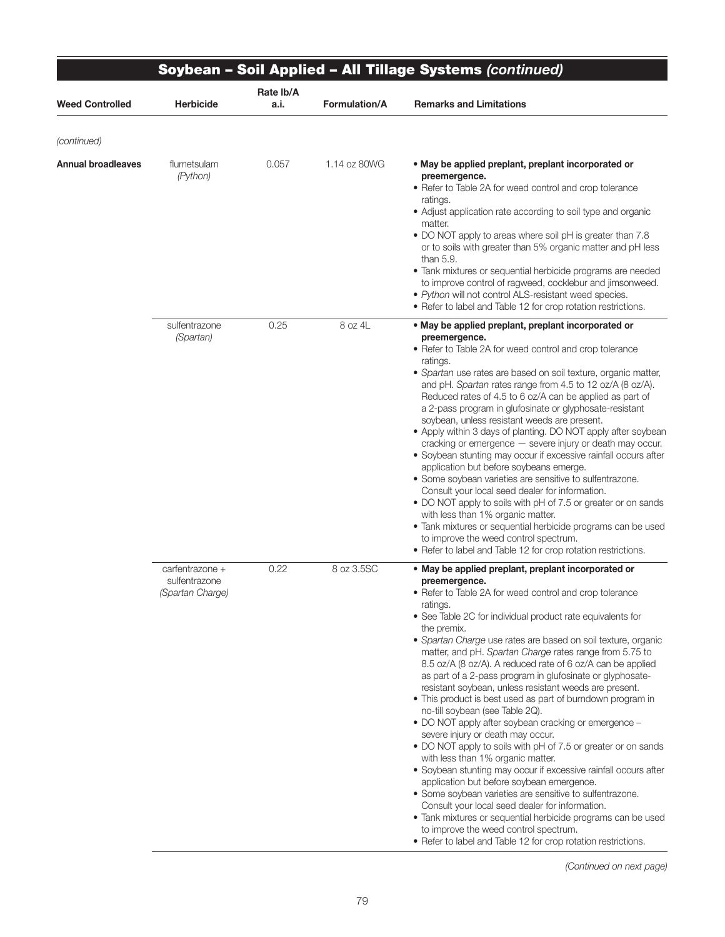|                        |                                                      |                   |               | Soybean - Soil Applied - All Tillage Systems (continued)                                                                                                                                                                                                                                                                                                                                                                                                                                                                                                                                                                                                                                                                                                                                                                                                                                                                                                                                                                                                                                                                                                                                                                                               |
|------------------------|------------------------------------------------------|-------------------|---------------|--------------------------------------------------------------------------------------------------------------------------------------------------------------------------------------------------------------------------------------------------------------------------------------------------------------------------------------------------------------------------------------------------------------------------------------------------------------------------------------------------------------------------------------------------------------------------------------------------------------------------------------------------------------------------------------------------------------------------------------------------------------------------------------------------------------------------------------------------------------------------------------------------------------------------------------------------------------------------------------------------------------------------------------------------------------------------------------------------------------------------------------------------------------------------------------------------------------------------------------------------------|
| <b>Weed Controlled</b> | <b>Herbicide</b>                                     | Rate lb/A<br>a.i. | Formulation/A | <b>Remarks and Limitations</b>                                                                                                                                                                                                                                                                                                                                                                                                                                                                                                                                                                                                                                                                                                                                                                                                                                                                                                                                                                                                                                                                                                                                                                                                                         |
| (continued)            |                                                      |                   |               |                                                                                                                                                                                                                                                                                                                                                                                                                                                                                                                                                                                                                                                                                                                                                                                                                                                                                                                                                                                                                                                                                                                                                                                                                                                        |
| Annual broadleaves     | flumetsulam<br>(Python)                              | 0.057             | 1.14 oz 80WG  | • May be applied preplant, preplant incorporated or<br>preemergence.<br>• Refer to Table 2A for weed control and crop tolerance<br>ratings.<br>• Adjust application rate according to soil type and organic<br>matter.<br>. DO NOT apply to areas where soil pH is greater than 7.8<br>or to soils with greater than 5% organic matter and pH less<br>than $5.9$ .<br>• Tank mixtures or sequential herbicide programs are needed<br>to improve control of ragweed, cocklebur and jimsonweed.<br>· Python will not control ALS-resistant weed species.<br>• Refer to label and Table 12 for crop rotation restrictions.                                                                                                                                                                                                                                                                                                                                                                                                                                                                                                                                                                                                                                |
|                        | sulfentrazone<br>(Spartan)                           | 0.25              | 8 oz 4L       | • May be applied preplant, preplant incorporated or<br>preemergence.<br>• Refer to Table 2A for weed control and crop tolerance<br>ratings.<br>• Spartan use rates are based on soil texture, organic matter,<br>and pH. Spartan rates range from 4.5 to 12 oz/A (8 oz/A).<br>Reduced rates of 4.5 to 6 oz/A can be applied as part of<br>a 2-pass program in glufosinate or glyphosate-resistant<br>soybean, unless resistant weeds are present.<br>• Apply within 3 days of planting. DO NOT apply after soybean<br>cracking or emergence - severe injury or death may occur.<br>· Soybean stunting may occur if excessive rainfall occurs after<br>application but before soybeans emerge.<br>• Some soybean varieties are sensitive to sulfentrazone.<br>Consult your local seed dealer for information.<br>• DO NOT apply to soils with pH of 7.5 or greater or on sands<br>with less than 1% organic matter.<br>· Tank mixtures or sequential herbicide programs can be used<br>to improve the weed control spectrum.<br>• Refer to label and Table 12 for crop rotation restrictions.                                                                                                                                                           |
|                        | carfentrazone +<br>sulfentrazone<br>(Spartan Charge) | 0.22              | 8 oz 3.5SC    | • May be applied preplant, preplant incorporated or<br>preemergence.<br>• Refer to Table 2A for weed control and crop tolerance<br>ratings.<br>• See Table 2C for individual product rate equivalents for<br>the premix.<br>• Spartan Charge use rates are based on soil texture, organic<br>matter, and pH. Spartan Charge rates range from 5.75 to<br>8.5 oz/A (8 oz/A). A reduced rate of 6 oz/A can be applied<br>as part of a 2-pass program in glufosinate or glyphosate-<br>resistant soybean, unless resistant weeds are present.<br>• This product is best used as part of burndown program in<br>no-till soybean (see Table 2Q).<br>. DO NOT apply after soybean cracking or emergence -<br>severe injury or death may occur.<br>• DO NOT apply to soils with pH of 7.5 or greater or on sands<br>with less than 1% organic matter.<br>· Soybean stunting may occur if excessive rainfall occurs after<br>application but before soybean emergence.<br>• Some soybean varieties are sensitive to sulfentrazone.<br>Consult your local seed dealer for information.<br>· Tank mixtures or sequential herbicide programs can be used<br>to improve the weed control spectrum.<br>• Refer to label and Table 12 for crop rotation restrictions. |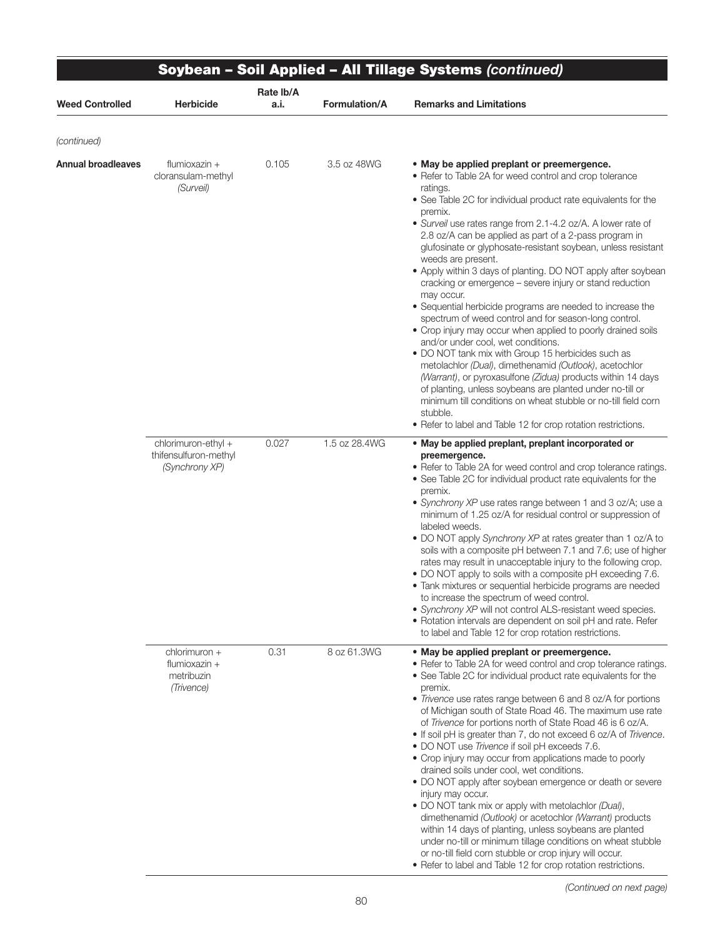| Soybean - Soil Applied - All Tillage Systems (continued) |                                                                |                   |               |                                                                                                                                                                                                                                                                                                                                                                                                                                                                                                                                                                                                                                                                                                                                                                                                                                                                                                                                                                                                                                                                                                                                                                                    |
|----------------------------------------------------------|----------------------------------------------------------------|-------------------|---------------|------------------------------------------------------------------------------------------------------------------------------------------------------------------------------------------------------------------------------------------------------------------------------------------------------------------------------------------------------------------------------------------------------------------------------------------------------------------------------------------------------------------------------------------------------------------------------------------------------------------------------------------------------------------------------------------------------------------------------------------------------------------------------------------------------------------------------------------------------------------------------------------------------------------------------------------------------------------------------------------------------------------------------------------------------------------------------------------------------------------------------------------------------------------------------------|
| <b>Weed Controlled</b>                                   | <b>Herbicide</b>                                               | Rate Ib/A<br>a.i. | Formulation/A | <b>Remarks and Limitations</b>                                                                                                                                                                                                                                                                                                                                                                                                                                                                                                                                                                                                                                                                                                                                                                                                                                                                                                                                                                                                                                                                                                                                                     |
| (continued)                                              |                                                                |                   |               |                                                                                                                                                                                                                                                                                                                                                                                                                                                                                                                                                                                                                                                                                                                                                                                                                                                                                                                                                                                                                                                                                                                                                                                    |
| Annual broadleaves                                       | flumioxazin $+$<br>cloransulam-methyl<br>(Surveil)             | 0.105             | 3.5 oz 48WG   | • May be applied preplant or preemergence.<br>• Refer to Table 2A for weed control and crop tolerance<br>ratings.<br>• See Table 2C for individual product rate equivalents for the<br>premix.<br>· Surveil use rates range from 2.1-4.2 oz/A. A lower rate of<br>2.8 oz/A can be applied as part of a 2-pass program in<br>glufosinate or glyphosate-resistant soybean, unless resistant<br>weeds are present.<br>• Apply within 3 days of planting. DO NOT apply after soybean<br>cracking or emergence - severe injury or stand reduction<br>may occur.<br>• Sequential herbicide programs are needed to increase the<br>spectrum of weed control and for season-long control.<br>• Crop injury may occur when applied to poorly drained soils<br>and/or under cool, wet conditions.<br>• DO NOT tank mix with Group 15 herbicides such as<br>metolachlor (Dual), dimethenamid (Outlook), acetochlor<br>(Warrant), or pyroxasulfone (Zidua) products within 14 days<br>of planting, unless soybeans are planted under no-till or<br>minimum till conditions on wheat stubble or no-till field corn<br>stubble.<br>• Refer to label and Table 12 for crop rotation restrictions. |
|                                                          | chlorimuron-ethyl +<br>thifensulfuron-methyl<br>(Synchrony XP) | 0.027             | 1.5 oz 28.4WG | • May be applied preplant, preplant incorporated or<br>preemergence.<br>• Refer to Table 2A for weed control and crop tolerance ratings.<br>• See Table 2C for individual product rate equivalents for the<br>premix.<br>• Synchrony XP use rates range between 1 and 3 oz/A; use a<br>minimum of 1.25 oz/A for residual control or suppression of<br>labeled weeds.<br>. DO NOT apply Synchrony XP at rates greater than 1 oz/A to<br>soils with a composite pH between 7.1 and 7.6; use of higher<br>rates may result in unacceptable injury to the following crop.<br>• DO NOT apply to soils with a composite pH exceeding 7.6.<br>• Tank mixtures or sequential herbicide programs are needed<br>to increase the spectrum of weed control.<br>· Synchrony XP will not control ALS-resistant weed species.<br>• Rotation intervals are dependent on soil pH and rate. Refer<br>to label and Table 12 for crop rotation restrictions.                                                                                                                                                                                                                                           |
|                                                          | chlorimuron +<br>flumioxazin $+$<br>metribuzin<br>(Trivence)   | 0.31              | 8 oz 61.3WG   | • May be applied preplant or preemergence.<br>• Refer to Table 2A for weed control and crop tolerance ratings.<br>• See Table 2C for individual product rate equivalents for the<br>premix.<br>• Trivence use rates range between 6 and 8 oz/A for portions<br>of Michigan south of State Road 46. The maximum use rate<br>of Trivence for portions north of State Road 46 is 6 oz/A.<br>• If soil pH is greater than 7, do not exceed 6 oz/A of Trivence.<br>· DO NOT use Trivence if soil pH exceeds 7.6.<br>• Crop injury may occur from applications made to poorly<br>drained soils under cool, wet conditions.<br>• DO NOT apply after soybean emergence or death or severe<br>injury may occur.<br>. DO NOT tank mix or apply with metolachlor (Dual),<br>dimethenamid (Outlook) or acetochlor (Warrant) products<br>within 14 days of planting, unless soybeans are planted<br>under no-till or minimum tillage conditions on wheat stubble<br>or no-till field corn stubble or crop injury will occur.<br>• Refer to label and Table 12 for crop rotation restrictions.                                                                                                   |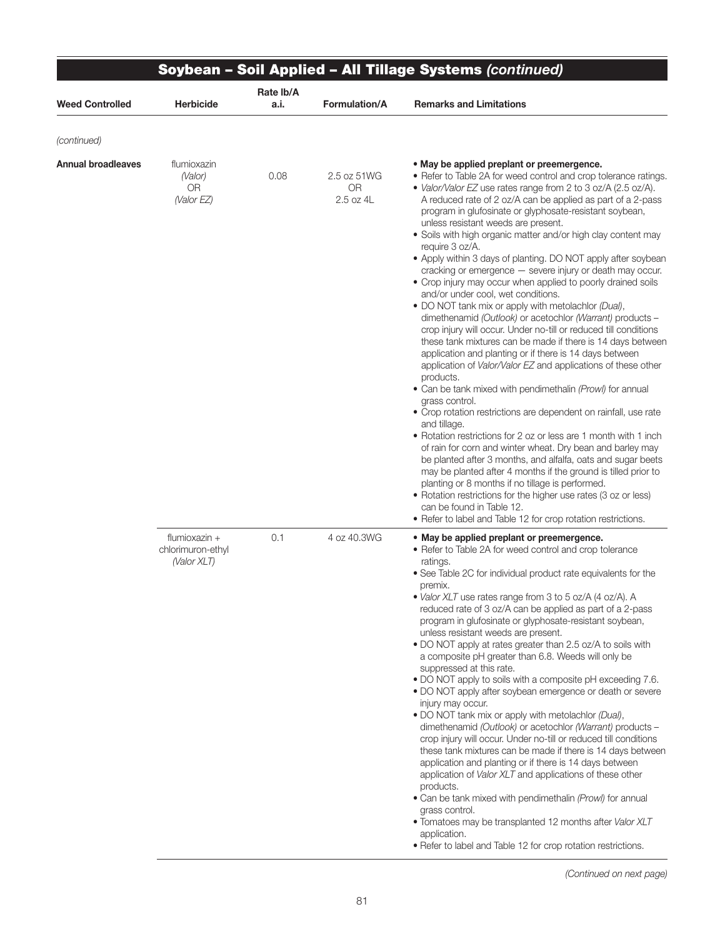|                           |                                                   |                   |                                       | Soybean - Soil Applied - All Tillage Systems (continued)                                                                                                                                                                                                                                                                                                                                                                                                                                                                                                                                                                                                                                                                                                                                                                                                                                                                                                                                                                                                                                                                                                                                                                                                                                                                                                                                                                                                                                                                                                                                                                                                                                                                             |
|---------------------------|---------------------------------------------------|-------------------|---------------------------------------|--------------------------------------------------------------------------------------------------------------------------------------------------------------------------------------------------------------------------------------------------------------------------------------------------------------------------------------------------------------------------------------------------------------------------------------------------------------------------------------------------------------------------------------------------------------------------------------------------------------------------------------------------------------------------------------------------------------------------------------------------------------------------------------------------------------------------------------------------------------------------------------------------------------------------------------------------------------------------------------------------------------------------------------------------------------------------------------------------------------------------------------------------------------------------------------------------------------------------------------------------------------------------------------------------------------------------------------------------------------------------------------------------------------------------------------------------------------------------------------------------------------------------------------------------------------------------------------------------------------------------------------------------------------------------------------------------------------------------------------|
| <b>Weed Controlled</b>    | Herbicide                                         | Rate Ib/A<br>a.i. | <b>Formulation/A</b>                  | <b>Remarks and Limitations</b>                                                                                                                                                                                                                                                                                                                                                                                                                                                                                                                                                                                                                                                                                                                                                                                                                                                                                                                                                                                                                                                                                                                                                                                                                                                                                                                                                                                                                                                                                                                                                                                                                                                                                                       |
| (continued)               |                                                   |                   |                                       |                                                                                                                                                                                                                                                                                                                                                                                                                                                                                                                                                                                                                                                                                                                                                                                                                                                                                                                                                                                                                                                                                                                                                                                                                                                                                                                                                                                                                                                                                                                                                                                                                                                                                                                                      |
| <b>Annual broadleaves</b> | flumioxazin<br>(Valor)<br><b>OR</b><br>(Valor EZ) | 0.08              | 2.5 oz 51WG<br><b>OR</b><br>2.5 oz 4L | . May be applied preplant or preemergence.<br>• Refer to Table 2A for weed control and crop tolerance ratings.<br>• Valor/Valor EZ use rates range from 2 to 3 oz/A (2.5 oz/A).<br>A reduced rate of 2 oz/A can be applied as part of a 2-pass<br>program in glufosinate or glyphosate-resistant soybean,<br>unless resistant weeds are present.<br>· Soils with high organic matter and/or high clay content may<br>require 3 oz/A.<br>• Apply within 3 days of planting. DO NOT apply after soybean<br>cracking or emergence - severe injury or death may occur.<br>• Crop injury may occur when applied to poorly drained soils<br>and/or under cool, wet conditions.<br>. DO NOT tank mix or apply with metolachlor (Dual),<br>dimethenamid (Outlook) or acetochlor (Warrant) products -<br>crop injury will occur. Under no-till or reduced till conditions<br>these tank mixtures can be made if there is 14 days between<br>application and planting or if there is 14 days between<br>application of Valor/Valor EZ and applications of these other<br>products.<br>• Can be tank mixed with pendimethalin (Prowl) for annual<br>grass control.<br>• Crop rotation restrictions are dependent on rainfall, use rate<br>and tillage.<br>• Rotation restrictions for 2 oz or less are 1 month with 1 inch<br>of rain for corn and winter wheat. Dry bean and barley may<br>be planted after 3 months, and alfalfa, oats and sugar beets<br>may be planted after 4 months if the ground is tilled prior to<br>planting or 8 months if no tillage is performed.<br>• Rotation restrictions for the higher use rates (3 oz or less)<br>can be found in Table 12.<br>• Refer to label and Table 12 for crop rotation restrictions. |
|                           | flumioxazin +<br>chlorimuron-ethyl<br>(Valor XLT) | 0.1               | 4 oz 40.3WG                           | . May be applied preplant or preemergence.<br>• Refer to Table 2A for weed control and crop tolerance<br>ratings.<br>• See Table 2C for individual product rate equivalents for the<br>premix.<br>· Valor XLT use rates range from 3 to 5 oz/A (4 oz/A). A<br>reduced rate of 3 oz/A can be applied as part of a 2-pass<br>program in glufosinate or glyphosate-resistant soybean,<br>unless resistant weeds are present.<br>• DO NOT apply at rates greater than 2.5 oz/A to soils with<br>a composite pH greater than 6.8. Weeds will only be<br>suppressed at this rate.<br>. DO NOT apply to soils with a composite pH exceeding 7.6.<br>. DO NOT apply after soybean emergence or death or severe<br>injury may occur.<br>. DO NOT tank mix or apply with metolachlor (Dual),<br>dimethenamid (Outlook) or acetochlor (Warrant) products -<br>crop injury will occur. Under no-till or reduced till conditions<br>these tank mixtures can be made if there is 14 days between<br>application and planting or if there is 14 days between<br>application of Valor XLT and applications of these other<br>products.<br>• Can be tank mixed with pendimethalin (Prowl) for annual<br>grass control.<br>. Tomatoes may be transplanted 12 months after Valor XLT<br>application.<br>• Refer to label and Table 12 for crop rotation restrictions.                                                                                                                                                                                                                                                                                                                                                                                   |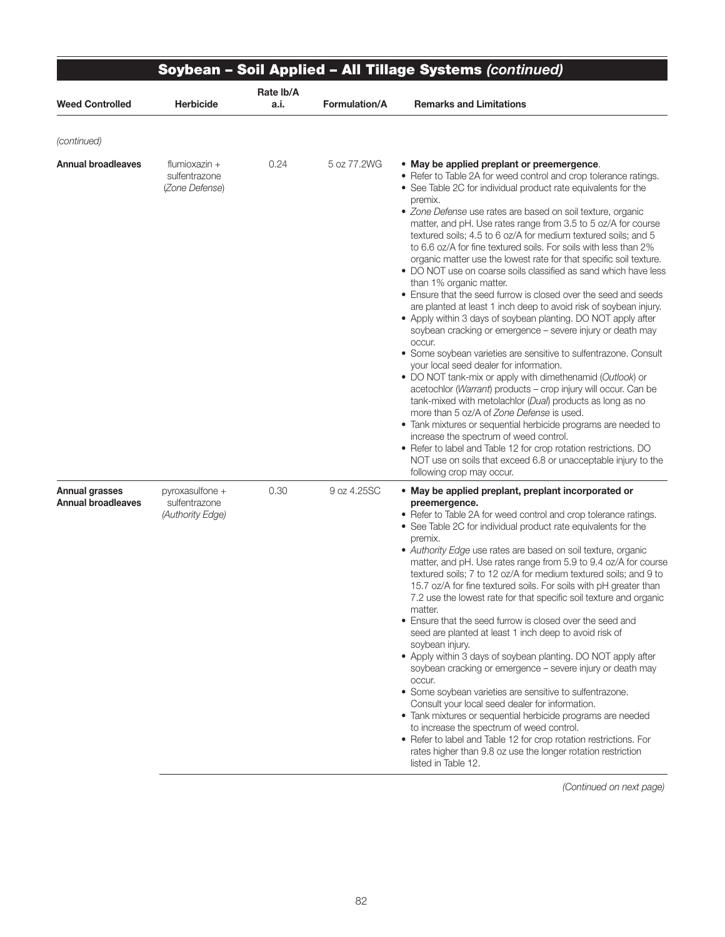|                                                    |                                                      |                   |               | Soybean - Soil Applied - All Tillage Systems (continued)                                                                                                                                                                                                                                                                                                                                                                                                                                                                                                                                                                                                                                                                                                                                                                                                                                                                                                                                                                                                                                                                                                                                                                                                                                                                                                                                                                                                                                                                                                      |
|----------------------------------------------------|------------------------------------------------------|-------------------|---------------|---------------------------------------------------------------------------------------------------------------------------------------------------------------------------------------------------------------------------------------------------------------------------------------------------------------------------------------------------------------------------------------------------------------------------------------------------------------------------------------------------------------------------------------------------------------------------------------------------------------------------------------------------------------------------------------------------------------------------------------------------------------------------------------------------------------------------------------------------------------------------------------------------------------------------------------------------------------------------------------------------------------------------------------------------------------------------------------------------------------------------------------------------------------------------------------------------------------------------------------------------------------------------------------------------------------------------------------------------------------------------------------------------------------------------------------------------------------------------------------------------------------------------------------------------------------|
| <b>Weed Controlled</b>                             | <b>Herbicide</b>                                     | Rate Ib/A<br>a.i. | Formulation/A | <b>Remarks and Limitations</b>                                                                                                                                                                                                                                                                                                                                                                                                                                                                                                                                                                                                                                                                                                                                                                                                                                                                                                                                                                                                                                                                                                                                                                                                                                                                                                                                                                                                                                                                                                                                |
| (continued)                                        |                                                      |                   |               |                                                                                                                                                                                                                                                                                                                                                                                                                                                                                                                                                                                                                                                                                                                                                                                                                                                                                                                                                                                                                                                                                                                                                                                                                                                                                                                                                                                                                                                                                                                                                               |
| <b>Annual broadleaves</b>                          | flumioxazin $+$<br>sulfentrazone<br>(Zone Defense)   | 0.24              | 5 oz 77.2WG   | • May be applied preplant or preemergence.<br>• Refer to Table 2A for weed control and crop tolerance ratings.<br>• See Table 2C for individual product rate equivalents for the<br>premix.<br>· Zone Defense use rates are based on soil texture, organic<br>matter, and pH. Use rates range from 3.5 to 5 oz/A for course<br>textured soils; 4.5 to 6 oz/A for medium textured soils; and 5<br>to 6.6 oz/A for fine textured soils. For soils with less than 2%<br>organic matter use the lowest rate for that specific soil texture.<br>• DO NOT use on coarse soils classified as sand which have less<br>than 1% organic matter.<br>• Ensure that the seed furrow is closed over the seed and seeds<br>are planted at least 1 inch deep to avoid risk of soybean injury.<br>• Apply within 3 days of soybean planting. DO NOT apply after<br>soybean cracking or emergence - severe injury or death may<br>occur.<br>• Some soybean varieties are sensitive to sulfentrazone. Consult<br>your local seed dealer for information.<br>• DO NOT tank-mix or apply with dimethenamid (Outlook) or<br>acetochlor (Warrant) products - crop injury will occur. Can be<br>tank-mixed with metolachlor (Dual) products as long as no<br>more than 5 oz/A of Zone Defense is used.<br>• Tank mixtures or sequential herbicide programs are needed to<br>increase the spectrum of weed control.<br>• Refer to label and Table 12 for crop rotation restrictions. DO<br>NOT use on soils that exceed 6.8 or unacceptable injury to the<br>following crop may occur. |
| <b>Annual grasses</b><br><b>Annual broadleaves</b> | pyroxasulfone +<br>sulfentrazone<br>(Authority Edge) | 0.30              | 9 oz 4.25SC   | • May be applied preplant, preplant incorporated or<br>preemergence.<br>• Refer to Table 2A for weed control and crop tolerance ratings.<br>• See Table 2C for individual product rate equivalents for the<br>premix.<br>· Authority Edge use rates are based on soil texture, organic<br>matter, and pH. Use rates range from 5.9 to 9.4 oz/A for course<br>textured soils; 7 to 12 oz/A for medium textured soils; and 9 to<br>15.7 oz/A for fine textured soils. For soils with pH greater than<br>7.2 use the lowest rate for that specific soil texture and organic<br>matter.<br>• Ensure that the seed furrow is closed over the seed and<br>seed are planted at least 1 inch deep to avoid risk of<br>soybean injury.<br>• Apply within 3 days of soybean planting. DO NOT apply after<br>soybean cracking or emergence - severe injury or death may<br>occur.<br>• Some soybean varieties are sensitive to sulfentrazone.<br>Consult your local seed dealer for information.<br>• Tank mixtures or sequential herbicide programs are needed<br>to increase the spectrum of weed control.<br>• Refer to label and Table 12 for crop rotation restrictions. For<br>rates higher than 9.8 oz use the longer rotation restriction<br>listed in Table 12.                                                                                                                                                                                                                                                                                                 |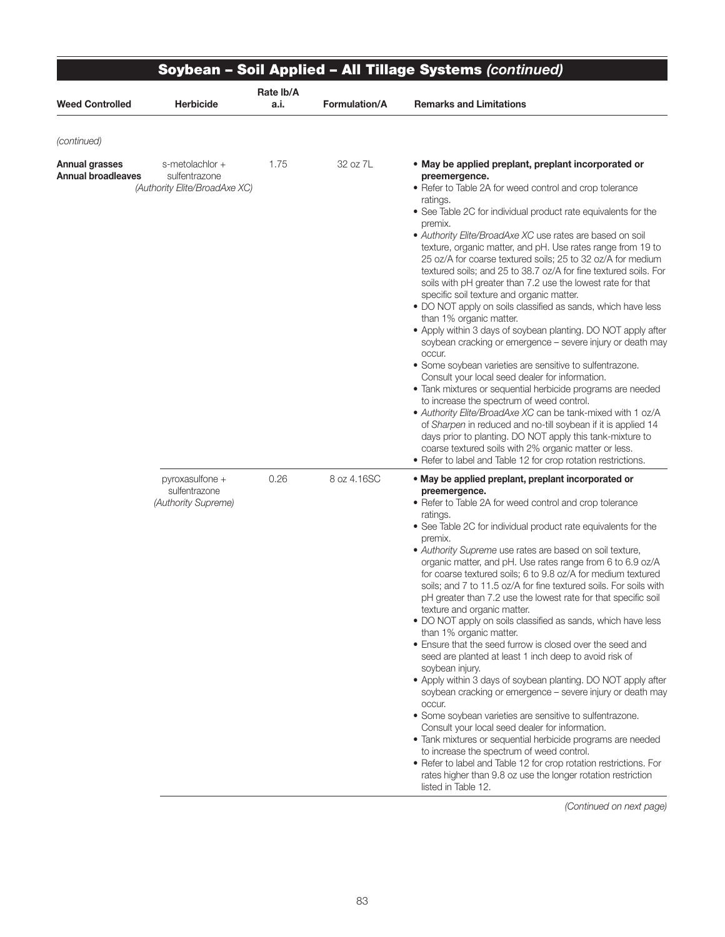| <b>Weed Controlled</b>                             | Herbicide                                                         | Rate Ib/A<br>a.i. | <b>Formulation/A</b> | <b>Remarks and Limitations</b>                                                                                                                                                                                                                                                                                                                                                                                                                                                                                                                                                                                                                                                                                                                                                                                                                                                                                                                                                                                                                                                                                                                                                                                                                                                                                                                                                            |
|----------------------------------------------------|-------------------------------------------------------------------|-------------------|----------------------|-------------------------------------------------------------------------------------------------------------------------------------------------------------------------------------------------------------------------------------------------------------------------------------------------------------------------------------------------------------------------------------------------------------------------------------------------------------------------------------------------------------------------------------------------------------------------------------------------------------------------------------------------------------------------------------------------------------------------------------------------------------------------------------------------------------------------------------------------------------------------------------------------------------------------------------------------------------------------------------------------------------------------------------------------------------------------------------------------------------------------------------------------------------------------------------------------------------------------------------------------------------------------------------------------------------------------------------------------------------------------------------------|
|                                                    |                                                                   |                   |                      |                                                                                                                                                                                                                                                                                                                                                                                                                                                                                                                                                                                                                                                                                                                                                                                                                                                                                                                                                                                                                                                                                                                                                                                                                                                                                                                                                                                           |
| (continued)                                        |                                                                   |                   |                      |                                                                                                                                                                                                                                                                                                                                                                                                                                                                                                                                                                                                                                                                                                                                                                                                                                                                                                                                                                                                                                                                                                                                                                                                                                                                                                                                                                                           |
| <b>Annual grasses</b><br><b>Annual broadleaves</b> | s-metolachlor +<br>sulfentrazone<br>(Authority Elite/BroadAxe XC) | 1.75              | 32 oz 7L             | • May be applied preplant, preplant incorporated or<br>preemergence.<br>• Refer to Table 2A for weed control and crop tolerance<br>ratings.<br>• See Table 2C for individual product rate equivalents for the<br>premix.<br>• Authority Elite/BroadAxe XC use rates are based on soil<br>texture, organic matter, and pH. Use rates range from 19 to<br>25 oz/A for coarse textured soils; 25 to 32 oz/A for medium<br>textured soils; and 25 to 38.7 oz/A for fine textured soils. For<br>soils with pH greater than 7.2 use the lowest rate for that<br>specific soil texture and organic matter.<br>• DO NOT apply on soils classified as sands, which have less<br>than 1% organic matter.<br>• Apply within 3 days of soybean planting. DO NOT apply after<br>soybean cracking or emergence - severe injury or death may<br>occur.<br>• Some soybean varieties are sensitive to sulfentrazone.<br>Consult your local seed dealer for information.<br>• Tank mixtures or sequential herbicide programs are needed<br>to increase the spectrum of weed control.<br>• Authority Elite/BroadAxe XC can be tank-mixed with 1 oz/A<br>of Sharpen in reduced and no-till soybean if it is applied 14<br>days prior to planting. DO NOT apply this tank-mixture to<br>coarse textured soils with 2% organic matter or less.<br>• Refer to label and Table 12 for crop rotation restrictions. |
|                                                    | pyroxasulfone +<br>sulfentrazone<br>(Authority Supreme)           | 0.26              | 8 oz 4.16SC          | • May be applied preplant, preplant incorporated or<br>preemergence.<br>• Refer to Table 2A for weed control and crop tolerance<br>ratings.<br>• See Table 2C for individual product rate equivalents for the<br>premix.<br>• Authority Supreme use rates are based on soil texture,<br>organic matter, and pH. Use rates range from 6 to 6.9 oz/A<br>for coarse textured soils; 6 to 9.8 oz/A for medium textured<br>soils; and 7 to 11.5 oz/A for fine textured soils. For soils with<br>pH greater than 7.2 use the lowest rate for that specific soil<br>texture and organic matter.<br>• DO NOT apply on soils classified as sands, which have less<br>than 1% organic matter.<br>• Ensure that the seed furrow is closed over the seed and<br>seed are planted at least 1 inch deep to avoid risk of<br>soybean injury.<br>• Apply within 3 days of soybean planting. DO NOT apply after<br>soybean cracking or emergence - severe injury or death may<br>occur.<br>• Some soybean varieties are sensitive to sulfentrazone.<br>Consult your local seed dealer for information.<br>• Tank mixtures or sequential herbicide programs are needed<br>to increase the spectrum of weed control.<br>• Refer to label and Table 12 for crop rotation restrictions. For<br>rates higher than 9.8 oz use the longer rotation restriction<br>listed in Table 12.                             |

Ξ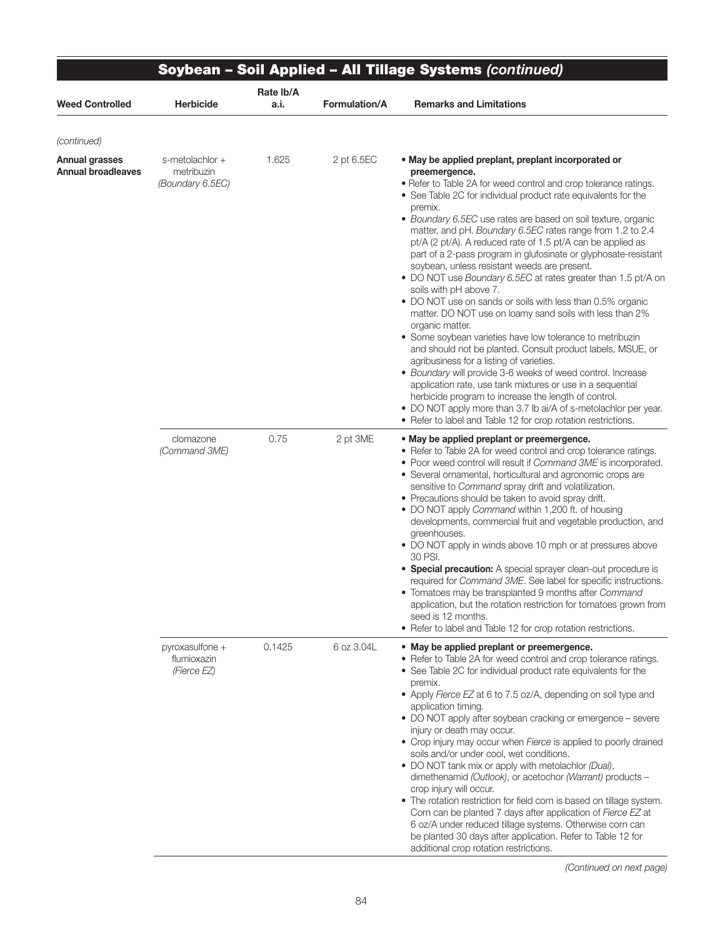|                                             |                                                   |                   |                      | Soybean - Soil Applied - All Tillage Systems (continued)                                                                                                                                                                                                                                                                                                                                                                                                                                                                                                                                                                                                                                                                                                                                                                                                                                                                                                                                                                                                                                                                                                                                                                                                                        |
|---------------------------------------------|---------------------------------------------------|-------------------|----------------------|---------------------------------------------------------------------------------------------------------------------------------------------------------------------------------------------------------------------------------------------------------------------------------------------------------------------------------------------------------------------------------------------------------------------------------------------------------------------------------------------------------------------------------------------------------------------------------------------------------------------------------------------------------------------------------------------------------------------------------------------------------------------------------------------------------------------------------------------------------------------------------------------------------------------------------------------------------------------------------------------------------------------------------------------------------------------------------------------------------------------------------------------------------------------------------------------------------------------------------------------------------------------------------|
| <b>Weed Controlled</b>                      | <b>Herbicide</b>                                  | Rate lb/A<br>a.i. | <b>Formulation/A</b> | <b>Remarks and Limitations</b>                                                                                                                                                                                                                                                                                                                                                                                                                                                                                                                                                                                                                                                                                                                                                                                                                                                                                                                                                                                                                                                                                                                                                                                                                                                  |
| (continued)                                 |                                                   |                   |                      |                                                                                                                                                                                                                                                                                                                                                                                                                                                                                                                                                                                                                                                                                                                                                                                                                                                                                                                                                                                                                                                                                                                                                                                                                                                                                 |
| Annual grasses<br><b>Annual broadleaves</b> | s-metolachlor +<br>metribuzin<br>(Boundary 6.5EC) | 1.625             | 2 pt 6.5EC           | • May be applied preplant, preplant incorporated or<br>preemergence.<br>• Refer to Table 2A for weed control and crop tolerance ratings.<br>• See Table 2C for individual product rate equivalents for the<br>premix.<br>• Boundary 6.5EC use rates are based on soil texture, organic<br>matter, and pH. Boundary 6.5EC rates range from 1.2 to 2.4<br>pt/A (2 pt/A). A reduced rate of 1.5 pt/A can be applied as<br>part of a 2-pass program in glufosinate or glyphosate-resistant<br>soybean, unless resistant weeds are present.<br>• DO NOT use Boundary 6.5EC at rates greater than 1.5 pt/A on<br>soils with pH above 7.<br>• DO NOT use on sands or soils with less than 0.5% organic<br>matter. DO NOT use on loamy sand soils with less than 2%<br>organic matter.<br>• Some soybean varieties have low tolerance to metribuzin<br>and should not be planted. Consult product labels, MSUE, or<br>agribusiness for a listing of varieties.<br>• Boundary will provide 3-6 weeks of weed control. Increase<br>application rate, use tank mixtures or use in a sequential<br>herbicide program to increase the length of control.<br>• DO NOT apply more than 3.7 lb ai/A of s-metolachlor per year.<br>• Refer to label and Table 12 for crop rotation restrictions. |
|                                             | clomazone<br>(Command 3ME)                        | 0.75              | 2 pt 3ME             | . May be applied preplant or preemergence.<br>• Refer to Table 2A for weed control and crop tolerance ratings.<br>• Poor weed control will result if Command 3ME is incorporated.<br>• Several ornamental, horticultural and agronomic crops are<br>sensitive to Command spray drift and volatilization.<br>• Precautions should be taken to avoid spray drift.<br>• DO NOT apply Command within 1,200 ft. of housing<br>developments, commercial fruit and vegetable production, and<br>greenhouses.<br>• DO NOT apply in winds above 10 mph or at pressures above<br>30 PSI.<br>• Special precaution: A special sprayer clean-out procedure is<br>required for Command 3ME. See label for specific instructions.<br>• Tomatoes may be transplanted 9 months after Command<br>application, but the rotation restriction for tomatoes grown from<br>seed is 12 months.<br>• Refer to label and Table 12 for crop rotation restrictions.                                                                                                                                                                                                                                                                                                                                         |
|                                             | pyroxasulfone +<br>flumioxazin<br>(Fierce EZ)     | 0.1425            | 6 oz 3.04L           | • May be applied preplant or preemergence.<br>• Refer to Table 2A for weed control and crop tolerance ratings.<br>• See Table 2C for individual product rate equivalents for the<br>premix.<br>• Apply Fierce EZ at 6 to 7.5 oz/A, depending on soil type and<br>application timing.<br>• DO NOT apply after soybean cracking or emergence - severe<br>injury or death may occur.<br>• Crop injury may occur when Fierce is applied to poorly drained<br>soils and/or under cool, wet conditions.<br>• DO NOT tank mix or apply with metolachlor (Dual),<br>dimethenamid (Outlook), or acetochor (Warrant) products -<br>crop injury will occur.<br>• The rotation restriction for field corn is based on tillage system.<br>Corn can be planted 7 days after application of Fierce EZ at<br>6 oz/A under reduced tillage systems. Otherwise corn can<br>be planted 30 days after application. Refer to Table 12 for<br>additional crop rotation restrictions.                                                                                                                                                                                                                                                                                                                  |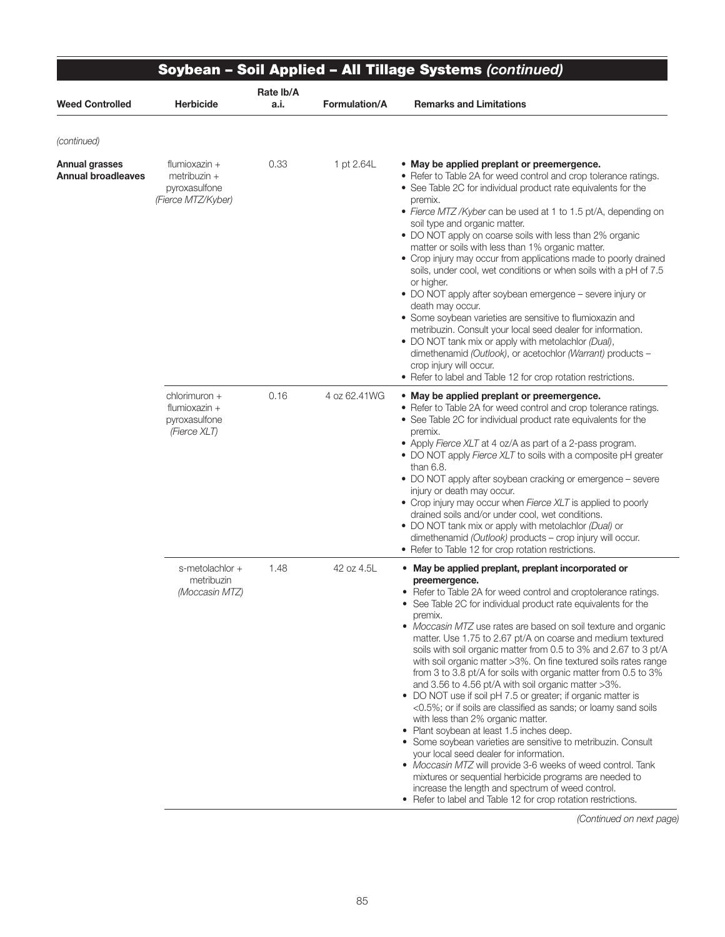| <b>Weed Controlled</b>                             | <b>Herbicide</b>                                                       | Rate Ib/A<br>a.i. | <b>Formulation/A</b> | <b>Remarks and Limitations</b>                                                                                                                                                                                                                                                                                                                                                                                                                                                                                                                                                                                                                                                                                                                                                                                                                                                                                                                                                                                                                                                                                                                                                                         |
|----------------------------------------------------|------------------------------------------------------------------------|-------------------|----------------------|--------------------------------------------------------------------------------------------------------------------------------------------------------------------------------------------------------------------------------------------------------------------------------------------------------------------------------------------------------------------------------------------------------------------------------------------------------------------------------------------------------------------------------------------------------------------------------------------------------------------------------------------------------------------------------------------------------------------------------------------------------------------------------------------------------------------------------------------------------------------------------------------------------------------------------------------------------------------------------------------------------------------------------------------------------------------------------------------------------------------------------------------------------------------------------------------------------|
| (continued)                                        |                                                                        |                   |                      |                                                                                                                                                                                                                                                                                                                                                                                                                                                                                                                                                                                                                                                                                                                                                                                                                                                                                                                                                                                                                                                                                                                                                                                                        |
| <b>Annual grasses</b><br><b>Annual broadleaves</b> | flumioxazin $+$<br>metribuzin +<br>pyroxasulfone<br>(Fierce MTZ/Kyber) | 0.33              | 1 pt 2.64L           | • May be applied preplant or preemergence.<br>• Refer to Table 2A for weed control and crop tolerance ratings.<br>• See Table 2C for individual product rate equivalents for the<br>premix.<br>• Fierce MTZ / Kyber can be used at 1 to 1.5 pt/A, depending on<br>soil type and organic matter.<br>• DO NOT apply on coarse soils with less than 2% organic<br>matter or soils with less than 1% organic matter.<br>• Crop injury may occur from applications made to poorly drained<br>soils, under cool, wet conditions or when soils with a pH of 7.5<br>or higher.<br>• DO NOT apply after soybean emergence - severe injury or<br>death may occur.<br>• Some soybean varieties are sensitive to flumioxazin and<br>metribuzin. Consult your local seed dealer for information.<br>• DO NOT tank mix or apply with metolachlor (Dual),<br>dimethenamid (Outlook), or acetochlor (Warrant) products -<br>crop injury will occur.<br>• Refer to label and Table 12 for crop rotation restrictions.                                                                                                                                                                                                   |
|                                                    | chlorimuron +<br>flumioxazin +<br>pyroxasulfone<br>(Fierce XLT)        | 0.16              | 4 oz 62,41WG         | • May be applied preplant or preemergence.<br>• Refer to Table 2A for weed control and crop tolerance ratings.<br>• See Table 2C for individual product rate equivalents for the<br>premix.<br>• Apply Fierce XLT at 4 oz/A as part of a 2-pass program.<br>• DO NOT apply Fierce XLT to soils with a composite pH greater<br>than $6.8$ .<br>• DO NOT apply after soybean cracking or emergence - severe<br>injury or death may occur.<br>• Crop injury may occur when Fierce XLT is applied to poorly<br>drained soils and/or under cool, wet conditions.<br>• DO NOT tank mix or apply with metolachlor (Dual) or<br>dimethenamid (Outlook) products - crop injury will occur.<br>• Refer to Table 12 for crop rotation restrictions.                                                                                                                                                                                                                                                                                                                                                                                                                                                               |
|                                                    | s-metolachlor +<br>metribuzin<br>(Moccasin MTZ)                        | 1.48              | 42 oz 4.5L           | • May be applied preplant, preplant incorporated or<br>preemergence.<br>• Refer to Table 2A for weed control and croptolerance ratings.<br>• See Table 2C for individual product rate equivalents for the<br>premix.<br>• Moccasin MTZ use rates are based on soil texture and organic<br>matter. Use 1.75 to 2.67 pt/A on coarse and medium textured<br>soils with soil organic matter from 0.5 to 3% and 2.67 to 3 pt/A<br>with soil organic matter >3%. On fine textured soils rates range<br>from 3 to 3.8 pt/A for soils with organic matter from 0.5 to 3%<br>and 3.56 to 4.56 pt/A with soil organic matter >3%.<br>• DO NOT use if soil pH 7.5 or greater; if organic matter is<br><0.5%; or if soils are classified as sands; or loamy sand soils<br>with less than 2% organic matter.<br>Plant soybean at least 1.5 inches deep.<br>• Some soybean varieties are sensitive to metribuzin. Consult<br>your local seed dealer for information.<br>• Moccasin MTZ will provide 3-6 weeks of weed control. Tank<br>mixtures or sequential herbicide programs are needed to<br>increase the length and spectrum of weed control.<br>• Refer to label and Table 12 for crop rotation restrictions. |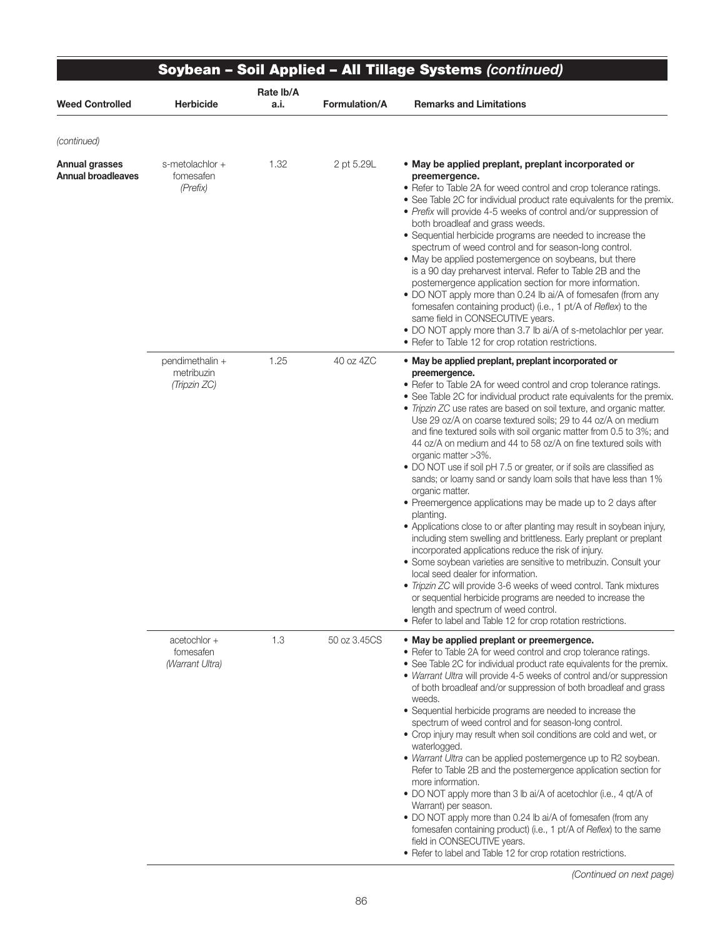|                                             |                                               |                   |               | Soybean - Soil Applied - All Tillage Systems (continued)                                                                                                                                                                                                                                                                                                                                                                                                                                                                                                                                                                                                                                                                                                                                                                                                                                                                                                                                                                                                                                                                                                                                                                                                                                                                                     |  |  |
|---------------------------------------------|-----------------------------------------------|-------------------|---------------|----------------------------------------------------------------------------------------------------------------------------------------------------------------------------------------------------------------------------------------------------------------------------------------------------------------------------------------------------------------------------------------------------------------------------------------------------------------------------------------------------------------------------------------------------------------------------------------------------------------------------------------------------------------------------------------------------------------------------------------------------------------------------------------------------------------------------------------------------------------------------------------------------------------------------------------------------------------------------------------------------------------------------------------------------------------------------------------------------------------------------------------------------------------------------------------------------------------------------------------------------------------------------------------------------------------------------------------------|--|--|
| <b>Weed Controlled</b>                      | Herbicide                                     | Rate lb/A<br>a.i. | Formulation/A | <b>Remarks and Limitations</b>                                                                                                                                                                                                                                                                                                                                                                                                                                                                                                                                                                                                                                                                                                                                                                                                                                                                                                                                                                                                                                                                                                                                                                                                                                                                                                               |  |  |
| (continued)                                 |                                               |                   |               |                                                                                                                                                                                                                                                                                                                                                                                                                                                                                                                                                                                                                                                                                                                                                                                                                                                                                                                                                                                                                                                                                                                                                                                                                                                                                                                                              |  |  |
| Annual grasses<br><b>Annual broadleaves</b> | s-metolachlor +<br>fomesafen<br>(Prefix)      | 1.32              | 2 pt 5.29L    | • May be applied preplant, preplant incorporated or<br>preemergence.<br>• Refer to Table 2A for weed control and crop tolerance ratings.<br>• See Table 2C for individual product rate equivalents for the premix.<br>• Prefix will provide 4-5 weeks of control and/or suppression of<br>both broadleaf and grass weeds.<br>• Sequential herbicide programs are needed to increase the<br>spectrum of weed control and for season-long control.<br>• May be applied postemergence on soybeans, but there<br>is a 90 day preharvest interval. Refer to Table 2B and the<br>postemergence application section for more information.<br>• DO NOT apply more than 0.24 lb ai/A of fomesafen (from any<br>fomesafen containing product) (i.e., 1 pt/A of Reflex) to the<br>same field in CONSECUTIVE years.<br>. DO NOT apply more than 3.7 lb ai/A of s-metolachlor per year.<br>• Refer to Table 12 for crop rotation restrictions.                                                                                                                                                                                                                                                                                                                                                                                                            |  |  |
|                                             | pendimethalin +<br>metribuzin<br>(Tripzin ZC) | 1.25              | 40 oz 4ZC     | • May be applied preplant, preplant incorporated or<br>preemergence.<br>• Refer to Table 2A for weed control and crop tolerance ratings.<br>• See Table 2C for individual product rate equivalents for the premix.<br>• Tripzin ZC use rates are based on soil texture, and organic matter.<br>Use 29 oz/A on coarse textured soils; 29 to 44 oz/A on medium<br>and fine textured soils with soil organic matter from 0.5 to 3%; and<br>44 oz/A on medium and 44 to 58 oz/A on fine textured soils with<br>organic matter >3%.<br>• DO NOT use if soil pH 7.5 or greater, or if soils are classified as<br>sands; or loamy sand or sandy loam soils that have less than 1%<br>organic matter.<br>• Preemergence applications may be made up to 2 days after<br>planting.<br>• Applications close to or after planting may result in soybean injury,<br>including stem swelling and brittleness. Early preplant or preplant<br>incorporated applications reduce the risk of injury.<br>• Some soybean varieties are sensitive to metribuzin. Consult your<br>local seed dealer for information.<br>. Tripzin ZC will provide 3-6 weeks of weed control. Tank mixtures<br>or sequential herbicide programs are needed to increase the<br>length and spectrum of weed control.<br>• Refer to label and Table 12 for crop rotation restrictions. |  |  |
|                                             | acetochlor +<br>fomesafen<br>(Warrant Ultra)  | 1.3               | 50 oz 3.45CS  | . May be applied preplant or preemergence.<br>• Refer to Table 2A for weed control and crop tolerance ratings.<br>• See Table 2C for individual product rate equivalents for the premix.<br>• Warrant Ultra will provide 4-5 weeks of control and/or suppression<br>of both broadleaf and/or suppression of both broadleaf and grass<br>weeds.<br>• Sequential herbicide programs are needed to increase the<br>spectrum of weed control and for season-long control.<br>• Crop injury may result when soil conditions are cold and wet, or<br>waterlogged.<br>• Warrant Ultra can be applied postemergence up to R2 soybean.<br>Refer to Table 2B and the postemergence application section for<br>more information.<br>• DO NOT apply more than 3 lb ai/A of acetochlor (i.e., 4 qt/A of<br>Warrant) per season.<br>• DO NOT apply more than 0.24 lb ai/A of fomesafen (from any<br>fomesafen containing product) (i.e., 1 pt/A of Reflex) to the same<br>field in CONSECUTIVE years.<br>• Refer to label and Table 12 for crop rotation restrictions.                                                                                                                                                                                                                                                                                     |  |  |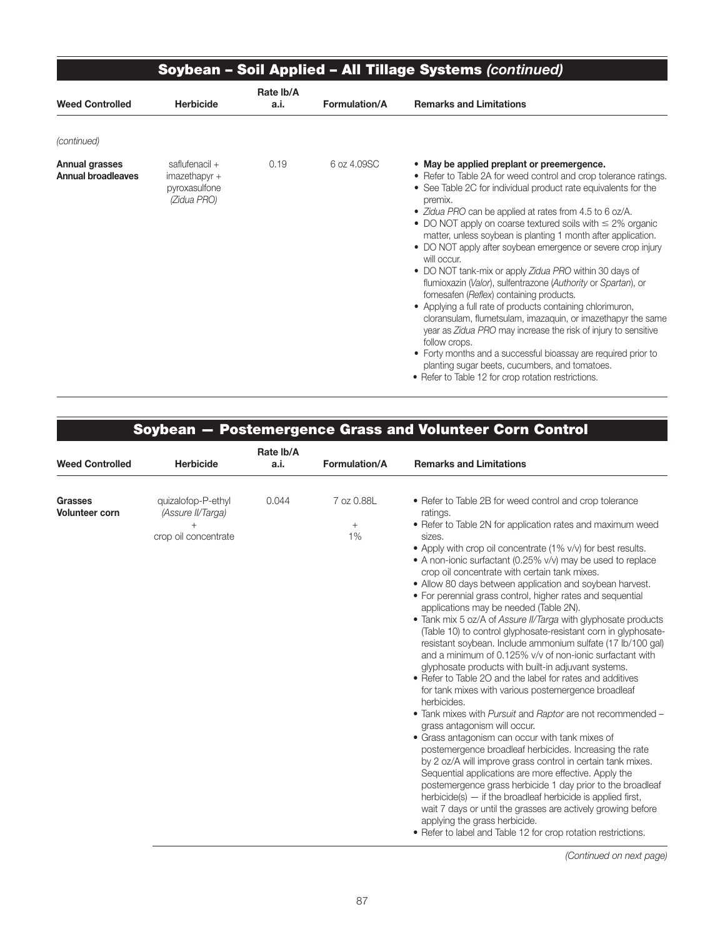|                                                    |                                                                            |                   |                      | Soybean - Soil Applied - All Tillage Systems (continued)                                                                                                                                                                                                                                                                                                                                                                                                                                                                                                                                                                                                                                                                                                                                                                                                                                                                                                                                                                                   |
|----------------------------------------------------|----------------------------------------------------------------------------|-------------------|----------------------|--------------------------------------------------------------------------------------------------------------------------------------------------------------------------------------------------------------------------------------------------------------------------------------------------------------------------------------------------------------------------------------------------------------------------------------------------------------------------------------------------------------------------------------------------------------------------------------------------------------------------------------------------------------------------------------------------------------------------------------------------------------------------------------------------------------------------------------------------------------------------------------------------------------------------------------------------------------------------------------------------------------------------------------------|
| <b>Weed Controlled</b>                             | <b>Herbicide</b>                                                           | Rate Ib/A<br>a.i. | <b>Formulation/A</b> | <b>Remarks and Limitations</b>                                                                                                                                                                                                                                                                                                                                                                                                                                                                                                                                                                                                                                                                                                                                                                                                                                                                                                                                                                                                             |
| (continued)                                        |                                                                            |                   |                      |                                                                                                                                                                                                                                                                                                                                                                                                                                                                                                                                                                                                                                                                                                                                                                                                                                                                                                                                                                                                                                            |
| <b>Annual grasses</b><br><b>Annual broadleaves</b> | saflufenacil $+$<br>$\text{imazethapur} +$<br>pyroxasulfone<br>(Zidua PRO) | 0.19              | 6 oz 4.09SC          | • May be applied preplant or preemergence.<br>• Refer to Table 2A for weed control and crop tolerance ratings.<br>• See Table 2C for individual product rate equivalents for the<br>premix.<br>• Zidua PRO can be applied at rates from 4.5 to 6 oz/A.<br>• DO NOT apply on coarse textured soils with $\leq$ 2% organic<br>matter, unless soybean is planting 1 month after application.<br>• DO NOT apply after soybean emergence or severe crop injury<br>will occur.<br>• DO NOT tank-mix or apply Zidua PRO within 30 days of<br>flumioxazin (Valor), sulfentrazone (Authority or Spartan), or<br>fomesafen (Reflex) containing products.<br>• Applying a full rate of products containing chlorimuron,<br>cloransulam, flumetsulam, imazaquin, or imazethapyr the same<br>year as Zidua PRO may increase the risk of injury to sensitive<br>follow crops.<br>• Forty months and a successful bioassay are required prior to<br>planting sugar beets, cucumbers, and tomatoes.<br>• Refer to Table 12 for crop rotation restrictions. |

### Soybean — Postemergence Grass and Volunteer Corn Control

| <b>Weed Controlled</b>           | <b>Herbicide</b>                                                | Rate Ib/A<br>a.i. | <b>Formulation/A</b>       | <b>Remarks and Limitations</b>                                                                                                                                                                                                                                                                                                                                                                                                                                                                                                                                                                                                                                                                                                                                                                                                                                                                                                                                                                                                                                                                                                                                                                                                                                                                                                                                                                                                                                                                                                                                                               |
|----------------------------------|-----------------------------------------------------------------|-------------------|----------------------------|----------------------------------------------------------------------------------------------------------------------------------------------------------------------------------------------------------------------------------------------------------------------------------------------------------------------------------------------------------------------------------------------------------------------------------------------------------------------------------------------------------------------------------------------------------------------------------------------------------------------------------------------------------------------------------------------------------------------------------------------------------------------------------------------------------------------------------------------------------------------------------------------------------------------------------------------------------------------------------------------------------------------------------------------------------------------------------------------------------------------------------------------------------------------------------------------------------------------------------------------------------------------------------------------------------------------------------------------------------------------------------------------------------------------------------------------------------------------------------------------------------------------------------------------------------------------------------------------|
| Grasses<br><b>Volunteer corn</b> | quizalofop-P-ethyl<br>(Assure II/Targa)<br>crop oil concentrate | 0.044             | 7 oz 0.88L<br>$^{+}$<br>1% | • Refer to Table 2B for weed control and crop tolerance<br>ratings.<br>• Refer to Table 2N for application rates and maximum weed<br>sizes.<br>• Apply with crop oil concentrate (1% v/v) for best results.<br>• A non-ionic surfactant (0.25% v/v) may be used to replace<br>crop oil concentrate with certain tank mixes.<br>• Allow 80 days between application and soybean harvest.<br>• For perennial grass control, higher rates and sequential<br>applications may be needed (Table 2N).<br>. Tank mix 5 oz/A of Assure II/Targa with glyphosate products<br>(Table 10) to control glyphosate-resistant corn in glyphosate-<br>resistant soybean. Include ammonium sulfate (17 lb/100 gal)<br>and a minimum of 0.125% v/v of non-ionic surfactant with<br>glyphosate products with built-in adjuvant systems.<br>• Refer to Table 20 and the label for rates and additives<br>for tank mixes with various postemergence broadleaf<br>herbicides.<br>• Tank mixes with Pursuit and Raptor are not recommended -<br>grass antagonism will occur.<br>• Grass antagonism can occur with tank mixes of<br>postemergence broadleaf herbicides. Increasing the rate<br>by 2 oz/A will improve grass control in certain tank mixes.<br>Sequential applications are more effective. Apply the<br>postemergence grass herbicide 1 day prior to the broadleaf<br>herbicide(s) $-$ if the broadleaf herbicide is applied first,<br>wait 7 days or until the grasses are actively growing before<br>applying the grass herbicide.<br>• Refer to label and Table 12 for crop rotation restrictions. |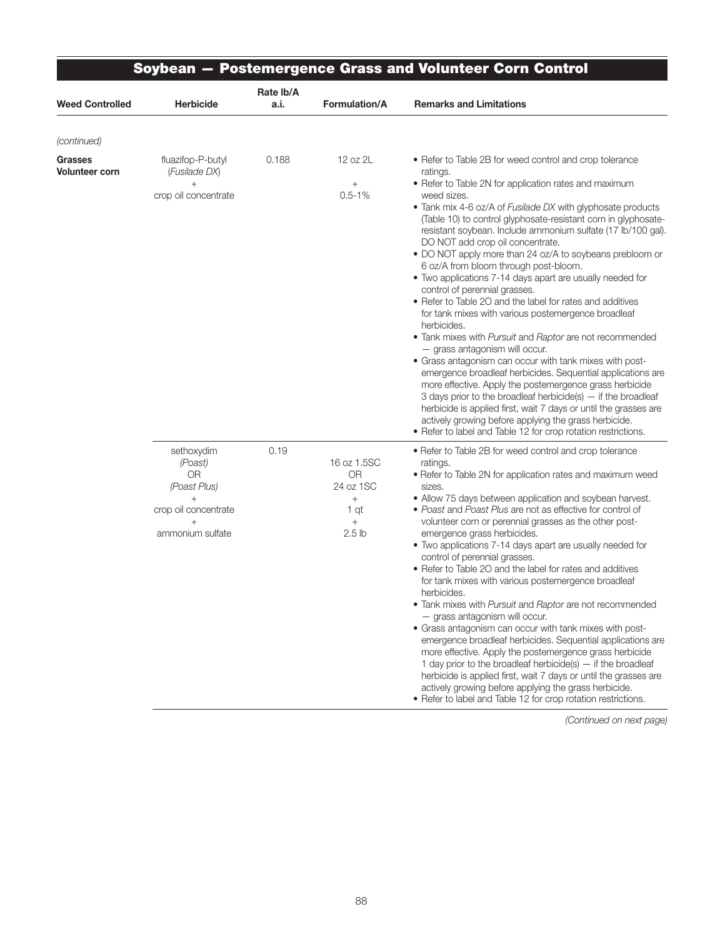| <b>Weed Controlled</b>           | <b>Herbicide</b>                                                                               | Rate lb/A<br>a.i. | Formulation/A                                                                | <b>Remarks and Limitations</b>                                                                                                                                                                                                                                                                                                                                                                                                                                                                                                                                                                                                                                                                                                                                                                                                                                                                                                                                                                                                                                                                                                                                                                                                                                             |
|----------------------------------|------------------------------------------------------------------------------------------------|-------------------|------------------------------------------------------------------------------|----------------------------------------------------------------------------------------------------------------------------------------------------------------------------------------------------------------------------------------------------------------------------------------------------------------------------------------------------------------------------------------------------------------------------------------------------------------------------------------------------------------------------------------------------------------------------------------------------------------------------------------------------------------------------------------------------------------------------------------------------------------------------------------------------------------------------------------------------------------------------------------------------------------------------------------------------------------------------------------------------------------------------------------------------------------------------------------------------------------------------------------------------------------------------------------------------------------------------------------------------------------------------|
| (continued)                      |                                                                                                |                   |                                                                              |                                                                                                                                                                                                                                                                                                                                                                                                                                                                                                                                                                                                                                                                                                                                                                                                                                                                                                                                                                                                                                                                                                                                                                                                                                                                            |
| Grasses<br><b>Volunteer corn</b> | fluazifop-P-butyl<br>(Fusilade DX)<br>$+$<br>crop oil concentrate                              | 0.188             | 12 oz 2L<br>$+$<br>$0.5 - 1%$                                                | • Refer to Table 2B for weed control and crop tolerance<br>ratings.<br>• Refer to Table 2N for application rates and maximum<br>weed sizes.<br>• Tank mix 4-6 oz/A of Fusilade DX with glyphosate products<br>(Table 10) to control glyphosate-resistant corn in glyphosate-<br>resistant soybean. Include ammonium sulfate (17 lb/100 gal).<br>DO NOT add crop oil concentrate.<br>. DO NOT apply more than 24 oz/A to soybeans prebloom or<br>6 oz/A from bloom through post-bloom.<br>• Two applications 7-14 days apart are usually needed for<br>control of perennial grasses.<br>• Refer to Table 20 and the label for rates and additives<br>for tank mixes with various postemergence broadleaf<br>herbicides.<br>• Tank mixes with Pursuit and Raptor are not recommended<br>- grass antagonism will occur.<br>• Grass antagonism can occur with tank mixes with post-<br>emergence broadleaf herbicides. Sequential applications are<br>more effective. Apply the postemergence grass herbicide<br>3 days prior to the broadleaf herbicide(s) $-$ if the broadleaf<br>herbicide is applied first, wait 7 days or until the grasses are<br>actively growing before applying the grass herbicide.<br>• Refer to label and Table 12 for crop rotation restrictions. |
|                                  | sethoxydim<br>(Poast)<br>0R<br>(Poast Plus)<br>crop oil concentrate<br>$+$<br>ammonium sulfate | 0.19              | 16 oz 1.5SC<br>0R<br>24 oz 1SC<br>$^{+}$<br>1 qt<br>$+$<br>2.5 <sub>lb</sub> | • Refer to Table 2B for weed control and crop tolerance<br>ratings.<br>• Refer to Table 2N for application rates and maximum weed<br>sizes.<br>• Allow 75 days between application and soybean harvest.<br>• Poast and Poast Plus are not as effective for control of<br>volunteer corn or perennial grasses as the other post-<br>emergence grass herbicides.<br>• Two applications 7-14 days apart are usually needed for<br>control of perennial grasses.<br>• Refer to Table 20 and the label for rates and additives<br>for tank mixes with various postemergence broadleaf<br>herbicides.<br>• Tank mixes with Pursuit and Raptor are not recommended<br>- grass antagonism will occur.<br>• Grass antagonism can occur with tank mixes with post-<br>emergence broadleaf herbicides. Sequential applications are<br>more effective. Apply the postemergence grass herbicide<br>1 day prior to the broadleaf herbicide(s) $-$ if the broadleaf<br>herbicide is applied first, wait 7 days or until the grasses are<br>actively growing before applying the grass herbicide.<br>• Refer to label and Table 12 for crop rotation restrictions.                                                                                                                         |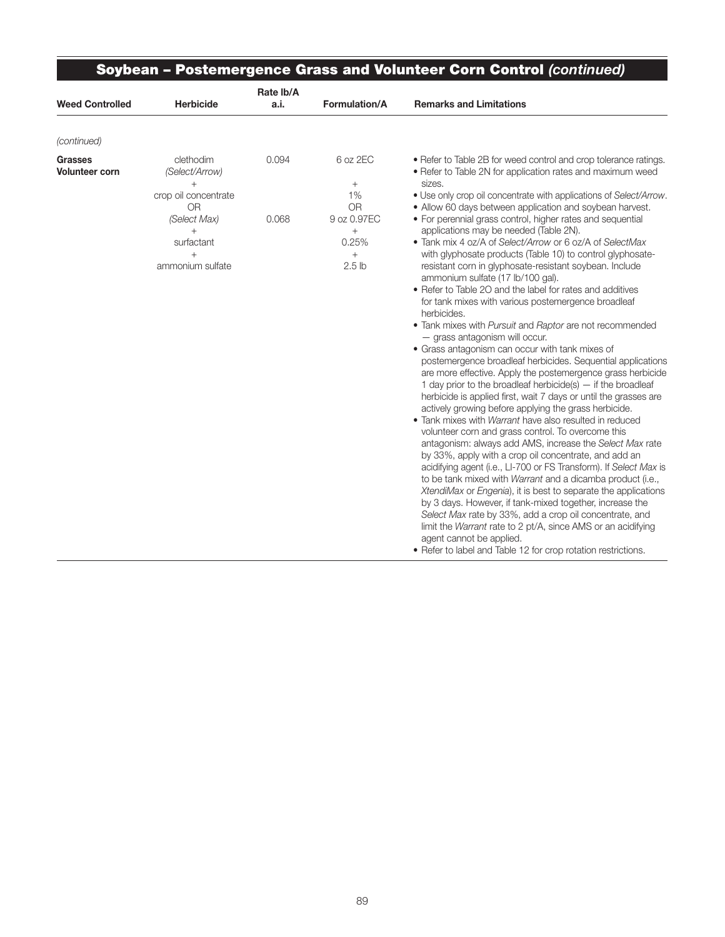| <b>Weed Controlled</b>                  | <b>Herbicide</b>                                                                                                                              | Rate Ib/A<br>a.i. | Formulation/A                                                                                    | <b>Remarks and Limitations</b>                                                                                                                                                                                                                                                                                                                                                                                                                                                                                                                                                                                                                                                                                                                                                                                                                                                                                                                                                                                                                                                                                                                                                                                                                                                                                                                                                                                                                                                                                                                                                                                                                                                                                                                                                                                                                                                                                                                                      |
|-----------------------------------------|-----------------------------------------------------------------------------------------------------------------------------------------------|-------------------|--------------------------------------------------------------------------------------------------|---------------------------------------------------------------------------------------------------------------------------------------------------------------------------------------------------------------------------------------------------------------------------------------------------------------------------------------------------------------------------------------------------------------------------------------------------------------------------------------------------------------------------------------------------------------------------------------------------------------------------------------------------------------------------------------------------------------------------------------------------------------------------------------------------------------------------------------------------------------------------------------------------------------------------------------------------------------------------------------------------------------------------------------------------------------------------------------------------------------------------------------------------------------------------------------------------------------------------------------------------------------------------------------------------------------------------------------------------------------------------------------------------------------------------------------------------------------------------------------------------------------------------------------------------------------------------------------------------------------------------------------------------------------------------------------------------------------------------------------------------------------------------------------------------------------------------------------------------------------------------------------------------------------------------------------------------------------------|
|                                         |                                                                                                                                               |                   |                                                                                                  |                                                                                                                                                                                                                                                                                                                                                                                                                                                                                                                                                                                                                                                                                                                                                                                                                                                                                                                                                                                                                                                                                                                                                                                                                                                                                                                                                                                                                                                                                                                                                                                                                                                                                                                                                                                                                                                                                                                                                                     |
| (continued)                             |                                                                                                                                               |                   |                                                                                                  |                                                                                                                                                                                                                                                                                                                                                                                                                                                                                                                                                                                                                                                                                                                                                                                                                                                                                                                                                                                                                                                                                                                                                                                                                                                                                                                                                                                                                                                                                                                                                                                                                                                                                                                                                                                                                                                                                                                                                                     |
| <b>Grasses</b><br><b>Volunteer corn</b> | clethodim<br>(Select/Arrow)<br>$^{+}$<br>crop oil concentrate<br><b>OR</b><br>(Select Max)<br>$+$<br>surfactant<br>$^{+}$<br>ammonium sulfate | 0.094<br>0.068    | 6 oz 2EC<br>$+$<br>1%<br><b>OR</b><br>9 oz 0.97EC<br>$\! +$<br>0.25%<br>$+$<br>2.5 <sub>lb</sub> | • Refer to Table 2B for weed control and crop tolerance ratings.<br>• Refer to Table 2N for application rates and maximum weed<br>sizes.<br>. Use only crop oil concentrate with applications of Select/Arrow.<br>• Allow 60 days between application and soybean harvest.<br>• For perennial grass control, higher rates and sequential<br>applications may be needed (Table 2N).<br>• Tank mix 4 oz/A of Select/Arrow or 6 oz/A of SelectMax<br>with glyphosate products (Table 10) to control glyphosate-<br>resistant corn in glyphosate-resistant soybean. Include<br>ammonium sulfate (17 lb/100 gal).<br>• Refer to Table 20 and the label for rates and additives<br>for tank mixes with various postemergence broadleaf<br>herbicides.<br>• Tank mixes with Pursuit and Raptor are not recommended<br>- grass antagonism will occur.<br>• Grass antagonism can occur with tank mixes of<br>postemergence broadleaf herbicides. Sequential applications<br>are more effective. Apply the postemergence grass herbicide<br>1 day prior to the broadleaf herbicide(s) $-$ if the broadleaf<br>herbicide is applied first, wait 7 days or until the grasses are<br>actively growing before applying the grass herbicide.<br>• Tank mixes with Warrant have also resulted in reduced<br>volunteer corn and grass control. To overcome this<br>antagonism: always add AMS, increase the Select Max rate<br>by 33%, apply with a crop oil concentrate, and add an<br>acidifying agent (i.e., LI-700 or FS Transform). If Select Max is<br>to be tank mixed with <i>Warrant</i> and a dicamba product (i.e.,<br>XtendiMax or Engenia), it is best to separate the applications<br>by 3 days. However, if tank-mixed together, increase the<br>Select Max rate by 33%, add a crop oil concentrate, and<br>limit the Warrant rate to 2 pt/A, since AMS or an acidifying<br>agent cannot be applied.<br>• Refer to label and Table 12 for crop rotation restrictions. |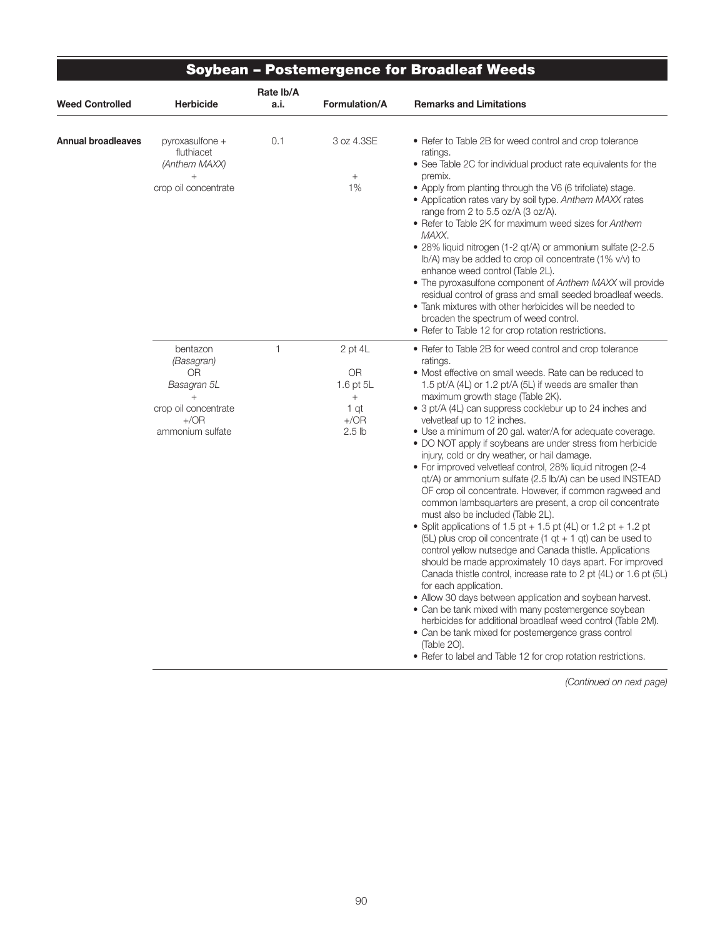| <b>Weed Controlled</b>    | <b>Herbicide</b>                                                                                             | Rate Ib/A<br>a.i. | Formulation/A                                                                                       | <b>Remarks and Limitations</b>                                                                                                                                                                                                                                                                                                                                                                                                                                                                                                                                                                                                                                                                                                                                                                                                                                                                                                                                                                                                                                                                                                                                                                                                                                                                                                                                                                                                                                                   |
|---------------------------|--------------------------------------------------------------------------------------------------------------|-------------------|-----------------------------------------------------------------------------------------------------|----------------------------------------------------------------------------------------------------------------------------------------------------------------------------------------------------------------------------------------------------------------------------------------------------------------------------------------------------------------------------------------------------------------------------------------------------------------------------------------------------------------------------------------------------------------------------------------------------------------------------------------------------------------------------------------------------------------------------------------------------------------------------------------------------------------------------------------------------------------------------------------------------------------------------------------------------------------------------------------------------------------------------------------------------------------------------------------------------------------------------------------------------------------------------------------------------------------------------------------------------------------------------------------------------------------------------------------------------------------------------------------------------------------------------------------------------------------------------------|
| <b>Annual broadleaves</b> | pyroxasulfone +<br>fluthiacet<br>(Anthem MAXX)<br>$^{+}$<br>crop oil concentrate                             | 0.1               | 3 oz 4.3SE<br>$+$<br>1%                                                                             | • Refer to Table 2B for weed control and crop tolerance<br>ratings.<br>• See Table 2C for individual product rate equivalents for the<br>premix.<br>• Apply from planting through the V6 (6 trifoliate) stage.<br>• Application rates vary by soil type. Anthem MAXX rates<br>range from 2 to 5.5 oz/A (3 oz/A).<br>• Refer to Table 2K for maximum weed sizes for Anthem<br>MAXX.<br>• 28% liquid nitrogen (1-2 gt/A) or ammonium sulfate (2-2.5<br>$\vert$ b/A) may be added to crop oil concentrate (1% v/v) to<br>enhance weed control (Table 2L).<br>. The pyroxasulfone component of Anthem MAXX will provide<br>residual control of grass and small seeded broadleaf weeds.<br>• Tank mixtures with other herbicides will be needed to<br>broaden the spectrum of weed control.<br>• Refer to Table 12 for crop rotation restrictions.                                                                                                                                                                                                                                                                                                                                                                                                                                                                                                                                                                                                                                    |
|                           | bentazon<br>(Basagran)<br>0R<br>Basagran 5L<br>$^{+}$<br>crop oil concentrate<br>$+$ /OR<br>ammonium sulfate | $\mathbf{1}$      | $2$ pt $4L$<br><b>OR</b><br>1.6 pt $5L$<br>$\boldsymbol{+}$<br>1 at<br>$+$ /OR<br>2.5 <sub>lb</sub> | • Refer to Table 2B for weed control and crop tolerance<br>ratings.<br>• Most effective on small weeds. Rate can be reduced to<br>1.5 pt/A (4L) or 1.2 pt/A (5L) if weeds are smaller than<br>maximum growth stage (Table 2K).<br>• 3 pt/A (4L) can suppress cocklebur up to 24 inches and<br>velvetleaf up to 12 inches.<br>• Use a minimum of 20 gal. water/A for adequate coverage.<br>• DO NOT apply if soybeans are under stress from herbicide<br>injury, cold or dry weather, or hail damage.<br>· For improved velvetleaf control, 28% liquid nitrogen (2-4<br>qt/A) or ammonium sulfate (2.5 lb/A) can be used INSTEAD<br>OF crop oil concentrate. However, if common ragweed and<br>common lambsquarters are present, a crop oil concentrate<br>must also be included (Table 2L).<br>• Split applications of 1.5 pt + 1.5 pt (4L) or 1.2 pt + 1.2 pt<br>(5L) plus crop oil concentrate (1 $qt + 1 qt$ ) can be used to<br>control yellow nutsedge and Canada thistle. Applications<br>should be made approximately 10 days apart. For improved<br>Canada thistle control, increase rate to 2 pt (4L) or 1.6 pt (5L)<br>for each application.<br>• Allow 30 days between application and soybean harvest.<br>• Can be tank mixed with many postemergence soybean<br>herbicides for additional broadleaf weed control (Table 2M).<br>• Can be tank mixed for postemergence grass control<br>(Table 20).<br>• Refer to label and Table 12 for crop rotation restrictions. |

#### Soybean – Postemergence for Broadleaf Weeds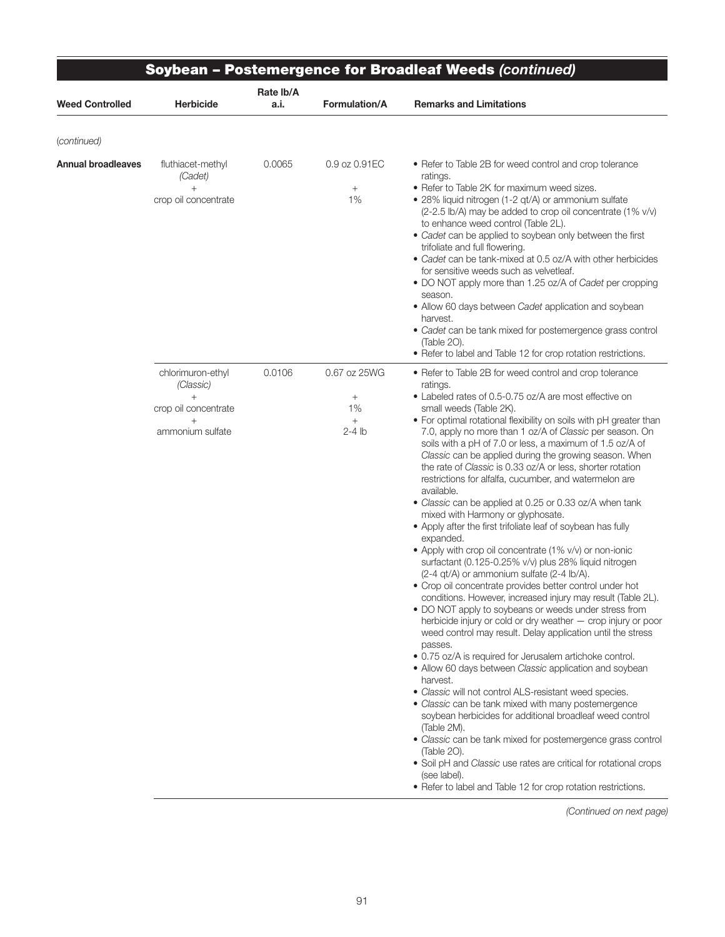| <b>Weed Controlled</b>    | <b>Herbicide</b>                                                                               | Rate lb/A<br>a.i. | Formulation/A                                   | <b>Remarks and Limitations</b>                                                                                                                                                                                                                                                                                                                                                                                                                                                                                                                                                                                                                                                                                                                                                                                                                                                                                                                                                                                                                                                                                                                                                                                                                                                                                                                                                                                                                                                                                                                                                                                                                                                                                                                                                                           |
|---------------------------|------------------------------------------------------------------------------------------------|-------------------|-------------------------------------------------|----------------------------------------------------------------------------------------------------------------------------------------------------------------------------------------------------------------------------------------------------------------------------------------------------------------------------------------------------------------------------------------------------------------------------------------------------------------------------------------------------------------------------------------------------------------------------------------------------------------------------------------------------------------------------------------------------------------------------------------------------------------------------------------------------------------------------------------------------------------------------------------------------------------------------------------------------------------------------------------------------------------------------------------------------------------------------------------------------------------------------------------------------------------------------------------------------------------------------------------------------------------------------------------------------------------------------------------------------------------------------------------------------------------------------------------------------------------------------------------------------------------------------------------------------------------------------------------------------------------------------------------------------------------------------------------------------------------------------------------------------------------------------------------------------------|
|                           |                                                                                                |                   |                                                 |                                                                                                                                                                                                                                                                                                                                                                                                                                                                                                                                                                                                                                                                                                                                                                                                                                                                                                                                                                                                                                                                                                                                                                                                                                                                                                                                                                                                                                                                                                                                                                                                                                                                                                                                                                                                          |
| (continued)               |                                                                                                |                   |                                                 |                                                                                                                                                                                                                                                                                                                                                                                                                                                                                                                                                                                                                                                                                                                                                                                                                                                                                                                                                                                                                                                                                                                                                                                                                                                                                                                                                                                                                                                                                                                                                                                                                                                                                                                                                                                                          |
| <b>Annual broadleaves</b> | fluthiacet-methyl<br>(Cadet)<br>$^{+}$<br>crop oil concentrate                                 | 0.0065            | 0.9 oz 0.91EC<br>$+$<br>1%                      | • Refer to Table 2B for weed control and crop tolerance<br>ratings.<br>• Refer to Table 2K for maximum weed sizes.<br>• 28% liquid nitrogen (1-2 qt/A) or ammonium sulfate<br>(2-2.5 lb/A) may be added to crop oil concentrate (1% v/v)<br>to enhance weed control (Table 2L).<br>• Cadet can be applied to soybean only between the first<br>trifoliate and full flowering.<br>• Cadet can be tank-mixed at 0.5 oz/A with other herbicides<br>for sensitive weeds such as velvetleaf.<br>• DO NOT apply more than 1.25 oz/A of Cadet per cropping<br>season.<br>• Allow 60 days between Cadet application and soybean<br>harvest.<br>• Cadet can be tank mixed for postemergence grass control<br>(Table 20).<br>• Refer to label and Table 12 for crop rotation restrictions.                                                                                                                                                                                                                                                                                                                                                                                                                                                                                                                                                                                                                                                                                                                                                                                                                                                                                                                                                                                                                         |
|                           | chlorimuron-ethyl<br>(Classic)<br>$^{+}$<br>crop oil concentrate<br>$^{+}$<br>ammonium sulfate | 0.0106            | 0.67 oz 25WG<br>$+$<br>1%<br>$^{+}$<br>$2-4$ lb | • Refer to Table 2B for weed control and crop tolerance<br>ratings.<br>• Labeled rates of 0.5-0.75 oz/A are most effective on<br>small weeds (Table 2K).<br>• For optimal rotational flexibility on soils with pH greater than<br>7.0, apply no more than 1 oz/A of Classic per season. On<br>soils with a pH of 7.0 or less, a maximum of 1.5 oz/A of<br>Classic can be applied during the growing season. When<br>the rate of Classic is 0.33 oz/A or less, shorter rotation<br>restrictions for alfalfa, cucumber, and watermelon are<br>available.<br>• Classic can be applied at 0.25 or 0.33 oz/A when tank<br>mixed with Harmony or glyphosate.<br>• Apply after the first trifoliate leaf of soybean has fully<br>expanded.<br>• Apply with crop oil concentrate (1% v/v) or non-ionic<br>surfactant (0.125-0.25% v/v) plus 28% liquid nitrogen<br>(2-4 qt/A) or ammonium sulfate (2-4 lb/A).<br>• Crop oil concentrate provides better control under hot<br>conditions. However, increased injury may result (Table 2L).<br>• DO NOT apply to soybeans or weeds under stress from<br>herbicide injury or cold or dry weather - crop injury or poor<br>weed control may result. Delay application until the stress<br>passes.<br>• 0.75 oz/A is required for Jerusalem artichoke control.<br>• Allow 60 days between Classic application and soybean<br>harvest.<br>• Classic will not control ALS-resistant weed species.<br>• Classic can be tank mixed with many postemergence<br>soybean herbicides for additional broadleaf weed control<br>(Table 2M).<br>• Classic can be tank mixed for postemergence grass control<br>(Table 20).<br>• Soil pH and Classic use rates are critical for rotational crops<br>(see label).<br>• Refer to label and Table 12 for crop rotation restrictions. |

∍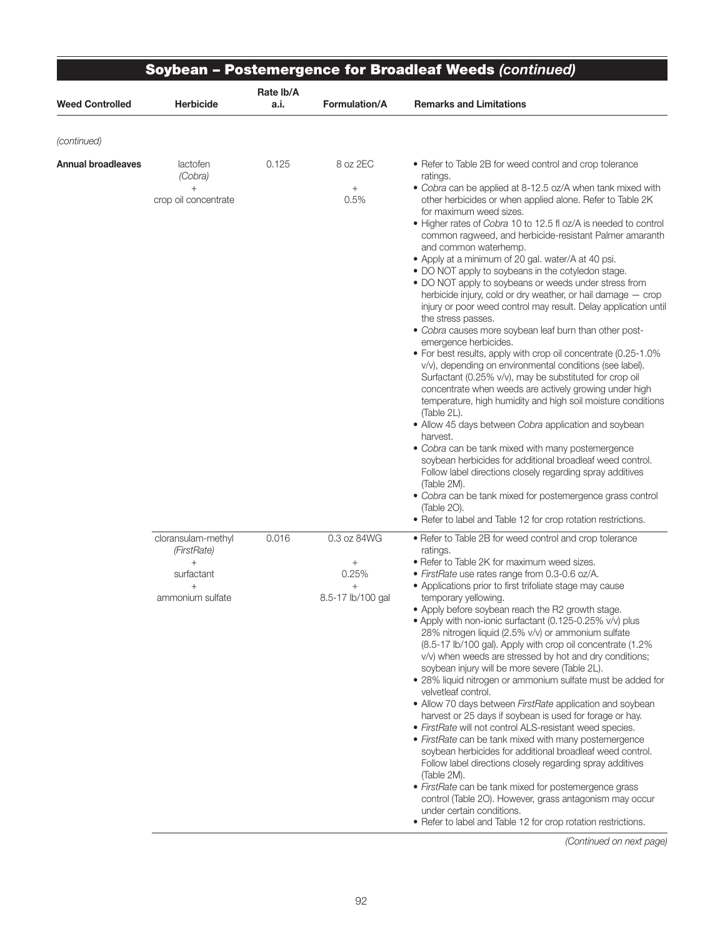| <b>Weed Controlled</b> | <b>Herbicide</b>                            | Rate lb/A<br>a.i. | Formulation/A                        | <b>Remarks and Limitations</b>                                                                                                                                                                                                                                                                                                                                                                                                                                                                                                                                                                                                                                                                                                                                                                                                                                                                                                                                                                                                                                                                                                                                                                                                                                                                                                                                                                                                                                               |
|------------------------|---------------------------------------------|-------------------|--------------------------------------|------------------------------------------------------------------------------------------------------------------------------------------------------------------------------------------------------------------------------------------------------------------------------------------------------------------------------------------------------------------------------------------------------------------------------------------------------------------------------------------------------------------------------------------------------------------------------------------------------------------------------------------------------------------------------------------------------------------------------------------------------------------------------------------------------------------------------------------------------------------------------------------------------------------------------------------------------------------------------------------------------------------------------------------------------------------------------------------------------------------------------------------------------------------------------------------------------------------------------------------------------------------------------------------------------------------------------------------------------------------------------------------------------------------------------------------------------------------------------|
| (continued)            |                                             |                   |                                      |                                                                                                                                                                                                                                                                                                                                                                                                                                                                                                                                                                                                                                                                                                                                                                                                                                                                                                                                                                                                                                                                                                                                                                                                                                                                                                                                                                                                                                                                              |
| Annual broadleaves     | lactofen<br>(Cobra)                         | 0.125             | 8 oz 2EC                             | • Refer to Table 2B for weed control and crop tolerance<br>ratings.                                                                                                                                                                                                                                                                                                                                                                                                                                                                                                                                                                                                                                                                                                                                                                                                                                                                                                                                                                                                                                                                                                                                                                                                                                                                                                                                                                                                          |
|                        | $+$<br>crop oil concentrate                 |                   | $^{+}$<br>0.5%                       | • Cobra can be applied at 8-12.5 oz/A when tank mixed with<br>other herbicides or when applied alone. Refer to Table 2K<br>for maximum weed sizes.<br>• Higher rates of Cobra 10 to 12.5 fl oz/A is needed to control<br>common ragweed, and herbicide-resistant Palmer amaranth<br>and common waterhemp.<br>• Apply at a minimum of 20 gal. water/A at 40 psi.<br>. DO NOT apply to soybeans in the cotyledon stage.<br>. DO NOT apply to soybeans or weeds under stress from<br>herbicide injury, cold or dry weather, or hail damage - crop<br>injury or poor weed control may result. Delay application until<br>the stress passes.<br>• Cobra causes more soybean leaf burn than other post-<br>emergence herbicides.<br>• For best results, apply with crop oil concentrate (0.25-1.0%<br>v/v), depending on environmental conditions (see label).<br>Surfactant (0.25% v/v), may be substituted for crop oil<br>concentrate when weeds are actively growing under high<br>temperature, high humidity and high soil moisture conditions<br>(Table 2L).<br>• Allow 45 days between Cobra application and soybean<br>harvest.<br>• Cobra can be tank mixed with many postemergence<br>soybean herbicides for additional broadleaf weed control.<br>Follow label directions closely regarding spray additives<br>(Table 2M).<br>• Cobra can be tank mixed for postemergence grass control<br>(Table 20).<br>• Refer to label and Table 12 for crop rotation restrictions. |
|                        | cloransulam-methyl<br>(FirstRate)<br>$^{+}$ | 0.016             | 0.3 oz 84WG<br>$^{+}$                | • Refer to Table 2B for weed control and crop tolerance<br>ratings.<br>• Refer to Table 2K for maximum weed sizes.                                                                                                                                                                                                                                                                                                                                                                                                                                                                                                                                                                                                                                                                                                                                                                                                                                                                                                                                                                                                                                                                                                                                                                                                                                                                                                                                                           |
|                        | surfactant<br>$^{+}$<br>ammonium sulfate    |                   | 0.25%<br>$^{+}$<br>8.5-17 lb/100 gal | • FirstRate use rates range from 0.3-0.6 oz/A.<br>• Applications prior to first trifoliate stage may cause<br>temporary yellowing.                                                                                                                                                                                                                                                                                                                                                                                                                                                                                                                                                                                                                                                                                                                                                                                                                                                                                                                                                                                                                                                                                                                                                                                                                                                                                                                                           |
|                        |                                             |                   |                                      | • Apply before soybean reach the R2 growth stage.<br>• Apply with non-ionic surfactant (0.125-0.25% v/v) plus<br>28% nitrogen liquid (2.5% v/v) or ammonium sulfate<br>(8.5-17 lb/100 gal). Apply with crop oil concentrate (1.2%<br>v/v) when weeds are stressed by hot and dry conditions;<br>soybean injury will be more severe (Table 2L).<br>• 28% liquid nitrogen or ammonium sulfate must be added for<br>velvetleaf control.<br>• Allow 70 days between FirstRate application and soybean<br>harvest or 25 days if soybean is used for forage or hay.<br>· FirstRate will not control ALS-resistant weed species.<br>• FirstRate can be tank mixed with many postemergence<br>soybean herbicides for additional broadleaf weed control.<br>Follow label directions closely regarding spray additives<br>(Table 2M).<br>• FirstRate can be tank mixed for postemergence grass<br>control (Table 20). However, grass antagonism may occur<br>under certain conditions.<br>• Refer to label and Table 12 for crop rotation restrictions.                                                                                                                                                                                                                                                                                                                                                                                                                                |

Ξ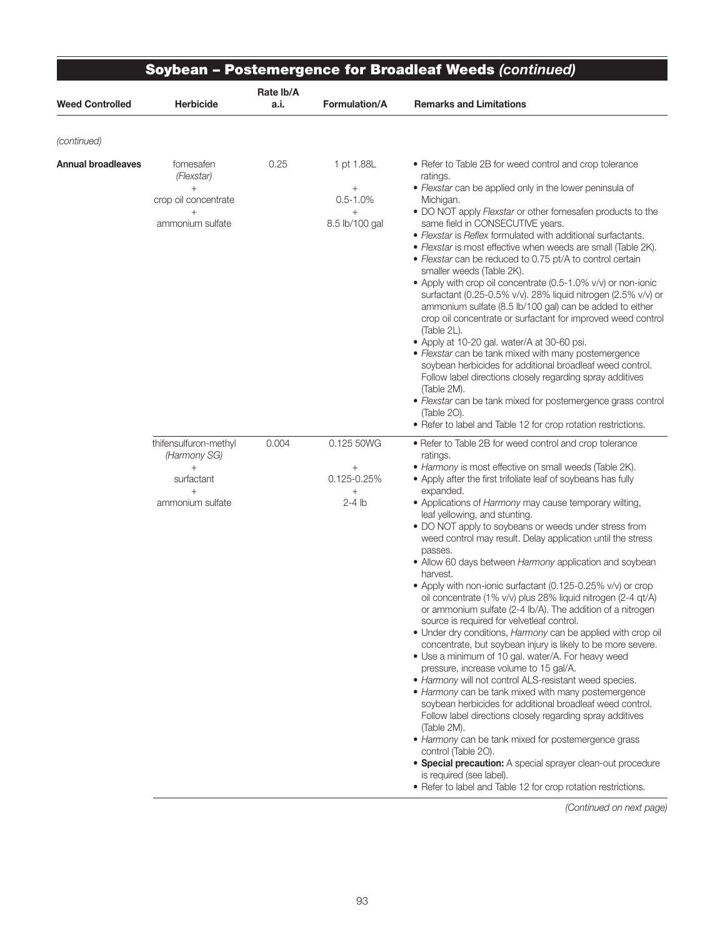| <b>Herbicide</b>                                                                         | Rate lb/A<br>a.i. | Formulation/A                                            | <b>Remarks and Limitations</b>                                                                                                                                                                                                                                                                                                                                                                                                                                                                                                                                                                                                                                                                                                                                                                                                                                                                                                                                                                                                                                                                                                                                                                                                                                                                                                                                                                                                                                                                  |
|------------------------------------------------------------------------------------------|-------------------|----------------------------------------------------------|-------------------------------------------------------------------------------------------------------------------------------------------------------------------------------------------------------------------------------------------------------------------------------------------------------------------------------------------------------------------------------------------------------------------------------------------------------------------------------------------------------------------------------------------------------------------------------------------------------------------------------------------------------------------------------------------------------------------------------------------------------------------------------------------------------------------------------------------------------------------------------------------------------------------------------------------------------------------------------------------------------------------------------------------------------------------------------------------------------------------------------------------------------------------------------------------------------------------------------------------------------------------------------------------------------------------------------------------------------------------------------------------------------------------------------------------------------------------------------------------------|
|                                                                                          |                   |                                                          |                                                                                                                                                                                                                                                                                                                                                                                                                                                                                                                                                                                                                                                                                                                                                                                                                                                                                                                                                                                                                                                                                                                                                                                                                                                                                                                                                                                                                                                                                                 |
| fomesafen<br>(Flexstar)                                                                  | 0.25              | 1 pt 1.88L                                               | • Refer to Table 2B for weed control and crop tolerance<br>ratings.<br>• Flexstar can be applied only in the lower peninsula of                                                                                                                                                                                                                                                                                                                                                                                                                                                                                                                                                                                                                                                                                                                                                                                                                                                                                                                                                                                                                                                                                                                                                                                                                                                                                                                                                                 |
| crop oil concentrate                                                                     |                   | $0.5 - 1.0%$                                             | Michigan.<br>. DO NOT apply Flexstar or other fomesafen products to the                                                                                                                                                                                                                                                                                                                                                                                                                                                                                                                                                                                                                                                                                                                                                                                                                                                                                                                                                                                                                                                                                                                                                                                                                                                                                                                                                                                                                         |
| ammonium sulfate                                                                         |                   | 8.5 lb/100 gal                                           | same field in CONSECUTIVE years.<br>• Flexstar is Reflex formulated with additional surfactants.<br>• Flexstar is most effective when weeds are small (Table 2K).<br>• Flexstar can be reduced to 0.75 pt/A to control certain<br>smaller weeds (Table 2K).<br>• Apply with crop oil concentrate (0.5-1.0% v/v) or non-ionic<br>surfactant (0.25-0.5% v/v). 28% liquid nitrogen (2.5% v/v) or<br>ammonium sulfate (8.5 lb/100 gal) can be added to either<br>crop oil concentrate or surfactant for improved weed control<br>(Table 2L).<br>• Apply at 10-20 gal. water/A at 30-60 psi.<br>• Flexstar can be tank mixed with many postemergence<br>soybean herbicides for additional broadleaf weed control.<br>Follow label directions closely regarding spray additives<br>(Table 2M).<br>• Flexstar can be tank mixed for postemergence grass control<br>(Table 20).<br>• Refer to label and Table 12 for crop rotation restrictions.                                                                                                                                                                                                                                                                                                                                                                                                                                                                                                                                                        |
| thifensulfuron-methyl<br>(Harmony SG)<br>$+$<br>surfactant<br>$^{+}$<br>ammonium sulfate | 0.004             | 0.125 50WG<br>$+$<br>0.125-0.25%<br>$^{+}$<br>$2 - 4$ lb | • Refer to Table 2B for weed control and crop tolerance<br>ratings.<br>• Harmony is most effective on small weeds (Table 2K).<br>• Apply after the first trifoliate leaf of soybeans has fully<br>expanded.<br>• Applications of Harmony may cause temporary wilting,<br>leaf yellowing, and stunting.<br>• DO NOT apply to soybeans or weeds under stress from<br>weed control may result. Delay application until the stress<br>passes.<br>• Allow 60 days between Harmony application and soybean<br>harvest.<br>• Apply with non-ionic surfactant (0.125-0.25% v/v) or crop<br>oil concentrate (1% v/v) plus 28% liquid nitrogen (2-4 qt/A)<br>or ammonium sulfate (2-4 lb/A). The addition of a nitrogen<br>source is required for velvetleaf control.<br>• Under dry conditions, Harmony can be applied with crop oil<br>concentrate, but soybean injury is likely to be more severe.<br>· Use a minimum of 10 gal. water/A. For heavy weed<br>pressure, increase volume to 15 gal/A.<br>• Harmony will not control ALS-resistant weed species.<br>• Harmony can be tank mixed with many postemergence<br>soybean herbicides for additional broadleaf weed control.<br>Follow label directions closely regarding spray additives<br>(Table 2M).<br>• Harmony can be tank mixed for postemergence grass<br>control (Table 20).<br>• Special precaution: A special sprayer clean-out procedure<br>is required (see label).<br>• Refer to label and Table 12 for crop rotation restrictions. |
|                                                                                          | $^{+}$<br>$^{+}$  |                                                          | Soybean - Postemergence for Broadleaf Weeds (continued)<br>$^{+}$<br>$+$                                                                                                                                                                                                                                                                                                                                                                                                                                                                                                                                                                                                                                                                                                                                                                                                                                                                                                                                                                                                                                                                                                                                                                                                                                                                                                                                                                                                                        |

Ξ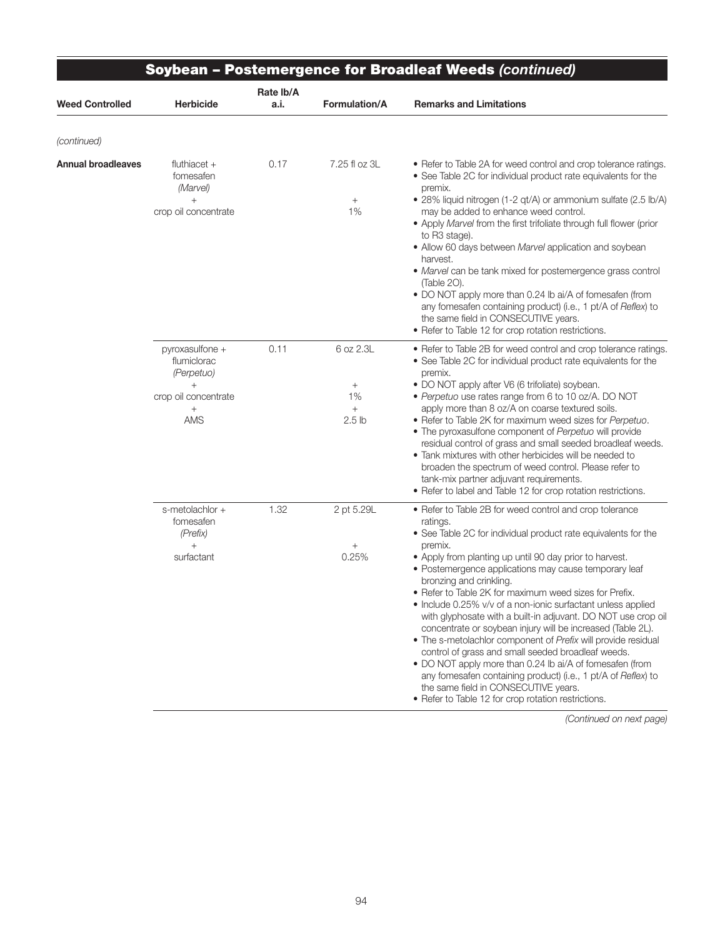| <b>Weed Controlled</b>    | <b>Herbicide</b>                                                                             | Rate lb/A<br>a.i. | Formulation/A                                | <b>Remarks and Limitations</b>                                                                                                                                                                                                                                                                                                                                                                                                                                                                                                                                                                                                                                                                                                                                                                                                                                                                               |
|---------------------------|----------------------------------------------------------------------------------------------|-------------------|----------------------------------------------|--------------------------------------------------------------------------------------------------------------------------------------------------------------------------------------------------------------------------------------------------------------------------------------------------------------------------------------------------------------------------------------------------------------------------------------------------------------------------------------------------------------------------------------------------------------------------------------------------------------------------------------------------------------------------------------------------------------------------------------------------------------------------------------------------------------------------------------------------------------------------------------------------------------|
| (continued)               |                                                                                              |                   |                                              |                                                                                                                                                                                                                                                                                                                                                                                                                                                                                                                                                                                                                                                                                                                                                                                                                                                                                                              |
| <b>Annual broadleaves</b> | fluthiacet $+$<br>fomesafen<br>(Marvel)<br>$^{+}$<br>crop oil concentrate                    | 0.17              | 7.25 fl oz 3L<br>$^{+}$<br>1%                | • Refer to Table 2A for weed control and crop tolerance ratings.<br>• See Table 2C for individual product rate equivalents for the<br>premix.<br>· 28% liquid nitrogen (1-2 qt/A) or ammonium sulfate (2.5 lb/A)<br>may be added to enhance weed control.<br>• Apply Marvel from the first trifoliate through full flower (prior<br>to R3 stage).<br>• Allow 60 days between Marvel application and soybean<br>harvest.<br>• Marvel can be tank mixed for postemergence grass control<br>(Table 20).<br>• DO NOT apply more than 0.24 lb ai/A of fomesafen (from<br>any fomesafen containing product) (i.e., 1 pt/A of Reflex) to<br>the same field in CONSECUTIVE years.<br>• Refer to Table 12 for crop rotation restrictions.                                                                                                                                                                             |
|                           | pyroxasulfone +<br>flumiclorac<br>(Perpetuo)<br>crop oil concentrate<br>$^{+}$<br><b>AMS</b> | 0.11              | 6 oz 2.3L<br>$^{+}$<br>1%<br>$+$<br>$2.5$ lb | • Refer to Table 2B for weed control and crop tolerance ratings.<br>• See Table 2C for individual product rate equivalents for the<br>premix.<br>• DO NOT apply after V6 (6 trifoliate) soybean.<br>· Perpetuo use rates range from 6 to 10 oz/A. DO NOT<br>apply more than 8 oz/A on coarse textured soils.<br>• Refer to Table 2K for maximum weed sizes for Perpetuo.<br>• The pyroxasulfone component of Perpetuo will provide<br>residual control of grass and small seeded broadleaf weeds.<br>. Tank mixtures with other herbicides will be needed to<br>broaden the spectrum of weed control. Please refer to<br>tank-mix partner adjuvant requirements.<br>• Refer to label and Table 12 for crop rotation restrictions.                                                                                                                                                                            |
|                           | s-metolachlor +<br>fomesafen<br>(Prefix)<br>$^{+}$<br>surfactant                             | 1.32              | 2 pt 5.29L<br>$^{+}$<br>0.25%                | • Refer to Table 2B for weed control and crop tolerance<br>ratings.<br>• See Table 2C for individual product rate equivalents for the<br>premix.<br>• Apply from planting up until 90 day prior to harvest.<br>· Postemergence applications may cause temporary leaf<br>bronzing and crinkling.<br>• Refer to Table 2K for maximum weed sizes for Prefix.<br>• Include 0.25% v/v of a non-ionic surfactant unless applied<br>with glyphosate with a built-in adjuvant. DO NOT use crop oil<br>concentrate or soybean injury will be increased (Table 2L).<br>• The s-metolachlor component of Prefix will provide residual<br>control of grass and small seeded broadleaf weeds.<br>. DO NOT apply more than 0.24 lb ai/A of fomesafen (from<br>any fomesafen containing product) (i.e., 1 pt/A of Reflex) to<br>the same field in CONSECUTIVE years.<br>• Refer to Table 12 for crop rotation restrictions. |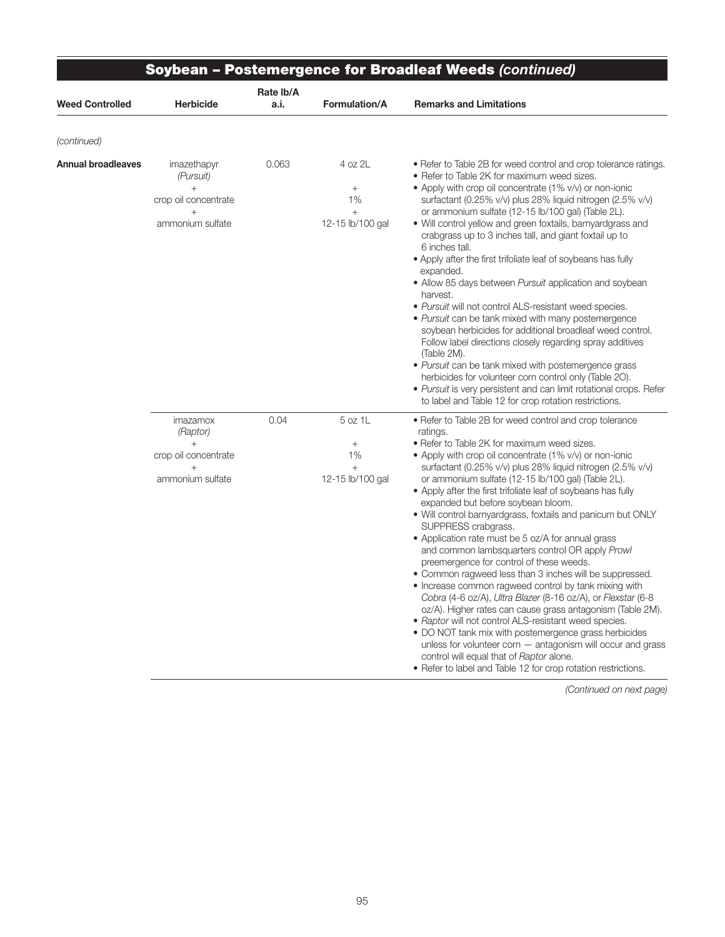| <b>Weed Controlled</b>    | <b>Herbicide</b>                                                                         | Rate Ib/A<br>a.i. | Formulation/A                                      | <b>Remarks and Limitations</b>                                                                                                                                                                                                                                                                                                                                                                                                                                                                                                                                                                                                                                                                                                                                                                                                                                                                                                                                                                                                                                                                                                                                                                        |
|---------------------------|------------------------------------------------------------------------------------------|-------------------|----------------------------------------------------|-------------------------------------------------------------------------------------------------------------------------------------------------------------------------------------------------------------------------------------------------------------------------------------------------------------------------------------------------------------------------------------------------------------------------------------------------------------------------------------------------------------------------------------------------------------------------------------------------------------------------------------------------------------------------------------------------------------------------------------------------------------------------------------------------------------------------------------------------------------------------------------------------------------------------------------------------------------------------------------------------------------------------------------------------------------------------------------------------------------------------------------------------------------------------------------------------------|
| (continued)               |                                                                                          |                   |                                                    |                                                                                                                                                                                                                                                                                                                                                                                                                                                                                                                                                                                                                                                                                                                                                                                                                                                                                                                                                                                                                                                                                                                                                                                                       |
| <b>Annual broadleaves</b> | imazethapyr<br>(Pursuit)<br>$^{+}$<br>crop oil concentrate<br>$^{+}$<br>ammonium sulfate | 0.063             | 4 oz 2L<br>1%<br>$+$<br>12-15 lb/100 gal           | • Refer to Table 2B for weed control and crop tolerance ratings.<br>• Refer to Table 2K for maximum weed sizes.<br>• Apply with crop oil concentrate (1% v/v) or non-ionic<br>surfactant (0.25% v/v) plus 28% liquid nitrogen (2.5% v/v)<br>or ammonium sulfate (12-15 lb/100 gal) (Table 2L).<br>• Will control yellow and green foxtails, barnyardgrass and<br>crabgrass up to 3 inches tall, and giant foxtail up to<br>6 inches tall.<br>• Apply after the first trifoliate leaf of soybeans has fully<br>expanded.<br>• Allow 85 days between Pursuit application and soybean<br>harvest.<br>• Pursuit will not control ALS-resistant weed species.<br>• Pursuit can be tank mixed with many postemergence<br>soybean herbicides for additional broadleaf weed control.<br>Follow label directions closely regarding spray additives<br>(Table 2M).<br>• Pursuit can be tank mixed with postemergence grass<br>herbicides for volunteer corn control only (Table 20).<br>• Pursuit is very persistent and can limit rotational crops. Refer<br>to label and Table 12 for crop rotation restrictions.                                                                                             |
|                           | imazamox<br>(Raptor)<br>$^{+}$<br>crop oil concentrate<br>$^{+}$<br>ammonium sulfate     | 0.04              | 5 oz 1L<br>$^{+}$<br>1%<br>$+$<br>12-15 lb/100 gal | • Refer to Table 2B for weed control and crop tolerance<br>ratings.<br>· Refer to Table 2K for maximum weed sizes.<br>• Apply with crop oil concentrate (1% v/v) or non-ionic<br>surfactant (0.25% v/v) plus 28% liquid nitrogen (2.5% v/v)<br>or ammonium sulfate (12-15 lb/100 gal) (Table 2L).<br>• Apply after the first trifoliate leaf of soybeans has fully<br>expanded but before soybean bloom.<br>. Will control barnyardgrass, foxtails and panicum but ONLY<br>SUPPRESS crabgrass.<br>• Application rate must be 5 oz/A for annual grass<br>and common lambsquarters control OR apply Prowl<br>preemergence for control of these weeds.<br>• Common ragweed less than 3 inches will be suppressed.<br>• Increase common ragweed control by tank mixing with<br>Cobra (4-6 oz/A), Ultra Blazer (8-16 oz/A), or Flexstar (6-8<br>oz/A). Higher rates can cause grass antagonism (Table 2M).<br>· Raptor will not control ALS-resistant weed species.<br>• DO NOT tank mix with postemergence grass herbicides<br>unless for volunteer corn $-$ antagonism will occur and grass<br>control will equal that of Raptor alone.<br>• Refer to label and Table 12 for crop rotation restrictions. |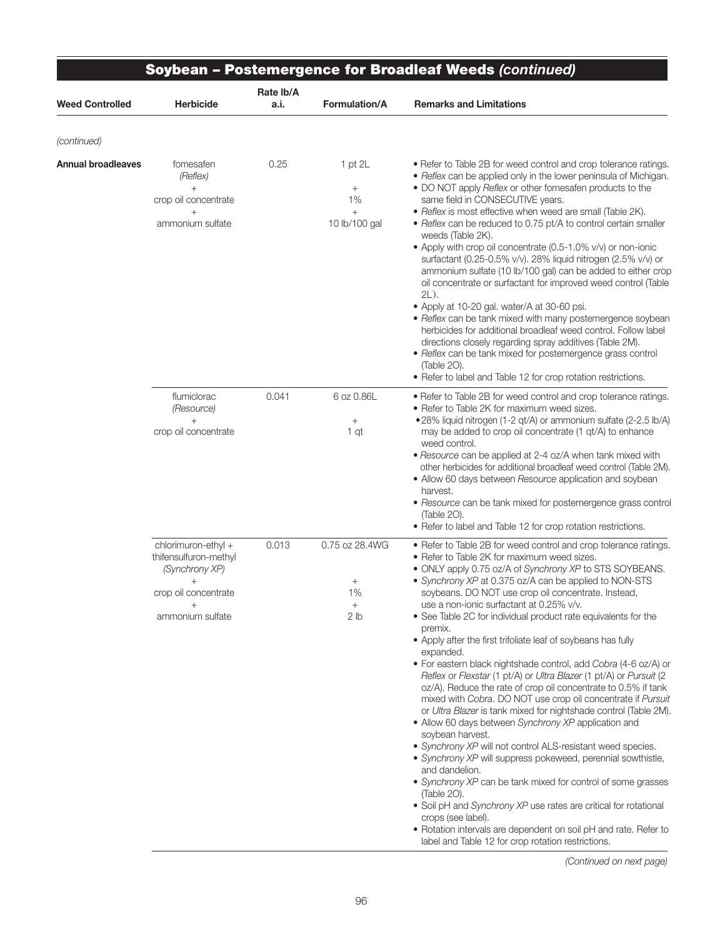| <b>Weed Controlled</b>    | <b>Herbicide</b>                                                                                                     | Rate lb/A<br>a.i. | <b>Formulation/A</b>                                                 | <b>Remarks and Limitations</b>                                                                                                                                                                                                                                                                                                                                                                                                                                                                                                                                                                                                                                                                                                                                                                                                                                                                                                                                                                                                                                                                                                                                                                                                                                                                                                                                                    |
|---------------------------|----------------------------------------------------------------------------------------------------------------------|-------------------|----------------------------------------------------------------------|-----------------------------------------------------------------------------------------------------------------------------------------------------------------------------------------------------------------------------------------------------------------------------------------------------------------------------------------------------------------------------------------------------------------------------------------------------------------------------------------------------------------------------------------------------------------------------------------------------------------------------------------------------------------------------------------------------------------------------------------------------------------------------------------------------------------------------------------------------------------------------------------------------------------------------------------------------------------------------------------------------------------------------------------------------------------------------------------------------------------------------------------------------------------------------------------------------------------------------------------------------------------------------------------------------------------------------------------------------------------------------------|
|                           |                                                                                                                      |                   |                                                                      |                                                                                                                                                                                                                                                                                                                                                                                                                                                                                                                                                                                                                                                                                                                                                                                                                                                                                                                                                                                                                                                                                                                                                                                                                                                                                                                                                                                   |
| (continued)               |                                                                                                                      |                   |                                                                      |                                                                                                                                                                                                                                                                                                                                                                                                                                                                                                                                                                                                                                                                                                                                                                                                                                                                                                                                                                                                                                                                                                                                                                                                                                                                                                                                                                                   |
| <b>Annual broadleaves</b> | fomesafen<br>(Reflex)<br>crop oil concentrate<br>ammonium sulfate                                                    | 0.25              | $1$ pt $2L$<br>$\! + \!\!\!\!$<br>1%<br>$+$<br>10 lb/100 gal         | • Refer to Table 2B for weed control and crop tolerance ratings.<br>• Reflex can be applied only in the lower peninsula of Michigan.<br>• DO NOT apply Reflex or other fomesafen products to the<br>same field in CONSECUTIVE years.<br>• Reflex is most effective when weed are small (Table 2K).<br>• Reflex can be reduced to 0.75 pt/A to control certain smaller<br>weeds (Table 2K).<br>• Apply with crop oil concentrate (0.5-1.0% v/v) or non-ionic<br>surfactant (0.25-0.5% v/v). 28% liquid nitrogen (2.5% v/v) or<br>ammonium sulfate (10 lb/100 gal) can be added to either crop<br>oil concentrate or surfactant for improved weed control (Table<br>$2L$ ).<br>• Apply at 10-20 gal. water/A at 30-60 psi.<br>• Reflex can be tank mixed with many postemergence soybean<br>herbicides for additional broadleaf weed control. Follow label<br>directions closely regarding spray additives (Table 2M).<br>• Reflex can be tank mixed for postemergence grass control<br>(Table 20).<br>• Refer to label and Table 12 for crop rotation restrictions.                                                                                                                                                                                                                                                                                                                |
|                           | flumiclorac<br>(Resource)<br>$+$<br>crop oil concentrate                                                             | 0.041             | 6 oz 0.86L<br>$\! + \!\!\!\!$<br>1 qt                                | • Refer to Table 2B for weed control and crop tolerance ratings.<br>• Refer to Table 2K for maximum weed sizes.<br>.28% liquid nitrogen (1-2 qt/A) or ammonium sulfate (2-2.5 lb/A)<br>may be added to crop oil concentrate (1 qt/A) to enhance<br>weed control.<br>• Resource can be applied at 2-4 oz/A when tank mixed with<br>other herbicides for additional broadleaf weed control (Table 2M).<br>• Allow 60 days between Resource application and soybean<br>harvest.<br>• Resource can be tank mixed for postemergence grass control<br>(Table 20).<br>• Refer to label and Table 12 for crop rotation restrictions.                                                                                                                                                                                                                                                                                                                                                                                                                                                                                                                                                                                                                                                                                                                                                      |
|                           | chlorimuron-ethyl +<br>thifensulfuron-methyl<br>(Synchrony XP)<br>$^{+}$<br>crop oil concentrate<br>ammonium sulfate | 0.013             | 0.75 oz 28.4WG<br>$^{+}$<br>1%<br>$\! + \!\!\!\!$<br>2 <sub>lb</sub> | • Refer to Table 2B for weed control and crop tolerance ratings.<br>• Refer to Table 2K for maximum weed sizes.<br>• ONLY apply 0.75 oz/A of Synchrony XP to STS SOYBEANS.<br>• Synchrony XP at 0.375 oz/A can be applied to NON-STS<br>soybeans. DO NOT use crop oil concentrate. Instead,<br>use a non-ionic surfactant at 0.25% v/v.<br>• See Table 2C for individual product rate equivalents for the<br>premix.<br>• Apply after the first trifoliate leaf of soybeans has fully<br>expanded.<br>· For eastern black nightshade control, add Cobra (4-6 oz/A) or<br>Reflex or Flexstar (1 pt/A) or Ultra Blazer (1 pt/A) or Pursuit (2<br>oz/A). Reduce the rate of crop oil concentrate to 0.5% if tank<br>mixed with Cobra. DO NOT use crop oil concentrate if Pursuit<br>or Ultra Blazer is tank mixed for nightshade control (Table 2M).<br>• Allow 60 days between Synchrony XP application and<br>soybean harvest.<br>• Synchrony XP will not control ALS-resistant weed species.<br>• Synchrony XP will suppress pokeweed, perennial sowthistle,<br>and dandelion.<br>• Synchrony XP can be tank mixed for control of some grasses<br>(Table 20).<br>• Soil pH and Synchrony XP use rates are critical for rotational<br>crops (see label).<br>• Rotation intervals are dependent on soil pH and rate. Refer to<br>label and Table 12 for crop rotation restrictions. |

*<sup>(</sup>Continued on next page)*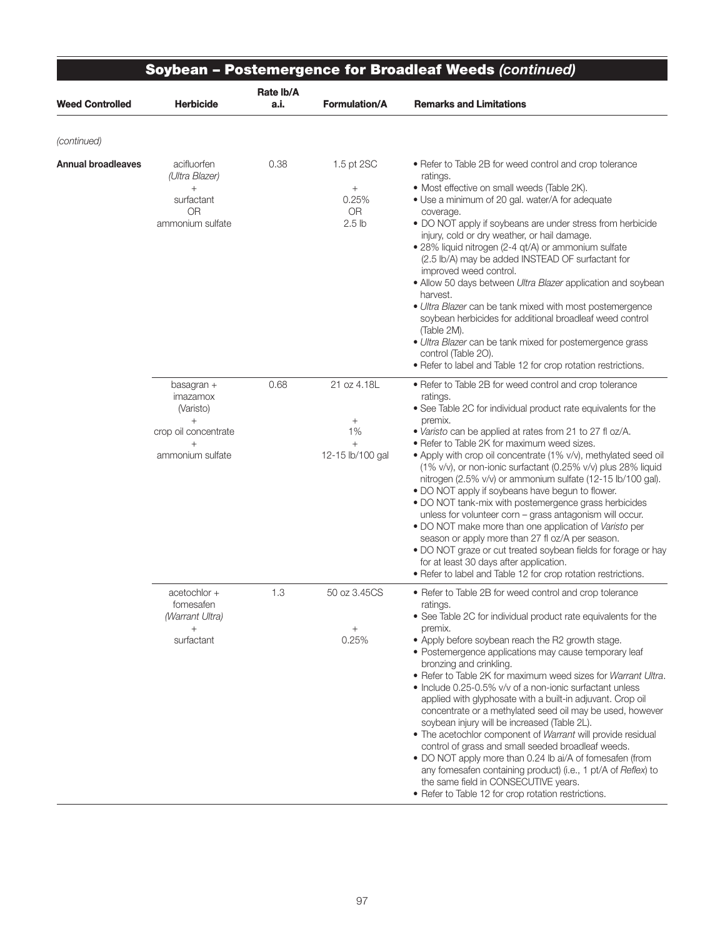|                           | <b>Soybean - Postemergence for Broadleaf Weeds (continued)</b>                                      |                   |                                                                    |                                                                                                                                                                                                                                                                                                                                                                                                                                                                                                                                                                                                                                                                                                                                                                                                                                                                                                                                                    |  |  |
|---------------------------|-----------------------------------------------------------------------------------------------------|-------------------|--------------------------------------------------------------------|----------------------------------------------------------------------------------------------------------------------------------------------------------------------------------------------------------------------------------------------------------------------------------------------------------------------------------------------------------------------------------------------------------------------------------------------------------------------------------------------------------------------------------------------------------------------------------------------------------------------------------------------------------------------------------------------------------------------------------------------------------------------------------------------------------------------------------------------------------------------------------------------------------------------------------------------------|--|--|
| <b>Weed Controlled</b>    | <b>Herbicide</b>                                                                                    | Rate lb/A<br>a.i. | <b>Formulation/A</b>                                               | <b>Remarks and Limitations</b>                                                                                                                                                                                                                                                                                                                                                                                                                                                                                                                                                                                                                                                                                                                                                                                                                                                                                                                     |  |  |
| (continued)               |                                                                                                     |                   |                                                                    |                                                                                                                                                                                                                                                                                                                                                                                                                                                                                                                                                                                                                                                                                                                                                                                                                                                                                                                                                    |  |  |
| <b>Annual broadleaves</b> | acifluorfen<br>(Ultra Blazer)<br>$^{+}$<br>surfactant<br>0R<br>ammonium sulfate                     | 0.38              | 1.5 pt 2SC<br>$\! + \!\!\!\!$<br>0.25%<br>OR.<br>2.5 <sub>lb</sub> | • Refer to Table 2B for weed control and crop tolerance<br>ratings.<br>• Most effective on small weeds (Table 2K).<br>• Use a minimum of 20 gal. water/A for adequate<br>coverage.<br>• DO NOT apply if soybeans are under stress from herbicide<br>injury, cold or dry weather, or hail damage.<br>· 28% liquid nitrogen (2-4 qt/A) or ammonium sulfate<br>(2.5 lb/A) may be added INSTEAD OF surfactant for<br>improved weed control.<br>• Allow 50 days between Ultra Blazer application and soybean<br>harvest.<br>. Ultra Blazer can be tank mixed with most postemergence<br>soybean herbicides for additional broadleaf weed control<br>(Table 2M).<br>· Ultra Blazer can be tank mixed for postemergence grass<br>control (Table 20).<br>• Refer to label and Table 12 for crop rotation restrictions.                                                                                                                                     |  |  |
|                           | basagran +<br>imazamox<br>(Varisto)<br>$^{+}$<br>crop oil concentrate<br>$^{+}$<br>ammonium sulfate | 0.68              | 21 oz 4.18L<br>$^{+}$<br>1%<br>$^{+}$<br>12-15 lb/100 gal          | • Refer to Table 2B for weed control and crop tolerance<br>ratings.<br>• See Table 2C for individual product rate equivalents for the<br>premix.<br>• Varisto can be applied at rates from 21 to 27 fl oz/A.<br>• Refer to Table 2K for maximum weed sizes.<br>• Apply with crop oil concentrate (1% v/v), methylated seed oil<br>(1% v/v), or non-ionic surfactant (0.25% v/v) plus 28% liquid<br>nitrogen (2.5% v/v) or ammonium sulfate (12-15 lb/100 gal).<br>. DO NOT apply if soybeans have begun to flower.<br>. DO NOT tank-mix with postemergence grass herbicides<br>unless for volunteer corn - grass antagonism will occur.<br>. DO NOT make more than one application of Varisto per<br>season or apply more than 27 fl oz/A per season.<br>. DO NOT graze or cut treated soybean fields for forage or hay<br>for at least 30 days after application.<br>. Refer to label and Table 12 for crop rotation restrictions.                |  |  |
|                           | $acetochlor +$<br>fomesafen<br>(Warrant Ultra)<br>$^{+}$<br>surfactant                              | 1.3               | 50 oz 3.45CS<br>$^+$<br>0.25%                                      | • Refer to Table 2B for weed control and crop tolerance<br>ratings.<br>• See Table 2C for individual product rate equivalents for the<br>premix.<br>• Apply before soybean reach the R2 growth stage.<br>• Postemergence applications may cause temporary leaf<br>bronzing and crinkling.<br>• Refer to Table 2K for maximum weed sizes for Warrant Ultra.<br>• Include 0.25-0.5% v/v of a non-ionic surfactant unless<br>applied with glyphosate with a built-in adjuvant. Crop oil<br>concentrate or a methylated seed oil may be used, however<br>soybean injury will be increased (Table 2L).<br>• The acetochlor component of Warrant will provide residual<br>control of grass and small seeded broadleaf weeds.<br>• DO NOT apply more than 0.24 lb ai/A of fomesafen (from<br>any fomesafen containing product) (i.e., 1 pt/A of Reflex) to<br>the same field in CONSECUTIVE years.<br>• Refer to Table 12 for crop rotation restrictions. |  |  |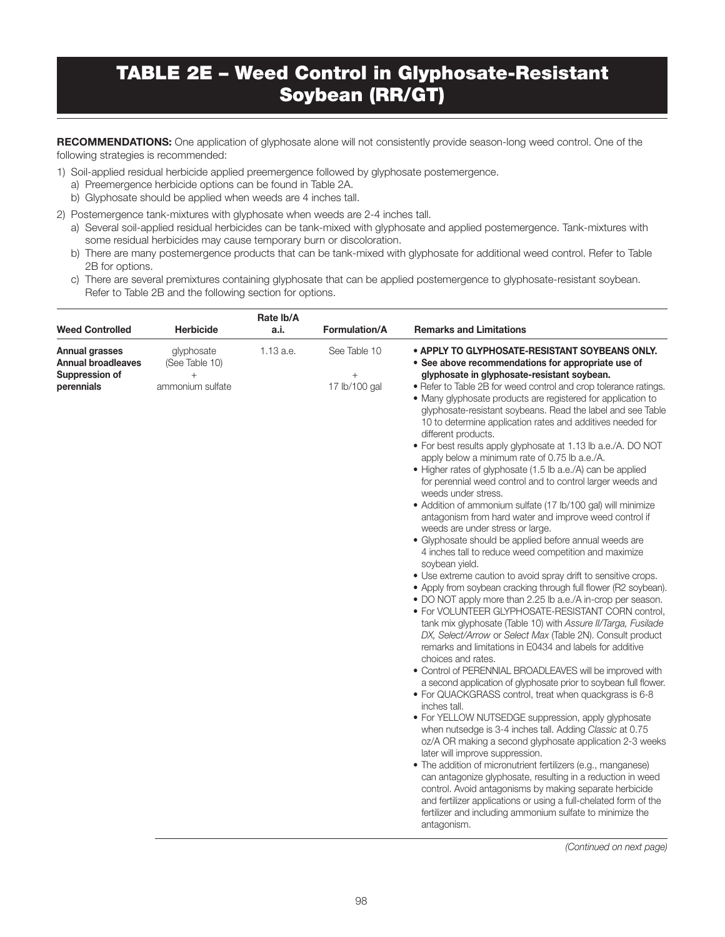## TABLE 2E – Weed Control in Glyphosate-Resistant Soybean (RR/GT)

RECOMMENDATIONS: One application of glyphosate alone will not consistently provide season-long weed control. One of the following strategies is recommended:

- 1) Soil-applied residual herbicide applied preemergence followed by glyphosate postemergence. a) Preemergence herbicide options can be found in Table 2A.
	- b) Glyphosate should be applied when weeds are 4 inches tall.
- 2) Postemergence tank-mixtures with glyphosate when weeds are 2-4 inches tall.
	- a) Several soil-applied residual herbicides can be tank-mixed with glyphosate and applied postemergence. Tank-mixtures with some residual herbicides may cause temporary burn or discoloration.
	- b) There are many postemergence products that can be tank-mixed with glyphosate for additional weed control. Refer to Table 2B for options.
	- c) There are several premixtures containing glyphosate that can be applied postemergence to glyphosate-resistant soybean. Refer to Table 2B and the following section for options.

| • APPLY TO GLYPHOSATE-RESISTANT SOYBEANS ONLY.<br>• See above recommendations for appropriate use of<br>glyphosate in glyphosate-resistant soybean.<br>• Refer to Table 2B for weed control and crop tolerance ratings.<br>• Many glyphosate products are registered for application to<br>glyphosate-resistant soybeans. Read the label and see Table<br>10 to determine application rates and additives needed for                                                                                                                                                                                                                                                                                                                                                                                                                                                                                                                                                                                                                                                                                                                                                                                                                                                                                                                                                                                                                                                                                                                                                                                                                                                                                                                                                                                                            |
|---------------------------------------------------------------------------------------------------------------------------------------------------------------------------------------------------------------------------------------------------------------------------------------------------------------------------------------------------------------------------------------------------------------------------------------------------------------------------------------------------------------------------------------------------------------------------------------------------------------------------------------------------------------------------------------------------------------------------------------------------------------------------------------------------------------------------------------------------------------------------------------------------------------------------------------------------------------------------------------------------------------------------------------------------------------------------------------------------------------------------------------------------------------------------------------------------------------------------------------------------------------------------------------------------------------------------------------------------------------------------------------------------------------------------------------------------------------------------------------------------------------------------------------------------------------------------------------------------------------------------------------------------------------------------------------------------------------------------------------------------------------------------------------------------------------------------------|
| different products.<br>. For best results apply glyphosate at 1.13 lb a.e./A. DO NOT<br>apply below a minimum rate of 0.75 lb a.e./A.<br>• Higher rates of glyphosate (1.5 lb a.e./A) can be applied<br>for perennial weed control and to control larger weeds and<br>weeds under stress.<br>• Addition of ammonium sulfate (17 lb/100 gal) will minimize<br>antagonism from hard water and improve weed control if<br>weeds are under stress or large.<br>• Glyphosate should be applied before annual weeds are<br>4 inches tall to reduce weed competition and maximize<br>soybean yield.<br>• Use extreme caution to avoid spray drift to sensitive crops.<br>• Apply from soybean cracking through full flower (R2 soybean).<br>• DO NOT apply more than 2.25 lb a.e./A in-crop per season.<br>• For VOLUNTEER GLYPHOSATE-RESISTANT CORN control,<br>tank mix glyphosate (Table 10) with Assure II/Targa, Fusilade<br>DX, Select/Arrow or Select Max (Table 2N). Consult product<br>remarks and limitations in E0434 and labels for additive<br>choices and rates.<br>• Control of PERENNIAL BROADLEAVES will be improved with<br>a second application of glyphosate prior to soybean full flower.<br>• For QUACKGRASS control, treat when quackgrass is 6-8<br>inches tall.<br>• For YELLOW NUTSEDGE suppression, apply glyphosate<br>when nutsedge is 3-4 inches tall. Adding Classic at 0.75<br>oz/A OR making a second glyphosate application 2-3 weeks<br>later will improve suppression.<br>• The addition of micronutrient fertilizers (e.g., manganese)<br>can antagonize glyphosate, resulting in a reduction in weed<br>control. Avoid antagonisms by making separate herbicide<br>and fertilizer applications or using a full-chelated form of the<br>fertilizer and including ammonium sulfate to minimize the |
| antagonism.                                                                                                                                                                                                                                                                                                                                                                                                                                                                                                                                                                                                                                                                                                                                                                                                                                                                                                                                                                                                                                                                                                                                                                                                                                                                                                                                                                                                                                                                                                                                                                                                                                                                                                                                                                                                                     |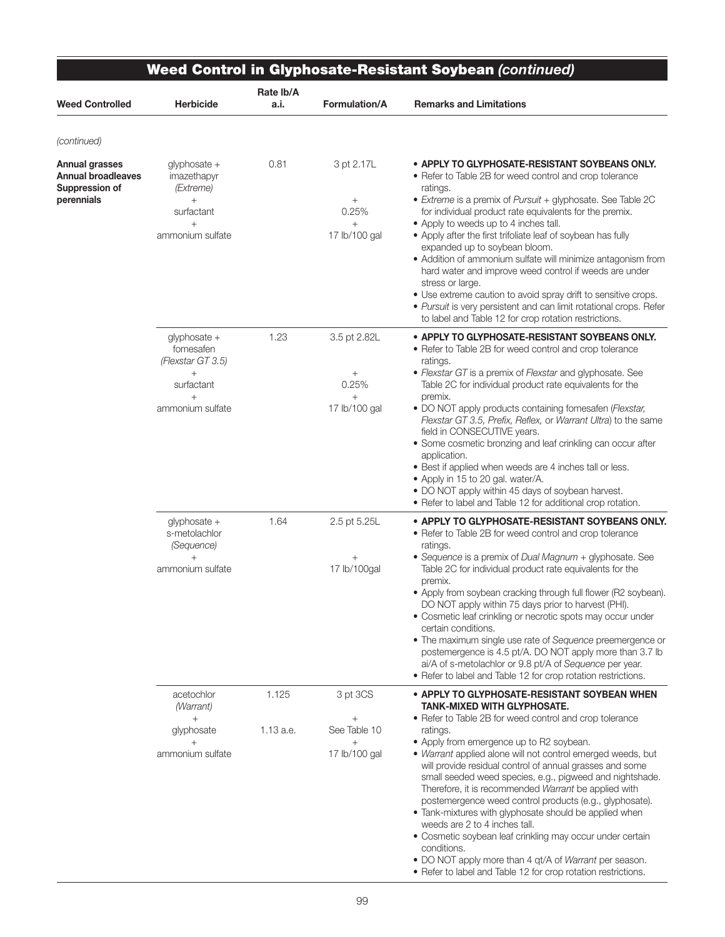| <b>Weed Controlled</b>                                               | <b>Herbicide</b>                                                                                     | Rate Ib/A<br>a.i. | <b>Formulation/A</b>                                     | <b>Remarks and Limitations</b>                                                                                                                                                                                                                                                                                                                                                                                                                                                                                                                                                                                                                                                                                                           |
|----------------------------------------------------------------------|------------------------------------------------------------------------------------------------------|-------------------|----------------------------------------------------------|------------------------------------------------------------------------------------------------------------------------------------------------------------------------------------------------------------------------------------------------------------------------------------------------------------------------------------------------------------------------------------------------------------------------------------------------------------------------------------------------------------------------------------------------------------------------------------------------------------------------------------------------------------------------------------------------------------------------------------------|
|                                                                      |                                                                                                      |                   |                                                          |                                                                                                                                                                                                                                                                                                                                                                                                                                                                                                                                                                                                                                                                                                                                          |
| (continued)                                                          |                                                                                                      |                   |                                                          |                                                                                                                                                                                                                                                                                                                                                                                                                                                                                                                                                                                                                                                                                                                                          |
| Annual grasses<br>Annual broadleaves<br>Suppression of<br>perennials | $q$ lyphosate +<br>imazethapyr<br>(Extreme)<br>$+$<br>surfactant<br>$^{+}$<br>ammonium sulfate       | 0.81              | 3 pt 2.17L<br>$^{+}$<br>0.25%<br>$^{+}$<br>17 lb/100 gal | • APPLY TO GLYPHOSATE-RESISTANT SOYBEANS ONLY.<br>• Refer to Table 2B for weed control and crop tolerance<br>ratings.<br>• Extreme is a premix of Pursuit + glyphosate. See Table 2C<br>for individual product rate equivalents for the premix.<br>• Apply to weeds up to 4 inches tall.<br>• Apply after the first trifoliate leaf of soybean has fully<br>expanded up to soybean bloom.<br>• Addition of ammonium sulfate will minimize antagonism from<br>hard water and improve weed control if weeds are under<br>stress or large.<br>• Use extreme caution to avoid spray drift to sensitive crops.<br>• Pursuit is very persistent and can limit rotational crops. Refer<br>to label and Table 12 for crop rotation restrictions. |
|                                                                      | glyphosate +<br>fomesafen<br>(Flexstar GT 3.5)<br>$^{+}$<br>surfactant<br>$^{+}$<br>ammonium sulfate | 1.23              | 3.5 pt 2.82L<br>$^{+}$<br>0.25%<br>$+$<br>17 lb/100 gal  | • APPLY TO GLYPHOSATE-RESISTANT SOYBEANS ONLY.<br>• Refer to Table 2B for weed control and crop tolerance<br>ratings.<br>• Flexstar GT is a premix of Flexstar and glyphosate. See<br>Table 2C for individual product rate equivalents for the<br>premix.<br>• DO NOT apply products containing fomesafen (Flexstar,<br>Flexstar GT 3.5, Prefix, Reflex, or Warrant Ultra) to the same<br>field in CONSECUTIVE years.<br>• Some cosmetic bronzing and leaf crinkling can occur after<br>application.<br>• Best if applied when weeds are 4 inches tall or less.<br>• Apply in 15 to 20 gal. water/A.<br>. DO NOT apply within 45 days of soybean harvest.<br>• Refer to label and Table 12 for additional crop rotation.                 |
|                                                                      | glyphosate +<br>s-metolachlor<br>(Sequence)<br>$^{+}$<br>ammonium sulfate                            | 1.64              | 2.5 pt 5.25L<br>$^{+}$<br>17 lb/100gal                   | • APPLY TO GLYPHOSATE-RESISTANT SOYBEANS ONLY.<br>• Refer to Table 2B for weed control and crop tolerance<br>ratings.<br>• Sequence is a premix of Dual Magnum + glyphosate. See<br>Table 2C for individual product rate equivalents for the<br>premix.<br>• Apply from soybean cracking through full flower (R2 soybean).<br>DO NOT apply within 75 days prior to harvest (PHI).<br>• Cosmetic leaf crinkling or necrotic spots may occur under<br>certain conditions.<br>• The maximum single use rate of Sequence preemergence or<br>postemergence is 4.5 pt/A. DO NOT apply more than 3.7 lb<br>ai/A of s-metolachlor or 9.8 pt/A of Sequence per year.<br>• Refer to label and Table 12 for crop rotation restrictions.             |
|                                                                      | acetochlor<br>(Warrant)<br>$^{+}$                                                                    | 1.125             | 3 pt 3CS<br>$+$                                          | • APPLY TO GLYPHOSATE-RESISTANT SOYBEAN WHEN<br>TANK-MIXED WITH GLYPHOSATE.<br>• Refer to Table 2B for weed control and crop tolerance                                                                                                                                                                                                                                                                                                                                                                                                                                                                                                                                                                                                   |
|                                                                      | glyphosate<br>$+$                                                                                    | 1.13 a.e.         | See Table 10<br>$+$                                      | ratings.                                                                                                                                                                                                                                                                                                                                                                                                                                                                                                                                                                                                                                                                                                                                 |
|                                                                      | ammonium sulfate                                                                                     |                   | 17 lb/100 gal                                            | • Apply from emergence up to R2 soybean.<br>• Warrant applied alone will not control emerged weeds, but<br>will provide residual control of annual grasses and some<br>small seeded weed species, e.g., pigweed and nightshade.<br>Therefore, it is recommended Warrant be applied with<br>postemergence weed control products (e.g., glyphosate).<br>• Tank-mixtures with glyphosate should be applied when<br>weeds are 2 to 4 inches tall.<br>• Cosmetic soybean leaf crinkling may occur under certain<br>conditions.<br>• DO NOT apply more than 4 qt/A of Warrant per season.<br>• Refer to label and Table 12 for crop rotation restrictions.                                                                                     |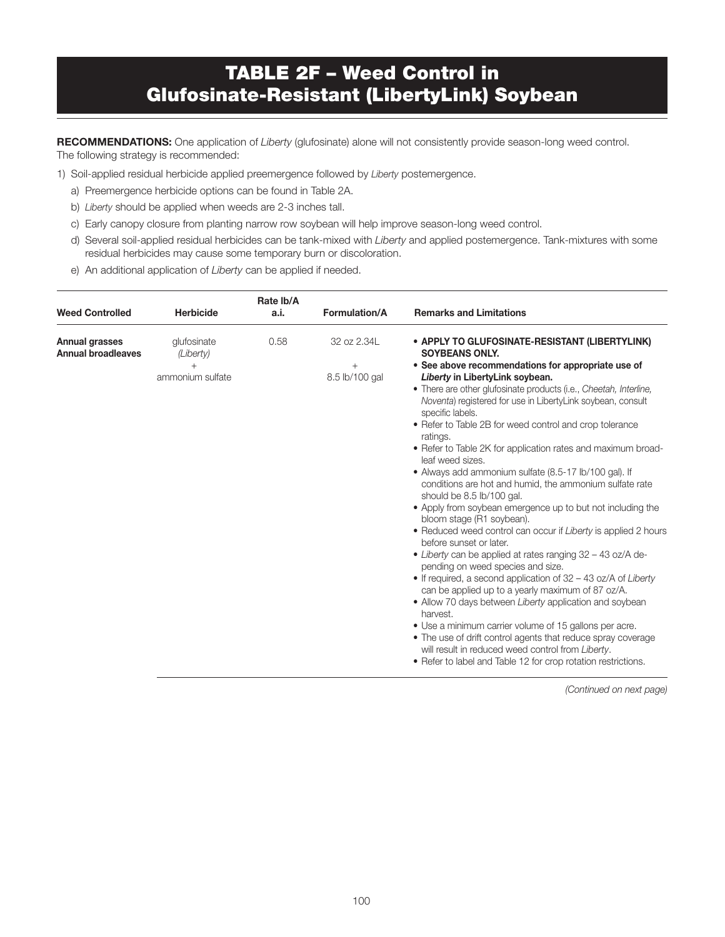## TABLE 2F – Weed Control in Glufosinate-Resistant (LibertyLink) Soybean

RECOMMENDATIONS: One application of *Liberty* (glufosinate) alone will not consistently provide season-long weed control. The following strategy is recommended:

- 1) Soil-applied residual herbicide applied preemergence followed by *Liberty* postemergence.
	- a) Preemergence herbicide options can be found in Table 2A.
	- b) *Liberty* should be applied when weeds are 2-3 inches tall.
	- c) Early canopy closure from planting narrow row soybean will help improve season-long weed control.
	- d) Several soil-applied residual herbicides can be tank-mixed with *Liberty* and applied postemergence. Tank-mixtures with some residual herbicides may cause some temporary burn or discoloration.
	- e) An additional application of *Liberty* can be applied if needed.

| <b>Weed Controlled</b>                             | <b>Herbicide</b>         | Rate Ib/A<br>a.i. | <b>Formulation/A</b>                                  | <b>Remarks and Limitations</b>                                                                                                                                                                                                                                                                                                                                                                 |
|----------------------------------------------------|--------------------------|-------------------|-------------------------------------------------------|------------------------------------------------------------------------------------------------------------------------------------------------------------------------------------------------------------------------------------------------------------------------------------------------------------------------------------------------------------------------------------------------|
| <b>Annual grasses</b><br><b>Annual broadleaves</b> | qlufosinate<br>(Liberty) | 0.58              | 32 oz 2.34L                                           | • APPLY TO GLUFOSINATE-RESISTANT (LIBERTYLINK)<br><b>SOYBEANS ONLY.</b>                                                                                                                                                                                                                                                                                                                        |
|                                                    | ammonium sulfate         |                   | $+$<br>8.5 lb/100 gal<br>specific labels.<br>ratings. | • See above recommendations for appropriate use of<br>Liberty in LibertyLink soybean.<br>• There are other glufosinate products (i.e., Cheetah, Interline,<br>Noventa) registered for use in LibertyLink soybean, consult<br>• Refer to Table 2B for weed control and crop tolerance                                                                                                           |
|                                                    |                          |                   |                                                       | • Refer to Table 2K for application rates and maximum broad-<br>leaf weed sizes.<br>• Always add ammonium sulfate (8.5-17 lb/100 gal). If<br>conditions are hot and humid, the ammonium sulfate rate<br>should be 8.5 lb/100 gal.<br>• Apply from soybean emergence up to but not including the<br>bloom stage (R1 soybean).<br>• Reduced weed control can occur if Liberty is applied 2 hours |
|                                                    |                          |                   |                                                       | before sunset or later.<br>• Liberty can be applied at rates ranging 32 – 43 oz/A de-<br>pending on weed species and size.<br>• If required, a second application of 32 – 43 oz/A of Liberty<br>can be applied up to a yearly maximum of 87 oz/A.<br>• Allow 70 days between Liberty application and soybean<br>harvest.                                                                       |
|                                                    |                          |                   |                                                       | • Use a minimum carrier volume of 15 gallons per acre.<br>• The use of drift control agents that reduce spray coverage<br>will result in reduced weed control from Liberty.<br>• Refer to label and Table 12 for crop rotation restrictions.                                                                                                                                                   |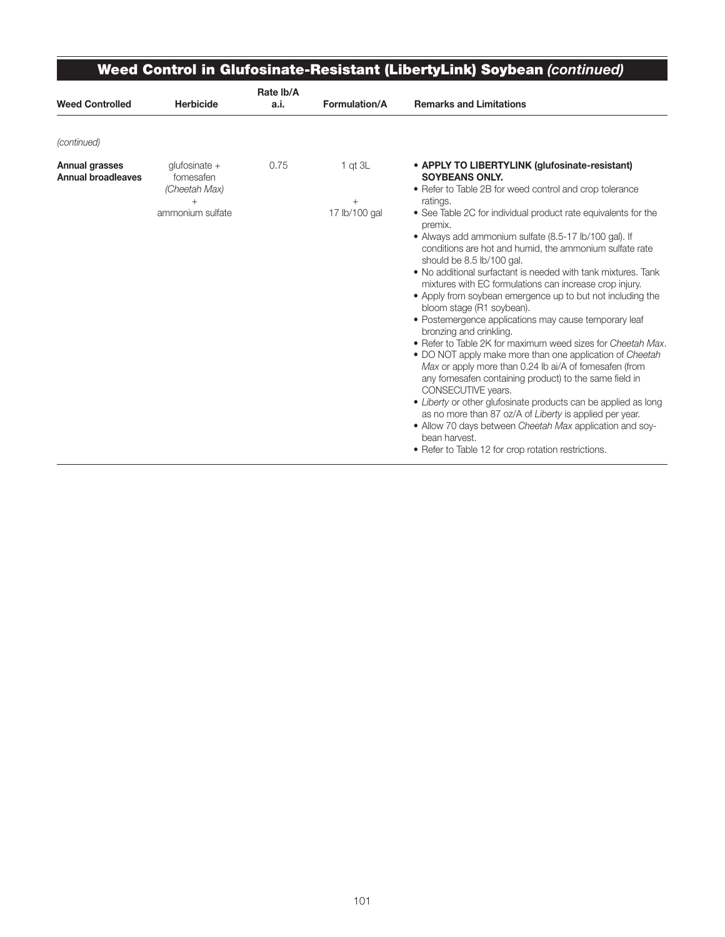| <b>Weed Controlled</b>                             | <b>Herbicide</b>                               | Rate Ib/A<br>a.i. | Formulation/A        | <b>Remarks and Limitations</b>                                                                                                                                                                                                                                                                                                                        |
|----------------------------------------------------|------------------------------------------------|-------------------|----------------------|-------------------------------------------------------------------------------------------------------------------------------------------------------------------------------------------------------------------------------------------------------------------------------------------------------------------------------------------------------|
| (continued)                                        |                                                |                   |                      |                                                                                                                                                                                                                                                                                                                                                       |
| <b>Annual grasses</b><br><b>Annual broadleaves</b> | $glu$ fosinate +<br>fomesafen<br>(Cheetah Max) | 0.75              | $1$ qt $3L$          | • APPLY TO LIBERTYLINK (glufosinate-resistant)<br><b>SOYBEANS ONLY.</b><br>• Refer to Table 2B for weed control and crop tolerance                                                                                                                                                                                                                    |
|                                                    | $+$<br>ammonium sulfate                        |                   | $+$<br>17 lb/100 gal | ratings.<br>• See Table 2C for individual product rate equivalents for the<br>premix.<br>• Always add ammonium sulfate (8.5-17 lb/100 gal). If<br>conditions are hot and humid, the ammonium sulfate rate                                                                                                                                             |
|                                                    |                                                |                   |                      | should be 8.5 lb/100 gal.<br>• No additional surfactant is needed with tank mixtures. Tank<br>mixtures with EC formulations can increase crop injury.<br>• Apply from soybean emergence up to but not including the<br>bloom stage (R1 soybean).                                                                                                      |
|                                                    |                                                |                   |                      | • Postemergence applications may cause temporary leaf<br>bronzing and crinkling.<br>• Refer to Table 2K for maximum weed sizes for Cheetah Max.<br>• DO NOT apply make more than one application of Cheetah<br>Max or apply more than 0.24 lb ai/A of fomesafen (from<br>any fomesafen containing product) to the same field in<br>CONSECUTIVE years. |
|                                                    |                                                |                   |                      | • Liberty or other glufosinate products can be applied as long<br>as no more than 87 oz/A of Liberty is applied per year.<br>• Allow 70 days between Cheetah Max application and soy-<br>bean harvest.<br>• Refer to Table 12 for crop rotation restrictions.                                                                                         |

⋾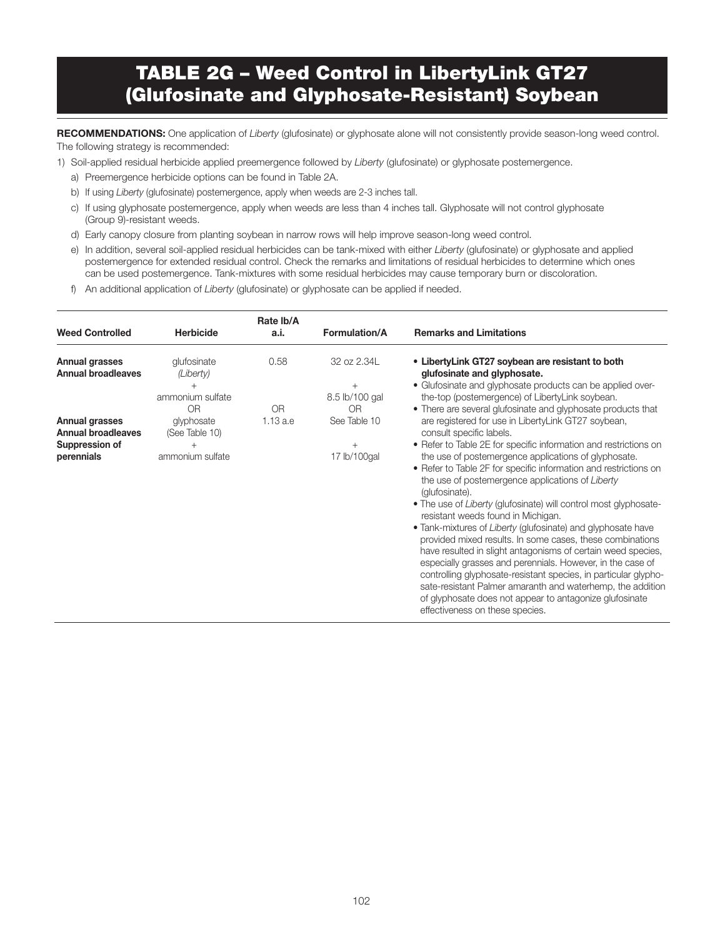## TABLE 2G – Weed Control in LibertyLink GT27 (Glufosinate and Glyphosate-Resistant) Soybean

RECOMMENDATIONS: One application of *Liberty* (glufosinate) or glyphosate alone will not consistently provide season-long weed control. The following strategy is recommended:

- 1) Soil-applied residual herbicide applied preemergence followed by *Liberty* (glufosinate) or glyphosate postemergence.
	- a) Preemergence herbicide options can be found in Table 2A.
	- b) If using *Liberty* (glufosinate) postemergence, apply when weeds are 2-3 inches tall.
	- c) If using glyphosate postemergence, apply when weeds are less than 4 inches tall. Glyphosate will not control glyphosate (Group 9)-resistant weeds.
	- d) Early canopy closure from planting soybean in narrow rows will help improve season-long weed control.
	- e) In addition, several soil-applied residual herbicides can be tank-mixed with either *Liberty* (glufosinate) or glyphosate and applied postemergence for extended residual control. Check the remarks and limitations of residual herbicides to determine which ones can be used postemergence. Tank-mixtures with some residual herbicides may cause temporary burn or discoloration.
	- f) An additional application of *Liberty* (glufosinate) or glyphosate can be applied if needed.

| <b>Weed Controlled</b>                                                      | <b>Herbicide</b>                                                                            | Rate Ib/A<br>a.i.       | <b>Formulation/A</b>                                                  | <b>Remarks and Limitations</b>                                                                                                                                                                                                                                                                                                                                                                                                                                                                                                                                                                                                                                                                                                                                                                                                                                                                                                                                                                                                                                               |
|-----------------------------------------------------------------------------|---------------------------------------------------------------------------------------------|-------------------------|-----------------------------------------------------------------------|------------------------------------------------------------------------------------------------------------------------------------------------------------------------------------------------------------------------------------------------------------------------------------------------------------------------------------------------------------------------------------------------------------------------------------------------------------------------------------------------------------------------------------------------------------------------------------------------------------------------------------------------------------------------------------------------------------------------------------------------------------------------------------------------------------------------------------------------------------------------------------------------------------------------------------------------------------------------------------------------------------------------------------------------------------------------------|
| Annual grasses<br><b>Annual broadleaves</b>                                 | glufosinate<br>(Liberty)                                                                    | 0.58                    | 32 oz 2.34L<br>$^{+}$                                                 | • LibertyLink GT27 soybean are resistant to both<br>glufosinate and glyphosate.<br>• Glufosinate and glyphosate products can be applied over-                                                                                                                                                                                                                                                                                                                                                                                                                                                                                                                                                                                                                                                                                                                                                                                                                                                                                                                                |
| Annual grasses<br><b>Annual broadleaves</b><br>Suppression of<br>perennials | ammonium sulfate<br><b>OR</b><br>glyphosate<br>(See Table 10)<br>$^{+}$<br>ammonium sulfate | <b>OR</b><br>$1.13$ a.e | 8.5 lb/100 gal<br><b>OR</b><br>See Table 10<br>$^{+}$<br>17 lb/100gal | the-top (postemergence) of LibertyLink soybean.<br>• There are several glufosinate and glyphosate products that<br>are registered for use in LibertyLink GT27 soybean,<br>consult specific labels.<br>• Refer to Table 2E for specific information and restrictions on<br>the use of postemergence applications of glyphosate.<br>• Refer to Table 2F for specific information and restrictions on<br>the use of postemergence applications of Liberty<br>(glufosinate).<br>. The use of Liberty (glufosinate) will control most glyphosate-<br>resistant weeds found in Michigan.<br>• Tank-mixtures of Liberty (glufosinate) and glyphosate have<br>provided mixed results. In some cases, these combinations<br>have resulted in slight antagonisms of certain weed species,<br>especially grasses and perennials. However, in the case of<br>controlling glyphosate-resistant species, in particular glypho-<br>sate-resistant Palmer amaranth and waterhemp, the addition<br>of glyphosate does not appear to antagonize glufosinate<br>effectiveness on these species. |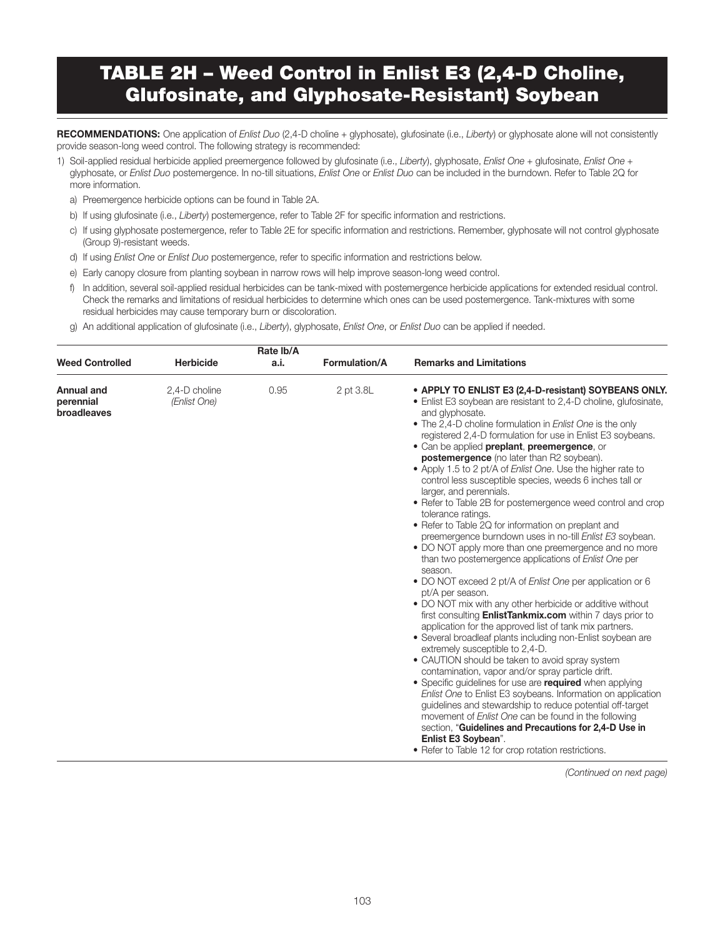# TABLE 2H – Weed Control in Enlist E3 (2,4-D Choline, Glufosinate, and Glyphosate-Resistant) Soybean

RECOMMENDATIONS: One application of *Enlist Duo* (2,4-D choline + glyphosate), glufosinate (i.e., *Liberty*) or glyphosate alone will not consistently provide season-long weed control. The following strategy is recommended:

- 1) Soil-applied residual herbicide applied preemergence followed by glufosinate (i.e., *Liberty*), glyphosate, *Enlist One* + glufosinate, *Enlist One* + glyphosate, or *Enlist Duo* postemergence. In no-till situations, *Enlist One* or *Enlist Duo* can be included in the burndown. Refer to Table 2Q for more information.
	- a) Preemergence herbicide options can be found in Table 2A.
	- b) If using glufosinate (i.e., *Liberty*) postemergence, refer to Table 2F for specific information and restrictions.
	- c) If using glyphosate postemergence, refer to Table 2E for specific information and restrictions. Remember, glyphosate will not control glyphosate (Group 9)-resistant weeds.
	- d) If using *Enlist One* or *Enlist Duo* postemergence, refer to specific information and restrictions below.
	- e) Early canopy closure from planting soybean in narrow rows will help improve season-long weed control.
	- f) In addition, several soil-applied residual herbicides can be tank-mixed with postemergence herbicide applications for extended residual control. Check the remarks and limitations of residual herbicides to determine which ones can be used postemergence. Tank-mixtures with some residual herbicides may cause temporary burn or discoloration.
	- g) An additional application of glufosinate (i.e., *Liberty*), glyphosate, *Enlist One*, or *Enlist Duo* can be applied if needed.

|                                        |                               | Rate Ib/A |               |                                                                                                                                                                                                                                                                                                                                                                                                                                                                                                                                                                                                                                                                                                                                                                                                                                                                                                                                                                                                                                                                                                                                                                                                                                                                                                                                                                                                                                                                                                                                                                                                                                                                                                                                                                                            |  |
|----------------------------------------|-------------------------------|-----------|---------------|--------------------------------------------------------------------------------------------------------------------------------------------------------------------------------------------------------------------------------------------------------------------------------------------------------------------------------------------------------------------------------------------------------------------------------------------------------------------------------------------------------------------------------------------------------------------------------------------------------------------------------------------------------------------------------------------------------------------------------------------------------------------------------------------------------------------------------------------------------------------------------------------------------------------------------------------------------------------------------------------------------------------------------------------------------------------------------------------------------------------------------------------------------------------------------------------------------------------------------------------------------------------------------------------------------------------------------------------------------------------------------------------------------------------------------------------------------------------------------------------------------------------------------------------------------------------------------------------------------------------------------------------------------------------------------------------------------------------------------------------------------------------------------------------|--|
| <b>Weed Controlled</b>                 | <b>Herbicide</b>              | a.i.      | Formulation/A | <b>Remarks and Limitations</b>                                                                                                                                                                                                                                                                                                                                                                                                                                                                                                                                                                                                                                                                                                                                                                                                                                                                                                                                                                                                                                                                                                                                                                                                                                                                                                                                                                                                                                                                                                                                                                                                                                                                                                                                                             |  |
| Annual and<br>perennial<br>broadleaves | 2,4-D choline<br>(Enlist One) | 0.95      | 2 pt 3.8L     | • APPLY TO ENLIST E3 (2,4-D-resistant) SOYBEANS ONLY.<br>• Enlist E3 soybean are resistant to 2,4-D choline, glufosinate,<br>and glyphosate.<br>• The 2,4-D choline formulation in <i>Enlist One</i> is the only<br>registered 2,4-D formulation for use in Enlist E3 soybeans.<br>• Can be applied <b>preplant</b> , <b>preemergence</b> , or<br><b>postemergence</b> (no later than R2 soybean).<br>• Apply 1.5 to 2 pt/A of Enlist One. Use the higher rate to<br>control less susceptible species, weeds 6 inches tall or<br>larger, and perennials.<br>• Refer to Table 2B for postemergence weed control and crop<br>tolerance ratings.<br>• Refer to Table 2Q for information on preplant and<br>preemergence burndown uses in no-till Enlist E3 soybean.<br>• DO NOT apply more than one preemergence and no more<br>than two postemergence applications of Enlist One per<br>season.<br>• DO NOT exceed 2 pt/A of <i>Enlist One</i> per application or 6<br>pt/A per season.<br>• DO NOT mix with any other herbicide or additive without<br>first consulting <b>EnlistTankmix.com</b> within 7 days prior to<br>application for the approved list of tank mix partners.<br>• Several broadleaf plants including non-Enlist soybean are<br>extremely susceptible to 2,4-D.<br>• CAUTION should be taken to avoid spray system<br>contamination, vapor and/or spray particle drift.<br>• Specific guidelines for use are <b>required</b> when applying<br>Enlist One to Enlist E3 soybeans. Information on application<br>guidelines and stewardship to reduce potential off-target<br>movement of Enlist One can be found in the following<br>section, "Guidelines and Precautions for 2,4-D Use in<br>Enlist E3 Soybean".<br>• Refer to Table 12 for crop rotation restrictions. |  |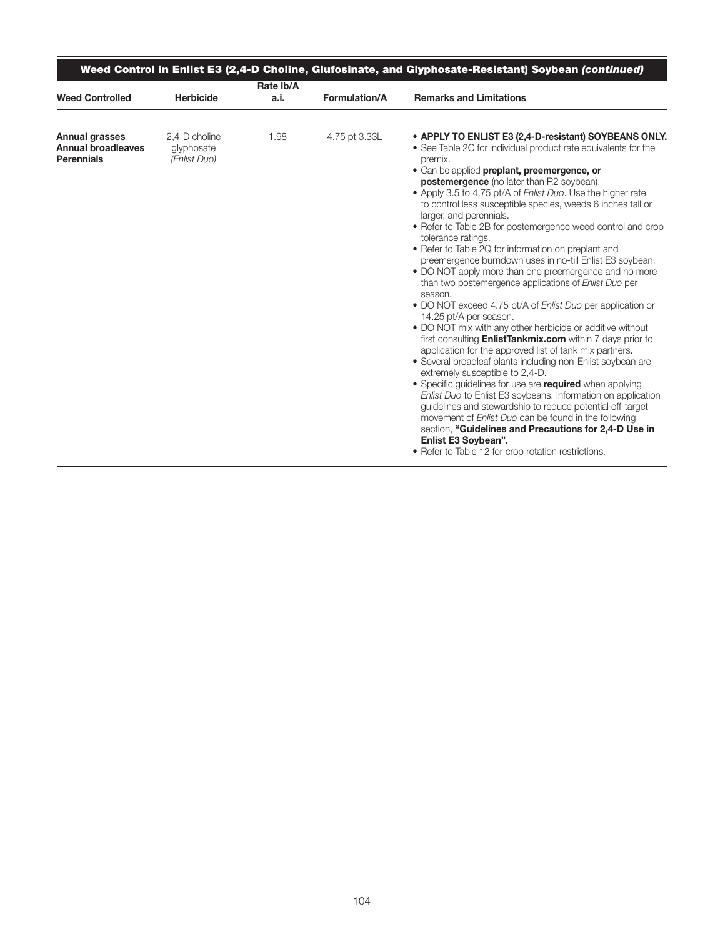|                                                                  |                                             | Rate Ib/A |               |                                                                                                                                                                                                                                                                                                                                                                                                                                                                                                                                                                                                                                                                                                                                                                                                                                                                                                                                                                                                                                                                                                                                                                                                                                                                                                                                                                                                                                                                                                                                 |
|------------------------------------------------------------------|---------------------------------------------|-----------|---------------|---------------------------------------------------------------------------------------------------------------------------------------------------------------------------------------------------------------------------------------------------------------------------------------------------------------------------------------------------------------------------------------------------------------------------------------------------------------------------------------------------------------------------------------------------------------------------------------------------------------------------------------------------------------------------------------------------------------------------------------------------------------------------------------------------------------------------------------------------------------------------------------------------------------------------------------------------------------------------------------------------------------------------------------------------------------------------------------------------------------------------------------------------------------------------------------------------------------------------------------------------------------------------------------------------------------------------------------------------------------------------------------------------------------------------------------------------------------------------------------------------------------------------------|
| <b>Weed Controlled</b>                                           | <b>Herbicide</b>                            | a.i.      | Formulation/A | <b>Remarks and Limitations</b>                                                                                                                                                                                                                                                                                                                                                                                                                                                                                                                                                                                                                                                                                                                                                                                                                                                                                                                                                                                                                                                                                                                                                                                                                                                                                                                                                                                                                                                                                                  |
| Annual grasses<br><b>Annual broadleaves</b><br><b>Perennials</b> | 2,4-D choline<br>glyphosate<br>(Enlist Duo) | 1.98      | 4.75 pt 3.33L | • APPLY TO ENLIST E3 (2,4-D-resistant) SOYBEANS ONLY.<br>• See Table 2C for individual product rate equivalents for the<br>premix.<br>• Can be applied preplant, preemergence, or<br><b>postemergence</b> (no later than R2 soybean).<br>• Apply 3.5 to 4.75 pt/A of Enlist Duo. Use the higher rate<br>to control less susceptible species, weeds 6 inches tall or<br>larger, and perennials.<br>• Refer to Table 2B for postemergence weed control and crop<br>tolerance ratings.<br>• Refer to Table 2Q for information on preplant and<br>preemergence burndown uses in no-till Enlist E3 soybean.<br>• DO NOT apply more than one preemergence and no more<br>than two postemergence applications of Enlist Duo per<br>season.<br>• DO NOT exceed 4.75 pt/A of <i>Enlist Duo</i> per application or<br>14.25 pt/A per season.<br>• DO NOT mix with any other herbicide or additive without<br>first consulting <b>EnlistTankmix.com</b> within 7 days prior to<br>application for the approved list of tank mix partners.<br>• Several broadleaf plants including non-Enlist soybean are<br>extremely susceptible to 2,4-D.<br>• Specific quidelines for use are <b>required</b> when applying<br>Enlist Duo to Enlist E3 soybeans. Information on application<br>guidelines and stewardship to reduce potential off-target<br>movement of Enlist Duo can be found in the following<br>section, "Guidelines and Precautions for 2,4-D Use in<br>Enlist E3 Soybean".<br>• Refer to Table 12 for crop rotation restrictions. |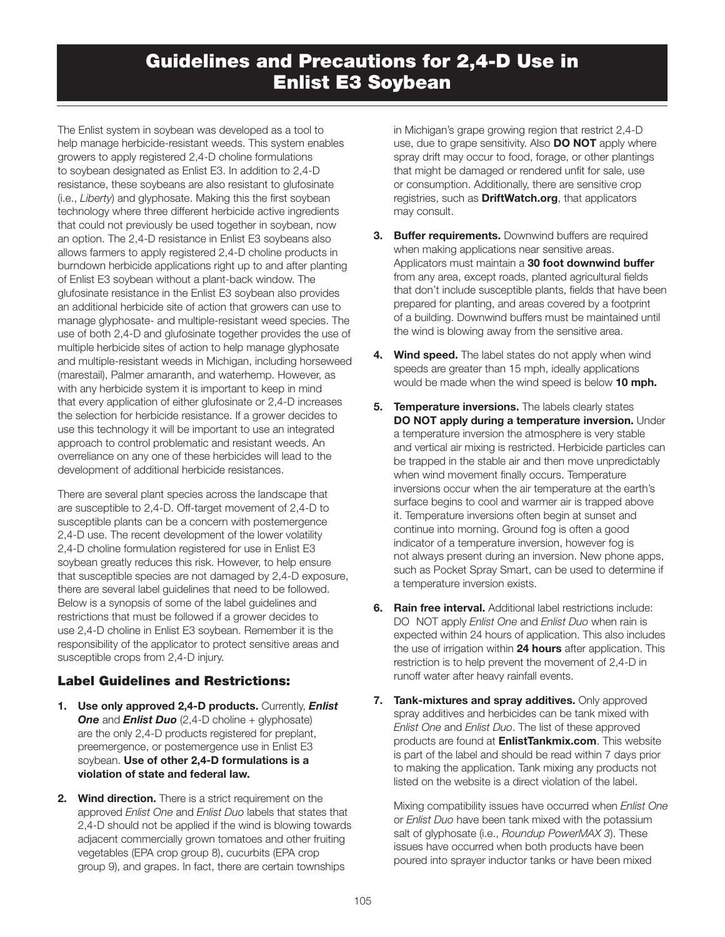Guidelines and Precautions for 2,4-D Use in Enlist E3 Soybean

The Enlist system in soybean was developed as a tool to help manage herbicide-resistant weeds. This system enables growers to apply registered 2,4-D choline formulations to soybean designated as Enlist E3. In addition to 2,4-D resistance, these soybeans are also resistant to glufosinate (i.e., *Liberty*) and glyphosate. Making this the first soybean technology where three different herbicide active ingredients that could not previously be used together in soybean, now an option. The 2,4-D resistance in Enlist E3 soybeans also allows farmers to apply registered 2,4-D choline products in burndown herbicide applications right up to and after planting of Enlist E3 soybean without a plant-back window. The glufosinate resistance in the Enlist E3 soybean also provides an additional herbicide site of action that growers can use to manage glyphosate- and multiple-resistant weed species. The use of both 2,4-D and glufosinate together provides the use of multiple herbicide sites of action to help manage glyphosate and multiple-resistant weeds in Michigan, including horseweed (marestail), Palmer amaranth, and waterhemp. However, as with any herbicide system it is important to keep in mind that every application of either glufosinate or 2,4-D increases the selection for herbicide resistance. If a grower decides to use this technology it will be important to use an integrated approach to control problematic and resistant weeds. An overreliance on any one of these herbicides will lead to the development of additional herbicide resistances.

There are several plant species across the landscape that are susceptible to 2,4-D. Off-target movement of 2,4-D to susceptible plants can be a concern with postemergence 2,4-D use. The recent development of the lower volatility 2,4-D choline formulation registered for use in Enlist E3 soybean greatly reduces this risk. However, to help ensure that susceptible species are not damaged by 2,4-D exposure, there are several label guidelines that need to be followed. Below is a synopsis of some of the label guidelines and restrictions that must be followed if a grower decides to use 2,4-D choline in Enlist E3 soybean. Remember it is the responsibility of the applicator to protect sensitive areas and susceptible crops from 2,4-D injury.

#### Label Guidelines and Restrictions:

- 1. Use only approved 2,4-D products. Currently, *Enlist*  **One** and **Enlist Duo** (2,4-D choline + glyphosate) are the only 2,4-D products registered for preplant, preemergence, or postemergence use in Enlist E3 soybean. Use of other 2,4-D formulations is a violation of state and federal law.
- **2.** Wind direction. There is a strict requirement on the approved *Enlist One* and *Enlist Duo* labels that states that 2,4-D should not be applied if the wind is blowing towards adjacent commercially grown tomatoes and other fruiting vegetables (EPA crop group 8), cucurbits (EPA crop group 9), and grapes. In fact, there are certain townships

in Michigan's grape growing region that restrict 2,4-D use, due to grape sensitivity. Also **DO NOT** apply where spray drift may occur to food, forage, or other plantings that might be damaged or rendered unfit for sale, use or consumption. Additionally, there are sensitive crop registries, such as **DriftWatch.org**, that applicators may consult.

- **3. Buffer requirements.** Downwind buffers are required when making applications near sensitive areas. Applicators must maintain a 30 foot downwind buffer from any area, except roads, planted agricultural fields that don't include susceptible plants, fields that have been prepared for planting, and areas covered by a footprint of a building. Downwind buffers must be maintained until the wind is blowing away from the sensitive area.
- 4. Wind speed. The label states do not apply when wind speeds are greater than 15 mph, ideally applications would be made when the wind speed is below 10 mph.
- **5. Temperature inversions.** The labels clearly states DO NOT apply during a temperature inversion. Under a temperature inversion the atmosphere is very stable and vertical air mixing is restricted. Herbicide particles can be trapped in the stable air and then move unpredictably when wind movement finally occurs. Temperature inversions occur when the air temperature at the earth's surface begins to cool and warmer air is trapped above it. Temperature inversions often begin at sunset and continue into morning. Ground fog is often a good indicator of a temperature inversion, however fog is not always present during an inversion. New phone apps, such as Pocket Spray Smart, can be used to determine if a temperature inversion exists.
- **6. Rain free interval.** Additional label restrictions include: DO NOT apply *Enlist One* and *Enlist Duo* when rain is expected within 24 hours of application. This also includes the use of irrigation within 24 hours after application. This restriction is to help prevent the movement of 2,4-D in runoff water after heavy rainfall events.
- 7. Tank-mixtures and spray additives. Only approved spray additives and herbicides can be tank mixed with *Enlist One* and *Enlist Duo*. The list of these approved products are found at **EnlistTankmix.com**. This website is part of the label and should be read within 7 days prior to making the application. Tank mixing any products not listed on the website is a direct violation of the label.

 Mixing compatibility issues have occurred when *Enlist One*  or *Enlist Duo* have been tank mixed with the potassium salt of glyphosate (i.e., *Roundup PowerMAX 3*). These issues have occurred when both products have been poured into sprayer inductor tanks or have been mixed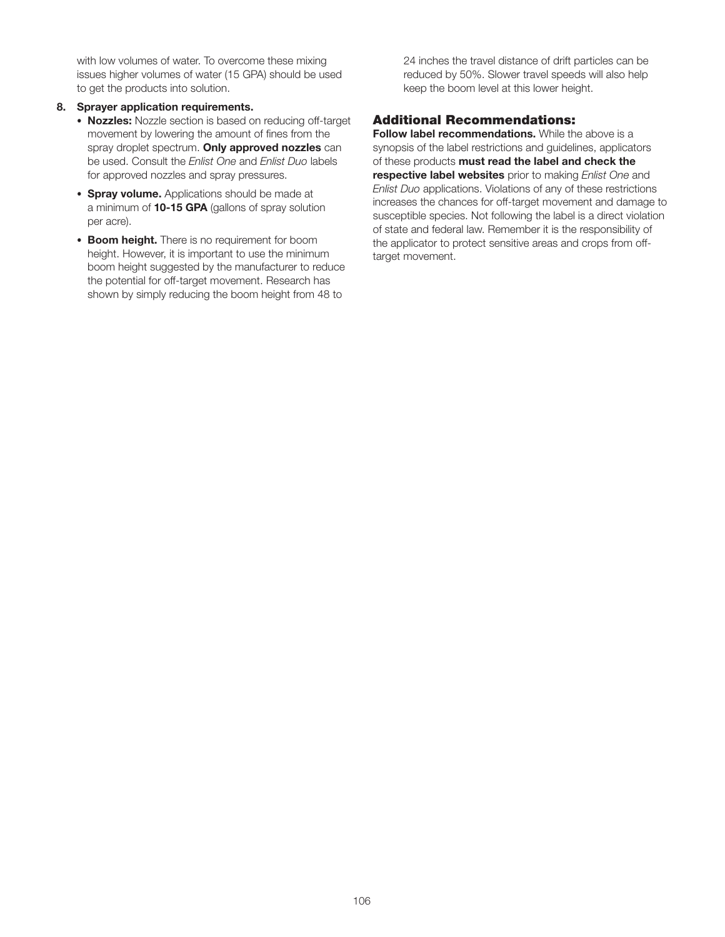with low volumes of water. To overcome these mixing issues higher volumes of water (15 GPA) should be used to get the products into solution.

#### 8. Sprayer application requirements.

- Nozzles: Nozzle section is based on reducing off-target movement by lowering the amount of fines from the spray droplet spectrum. Only approved nozzles can be used. Consult the *Enlist One* and *Enlist Duo* labels for approved nozzles and spray pressures.
- Spray volume. Applications should be made at a minimum of 10-15 GPA (gallons of spray solution per acre).
- Boom height. There is no requirement for boom height. However, it is important to use the minimum boom height suggested by the manufacturer to reduce the potential for off-target movement. Research has shown by simply reducing the boom height from 48 to

24 inches the travel distance of drift particles can be reduced by 50%. Slower travel speeds will also help keep the boom level at this lower height.

#### Additional Recommendations:

Follow label recommendations. While the above is a synopsis of the label restrictions and guidelines, applicators of these products must read the label and check the respective label websites prior to making *Enlist One* and *Enlist Duo* applications. Violations of any of these restrictions increases the chances for off-target movement and damage to susceptible species. Not following the label is a direct violation of state and federal law. Remember it is the responsibility of the applicator to protect sensitive areas and crops from offtarget movement.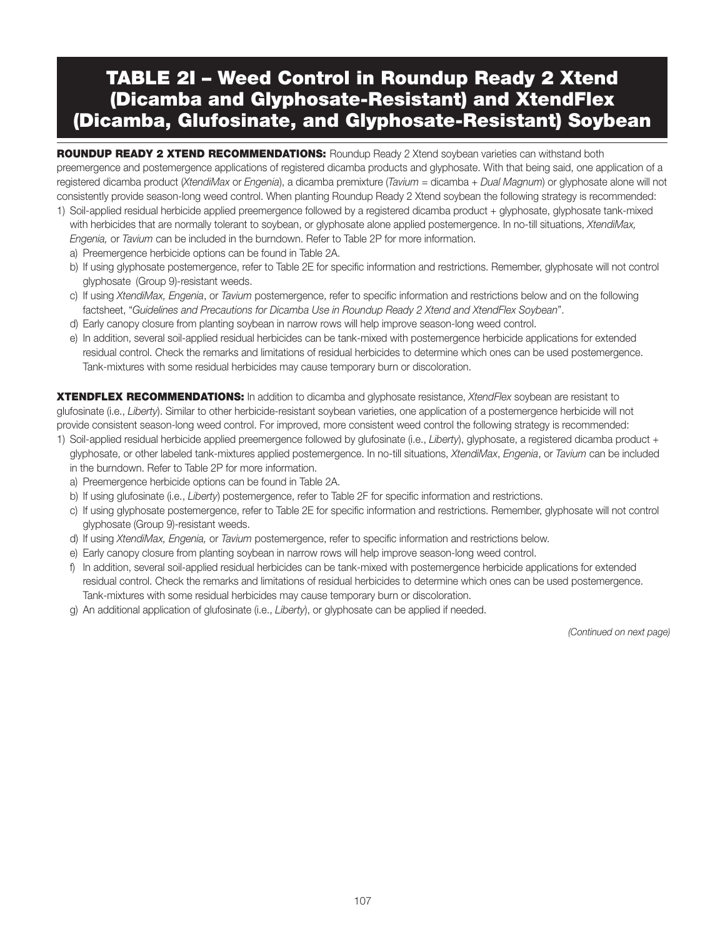# TABLE 2I – Weed Control in Roundup Ready 2 Xtend (Dicamba and Glyphosate-Resistant) and XtendFlex (Dicamba, Glufosinate, and Glyphosate-Resistant) Soybean

ROUNDUP READY 2 XTEND RECOMMENDATIONS: Roundup Ready 2 Xtend soybean varieties can withstand both preemergence and postemergence applications of registered dicamba products and glyphosate. With that being said, one application of a registered dicamba product (*XtendiMax* or *Engenia*), a dicamba premixture (*Tavium* = dicamba + *Dual Magnum*) or glyphosate alone will not consistently provide season-long weed control. When planting Roundup Ready 2 Xtend soybean the following strategy is recommended:

- 1) Soil-applied residual herbicide applied preemergence followed by a registered dicamba product + glyphosate, glyphosate tank-mixed with herbicides that are normally tolerant to soybean, or glyphosate alone applied postemergence. In no-till situations, *XtendiMax, Engenia,* or *Tavium* can be included in the burndown. Refer to Table 2P for more information.
	- a) Preemergence herbicide options can be found in Table 2A.
	- b) If using glyphosate postemergence, refer to Table 2E for specific information and restrictions. Remember, glyphosate will not control glyphosate (Group 9)-resistant weeds.
	- c) If using *XtendiMax, Engenia*, or *Tavium* postemergence, refer to specific information and restrictions below and on the following factsheet, "*Guidelines and Precautions for Dicamba Use in Roundup Ready 2 Xtend and XtendFlex Soybean*".
	- d) Early canopy closure from planting soybean in narrow rows will help improve season-long weed control.
	- e) In addition, several soil-applied residual herbicides can be tank-mixed with postemergence herbicide applications for extended residual control. Check the remarks and limitations of residual herbicides to determine which ones can be used postemergence. Tank-mixtures with some residual herbicides may cause temporary burn or discoloration.

XTENDFLEX RECOMMENDATIONS: In addition to dicamba and glyphosate resistance, *XtendFlex* soybean are resistant to glufosinate (i.e., *Liberty*). Similar to other herbicide-resistant soybean varieties, one application of a postemergence herbicide will not provide consistent season-long weed control. For improved, more consistent weed control the following strategy is recommended:

- 1) Soil-applied residual herbicide applied preemergence followed by glufosinate (i.e., *Liberty*), glyphosate, a registered dicamba product + glyphosate, or other labeled tank-mixtures applied postemergence. In no-till situations, *XtendiMax*, *Engenia*, or *Tavium* can be included in the burndown. Refer to Table 2P for more information.
	- a) Preemergence herbicide options can be found in Table 2A.
	- b) If using glufosinate (i.e., *Liberty*) postemergence, refer to Table 2F for specific information and restrictions.
	- c) If using glyphosate postemergence, refer to Table 2E for specific information and restrictions. Remember, glyphosate will not control glyphosate (Group 9)-resistant weeds.
	- d) If using *XtendiMax, Engenia,* or *Tavium* postemergence, refer to specific information and restrictions below.
	- e) Early canopy closure from planting soybean in narrow rows will help improve season-long weed control.
	- f) In addition, several soil-applied residual herbicides can be tank-mixed with postemergence herbicide applications for extended residual control. Check the remarks and limitations of residual herbicides to determine which ones can be used postemergence. Tank-mixtures with some residual herbicides may cause temporary burn or discoloration.
	- g) An additional application of glufosinate (i.e., *Liberty*), or glyphosate can be applied if needed.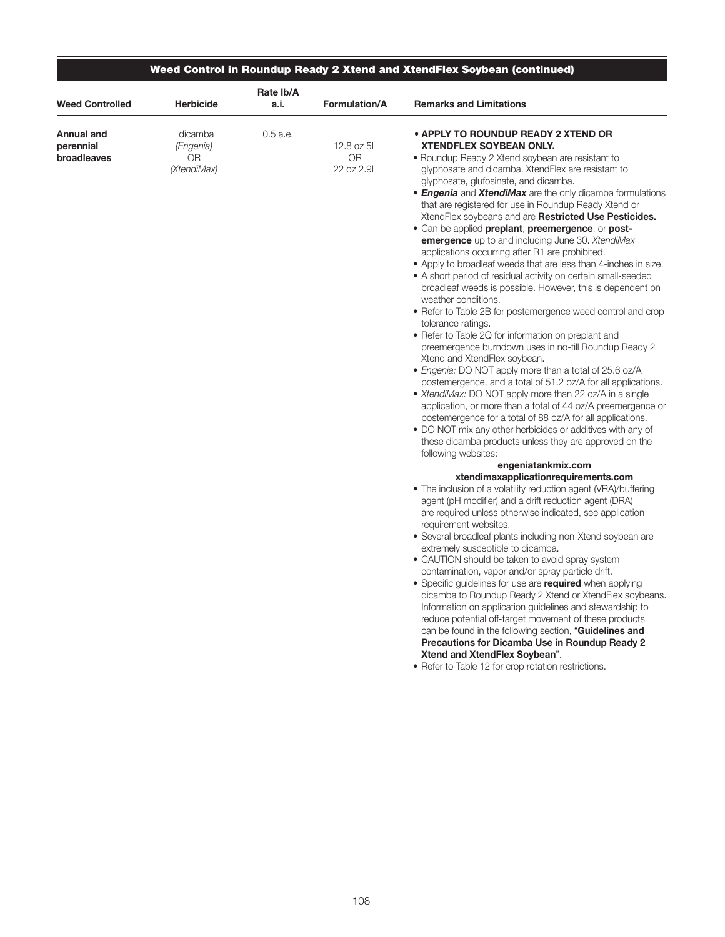| <b>Weed Controlled</b>                 | <b>Herbicide</b>                          | Rate Ib/A<br>a.i. | Formulation/A                         | <b>Remarks and Limitations</b>                                                                                                                                                                                                                                                                                                                                                                                                                                                                                                                                                                                                                                                                                                                                                                                                                                                                                                                                                                                                                                                                                                                                                                                                                                                                                                                                                                                                                                                                                                                                                                                                                                                                                                                                                                                                                                                                                                                                                                                                                                                                                                                                                                                                                                                                                                                                                                                                                         |
|----------------------------------------|-------------------------------------------|-------------------|---------------------------------------|--------------------------------------------------------------------------------------------------------------------------------------------------------------------------------------------------------------------------------------------------------------------------------------------------------------------------------------------------------------------------------------------------------------------------------------------------------------------------------------------------------------------------------------------------------------------------------------------------------------------------------------------------------------------------------------------------------------------------------------------------------------------------------------------------------------------------------------------------------------------------------------------------------------------------------------------------------------------------------------------------------------------------------------------------------------------------------------------------------------------------------------------------------------------------------------------------------------------------------------------------------------------------------------------------------------------------------------------------------------------------------------------------------------------------------------------------------------------------------------------------------------------------------------------------------------------------------------------------------------------------------------------------------------------------------------------------------------------------------------------------------------------------------------------------------------------------------------------------------------------------------------------------------------------------------------------------------------------------------------------------------------------------------------------------------------------------------------------------------------------------------------------------------------------------------------------------------------------------------------------------------------------------------------------------------------------------------------------------------------------------------------------------------------------------------------------------------|
| Annual and<br>perennial<br>broadleaves | dicamba<br>(Engenia)<br>0R<br>(XtendiMax) | $0.5$ a.e.        | 12.8 oz 5L<br><b>OR</b><br>22 oz 2.9L | • APPLY TO ROUNDUP READY 2 XTEND OR<br><b>XTENDFLEX SOYBEAN ONLY.</b><br>• Roundup Ready 2 Xtend soybean are resistant to<br>glyphosate and dicamba. XtendFlex are resistant to<br>glyphosate, glufosinate, and dicamba.<br>• Engenia and XtendiMax are the only dicamba formulations<br>that are registered for use in Roundup Ready Xtend or<br>XtendFlex soybeans and are Restricted Use Pesticides.<br>• Can be applied preplant, preemergence, or post-<br><b>emergence</b> up to and including June 30. XtendiMax<br>applications occurring after R1 are prohibited.<br>• Apply to broadleaf weeds that are less than 4-inches in size.<br>• A short period of residual activity on certain small-seeded<br>broadleaf weeds is possible. However, this is dependent on<br>weather conditions.<br>• Refer to Table 2B for postemergence weed control and crop<br>tolerance ratings.<br>• Refer to Table 2Q for information on preplant and<br>preemergence burndown uses in no-till Roundup Ready 2<br>Xtend and XtendFlex soybean.<br>· Engenia: DO NOT apply more than a total of 25.6 oz/A<br>postemergence, and a total of 51.2 oz/A for all applications.<br>• XtendiMax: DO NOT apply more than 22 oz/A in a single<br>application, or more than a total of 44 oz/A preemergence or<br>postemergence for a total of 88 oz/A for all applications.<br>• DO NOT mix any other herbicides or additives with any of<br>these dicamba products unless they are approved on the<br>following websites:<br>engeniatankmix.com<br>xtendimaxapplicationrequirements.com<br>• The inclusion of a volatility reduction agent (VRA)/buffering<br>agent (pH modifier) and a drift reduction agent (DRA)<br>are required unless otherwise indicated, see application<br>requirement websites.<br>• Several broadleaf plants including non-Xtend soybean are<br>extremely susceptible to dicamba.<br>• CAUTION should be taken to avoid spray system<br>contamination, vapor and/or spray particle drift.<br>• Specific guidelines for use are required when applying<br>dicamba to Roundup Ready 2 Xtend or XtendFlex soybeans.<br>Information on application guidelines and stewardship to<br>reduce potential off-target movement of these products<br>can be found in the following section, "Guidelines and<br>Precautions for Dicamba Use in Roundup Ready 2<br>Xtend and XtendFlex Soybean".<br>• Refer to Table 12 for crop rotation restrictions. |

and the state of

г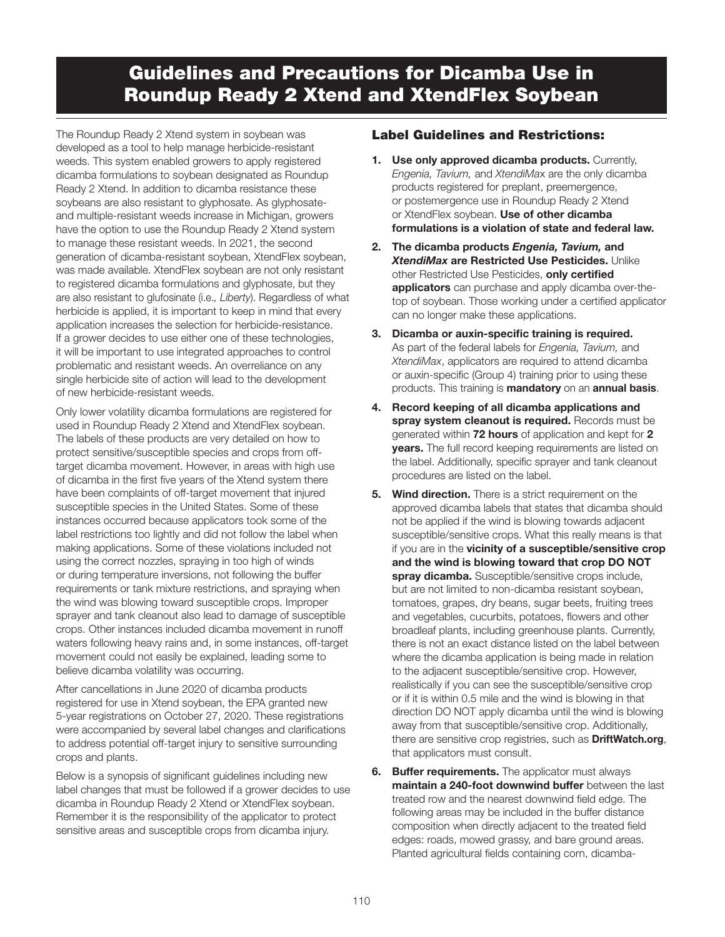## Guidelines and Precautions for Dicamba Use in Roundup Ready 2 Xtend and XtendFlex Soybean

The Roundup Ready 2 Xtend system in soybean was developed as a tool to help manage herbicide-resistant weeds. This system enabled growers to apply registered dicamba formulations to soybean designated as Roundup Ready 2 Xtend. In addition to dicamba resistance these soybeans are also resistant to glyphosate. As glyphosateand multiple-resistant weeds increase in Michigan, growers have the option to use the Roundup Ready 2 Xtend system to manage these resistant weeds. In 2021, the second generation of dicamba-resistant soybean, XtendFlex soybean, was made available. XtendFlex soybean are not only resistant to registered dicamba formulations and glyphosate, but they are also resistant to glufosinate (i.e.*, Liberty*). Regardless of what herbicide is applied, it is important to keep in mind that every application increases the selection for herbicide-resistance. If a grower decides to use either one of these technologies, it will be important to use integrated approaches to control problematic and resistant weeds. An overreliance on any single herbicide site of action will lead to the development of new herbicide-resistant weeds.

Only lower volatility dicamba formulations are registered for used in Roundup Ready 2 Xtend and XtendFlex soybean. The labels of these products are very detailed on how to protect sensitive/susceptible species and crops from offtarget dicamba movement. However, in areas with high use of dicamba in the first five years of the Xtend system there have been complaints of off-target movement that injured susceptible species in the United States. Some of these instances occurred because applicators took some of the label restrictions too lightly and did not follow the label when making applications. Some of these violations included not using the correct nozzles, spraying in too high of winds or during temperature inversions, not following the buffer requirements or tank mixture restrictions, and spraying when the wind was blowing toward susceptible crops. Improper sprayer and tank cleanout also lead to damage of susceptible crops. Other instances included dicamba movement in runoff waters following heavy rains and, in some instances, off-target movement could not easily be explained, leading some to believe dicamba volatility was occurring.

After cancellations in June 2020 of dicamba products registered for use in Xtend soybean, the EPA granted new 5-year registrations on October 27, 2020. These registrations were accompanied by several label changes and clarifications to address potential off-target injury to sensitive surrounding crops and plants.

Below is a synopsis of significant guidelines including new label changes that must be followed if a grower decides to use dicamba in Roundup Ready 2 Xtend or XtendFlex soybean. Remember it is the responsibility of the applicator to protect sensitive areas and susceptible crops from dicamba injury.

#### Label Guidelines and Restrictions:

- 1. Use only approved dicamba products. Currently, *Engenia, Tavium,* and *XtendiMa*x are the only dicamba products registered for preplant, preemergence, or postemergence use in Roundup Ready 2 Xtend or XtendFlex soybean. Use of other dicamba formulations is a violation of state and federal law.
- 2. The dicamba products *Engenia, Tavium,* and *XtendiMax* are Restricted Use Pesticides. Unlike other Restricted Use Pesticides, only certified applicators can purchase and apply dicamba over-thetop of soybean. Those working under a certified applicator can no longer make these applications.
- 3. Dicamba or auxin-specific training is required. As part of the federal labels for *Engenia, Tavium,* and *XtendiMax*, applicators are required to attend dicamba or auxin-specific (Group 4) training prior to using these products. This training is **mandatory** on an **annual basis**.
- 4. Record keeping of all dicamba applications and spray system cleanout is required. Records must be generated within 72 hours of application and kept for 2 years. The full record keeping requirements are listed on the label. Additionally, specific sprayer and tank cleanout procedures are listed on the label.
- **5.** Wind direction. There is a strict requirement on the approved dicamba labels that states that dicamba should not be applied if the wind is blowing towards adjacent susceptible/sensitive crops. What this really means is that if you are in the vicinity of a susceptible/sensitive crop and the wind is blowing toward that crop DO NOT spray dicamba. Susceptible/sensitive crops include, but are not limited to non-dicamba resistant soybean, tomatoes, grapes, dry beans, sugar beets, fruiting trees and vegetables, cucurbits, potatoes, flowers and other broadleaf plants, including greenhouse plants. Currently, there is not an exact distance listed on the label between where the dicamba application is being made in relation to the adjacent susceptible/sensitive crop. However, realistically if you can see the susceptible/sensitive crop or if it is within 0.5 mile and the wind is blowing in that direction DO NOT apply dicamba until the wind is blowing away from that susceptible/sensitive crop. Additionally, there are sensitive crop registries, such as **DriftWatch.org**, that applicators must consult.
- 6. Buffer requirements. The applicator must always maintain a 240-foot downwind buffer between the last treated row and the nearest downwind field edge. The following areas may be included in the buffer distance composition when directly adjacent to the treated field edges: roads, mowed grassy, and bare ground areas. Planted agricultural fields containing corn, dicamba-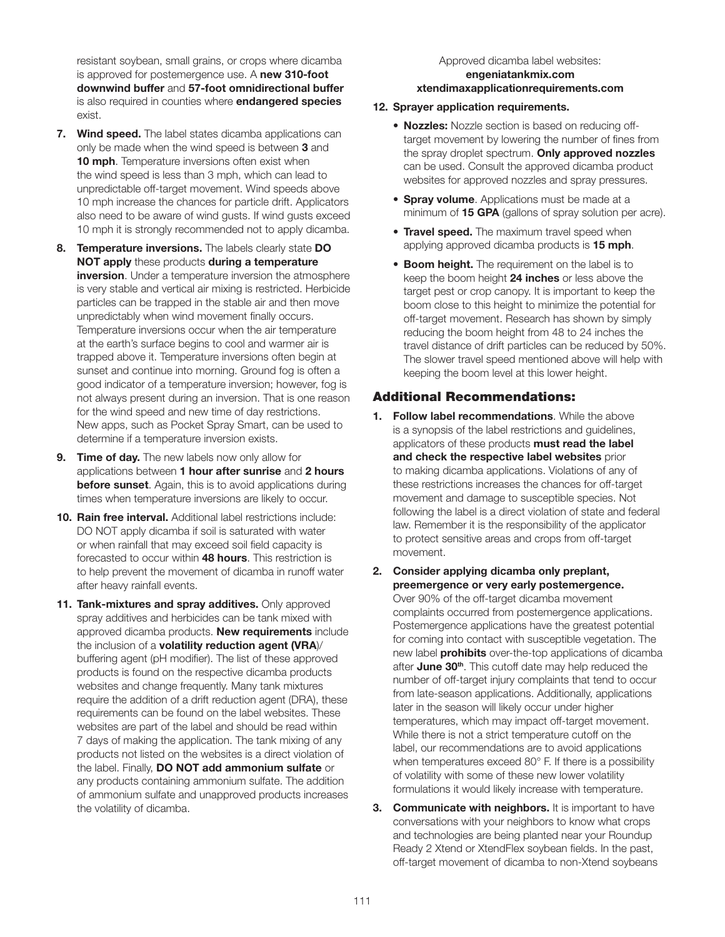resistant soybean, small grains, or crops where dicamba is approved for postemergence use. A new 310-foot downwind buffer and 57-foot omnidirectional buffer is also required in counties where endangered species exist.

- **7. Wind speed.** The label states dicamba applications can only be made when the wind speed is between 3 and 10 mph. Temperature inversions often exist when the wind speed is less than 3 mph, which can lead to unpredictable off-target movement. Wind speeds above 10 mph increase the chances for particle drift. Applicators also need to be aware of wind gusts. If wind gusts exceed 10 mph it is strongly recommended not to apply dicamba.
- 8. Temperature inversions. The labels clearly state DO NOT apply these products during a temperature **inversion**. Under a temperature inversion the atmosphere is very stable and vertical air mixing is restricted. Herbicide particles can be trapped in the stable air and then move unpredictably when wind movement finally occurs. Temperature inversions occur when the air temperature at the earth's surface begins to cool and warmer air is trapped above it. Temperature inversions often begin at sunset and continue into morning. Ground fog is often a good indicator of a temperature inversion; however, fog is not always present during an inversion. That is one reason for the wind speed and new time of day restrictions. New apps, such as Pocket Spray Smart, can be used to determine if a temperature inversion exists.
- 9. Time of day. The new labels now only allow for applications between 1 hour after sunrise and 2 hours **before sunset.** Again, this is to avoid applications during times when temperature inversions are likely to occur.
- 10. Rain free interval. Additional label restrictions include: DO NOT apply dicamba if soil is saturated with water or when rainfall that may exceed soil field capacity is forecasted to occur within 48 hours. This restriction is to help prevent the movement of dicamba in runoff water after heavy rainfall events.
- 11. Tank-mixtures and spray additives. Only approved spray additives and herbicides can be tank mixed with approved dicamba products. New requirements include the inclusion of a **volatility reduction agent (VRA**)/ buffering agent (pH modifier). The list of these approved products is found on the respective dicamba products websites and change frequently. Many tank mixtures require the addition of a drift reduction agent (DRA), these requirements can be found on the label websites. These websites are part of the label and should be read within 7 days of making the application. The tank mixing of any products not listed on the websites is a direct violation of the label. Finally, DO NOT add ammonium sulfate or any products containing ammonium sulfate. The addition of ammonium sulfate and unapproved products increases the volatility of dicamba.

#### Approved dicamba label websites: engeniatankmix.com xtendimaxapplicationrequirements.com

#### 12. Sprayer application requirements.

- **Nozzles:** Nozzle section is based on reducing offtarget movement by lowering the number of fines from the spray droplet spectrum. Only approved nozzles can be used. Consult the approved dicamba product websites for approved nozzles and spray pressures.
- Spray volume. Applications must be made at a minimum of **15 GPA** (gallons of spray solution per acre).
- **Travel speed.** The maximum travel speed when applying approved dicamba products is **15 mph**.
- **Boom height.** The requirement on the label is to keep the boom height 24 inches or less above the target pest or crop canopy. It is important to keep the boom close to this height to minimize the potential for off-target movement. Research has shown by simply reducing the boom height from 48 to 24 inches the travel distance of drift particles can be reduced by 50%. The slower travel speed mentioned above will help with keeping the boom level at this lower height.

#### Additional Recommendations:

- 1. Follow label recommendations. While the above is a synopsis of the label restrictions and guidelines, applicators of these products must read the label and check the respective label websites prior to making dicamba applications. Violations of any of these restrictions increases the chances for off-target movement and damage to susceptible species. Not following the label is a direct violation of state and federal law. Remember it is the responsibility of the applicator to protect sensitive areas and crops from off-target movement.
- 2. Consider applying dicamba only preplant, preemergence or very early postemergence. Over 90% of the off-target dicamba movement complaints occurred from postemergence applications. Postemergence applications have the greatest potential for coming into contact with susceptible vegetation. The new label **prohibits** over-the-top applications of dicamba after June 30<sup>th</sup>. This cutoff date may help reduced the number of off-target injury complaints that tend to occur from late-season applications. Additionally, applications later in the season will likely occur under higher temperatures, which may impact off-target movement. While there is not a strict temperature cutoff on the label, our recommendations are to avoid applications when temperatures exceed 80° F. If there is a possibility of volatility with some of these new lower volatility formulations it would likely increase with temperature.
- **3. Communicate with neighbors.** It is important to have conversations with your neighbors to know what crops and technologies are being planted near your Roundup Ready 2 Xtend or XtendFlex soybean fields. In the past, off-target movement of dicamba to non-Xtend soybeans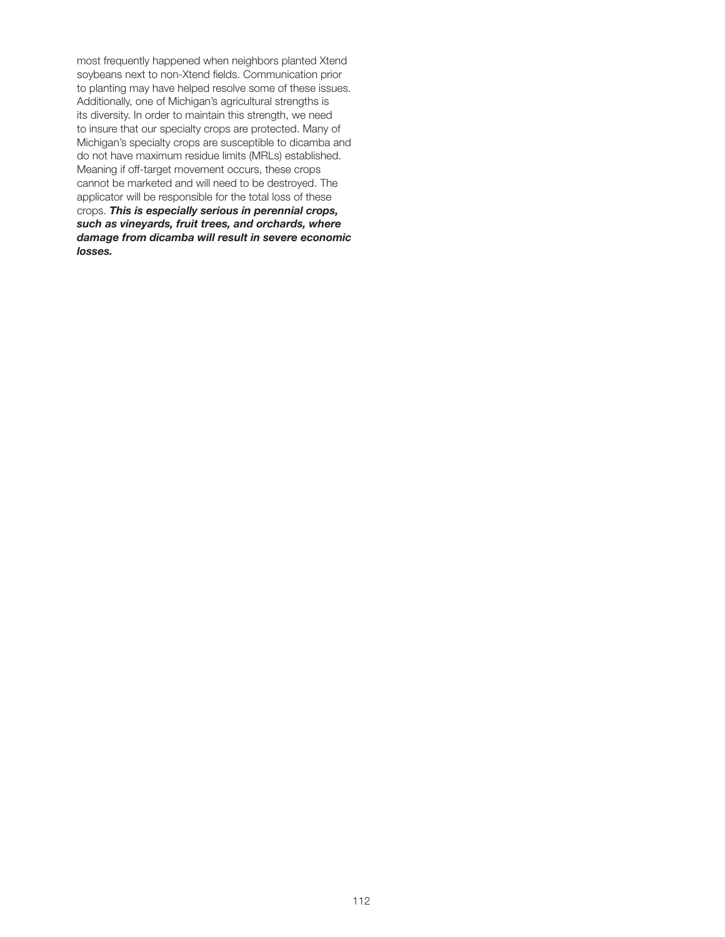most frequently happened when neighbors planted Xtend soybeans next to non-Xtend fields. Communication prior to planting may have helped resolve some of these issues. Additionally, one of Michigan's agricultural strengths is its diversity. In order to maintain this strength, we need to insure that our specialty crops are protected. Many of Michigan's specialty crops are susceptible to dicamba and do not have maximum residue limits (MRLs) established. Meaning if off-target movement occurs, these crops cannot be marketed and will need to be destroyed. The applicator will be responsible for the total loss of these crops. *This is especially serious in perennial crops, such as vineyards, fruit trees, and orchards, where damage from dicamba will result in severe economic losses.*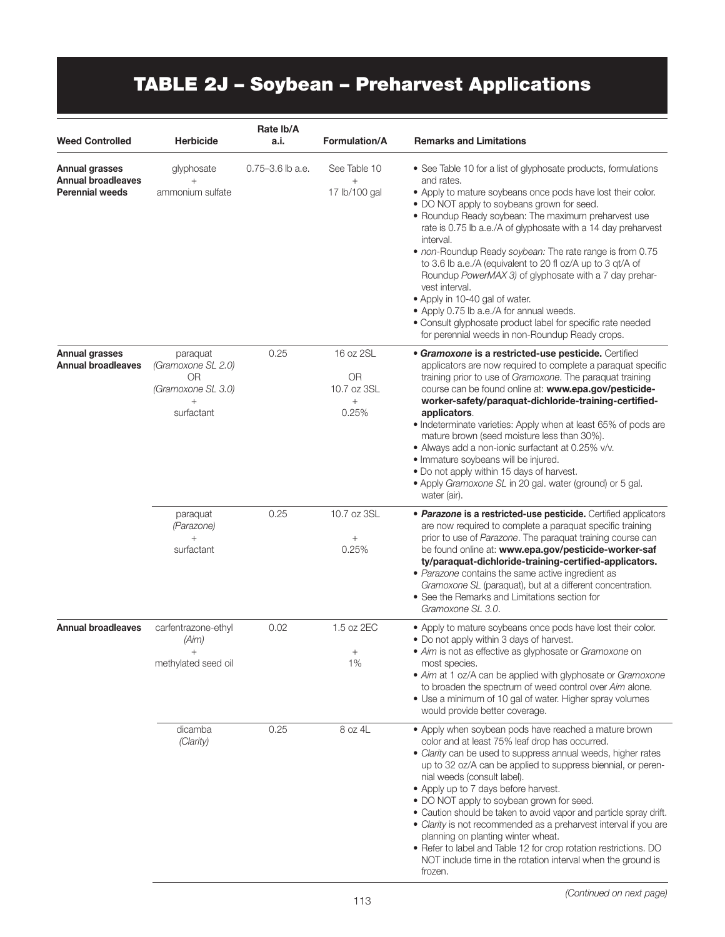# TABLE 2J – Soybean – Preharvest Applications

|                                                                                 |                                                                                    | Rate lb/A            |                                                          |                                                                                                                                                                                                                                                                                                                                                                                                                                                                                                                                                                                                                                                                                                                                      |
|---------------------------------------------------------------------------------|------------------------------------------------------------------------------------|----------------------|----------------------------------------------------------|--------------------------------------------------------------------------------------------------------------------------------------------------------------------------------------------------------------------------------------------------------------------------------------------------------------------------------------------------------------------------------------------------------------------------------------------------------------------------------------------------------------------------------------------------------------------------------------------------------------------------------------------------------------------------------------------------------------------------------------|
| <b>Weed Controlled</b>                                                          | <b>Herbicide</b>                                                                   | a.i.                 | <b>Formulation/A</b>                                     | <b>Remarks and Limitations</b>                                                                                                                                                                                                                                                                                                                                                                                                                                                                                                                                                                                                                                                                                                       |
| Annual grasses<br><b>Annual broadleaves</b><br><b>Perennial weeds</b>           | glyphosate<br>$^{+}$<br>ammonium sulfate                                           | $0.75 - 3.6$ lb a.e. | See Table 10<br>$^{+}$<br>17 lb/100 gal                  | • See Table 10 for a list of glyphosate products, formulations<br>and rates.<br>• Apply to mature soybeans once pods have lost their color.<br>. DO NOT apply to soybeans grown for seed.<br>• Roundup Ready soybean: The maximum preharvest use<br>rate is 0.75 lb a.e./A of glyphosate with a 14 day preharvest<br>interval.<br>. non-Roundup Ready soybean: The rate range is from 0.75<br>to 3.6 lb a.e./A (equivalent to 20 fl oz/A up to 3 qt/A of<br>Roundup PowerMAX 3) of glyphosate with a 7 day prehar-<br>vest interval.<br>• Apply in 10-40 gal of water.<br>• Apply 0.75 lb a.e./A for annual weeds.<br>• Consult glyphosate product label for specific rate needed<br>for perennial weeds in non-Roundup Ready crops. |
| <b>Annual grasses</b><br><b>Annual broadleaves</b><br><b>Annual broadleaves</b> | paraquat<br>(Gramoxone SL 2.0)<br>0R<br>(Gramoxone SL 3.0)<br>$^{+}$<br>surfactant | 0.25                 | 16 oz 2SL<br><b>OR</b><br>10.7 oz 3SL<br>$^{+}$<br>0.25% | • Gramoxone is a restricted-use pesticide. Certified<br>applicators are now required to complete a paraquat specific<br>training prior to use of Gramoxone. The paraquat training<br>course can be found online at: www.epa.gov/pesticide-<br>worker-safety/paraquat-dichloride-training-certified-<br>applicators.<br>• Indeterminate varieties: Apply when at least 65% of pods are<br>mature brown (seed moisture less than 30%).<br>• Always add a non-ionic surfactant at 0.25% v/v.<br>· Immature soybeans will be injured.<br>• Do not apply within 15 days of harvest.<br>• Apply Gramoxone SL in 20 gal. water (ground) or 5 gal.<br>water (air).                                                                           |
|                                                                                 | paraquat<br>(Parazone)<br>surfactant                                               | 0.25                 | 10.7 oz 3SL<br>$+$<br>0.25%                              | • Parazone is a restricted-use pesticide. Certified applicators<br>are now required to complete a paraquat specific training<br>prior to use of Parazone. The paraquat training course can<br>be found online at: www.epa.gov/pesticide-worker-saf<br>ty/paraquat-dichloride-training-certified-applicators.<br>• Parazone contains the same active ingredient as<br>Gramoxone SL (paraquat), but at a different concentration.<br>• See the Remarks and Limitations section for<br>Gramoxone SL 3.0.                                                                                                                                                                                                                                |
|                                                                                 | carfentrazone-ethyl<br>(Aim)<br>methylated seed oil                                | 0.02                 | 1.5 oz 2EC<br>1%                                         | • Apply to mature soybeans once pods have lost their color.<br>• Do not apply within 3 days of harvest.<br>• Aim is not as effective as glyphosate or Gramoxone on<br>most species.<br>• Aim at 1 oz/A can be applied with glyphosate or Gramoxone<br>to broaden the spectrum of weed control over Aim alone.<br>• Use a minimum of 10 gal of water. Higher spray volumes<br>would provide better coverage.                                                                                                                                                                                                                                                                                                                          |
|                                                                                 | dicamba<br>(Clarity)                                                               | 0.25                 | 8 oz 4L                                                  | • Apply when soybean pods have reached a mature brown<br>color and at least 75% leaf drop has occurred.<br>• Clarity can be used to suppress annual weeds, higher rates<br>up to 32 oz/A can be applied to suppress biennial, or peren-<br>nial weeds (consult label).<br>• Apply up to 7 days before harvest.<br>. DO NOT apply to soybean grown for seed.<br>• Caution should be taken to avoid vapor and particle spray drift.<br>• Clarity is not recommended as a preharvest interval if you are<br>planning on planting winter wheat.<br>· Refer to label and Table 12 for crop rotation restrictions. DO<br>NOT include time in the rotation interval when the ground is<br>frozen.                                           |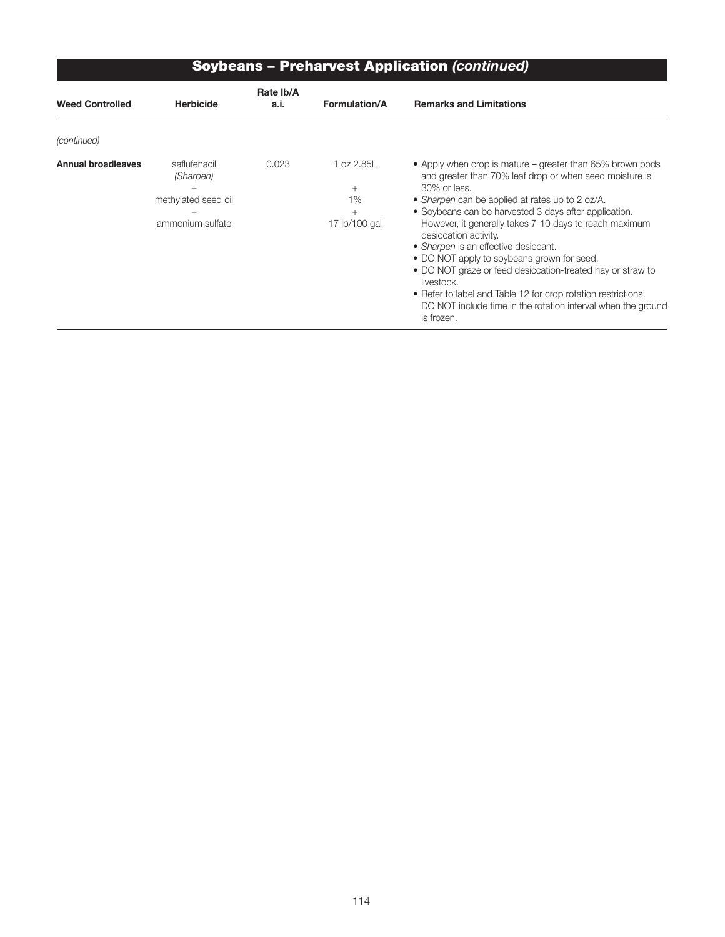|                           | <b>Soybeans - Preharvest Application (continued)</b>                 |                   |                                                       |                                                                                                                                                                                                                                                                                                                                                                                                                                                                                                                                                                                                                                                      |  |  |  |
|---------------------------|----------------------------------------------------------------------|-------------------|-------------------------------------------------------|------------------------------------------------------------------------------------------------------------------------------------------------------------------------------------------------------------------------------------------------------------------------------------------------------------------------------------------------------------------------------------------------------------------------------------------------------------------------------------------------------------------------------------------------------------------------------------------------------------------------------------------------------|--|--|--|
| <b>Weed Controlled</b>    | <b>Herbicide</b>                                                     | Rate Ib/A<br>a.i. | <b>Formulation/A</b>                                  | <b>Remarks and Limitations</b>                                                                                                                                                                                                                                                                                                                                                                                                                                                                                                                                                                                                                       |  |  |  |
| (continued)               |                                                                      |                   |                                                       |                                                                                                                                                                                                                                                                                                                                                                                                                                                                                                                                                                                                                                                      |  |  |  |
| <b>Annual broadleaves</b> | saflufenacil<br>(Sharpen)<br>methylated seed oil<br>ammonium sulfate | 0.023             | 1 oz 2.85L<br>$^{+}$<br>1%<br>$^{+}$<br>17 lb/100 gal | • Apply when crop is mature – greater than 65% brown pods<br>and greater than 70% leaf drop or when seed moisture is<br>30% or less.<br>• Sharpen can be applied at rates up to 2 oz/A.<br>• Soybeans can be harvested 3 days after application.<br>However, it generally takes 7-10 days to reach maximum<br>desiccation activity.<br>• Sharpen is an effective desiccant.<br>• DO NOT apply to soybeans grown for seed.<br>• DO NOT graze or feed desiccation-treated hay or straw to<br>livestock.<br>• Refer to label and Table 12 for crop rotation restrictions.<br>DO NOT include time in the rotation interval when the ground<br>is frozen. |  |  |  |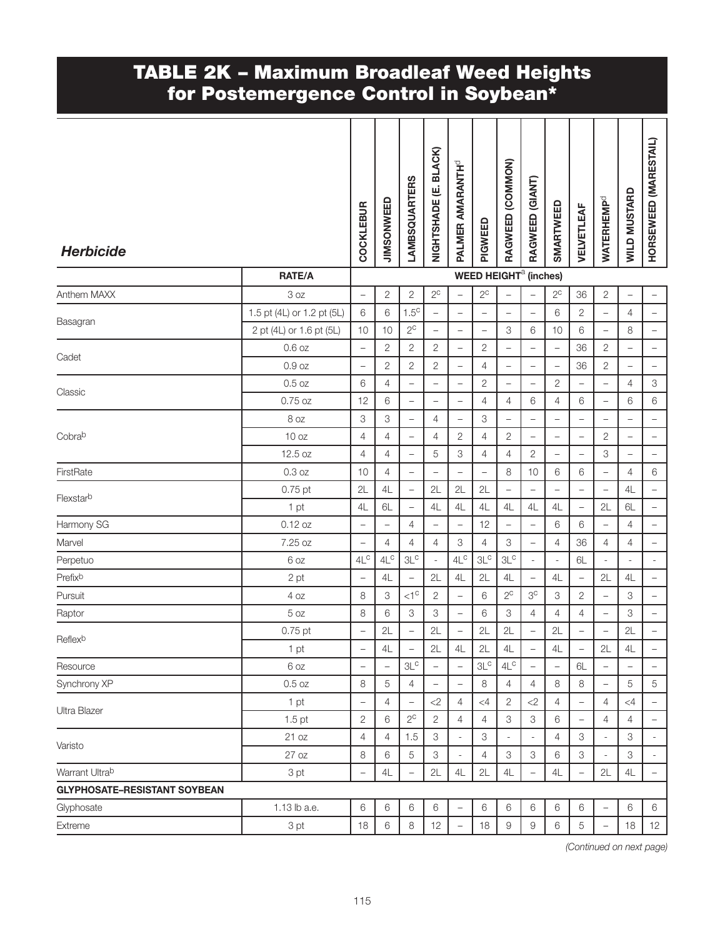### TABLE 2K – Maximum Broadleaf Weed Heights for Postemergence Control in Soybean\*

| <b>Herbicide</b>                    |                            | <b>COCKLEBUR</b>         | JIMSONWEED        | <b>LAMBSQUARTERS</b>     | NIGHTSHADE (E. BLACK)    | <b>PALMER AMARANTH<sup>d</sup></b> | PIGWEED                                 | RAGWEED (COMMON)         | RAGWEED (GIANT)           | SMARTWEED                | VELVETLEAF               | <b>WATERHEMP<sup>d</sup></b> | <b>WILD MUSTARD</b>      | HORSEWEED (MARESTAIL)     |
|-------------------------------------|----------------------------|--------------------------|-------------------|--------------------------|--------------------------|------------------------------------|-----------------------------------------|--------------------------|---------------------------|--------------------------|--------------------------|------------------------------|--------------------------|---------------------------|
|                                     | <b>RATE/A</b>              |                          |                   |                          |                          |                                    | <b>WEED HEIGHT<sup>2</sup></b> (inches) |                          |                           |                          |                          |                              |                          |                           |
| Anthem MAXX                         | 3 oz                       | $\equiv$                 | $\sqrt{2}$        | $\sqrt{2}$               | $2^{\circ}$              | $\overline{\phantom{0}}$           | $2^{\circ}$                             | $\equiv$                 | $\equiv$                  | $2^{\circ}$              | 36                       | $\sqrt{2}$                   | $\overline{\phantom{0}}$ | $\overline{\phantom{0}}$  |
| Basagran                            | 1.5 pt (4L) or 1.2 pt (5L) | 6                        | 6                 | 1.5 <sup>c</sup>         | $\qquad \qquad -$        | $\qquad \qquad -$                  | $\qquad \qquad -$                       | $\qquad \qquad -$        | $\overline{\phantom{a}}$  | 6                        | $\mathbf{2}$             | $\qquad \qquad -$            | $\overline{4}$           | $\overline{\phantom{0}}$  |
|                                     | 2 pt (4L) or 1.6 pt (5L)   | 10                       | 10                | $2^{\circ}$              | $\qquad \qquad -$        | $\overline{\phantom{a}}$           | $\equiv$                                | 3                        | 6                         | 10                       | 6                        | $\overline{\phantom{0}}$     | 8                        | $\equiv$                  |
| Cadet                               | $0.6$ oz                   | $\qquad \qquad -$        | $\mathbf{2}$      | $\sqrt{2}$               | $\mathbf{2}$             | $\overline{\phantom{0}}$           | $\mathbf{2}$                            | $\overline{\phantom{0}}$ | $\overline{\phantom{a}}$  | $\overline{\phantom{0}}$ | 36                       | $\overline{2}$               | $\overline{\phantom{0}}$ | $\overline{\phantom{a}}$  |
|                                     | 0.9 oz                     | $\qquad \qquad -$        | $\mathbf{2}$      | $\mathbf{2}$             | $\mathbf{2}$             | $\qquad \qquad -$                  | $\overline{4}$                          | $\qquad \qquad -$        | $\overline{\phantom{m}}$  | $\qquad \qquad -$        | 36                       | $\mathbf{2}$                 | $\overline{\phantom{0}}$ | $\overline{\phantom{0}}$  |
| Classic                             | 0.5 oz                     | 6                        | $\overline{4}$    | $\qquad \qquad -$        | $\overline{\phantom{a}}$ | $\overline{\phantom{a}}$           | 2                                       | $\qquad \qquad -$        | $\overline{\phantom{m}}$  | $\sqrt{2}$               | $\overline{\phantom{a}}$ | $\qquad \qquad -$            | $\overline{4}$           | $\ensuremath{\mathsf{3}}$ |
|                                     | $0.75$ oz                  | 12                       | 6                 | $\overline{\phantom{0}}$ | $\qquad \qquad -$        | $\overline{\phantom{a}}$           | $\overline{4}$                          | 4                        | 6                         | $\overline{4}$           | 6                        | $\qquad \qquad -$            | 6                        | 6                         |
|                                     | 8 oz                       | 3                        | 3                 | $\qquad \qquad -$        | 4                        | $\qquad \qquad -$                  | 3                                       | $\qquad \qquad -$        | $\qquad \qquad -$         | $\qquad \qquad -$        | $\qquad \qquad -$        | $\qquad \qquad -$            | $\qquad \qquad -$        | $\qquad \qquad -$         |
| Cobrab                              | 10 oz                      | 4                        | $\overline{4}$    | $\qquad \qquad -$        | 4                        | $\overline{2}$                     | $\overline{4}$                          | 2                        | $\equiv$                  | $\equiv$                 | $\equiv$                 | $\overline{c}$               | $\equiv$                 | $\equiv$                  |
|                                     | 12.5 oz                    | $\overline{4}$           | $\overline{4}$    | $\qquad \qquad -$        | 5                        | 3                                  | $\overline{4}$                          | 4                        | $\sqrt{2}$                | $\qquad \qquad -$        | $\qquad \qquad -$        | $\ensuremath{\mathsf{3}}$    | $\overline{\phantom{0}}$ | $\overline{\phantom{0}}$  |
| FirstRate                           | 0.3 oz                     | 10                       | $\overline{4}$    | $\qquad \qquad -$        | $\qquad \qquad -$        | $\overline{\phantom{a}}$           | $\equiv$                                | 8                        | 10                        | 6                        | 6                        | $\qquad \qquad -$            | $\overline{4}$           | 6                         |
| Flexstarb                           | 0.75 pt                    | 2L                       | 4L                | $\qquad \qquad -$        | 2L                       | 2L                                 | 2L                                      | $\qquad \qquad -$        | $\overline{\phantom{a}}$  | $\qquad \qquad -$        | $\qquad \qquad -$        | $\qquad \qquad -$            | 4L                       | $\equiv$                  |
|                                     | 1 pt                       | 4L                       | 6L                | $\qquad \qquad -$        | 4L                       | 4L                                 | 4L                                      | 4L                       | 4L                        | 4L                       | $\qquad \qquad -$        | 2L                           | 6L                       | $\overline{\phantom{0}}$  |
| Harmony SG                          | 0.12 oz                    | $\overline{\phantom{0}}$ | $\qquad \qquad -$ | 4                        | $\qquad \qquad -$        | $\overline{\phantom{m}}$           | 12                                      | $\qquad \qquad -$        | $\qquad \qquad -$         | 6                        | 6                        | $\overline{\phantom{0}}$     | 4                        | $\overline{\phantom{0}}$  |
| Marvel                              | 7.25 oz                    | $\qquad \qquad -$        | $\overline{4}$    | 4                        | 4                        | 3                                  | 4                                       | 3                        | $\overline{\phantom{a}}$  | $\overline{4}$           | 36                       | 4                            | 4                        | $\overline{\phantom{0}}$  |
| Perpetuo                            | 6 oz                       | $4L^c$                   | $4L^C$            | $3L^{\rm C}$             |                          | 4L <sup>c</sup>                    | 3L <sup>c</sup>                         | 3L <sup>c</sup>          | $\blacksquare$            | $\overline{\phantom{a}}$ | 6L                       |                              |                          | $\overline{\phantom{a}}$  |
| Prefixb                             | 2 pt                       | $\qquad \qquad -$        | 4L                | $\overline{\phantom{0}}$ | 2L                       | 4L                                 | 2L                                      | 4L                       | $\equiv$                  | 4L                       | $\qquad \qquad -$        | 2L                           | 4L                       | $\overline{\phantom{0}}$  |
| Pursuit                             | 4 oz                       | 8                        | 3                 | $<1$ <sup>C</sup>        | $\mathbf{2}$             | $\overline{\phantom{m}}$           | 6                                       | $2^\mathrm{c}$           | $3c$                      | 3                        | $\overline{c}$           | $\overline{\phantom{0}}$     | 3                        | $\overline{\phantom{0}}$  |
| Raptor                              | 5 oz                       | 8                        | 6                 | 3                        | 3                        | $\qquad \qquad -$                  | 6                                       | 3                        | 4                         | $\overline{4}$           | 4                        | $\qquad \qquad -$            | 3                        | $\overline{\phantom{0}}$  |
| Reflexb                             | 0.75 pt                    | $\overline{\phantom{0}}$ | 2L                |                          | 2L                       | $\overline{\phantom{m}}$           | 2L                                      | 2L                       | $\qquad \qquad -$         | 2L                       | $\overline{\phantom{0}}$ |                              | 2L                       | $\overline{\phantom{0}}$  |
|                                     | 1 pt                       | $\overline{\phantom{0}}$ | 4L                | $\overline{\phantom{0}}$ | 2L                       | 4L                                 | 2L                                      | 4L                       | $\overline{\phantom{a}}$  | 4L                       | $\qquad \qquad -$        | 2L                           | 4L                       | $\qquad \qquad -$         |
| Resource                            | 6 oz                       |                          |                   | 3L <sup>c</sup>          |                          |                                    | 3L <sup>c</sup>                         | 4L <sup>C</sup>          |                           |                          | 6L                       |                              |                          |                           |
| Synchrony XP                        | $0.5$ oz                   | 8                        | 5                 | $\overline{4}$           | $\qquad \qquad -$        | $\qquad \qquad -$                  | 8                                       | $\overline{4}$           | $\overline{4}$            | $\,8\,$                  | 8                        | $\qquad \qquad -$            | 5                        | 5                         |
| Ultra Blazer                        | 1 pt                       | $\qquad \qquad -$        | $\overline{4}$    | $\qquad \qquad -$        | $<$ 2                    | 4                                  | $\leq 4$                                | $\overline{c}$           | $<\!\!2$                  | $\overline{4}$           | $\qquad \qquad -$        | 4                            | <4                       |                           |
|                                     | 1.5 <sub>pt</sub>          | $\overline{2}$           | 6                 | $2^{\circ}$              | $\overline{2}$           | 4                                  | 4                                       | 3                        | $\ensuremath{\mathsf{3}}$ | 6                        | $\qquad \qquad -$        | 4                            | $\overline{4}$           | $\overline{\phantom{0}}$  |
| Varisto                             | 21 oz                      | 4                        | $\overline{4}$    | 1.5                      | 3                        | ÷,                                 | 3                                       |                          | ÷,                        | $\overline{4}$           | 3                        |                              | 3                        | $\overline{\phantom{a}}$  |
|                                     | 27 oz                      | 8                        | 6                 | 5                        | 3                        | $\overline{\phantom{a}}$           | 4                                       | 3                        | $\ensuremath{\mathsf{3}}$ | 6                        | 3                        | $\overline{\phantom{a}}$     | 3                        | $\overline{\phantom{a}}$  |
| Warrant Ultrab                      | 3 pt                       |                          | $4\mathsf{L}$     |                          | 2L                       | 4L                                 | 2L                                      | 4L                       |                           | 4L                       |                          | 2L                           | $4L$                     | $\overline{\phantom{0}}$  |
| <b>GLYPHOSATE-RESISTANT SOYBEAN</b> |                            |                          |                   |                          |                          |                                    |                                         |                          |                           |                          |                          |                              |                          |                           |
| Glyphosate                          | 1.13 lb a.e.               | $\,6\,$                  | $\,6\,$           | 6                        | 6                        | $\qquad \qquad -$                  | 6                                       | 6                        | $\,6$                     | 6                        | 6                        | $\qquad \qquad -$            | 6                        | 6                         |
| Extreme                             | 3 pt                       | 18                       | $\,6\,$           | 8                        | 12                       | $\qquad \qquad -$                  | 18                                      | 9                        | $\hbox{9}$                | $6\,$                    | $\,$ 5 $\,$              |                              | 18                       | 12                        |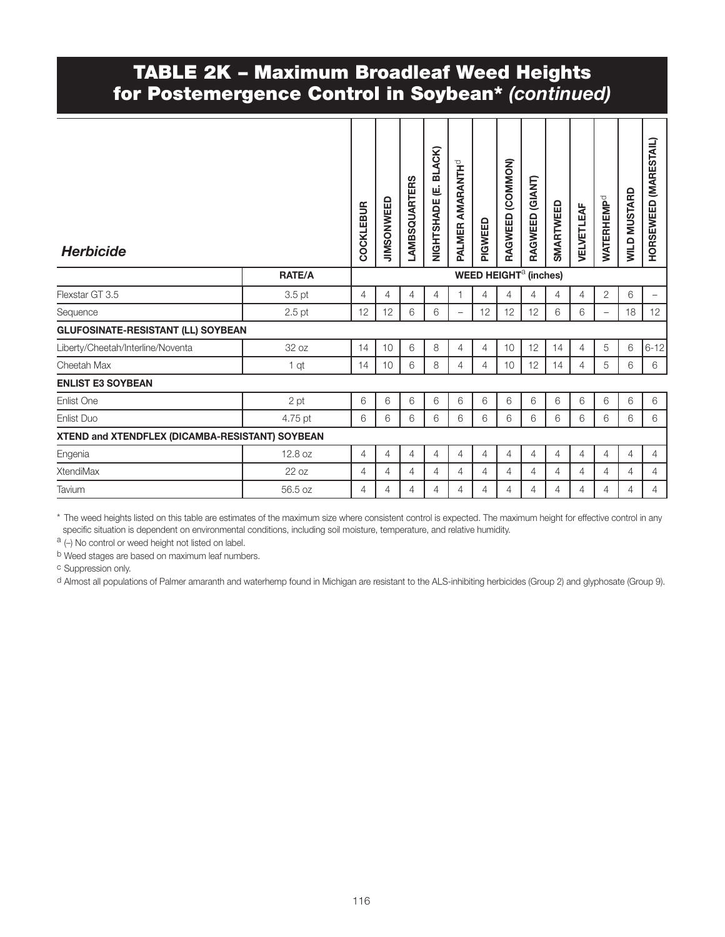## TABLE 2K – Maximum Broadleaf Weed Heights for Postemergence Control in Soybean\* *(continued)*

| <b>Herbicide</b>                                | <b>COCKLEBUR</b> | JIMSONWEED | LAMBSQUARTERS | <b>BLACK</b><br>ய்<br>NIGHTSHADE | PALMER AMARANTH <sup>d</sup> | PIGWEED                  | RAGWEED (COMMON)                        | RAGWEED (GIANT) | SMARTWEED      | <b>VELVETLEAF</b> | <b>WATERHEMP<sup>d</sup></b> | <b>WILD MUSTARD</b>      | HORSEWEED (MARESTAIL) |          |
|-------------------------------------------------|------------------|------------|---------------|----------------------------------|------------------------------|--------------------------|-----------------------------------------|-----------------|----------------|-------------------|------------------------------|--------------------------|-----------------------|----------|
|                                                 | RATE/A           |            |               |                                  |                              |                          | <b>WEED HEIGHT<sup>2</sup></b> (inches) |                 |                |                   |                              |                          |                       |          |
| Flexstar GT 3.5                                 | 3.5 pt           | 4          | 4             | 4                                | 4                            | 1                        | $\overline{4}$                          | 4               | 4              | 4                 | $\overline{4}$               | $\overline{2}$           | 6                     | $\equiv$ |
| Sequence                                        | $2.5$ pt         | 12         | 12            | 6                                | 6                            | $\overline{\phantom{0}}$ | 12                                      | 12              | 12             | 6                 | 6                            | $\overline{\phantom{0}}$ | 18                    | 12       |
| <b>GLUFOSINATE-RESISTANT (LL) SOYBEAN</b>       |                  |            |               |                                  |                              |                          |                                         |                 |                |                   |                              |                          |                       |          |
| Liberty/Cheetah/Interline/Noventa               | 32 oz            | 14         | 10            | 6                                | 8                            | $\overline{4}$           | $\overline{4}$                          | 10              | 12             | 14                | $\overline{4}$               | 5                        | 6                     | $6 - 12$ |
| Cheetah Max                                     | 1 <sub>qt</sub>  | 14         | 10            | 6                                | 8                            | $\overline{4}$           | 4                                       | 10              | 12             | 14                | 4                            | 5                        | 6                     | 6        |
| <b>ENLIST E3 SOYBEAN</b>                        |                  |            |               |                                  |                              |                          |                                         |                 |                |                   |                              |                          |                       |          |
| <b>Enlist One</b>                               | 2 pt             | 6          | 6             | 6                                | 6                            | 6                        | 6                                       | 6               | 6              | 6                 | 6                            | 6                        | 6                     | 6        |
| Enlist Duo                                      | 4.75 pt          | 6          | 6             | 6                                | 6                            | 6                        | 6                                       | 6               | 6              | 6                 | 6                            | 6                        | 6                     | 6        |
| XTEND and XTENDFLEX (DICAMBA-RESISTANT) SOYBEAN |                  |            |               |                                  |                              |                          |                                         |                 |                |                   |                              |                          |                       |          |
| Engenia                                         | 12.8 oz          | 4          | 4             | 4                                | 4                            | $\overline{4}$           | 4                                       | 4               | 4              | 4                 | $\overline{4}$               | 4                        | 4                     | 4        |
| XtendiMax                                       | 22 oz            | 4          | 4             | 4                                | 4                            | $\overline{4}$           | 4                                       | 4               | $\overline{4}$ | 4                 | 4                            | 4                        | 4                     | 4        |
| Tavium                                          | 56.5 oz          | 4          | 4             | 4                                | 4                            | 4                        | 4                                       | 4               | 4              | 4                 | 4                            | 4                        | 4                     | 4        |

\* The weed heights listed on this table are estimates of the maximum size where consistent control is expected. The maximum height for effective control in any specific situation is dependent on environmental conditions, including soil moisture, temperature, and relative humidity.

a (-) No control or weed height not listed on label.

b Weed stages are based on maximum leaf numbers.

c Suppression only.

d Almost all populations of Palmer amaranth and waterhemp found in Michigan are resistant to the ALS-inhibiting herbicides (Group 2) and glyphosate (Group 9).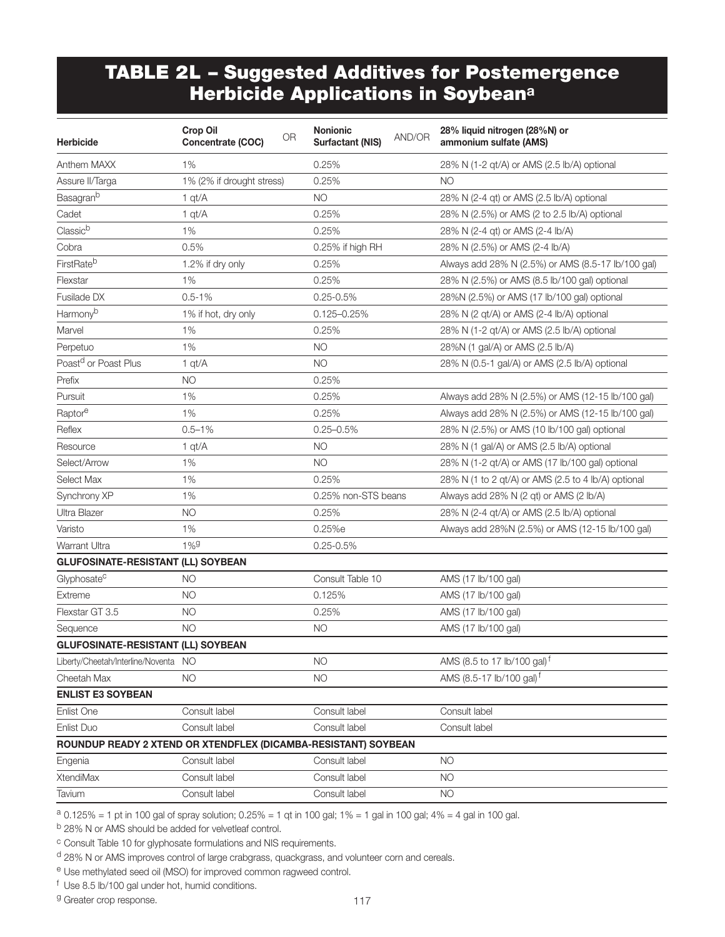## TABLE 2L – Suggested Additives for Postemergence Herbicide Applications in Soybean<sup>a</sup>

| <b>Herbicide</b>                          | <b>Crop Oil</b><br><b>OR</b><br>Concentrate (COC)              | <b>Nonionic</b><br>AND/OR<br><b>Surfactant (NIS)</b> | 28% liquid nitrogen (28%N) or<br>ammonium sulfate (AMS) |
|-------------------------------------------|----------------------------------------------------------------|------------------------------------------------------|---------------------------------------------------------|
| Anthem MAXX                               | 1%                                                             | 0.25%                                                | 28% N (1-2 gt/A) or AMS (2.5 lb/A) optional             |
| Assure II/Targa                           | 1% (2% if drought stress)                                      | 0.25%                                                | <b>NO</b>                                               |
| <b>Basagran</b> b                         | 1 $qt/A$                                                       | <b>NO</b>                                            | 28% N (2-4 qt) or AMS (2.5 lb/A) optional               |
| Cadet                                     | 1 qt/A                                                         | 0.25%                                                | 28% N (2.5%) or AMS (2 to 2.5 lb/A) optional            |
| Classic <sup>b</sup>                      | 1%                                                             | 0.25%                                                | 28% N (2-4 qt) or AMS (2-4 lb/A)                        |
| Cobra                                     | 0.5%                                                           | 0.25% if high RH                                     | 28% N (2.5%) or AMS (2-4 lb/A)                          |
| FirstRate <sup>b</sup>                    | 1.2% if dry only                                               | 0.25%                                                | Always add 28% N (2.5%) or AMS (8.5-17 lb/100 gal)      |
| Flexstar                                  | 1%                                                             | 0.25%                                                | 28% N (2.5%) or AMS (8.5 lb/100 gal) optional           |
| Fusilade DX                               | $0.5 - 1%$                                                     | $0.25 - 0.5%$                                        | 28%N (2.5%) or AMS (17 lb/100 gal) optional             |
| Harmonyb                                  | 1% if hot, dry only                                            | $0.125 - 0.25%$                                      | 28% N (2 qt/A) or AMS (2-4 lb/A) optional               |
| Marvel                                    | 1%                                                             | 0.25%                                                | 28% N (1-2 qt/A) or AMS (2.5 lb/A) optional             |
| Perpetuo                                  | 1%                                                             | <b>NO</b>                                            | 28%N (1 gal/A) or AMS (2.5 lb/A)                        |
| Poast <sup>d</sup> or Poast Plus          | 1 qt/A                                                         | <b>NO</b>                                            | 28% N (0.5-1 gal/A) or AMS (2.5 lb/A) optional          |
| Prefix                                    | <b>NO</b>                                                      | 0.25%                                                |                                                         |
| Pursuit                                   | 1%                                                             | 0.25%                                                | Always add 28% N (2.5%) or AMS (12-15 lb/100 gal)       |
| Raptore                                   | 1%                                                             | 0.25%                                                | Always add 28% N (2.5%) or AMS (12-15 lb/100 gal)       |
| Reflex                                    | $0.5 - 1\%$                                                    | $0.25 - 0.5%$                                        | 28% N (2.5%) or AMS (10 lb/100 gal) optional            |
| Resource                                  | 1 $qt/A$                                                       | <b>NO</b>                                            | 28% N (1 gal/A) or AMS (2.5 lb/A) optional              |
| Select/Arrow                              | 1%                                                             | NO.                                                  | 28% N (1-2 qt/A) or AMS (17 lb/100 gal) optional        |
| Select Max                                | 1%                                                             | 0.25%                                                | 28% N (1 to 2 qt/A) or AMS (2.5 to 4 lb/A) optional     |
| Synchrony XP                              | 1%                                                             | 0.25% non-STS beans                                  | Always add 28% N (2 gt) or AMS (2 lb/A)                 |
| Ultra Blazer                              | NO                                                             | 0.25%                                                | 28% N (2-4 gt/A) or AMS (2.5 lb/A) optional             |
| Varisto                                   | 1%                                                             | 0.25%e                                               | Always add 28%N (2.5%) or AMS (12-15 lb/100 gal)        |
| Warrant Ultra                             | $1\%9$                                                         | $0.25 - 0.5%$                                        |                                                         |
| <b>GLUFOSINATE-RESISTANT (LL) SOYBEAN</b> |                                                                |                                                      |                                                         |
| Glyphosate <sup>c</sup>                   | <b>NO</b>                                                      | Consult Table 10                                     | AMS (17 lb/100 gal)                                     |
| Extreme                                   | NO                                                             | 0.125%                                               | AMS (17 lb/100 gal)                                     |
| Flexstar GT 3.5                           | ΝO                                                             | 0.25%                                                | AMS (17 lb/100 gal)                                     |
| Sequence                                  | N <sub>O</sub>                                                 | <b>NO</b>                                            | AMS (17 lb/100 gal)                                     |
| <b>GLUFOSINATE-RESISTANT (LL) SOYBEAN</b> |                                                                |                                                      |                                                         |
| Liberty/Cheetah/Interline/Noventa NO      |                                                                | <b>NO</b>                                            | AMS (8.5 to 17 lb/100 gal) <sup>f</sup>                 |
| Cheetah Max                               | <b>NO</b>                                                      | <b>NO</b>                                            | AMS (8.5-17 lb/100 gal) <sup>f</sup>                    |
| <b>ENLIST E3 SOYBEAN</b>                  |                                                                |                                                      |                                                         |
| Enlist One                                | Consult label                                                  | Consult label                                        | Consult label                                           |
| Enlist Duo                                | Consult label                                                  | Consult label                                        | Consult label                                           |
|                                           | ROUNDUP READY 2 XTEND OR XTENDFLEX (DICAMBA-RESISTANT) SOYBEAN |                                                      |                                                         |
| Engenia                                   | Consult label                                                  | Consult label                                        | <b>NO</b>                                               |
| XtendiMax                                 | Consult label                                                  | Consult label                                        | <b>NO</b>                                               |
| Tavium                                    | Consult label                                                  | Consult label                                        | <b>NO</b>                                               |

 $a$  0.125% = 1 pt in 100 gal of spray solution; 0.25% = 1 qt in 100 gal; 1% = 1 gal in 100 gal; 4% = 4 gal in 100 gal.

<sup>b</sup> 28% N or AMS should be added for velvetleaf control.

c Consult Table 10 for glyphosate formulations and NIS requirements.

d 28% N or AMS improves control of large crabgrass, quackgrass, and volunteer corn and cereals.

<sup>e</sup> Use methylated seed oil (MSO) for improved common ragweed control.

<sup>f</sup> Use 8.5 lb/100 gal under hot, humid conditions.

<sup>g</sup> Greater crop response.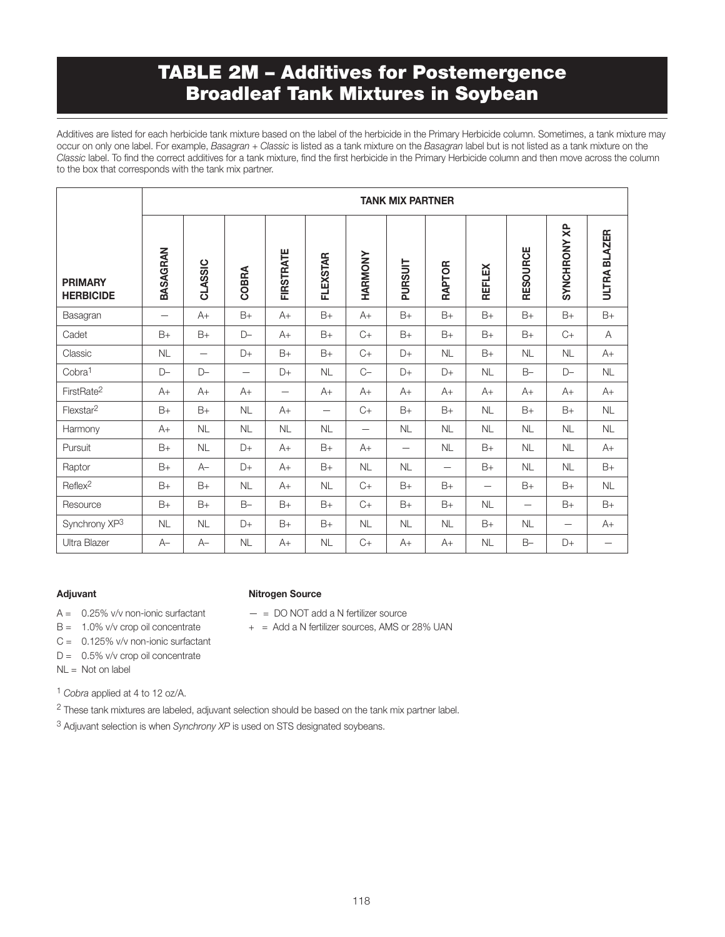## TABLE 2M – Additives for Postemergence Broadleaf Tank Mixtures in Soybean

Additives are listed for each herbicide tank mixture based on the label of the herbicide in the Primary Herbicide column. Sometimes, a tank mixture may occur on only one label. For example, *Basagran* + *Classic* is listed as a tank mixture on the *Basagran* label but is not listed as a tank mixture on the *Classic* label. To find the correct additives for a tank mixture, find the first herbicide in the Primary Herbicide column and then move across the column to the box that corresponds with the tank mix partner.

|                                    |                          |                                  |           |                  |                          |               | <b>TANK MIX PARTNER</b>  |                          |                 |                          |                          |                                  |
|------------------------------------|--------------------------|----------------------------------|-----------|------------------|--------------------------|---------------|--------------------------|--------------------------|-----------------|--------------------------|--------------------------|----------------------------------|
| <b>PRIMARY</b><br><b>HERBICIDE</b> | BASAGRAN                 | CLASSIC                          | COBRA     | <b>FIRSTRATE</b> | <b>FLEXSTAR</b>          | HARMONY       | PURSUIT                  | RAPTOR                   | REFLEX          | RESOURCE                 | SYNCHRONY XP             | ULTRA BLAZER                     |
| Basagran                           | $\overline{\phantom{0}}$ | $A+$                             | $B+$      | $A+$             | $B+$                     | $A+$          | $B+$                     | $B+$                     | $B+$            | $B+$                     | $B+$                     | $B+$                             |
| Cadet                              | $B+$                     | $B+$                             | $D-$      | $A+$             | $B+$                     | $C+$          | $B+$                     | $B+$                     | $B+$            | $B+$                     | $C+$                     | $\overline{A}$                   |
| Classic                            | NL                       | $\overbrace{\phantom{12322111}}$ | $D+$      | $B+$             | $B+$                     | $C+$          | $D+$                     | NL                       | $B+$            | NL                       | NL                       | $A+$                             |
| Cobra <sup>1</sup>                 | $D-$                     | $D-$                             |           | $D+$             | NL                       | $C-$          | D+                       | $D+$                     | NL              | $B -$                    | $D-$                     | NL                               |
| FirstRate <sup>2</sup>             | $A+$                     | $A+$                             | $A+$      | $\qquad \qquad$  | $A+$                     | $A+$          | $A+$                     | $A+$                     | $A+$            | $A+$                     | $A+$                     | $A+$                             |
| Flexstar <sup>2</sup>              | $B+$                     | $B+$                             | NL        | $A+$             | $\overline{\phantom{0}}$ | $C+$          | $B+$                     | $B+$                     | <b>NL</b>       | $B+$                     | $B+$                     | NL                               |
| Harmony                            | $A+$                     | <b>NL</b>                        | <b>NL</b> | <b>NL</b>        | <b>NL</b>                |               | <b>NL</b>                | <b>NL</b>                | <b>NL</b>       | <b>NL</b>                | <b>NL</b>                | NL                               |
| Pursuit                            | $B+$                     | <b>NL</b>                        | $D+$      | $A+$             | $B+$                     | $A+$          | $\overline{\phantom{0}}$ | NL                       | $B+$            | <b>NL</b>                | <b>NL</b>                | $A+$                             |
| Raptor                             | $B+$                     | $A-$                             | $D+$      | $A+$             | $B+$                     | <b>NL</b>     | <b>NL</b>                | $\overline{\phantom{0}}$ | $B+$            | <b>NL</b>                | <b>NL</b>                | $B+$                             |
| Reflex <sup>2</sup>                | $B+$                     | $B+$                             | <b>NL</b> | $A+$             | <b>NL</b>                | $\mathrm{C}+$ | $B+$                     | $B+$                     | $\qquad \qquad$ | $B+$                     | $B+$                     | NL                               |
| Resource                           | $B+$                     | $B+$                             | $B -$     | $B+$             | $B+$                     | $C+$          | $B+$                     | $B+$                     | <b>NL</b>       | $\overline{\phantom{0}}$ | $B+$                     | $B+$                             |
| Synchrony XP3                      | NL                       | NL                               | $D+$      | $B+$             | $B+$                     | NL            | NL                       | <b>NL</b>                | $B+$            | NL                       | $\overline{\phantom{0}}$ | $A+$                             |
| Ultra Blazer                       | $A-$                     | $A-$                             | NL        | $A+$             | NL                       | $C+$          | $A+$                     | $A+$                     | <b>NL</b>       | $B -$                    | $D+$                     | $\overbrace{\phantom{12322111}}$ |

- $A = 0.25\%$  v/v non-ionic surfactant  $= DO NOT$  add a N fertilizer source
- $B = 1.0\%$  v/v crop oil concentrate  $+ =$  Add a N fertilizer sources, AMS or 28% UAN
- $C = 0.125\%$  v/v non-ionic surfactant
- $D = 0.5\%$  v/v crop oil concentrate
- $NL = Not on label$

<sup>1</sup> *Cobra* applied at 4 to 12 oz/A.

<sup>2</sup> These tank mixtures are labeled, adjuvant selection should be based on the tank mix partner label.

3 Adjuvant selection is when *Synchrony XP* is used on STS designated soybeans.

- Adjuvant Nitrogen Source
	-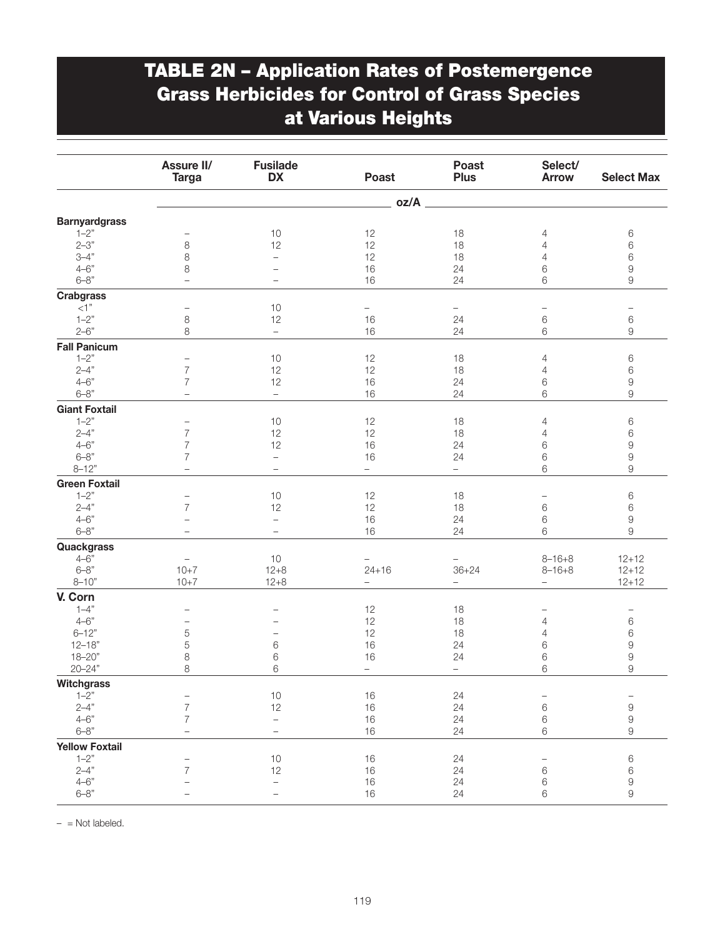# TABLE 2N – Application Rates of Postemergence Grass Herbicides for Control of Grass Species at Various Heights

|                       | Assure II/<br><b>Targa</b> | <b>Fusilade</b><br><b>DX</b> | <b>Poast</b>             | Poast<br><b>Plus</b> | Select/<br><b>Arrow</b> | <b>Select Max</b>        |
|-----------------------|----------------------------|------------------------------|--------------------------|----------------------|-------------------------|--------------------------|
|                       |                            |                              | oz/A                     |                      |                         |                          |
| <b>Barnyardgrass</b>  |                            |                              |                          |                      |                         |                          |
| $1 - 2$ "             | $\overline{\phantom{0}}$   | 10                           | 12                       | 18                   | 4                       | 6                        |
| $2 - 3"$              | 8                          | 12                           | 12                       | 18                   | 4                       | 6                        |
| $3 - 4"$              | 8                          | $\equiv$                     | 12                       | 18                   | 4                       | $\,6$                    |
| $4 - 6"$              | 8                          |                              | 16                       | 24                   | 6                       | $\hbox{9}$               |
| $6 - 8"$              | $\overline{a}$             | $\qquad \qquad -$            | 16                       | 24                   | 6                       | $\hbox{9}$               |
| <b>Crabgrass</b>      |                            |                              |                          |                      |                         |                          |
| $<$ 1 $^{\rm n}$      | —                          | $10$                         | $\overline{\phantom{0}}$ | $\qquad \qquad -$    |                         | $\overline{\phantom{0}}$ |
| $1 - 2$ "             | $\,8\,$                    | 12                           | 16                       | 24                   | 6                       | $\,$ 6 $\,$              |
| $2 - 6"$              | 8                          | $\equiv$                     | 16                       | 24                   | 6                       | 9                        |
| <b>Fall Panicum</b>   |                            |                              |                          |                      |                         |                          |
| $1 - 2"$              | -                          | 10                           | 12                       | 18                   | 4                       | $\,$ 6 $\,$              |
| $2 - 4"$              | $\overline{7}$             | 12                           | 12                       | 18                   | 4                       | $\,6$                    |
| $4 - 6"$              | $\overline{7}$             | 12                           | 16                       | 24                   | 6                       | $\hbox{9}$               |
| $6 - 8"$              | $\overline{\phantom{0}}$   | $\equiv$                     | 16                       | 24                   | 6                       | $\hbox{9}$               |
| <b>Giant Foxtail</b>  |                            |                              |                          |                      |                         |                          |
| $1 - 2$ "             | $\overline{\phantom{0}}$   | 10                           | 12                       | 18                   | 4                       | 6                        |
| $2 - 4"$              | $\overline{7}$             | 12                           | 12                       | 18                   | 4                       | 6                        |
| $4 - 6"$              | 7                          | 12                           | 16                       | 24                   | 6                       | $\hbox{9}$               |
| $6 - 8$ "             | $\overline{7}$             | $\overline{\phantom{0}}$     | 16                       | 24                   | 6                       | $\hbox{9}$               |
| $8 - 12"$             | $\equiv$                   | L.                           | $\equiv$                 | $\equiv$             |                         | $\hbox{9}$               |
|                       |                            |                              |                          |                      | 6                       |                          |
| <b>Green Foxtail</b>  |                            |                              |                          |                      |                         |                          |
| $1 - 2$ "             | -                          | 10                           | 12                       | 18                   |                         | 6                        |
| $2 - 4"$              | $\overline{7}$             | 12                           | 12                       | 18                   | $\,6$                   | 6                        |
| $4 - 6"$              |                            | $\overline{\phantom{0}}$     | 16                       | 24                   | 6                       | $\hbox{9}$               |
| $6 - 8"$              | $\equiv$                   | $\overline{\phantom{0}}$     | 16                       | 24                   | 6                       | $\hbox{9}$               |
| Quackgrass            |                            |                              |                          |                      |                         |                          |
| $4 - 6"$              |                            | $10$                         |                          |                      | $8 - 16 + 8$            | $12 + 12$                |
| $6 - 8"$              | $10 + 7$                   | $12 + 8$                     | $24 + 16$                | $36 + 24$            | $8 - 16 + 8$            | $12 + 12$                |
| $8 - 10"$             | $10 + 7$                   | $12 + 8$                     | $\equiv$                 | $\equiv$             | $\equiv$                | $12 + 12$                |
| V. Corn               |                            |                              |                          |                      |                         |                          |
| $1 - 4$ "             | -                          |                              | 12                       | 18                   |                         | $\overline{\phantom{0}}$ |
| $4 - 6"$              | $\overline{\phantom{0}}$   |                              | 12                       | 18                   | 4                       | $\,6$                    |
| $6 - 12"$             | $\mathbf 5$                |                              | 12                       | 18                   | 4                       | 6                        |
| $12 - 18"$            | 5                          | 6                            | 16                       | 24                   | 6                       | $\hbox{9}$               |
| $18 - 20"$            | 8                          | 6                            | 16                       | 24                   | 6                       | $\hbox{9}$               |
| $20 - 24"$            | 8                          | 6                            | $\equiv$                 | $-$                  | 6                       | $\hbox{9}$               |
| Witchgrass            |                            |                              |                          |                      |                         |                          |
| $1 - 2$ "             |                            | $10$                         | 16                       | 24                   |                         |                          |
| $2 - 4"$              | $\overline{7}$             | 12                           | 16                       | 24                   | 6                       | $\hbox{9}$               |
| $4 - 6"$              | 7                          | $\equiv$                     | $16$                     | 24                   | 6                       | $\hbox{9}$               |
| $6 - 8"$              | $\overline{\phantom{0}}$   | $\overline{\phantom{0}}$     | 16                       | 24                   | 6                       | $\hbox{9}$               |
| <b>Yellow Foxtail</b> |                            |                              |                          |                      |                         |                          |
| $1 - 2$ "             |                            | $10$                         | 16                       | 24                   |                         | $\,6$                    |
| $2 - 4"$              | $\overline{7}$             | 12                           | 16                       | 24                   | $\,6$                   | 6                        |
| $4 - 6"$              |                            | $\equiv$                     |                          | 24                   |                         |                          |
|                       |                            |                              | $16$                     |                      | 6                       | $\hbox{9}$               |
| $6 - 8"$              |                            | $\overline{\phantom{0}}$     | 16                       | 24                   | 6                       | $\hbox{9}$               |

 $-$  = Not labeled.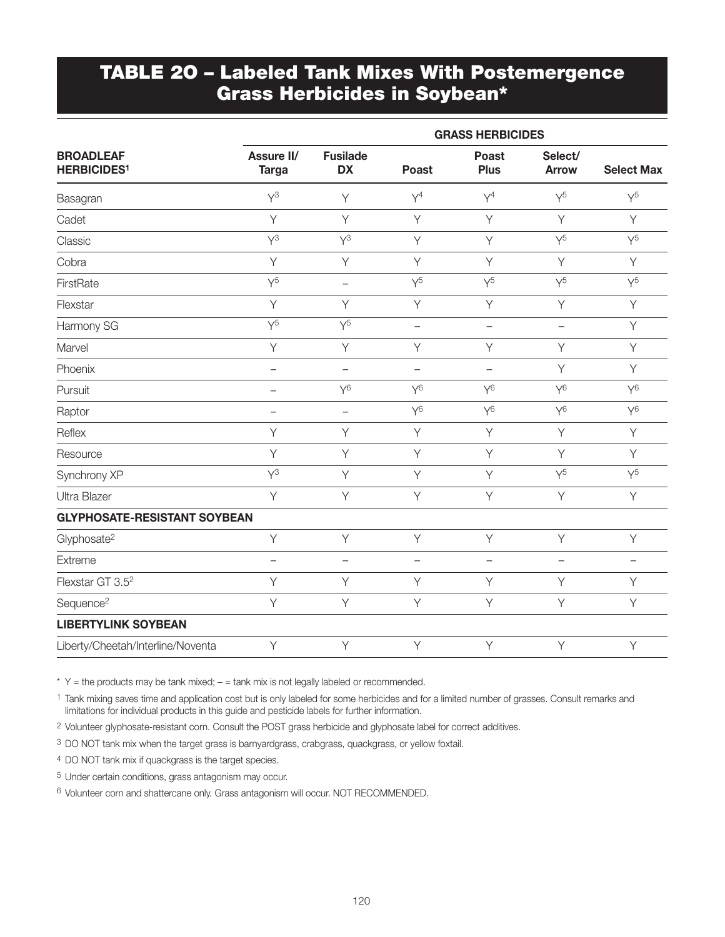# TABLE 2O – Labeled Tank Mixes With Postemergence Grass Herbicides in Soybean\*

|                                                   |                            |                              |                          | <b>GRASS HERBICIDES</b>     |                         |                   |
|---------------------------------------------------|----------------------------|------------------------------|--------------------------|-----------------------------|-------------------------|-------------------|
| <b>BROADLEAF</b><br><b>HERBICIDES<sup>1</sup></b> | Assure II/<br><b>Targa</b> | <b>Fusilade</b><br><b>DX</b> | <b>Poast</b>             | <b>Poast</b><br><b>Plus</b> | Select/<br><b>Arrow</b> | <b>Select Max</b> |
| Basagran                                          | $Y^3$                      | Y                            | $Y^4$                    | $Y^4$                       | $\mathsf{Y}^5$          | $Y^5$             |
| Cadet                                             | Y                          | Y                            | Y                        | Y                           | Y                       | Y                 |
| Classic                                           | $Y^3$                      | $Y^3$                        | Y                        | Y                           | $Y^{\overline{5}}$      | $Y^5$             |
| Cobra                                             | Y                          | Y                            | Y                        | Y                           | Y                       | Y                 |
| FirstRate                                         | $Y^5$                      | $\qquad \qquad -$            | $Y^{\overline{5}}$       | $Y^5$                       | $Y^5$                   | $Y^5$             |
| Flexstar                                          | Y                          | Y                            | Y                        | Y                           | Y                       | Y                 |
| Harmony SG                                        | $Y^5$                      | $Y^{\overline{5}}$           | $\overline{\phantom{0}}$ | $\overline{\phantom{0}}$    | $\qquad \qquad -$       | Y                 |
| Marvel                                            | Y                          | Y                            | Y                        | Y                           | Y                       | Y                 |
| Phoenix                                           | $\qquad \qquad -$          | $\overline{\phantom{0}}$     | —                        | $\qquad \qquad -$           | Y                       | Y                 |
| Pursuit                                           | $\qquad \qquad -$          | $Y^6$                        | $Y^6$                    | $Y^6$                       | $Y^6$                   | $Y^6$             |
| Raptor                                            | $\overline{\phantom{m}}$   | $\qquad \qquad -$            | $Y^6$                    | $Y^6$                       | $Y^6$                   | $Y^6$             |
| Reflex                                            | Υ                          | Y                            | Y                        | Y                           | Y                       | Y                 |
| Resource                                          | Y                          | Y                            | Y                        | Y                           | Y                       | Y                 |
| Synchrony XP                                      | $Y^3$                      | Y                            | Y                        | Y                           | $Y^5$                   | $Y^5$             |
| <b>Ultra Blazer</b>                               | Y                          | Y                            | Y                        | Y                           | Y                       | Y                 |
| <b>GLYPHOSATE-RESISTANT SOYBEAN</b>               |                            |                              |                          |                             |                         |                   |
| Glyphosate <sup>2</sup>                           | Y                          | Y                            | Y                        | Y                           | Y                       | Y                 |
| Extreme                                           | $\qquad \qquad -$          | $\overline{\phantom{0}}$     | $\overline{\phantom{0}}$ | $\overline{\phantom{0}}$    | $\qquad \qquad -$       | $\qquad \qquad -$ |
| Flexstar GT 3.5 <sup>2</sup>                      | Y                          | Y                            | Y                        | Y                           | Y                       | Y                 |
| Sequence <sup>2</sup>                             | Y                          | Y                            | Y                        | Y                           | Y                       | Y                 |
| <b>LIBERTYLINK SOYBEAN</b>                        |                            |                              |                          |                             |                         |                   |
| Liberty/Cheetah/Interline/Noventa                 | Y                          | Y                            | Y                        | Y                           | Y                       | Y                 |

 $*$  Y = the products may be tank mixed;  $-$  = tank mix is not legally labeled or recommended.

1 Tank mixing saves time and application cost but is only labeled for some herbicides and for a limited number of grasses. Consult remarks and limitations for individual products in this guide and pesticide labels for further information.

2 Volunteer glyphosate-resistant corn. Consult the POST grass herbicide and glyphosate label for correct additives.

3 DO NOT tank mix when the target grass is barnyardgrass, crabgrass, quackgrass, or yellow foxtail.

4 DO NOT tank mix if quackgrass is the target species.

5 Under certain conditions, grass antagonism may occur.

<sup>6</sup> Volunteer corn and shattercane only. Grass antagonism will occur. NOT RECOMMENDED.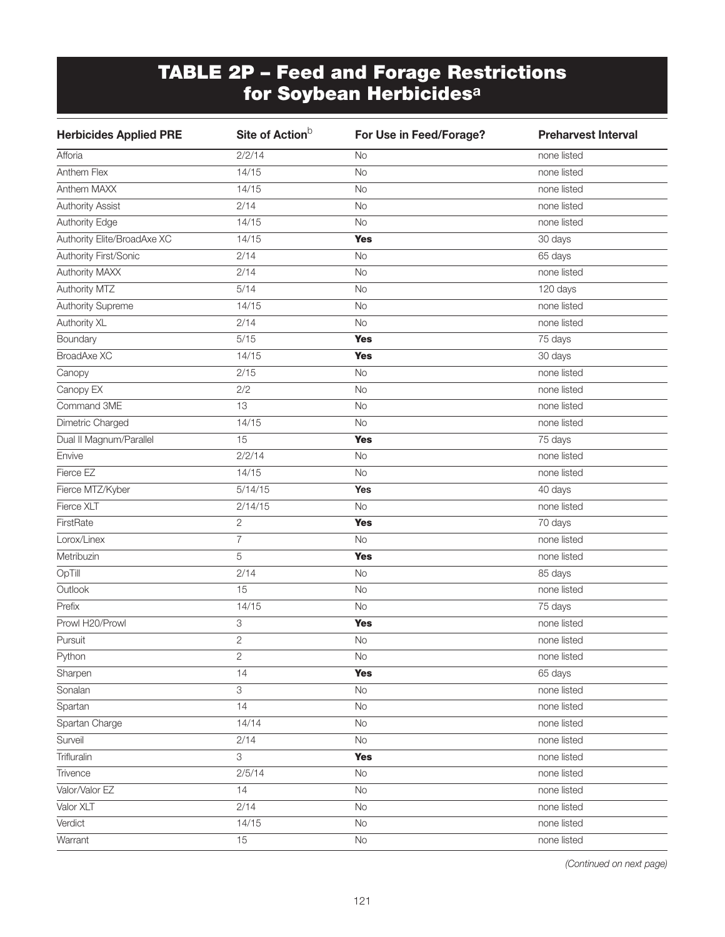## TABLE 2P – Feed and Forage Restrictions for Soybean Herbicides<sup>a</sup>

| <b>Herbicides Applied PRE</b> | Site of Action <sup>b</sup> | For Use in Feed/Forage? | <b>Preharvest Interval</b> |
|-------------------------------|-----------------------------|-------------------------|----------------------------|
| Afforia                       | 2/2/14                      | <b>No</b>               | none listed                |
| Anthem Flex                   | 14/15                       | <b>No</b>               | none listed                |
| Anthem MAXX                   | 14/15                       | <b>No</b>               | none listed                |
| <b>Authority Assist</b>       | 2/14                        | <b>No</b>               | none listed                |
| Authority Edge                | 14/15                       | <b>No</b>               | none listed                |
| Authority Elite/BroadAxe XC   | 14/15                       | <b>Yes</b>              | 30 days                    |
| Authority First/Sonic         | 2/14                        | <b>No</b>               | 65 days                    |
| Authority MAXX                | 2/14                        | <b>No</b>               | none listed                |
| Authority MTZ                 | 5/14                        | <b>No</b>               | 120 days                   |
| <b>Authority Supreme</b>      | 14/15                       | <b>No</b>               | none listed                |
| Authority XL                  | 2/14                        | <b>No</b>               | none listed                |
| Boundary                      | 5/15                        | <b>Yes</b>              | 75 days                    |
| <b>BroadAxe XC</b>            | 14/15                       | <b>Yes</b>              | 30 days                    |
| Canopy                        | 2/15                        | <b>No</b>               | none listed                |
| Canopy EX                     | 2/2                         | <b>No</b>               | none listed                |
| Command 3ME                   | 13                          | <b>No</b>               | none listed                |
| Dimetric Charged              | 14/15                       | <b>No</b>               | none listed                |
| Dual II Magnum/Parallel       | 15                          | <b>Yes</b>              | 75 days                    |
| Envive                        | 2/2/14                      | <b>No</b>               | none listed                |
| Fierce EZ                     | 14/15                       | <b>No</b>               | none listed                |
| Fierce MTZ/Kyber              | 5/14/15                     | Yes                     | 40 days                    |
| Fierce XLT                    | 2/14/15                     | <b>No</b>               | none listed                |
| FirstRate                     | $\sqrt{2}$                  | <b>Yes</b>              | 70 days                    |
| Lorox/Linex                   | $\overline{7}$              | <b>No</b>               | none listed                |
| Metribuzin                    | 5                           | <b>Yes</b>              | none listed                |
| OpTill                        | 2/14                        | <b>No</b>               | 85 days                    |
| Outlook                       | 15                          | <b>No</b>               | none listed                |
| Prefix                        | 14/15                       | <b>No</b>               | 75 days                    |
| Prowl H20/Prowl               | $\ensuremath{\mathsf{3}}$   | <b>Yes</b>              | none listed                |
| Pursuit                       | $\mathbf{2}$                | <b>No</b>               | none listed                |
| Python                        | $\overline{c}$              | <b>No</b>               | none listed                |
| Sharpen                       | 14                          | <b>Yes</b>              | 65 days                    |
| Sonalan                       | $\ensuremath{\mathsf{3}}$   | No                      | none listed                |
| Spartan                       | 14                          | No                      | none listed                |
| Spartan Charge                | 14/14                       | No                      | none listed                |
| Surveil                       | 2/14                        | No                      | none listed                |
| Trifluralin                   | $\ensuremath{\mathsf{3}}$   | <b>Yes</b>              | none listed                |
| Trivence                      | 2/5/14                      | No                      | none listed                |
| Valor/Valor EZ                | 14                          | <b>No</b>               | none listed                |
| Valor XLT                     | 2/14                        | No                      | none listed                |
| Verdict                       | 14/15                       | No                      | none listed                |
| Warrant                       | 15                          | No                      | none listed                |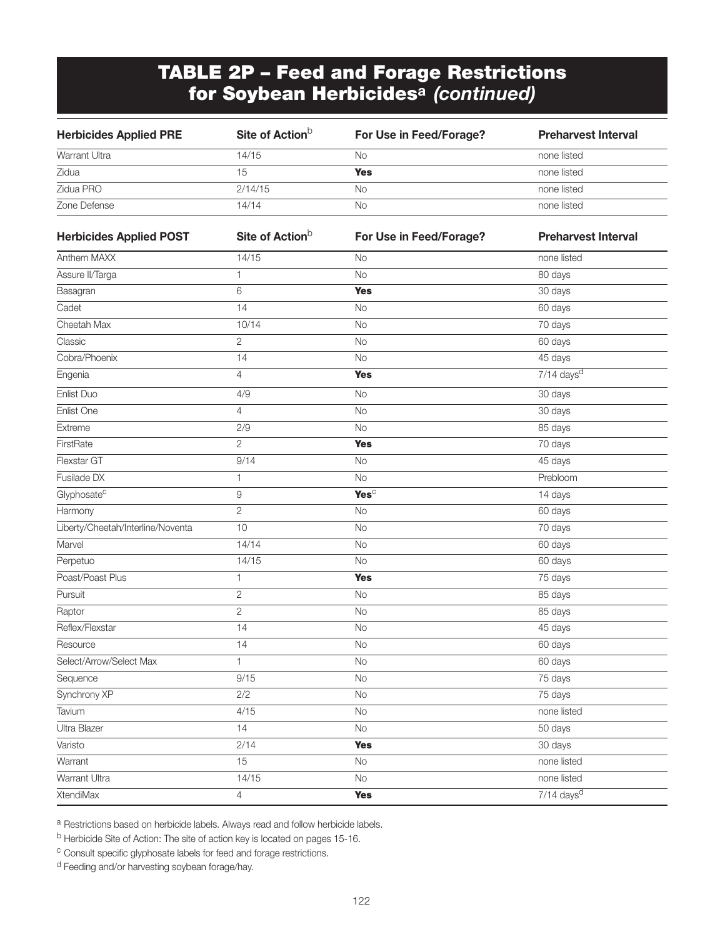# TABLE 2P – Feed and Forage Restrictions for Soybean Herbicidesa *(continued)*

| <b>Herbicides Applied PRE</b>     | Site of Action <sup>b</sup> | For Use in Feed/Forage? | <b>Preharvest Interval</b> |
|-----------------------------------|-----------------------------|-------------------------|----------------------------|
| Warrant Ultra                     | 14/15                       | <b>No</b>               | none listed                |
| Zidua                             | 15                          | <b>Yes</b>              | none listed                |
| Zidua PRO                         | 2/14/15                     | <b>No</b>               | none listed                |
| Zone Defense                      | 14/14                       | <b>No</b>               | none listed                |
| <b>Herbicides Applied POST</b>    | Site of Action <sup>b</sup> | For Use in Feed/Forage? | <b>Preharvest Interval</b> |
| Anthem MAXX                       | 14/15                       | <b>No</b>               | none listed                |
| Assure II/Targa                   | 1                           | <b>No</b>               | 80 days                    |
| Basagran                          | 6                           | <b>Yes</b>              | 30 days                    |
| Cadet                             | 14                          | <b>No</b>               | 60 days                    |
| Cheetah Max                       | 10/14                       | <b>No</b>               | 70 days                    |
| Classic                           | $\mathbf{2}$                | <b>No</b>               | 60 days                    |
| Cobra/Phoenix                     | 14                          | <b>No</b>               | $45$ days                  |
| Engenia                           | $\overline{4}$              | <b>Yes</b>              | $7/14$ days <sup>d</sup>   |
| Enlist Duo                        | 4/9                         | <b>No</b>               | 30 days                    |
| Enlist One                        | $\overline{4}$              | <b>No</b>               | 30 days                    |
| Extreme                           | 2/9                         | <b>No</b>               | 85 days                    |
| FirstRate                         | $\mathbf{2}$                | <b>Yes</b>              | 70 days                    |
| Flexstar GT                       | 9/14                        | <b>No</b>               | $\overline{45}$ days       |
| Fusilade DX                       | $\mathbf{1}$                | <b>No</b>               | Prebloom                   |
| Glyphosate <sup>c</sup>           | $\hbox{9}$                  | <b>Yes</b>              | 14 days                    |
| Harmony                           | $\overline{2}$              | <b>No</b>               | 60 days                    |
| Liberty/Cheetah/Interline/Noventa | 10                          | <b>No</b>               | 70 days                    |
| Marvel                            | 14/14                       | <b>No</b>               | 60 days                    |
| Perpetuo                          | 14/15                       | <b>No</b>               | 60 days                    |
| Poast/Poast Plus                  | $\mathbf{1}$                | <b>Yes</b>              | 75 days                    |
| Pursuit                           | $\overline{2}$              | <b>No</b>               | 85 days                    |
| Raptor                            | $\overline{2}$              | <b>No</b>               | 85 days                    |
| Reflex/Flexstar                   | 14                          | No                      | $\overline{45}$ days       |
| Resource                          | 14                          | <b>No</b>               | 60 days                    |
| Select/Arrow/Select Max           | $\mathbf{1}$                | $\rm No$                | 60 days                    |
| Sequence                          | 9/15                        | No                      | 75 days                    |
| Synchrony XP                      | 2/2                         | No                      | 75 days                    |
| Tavium                            | 4/15                        | No                      | none listed                |
| Ultra Blazer                      | 14                          | No                      | 50 days                    |
| Varisto                           | 2/14                        | <b>Yes</b>              | 30 days                    |
| Warrant                           | 15                          | No                      | none listed                |
| Warrant Ultra                     | 14/15                       | No                      | none listed                |
| XtendiMax                         | $\overline{4}$              | <b>Yes</b>              | $7/14$ days <sup>d</sup>   |

a Restrictions based on herbicide labels. Always read and follow herbicide labels.

<sup>b</sup> Herbicide Site of Action: The site of action key is located on pages 15-16.

<sup>c</sup> Consult specific glyphosate labels for feed and forage restrictions.

d Feeding and/or harvesting soybean forage/hay.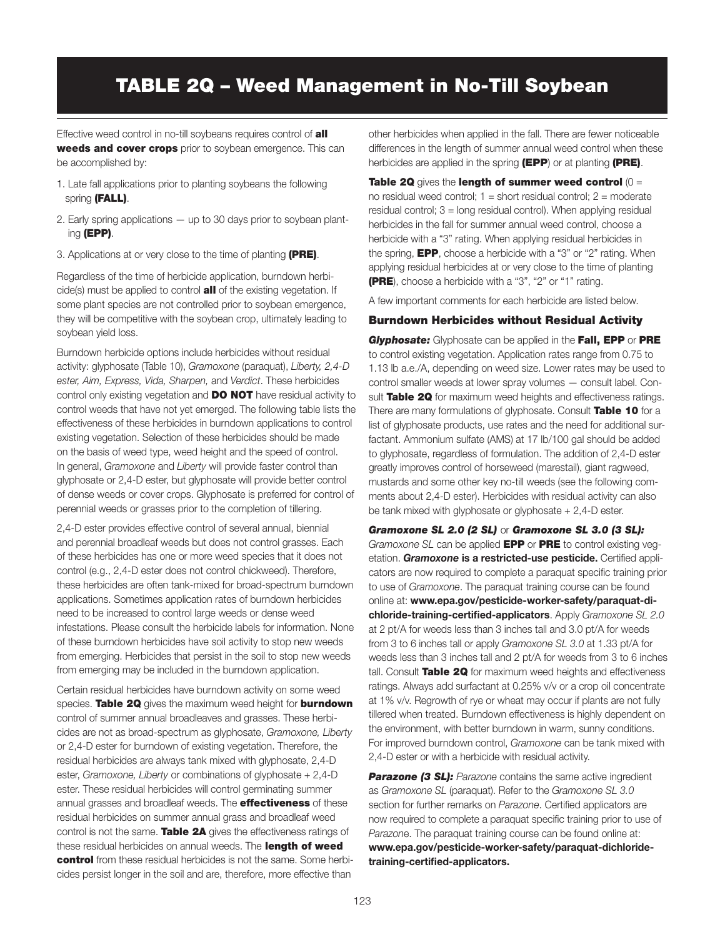## TABLE 2Q – Weed Management in No-Till Soybean

Effective weed control in no-till soybeans requires control of **all** weeds and cover crops prior to soybean emergence. This can be accomplished by:

- 1. Late fall applications prior to planting soybeans the following spring (FALL).
- 2. Early spring applications up to 30 days prior to soybean planting (EPP).
- 3. Applications at or very close to the time of planting (PRE).

Regardless of the time of herbicide application, burndown herbicide(s) must be applied to control **all** of the existing vegetation. If some plant species are not controlled prior to soybean emergence, they will be competitive with the soybean crop, ultimately leading to soybean yield loss.

Burndown herbicide options include herbicides without residual activity: glyphosate (Table 10), *Gramoxone* (paraquat), *Liberty, 2,4-D ester, Aim, Express, Vida, Sharpen,* and *Verdict*. These herbicides control only existing vegetation and **DO NOT** have residual activity to control weeds that have not yet emerged. The following table lists the effectiveness of these herbicides in burndown applications to control existing vegetation. Selection of these herbicides should be made on the basis of weed type, weed height and the speed of control. In general, *Gramoxone* and *Liberty* will provide faster control than glyphosate or 2,4-D ester, but glyphosate will provide better control of dense weeds or cover crops. Glyphosate is preferred for control of perennial weeds or grasses prior to the completion of tillering.

2,4-D ester provides effective control of several annual, biennial and perennial broadleaf weeds but does not control grasses. Each of these herbicides has one or more weed species that it does not control (e.g., 2,4-D ester does not control chickweed). Therefore, these herbicides are often tank-mixed for broad-spectrum burndown applications. Sometimes application rates of burndown herbicides need to be increased to control large weeds or dense weed infestations. Please consult the herbicide labels for information. None of these burndown herbicides have soil activity to stop new weeds from emerging. Herbicides that persist in the soil to stop new weeds from emerging may be included in the burndown application.

Certain residual herbicides have burndown activity on some weed species. Table 2Q gives the maximum weed height for burndown control of summer annual broadleaves and grasses. These herbicides are not as broad-spectrum as glyphosate, *Gramoxone, Liberty* or 2,4-D ester for burndown of existing vegetation. Therefore, the residual herbicides are always tank mixed with glyphosate, 2,4-D ester, *Gramoxone, Liberty* or combinations of glyphosate + 2,4-D ester. These residual herbicides will control germinating summer annual grasses and broadleaf weeds. The **effectiveness** of these residual herbicides on summer annual grass and broadleaf weed control is not the same. Table 2A gives the effectiveness ratings of these residual herbicides on annual weeds. The length of weed control from these residual herbicides is not the same. Some herbicides persist longer in the soil and are, therefore, more effective than

other herbicides when applied in the fall. There are fewer noticeable differences in the length of summer annual weed control when these herbicides are applied in the spring (EPP) or at planting (PRE).

Table 2Q gives the length of summer weed control  $(0 =$ no residual weed control;  $1 =$  short residual control;  $2 =$  moderate residual control; 3 = long residual control). When applying residual herbicides in the fall for summer annual weed control, choose a herbicide with a "3" rating. When applying residual herbicides in the spring, **EPP**, choose a herbicide with a "3" or "2" rating. When applying residual herbicides at or very close to the time of planting (PRE), choose a herbicide with a "3", "2" or "1" rating.

A few important comments for each herbicide are listed below.

#### Burndown Herbicides without Residual Activity

*Glyphosate:* Glyphosate can be applied in the Fall, EPP or PRE to control existing vegetation. Application rates range from 0.75 to 1.13 lb a.e./A, depending on weed size. Lower rates may be used to control smaller weeds at lower spray volumes — consult label. Consult Table 2Q for maximum weed heights and effectiveness ratings. There are many formulations of glyphosate. Consult Table 10 for a list of glyphosate products, use rates and the need for additional surfactant. Ammonium sulfate (AMS) at 17 lb/100 gal should be added to glyphosate, regardless of formulation. The addition of 2,4-D ester greatly improves control of horseweed (marestail), giant ragweed, mustards and some other key no-till weeds (see the following comments about 2,4-D ester). Herbicides with residual activity can also be tank mixed with glyphosate or glyphosate + 2,4-D ester.

*Gramoxone SL 2.0 (2 SL)* or *Gramoxone SL 3.0 (3 SL): Gramoxone SL* can be applied EPP or PRE to control existing vegetation. **Gramoxone is a restricted-use pesticide.** Certified applicators are now required to complete a paraquat specific training prior to use of *Gramoxone*. The paraquat training course can be found online at: www.epa.gov/pesticide-worker-safety/paraquat-dichloride-training-certified-applicators. Apply *Gramoxone SL 2.0* at 2 pt/A for weeds less than 3 inches tall and 3.0 pt/A for weeds from 3 to 6 inches tall or apply *Gramoxone SL 3.0* at 1.33 pt/A for weeds less than 3 inches tall and 2 pt/A for weeds from 3 to 6 inches tall. Consult Table 2Q for maximum weed heights and effectiveness ratings. Always add surfactant at 0.25% v/v or a crop oil concentrate at 1% v/v. Regrowth of rye or wheat may occur if plants are not fully tillered when treated. Burndown effectiveness is highly dependent on the environment, with better burndown in warm, sunny conditions. For improved burndown control, *Gramoxone* can be tank mixed with 2,4-D ester or with a herbicide with residual activity.

**Parazone (3 SL):** *Parazone* contains the same active ingredient as *Gramoxone SL* (paraquat). Refer to the *Gramoxone SL 3.0* section for further remarks on *Parazone*. Certified applicators are now required to complete a paraquat specific training prior to use of *Parazon*e. The paraquat training course can be found online at: www.epa.gov/pesticide-worker-safety/paraquat-dichloridetraining-certified-applicators.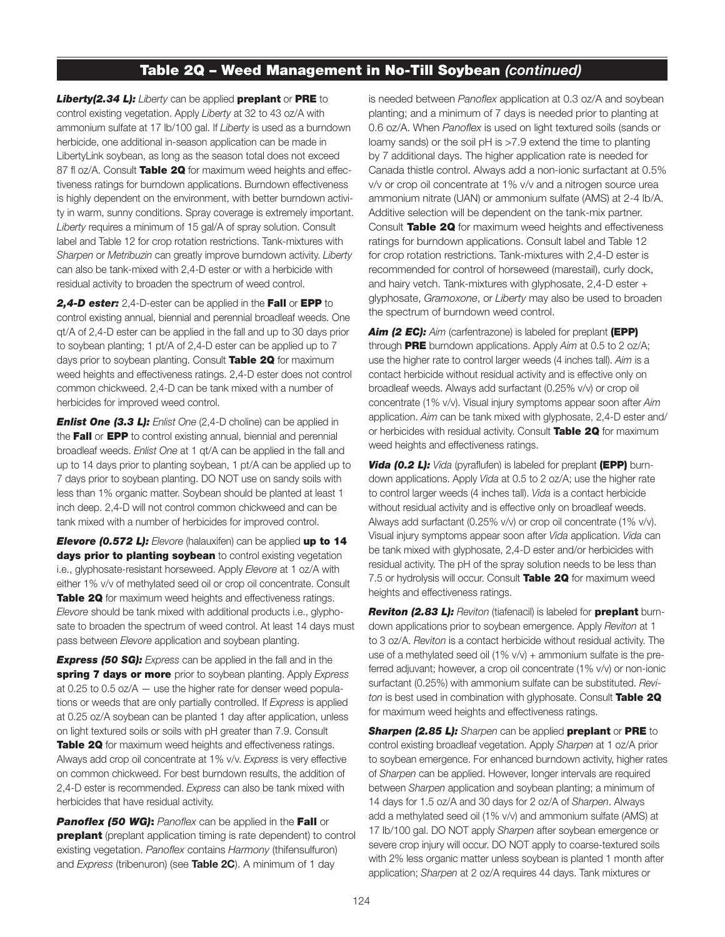*Liberty(2.34 L): Liberty* **can be applied preplant or PRE to** control existing vegetation. Apply *Liberty* at 32 to 43 oz/A with ammonium sulfate at 17 lb/100 gal. If *Liberty* is used as a burndown herbicide, one additional in-season application can be made in LibertyLink soybean, as long as the season total does not exceed 87 fl oz/A. Consult Table 2Q for maximum weed heights and effectiveness ratings for burndown applications. Burndown effectiveness is highly dependent on the environment, with better burndown activity in warm, sunny conditions. Spray coverage is extremely important. *Liberty* requires a minimum of 15 gal/A of spray solution. Consult label and Table 12 for crop rotation restrictions. Tank-mixtures with *Sharpen* or *Metribuzin* can greatly improve burndown activity. *Liberty* can also be tank-mixed with 2,4-D ester or with a herbicide with residual activity to broaden the spectrum of weed control.

*2,4-D ester:* 2,4-D-ester can be applied in the Fall or EPP to control existing annual, biennial and perennial broadleaf weeds. One qt/A of 2,4-D ester can be applied in the fall and up to 30 days prior to soybean planting; 1 pt/A of 2,4-D ester can be applied up to 7 days prior to soybean planting. Consult Table 2Q for maximum weed heights and effectiveness ratings. 2,4-D ester does not control common chickweed. 2,4-D can be tank mixed with a number of herbicides for improved weed control.

*Enlist One (3.3 L): Enlist One (2,4-D choline) can be applied in* the Fall or EPP to control existing annual, biennial and perennial broadleaf weeds. *Enlist One* at 1 qt/A can be applied in the fall and up to 14 days prior to planting soybean, 1 pt/A can be applied up to 7 days prior to soybean planting. DO NOT use on sandy soils with less than 1% organic matter. Soybean should be planted at least 1 inch deep. 2,4-D will not control common chickweed and can be tank mixed with a number of herbicides for improved control.

*Elevore (0.572 L): Elevore (halauxifen) can be applied up to 14* days prior to planting soybean to control existing vegetation i.e., glyphosate-resistant horseweed. Apply *Elevore* at 1 oz/A with either 1% v/v of methylated seed oil or crop oil concentrate. Consult Table 2Q for maximum weed heights and effectiveness ratings. *Elevore* should be tank mixed with additional products i.e., glyphosate to broaden the spectrum of weed control. At least 14 days must pass between *Elevore* application and soybean planting.

*Express (50 SG): Express* can be applied in the fall and in the spring 7 days or more prior to soybean planting. Apply *Express* at 0.25 to 0.5 oz/A — use the higher rate for denser weed populations or weeds that are only partially controlled. If *Express* is applied at 0.25 oz/A soybean can be planted 1 day after application, unless on light textured soils or soils with pH greater than 7.9. Consult Table 2Q for maximum weed heights and effectiveness ratings. Always add crop oil concentrate at 1% v/v. *Express* is very effective on common chickweed. For best burndown results, the addition of 2,4-D ester is recommended. *Express* can also be tank mixed with herbicides that have residual activity.

**Panoflex (50 WG):** *Panoflex* can be applied in the **Fall** or **preplant** (preplant application timing is rate dependent) to control existing vegetation. *Panoflex* contains *Harmony* (thifensulfuron) and *Express* (tribenuron) (see Table 2C). A minimum of 1 day

is needed between *Panoflex* application at 0.3 oz/A and soybean planting; and a minimum of 7 days is needed prior to planting at 0.6 oz/A. When *Panoflex* is used on light textured soils (sands or loamy sands) or the soil pH is >7.9 extend the time to planting by 7 additional days. The higher application rate is needed for Canada thistle control. Always add a non-ionic surfactant at 0.5% v/v or crop oil concentrate at 1% v/v and a nitrogen source urea ammonium nitrate (UAN) or ammonium sulfate (AMS) at 2-4 lb/A. Additive selection will be dependent on the tank-mix partner. Consult Table 2Q for maximum weed heights and effectiveness ratings for burndown applications. Consult label and Table 12 for crop rotation restrictions. Tank-mixtures with 2,4-D ester is recommended for control of horseweed (marestail), curly dock, and hairy vetch. Tank-mixtures with glyphosate, 2,4-D ester + glyphosate, *Gramoxone*, or *Liberty* may also be used to broaden the spectrum of burndown weed control.

*Aim (2 EC): Aim* (carfentrazone) is labeled for preplant (EPP) through PRE burndown applications. Apply *Aim* at 0.5 to 2 oz/A; use the higher rate to control larger weeds (4 inches tall). *Aim* is a contact herbicide without residual activity and is effective only on broadleaf weeds. Always add surfactant (0.25% v/v) or crop oil concentrate (1% v/v). Visual injury symptoms appear soon after *Aim* application. *Aim* can be tank mixed with glyphosate, 2,4-D ester and/ or herbicides with residual activity. Consult Table 2Q for maximum weed heights and effectiveness ratings.

*Vida (0.2 L): Vida* (pyraflufen) is labeled for preplant (EPP) burndown applications. Apply *Vida* at 0.5 to 2 oz/A; use the higher rate to control larger weeds (4 inches tall). *Vida* is a contact herbicide without residual activity and is effective only on broadleaf weeds. Always add surfactant (0.25% v/v) or crop oil concentrate (1% v/v). Visual injury symptoms appear soon after *Vida* application. *Vida* can be tank mixed with glyphosate, 2,4-D ester and/or herbicides with residual activity. The pH of the spray solution needs to be less than 7.5 or hydrolysis will occur. Consult Table 2Q for maximum weed heights and effectiveness ratings.

**Reviton (2.83 L):** *Reviton* (tiafenacil) is labeled for **preplant** burndown applications prior to soybean emergence. Apply *Reviton* at 1 to 3 oz/A. *Reviton* is a contact herbicide without residual activity. The use of a methylated seed oil  $(1\% v/v)$  + ammonium sulfate is the preferred adjuvant; however, a crop oil concentrate (1% v/v) or non-ionic surfactant (0.25%) with ammonium sulfate can be substituted. *Reviton* is best used in combination with glyphosate. Consult Table 2Q for maximum weed heights and effectiveness ratings.

**Sharpen (2.85 L):** *Sharpen* can be applied **preplant** or PRE to control existing broadleaf vegetation. Apply *Sharpen* at 1 oz/A prior to soybean emergence. For enhanced burndown activity, higher rates of *Sharpen* can be applied. However, longer intervals are required between *Sharpen* application and soybean planting; a minimum of 14 days for 1.5 oz/A and 30 days for 2 oz/A of *Sharpen*. Always add a methylated seed oil (1% v/v) and ammonium sulfate (AMS) at 17 lb/100 gal. DO NOT apply *Sharpen* after soybean emergence or severe crop injury will occur. DO NOT apply to coarse-textured soils with 2% less organic matter unless soybean is planted 1 month after application; *Sharpen* at 2 oz/A requires 44 days. Tank mixtures or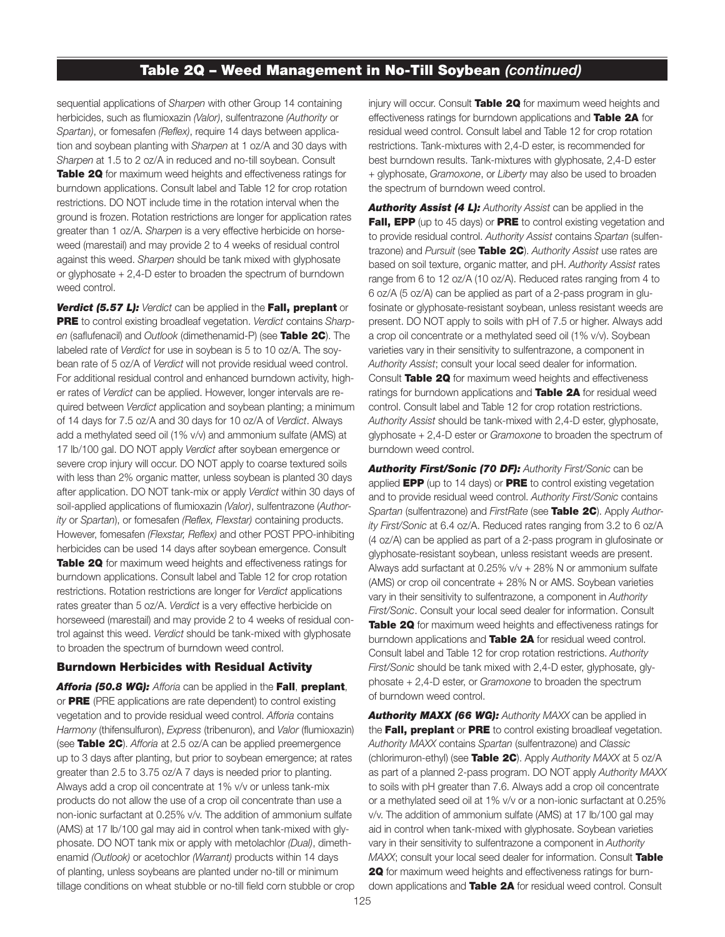sequential applications of *Sharpen* with other Group 14 containing herbicides, such as flumioxazin *(Valor)*, sulfentrazone *(Authority* or *Spartan)*, or fomesafen *(Reflex)*, require 14 days between application and soybean planting with *Sharpen* at 1 oz/A and 30 days with *Sharpen* at 1.5 to 2 oz/A in reduced and no-till soybean. Consult Table 2Q for maximum weed heights and effectiveness ratings for burndown applications. Consult label and Table 12 for crop rotation restrictions. DO NOT include time in the rotation interval when the ground is frozen. Rotation restrictions are longer for application rates greater than 1 oz/A. *Sharpen* is a very effective herbicide on horseweed (marestail) and may provide 2 to 4 weeks of residual control against this weed. *Sharpen* should be tank mixed with glyphosate or glyphosate + 2,4-D ester to broaden the spectrum of burndown weed control.

**Verdict (5.57 L):** Verdict can be applied in the Fall, preplant or PRE to control existing broadleaf vegetation. *Verdict* contains *Sharpen* (saflufenacil) and *Outlook* (dimethenamid-P) (see Table 2C). The labeled rate of *Verdict* for use in soybean is 5 to 10 oz/A. The soybean rate of 5 oz/A of *Verdict* will not provide residual weed control. For additional residual control and enhanced burndown activity, higher rates of *Verdict* can be applied. However, longer intervals are required between *Verdict* application and soybean planting; a minimum of 14 days for 7.5 oz/A and 30 days for 10 oz/A of *Verdict*. Always add a methylated seed oil (1% v/v) and ammonium sulfate (AMS) at 17 lb/100 gal. DO NOT apply *Verdict* after soybean emergence or severe crop injury will occur. DO NOT apply to coarse textured soils with less than 2% organic matter, unless soybean is planted 30 days after application. DO NOT tank-mix or apply *Verdict* within 30 days of soil-applied applications of flumioxazin *(Valor)*, sulfentrazone (*Authority* or *Spartan*), or fomesafen *(Reflex, Flexstar)* containing products. However, fomesafen *(Flexstar, Reflex)* and other POST PPO-inhibiting herbicides can be used 14 days after soybean emergence. Consult Table 2Q for maximum weed heights and effectiveness ratings for burndown applications. Consult label and Table 12 for crop rotation restrictions. Rotation restrictions are longer for *Verdict* applications rates greater than 5 oz/A. *Verdict* is a very effective herbicide on horseweed (marestail) and may provide 2 to 4 weeks of residual control against this weed. *Verdict* should be tank-mixed with glyphosate to broaden the spectrum of burndown weed control.

#### Burndown Herbicides with Residual Activity

*Afforia (50.8 WG): Afforia* can be applied in the Fall, preplant, or PRE (PRE applications are rate dependent) to control existing vegetation and to provide residual weed control. *Afforia* contains *Harmony* (thifensulfuron), *Express* (tribenuron), and *Valor* (flumioxazin) (see Table 2C). *Afforia* at 2.5 oz/A can be applied preemergence up to 3 days after planting, but prior to soybean emergence; at rates greater than 2.5 to 3.75 oz/A 7 days is needed prior to planting. Always add a crop oil concentrate at 1% v/v or unless tank-mix products do not allow the use of a crop oil concentrate than use a non-ionic surfactant at 0.25% v/v. The addition of ammonium sulfate (AMS) at 17 lb/100 gal may aid in control when tank-mixed with glyphosate. DO NOT tank mix or apply with metolachlor *(Dual)*, dimethenamid *(Outlook)* or acetochlor *(Warrant)* products within 14 days of planting, unless soybeans are planted under no-till or minimum tillage conditions on wheat stubble or no-till field corn stubble or crop injury will occur. Consult Table 2Q for maximum weed heights and effectiveness ratings for burndown applications and Table 2A for residual weed control. Consult label and Table 12 for crop rotation restrictions. Tank-mixtures with 2,4-D ester, is recommended for best burndown results. Tank-mixtures with glyphosate, 2,4-D ester + glyphosate, *Gramoxone*, or *Liberty* may also be used to broaden the spectrum of burndown weed control.

*Authority Assist (4 L): Authority Assist* can be applied in the Fall, EPP (up to 45 days) or PRE to control existing vegetation and to provide residual control. *Authority Assist* contains *Spartan* (sulfentrazone) and *Pursuit* (see Table 2C). *Authority Assist* use rates are based on soil texture, organic matter, and pH. *Authority Assist* rates range from 6 to 12 oz/A (10 oz/A). Reduced rates ranging from 4 to 6 oz/A (5 oz/A) can be applied as part of a 2-pass program in glufosinate or glyphosate-resistant soybean, unless resistant weeds are present. DO NOT apply to soils with pH of 7.5 or higher. Always add a crop oil concentrate or a methylated seed oil (1% v/v). Soybean varieties vary in their sensitivity to sulfentrazone, a component in *Authority Assist*; consult your local seed dealer for information. Consult Table 2Q for maximum weed heights and effectiveness ratings for burndown applications and Table 2A for residual weed control. Consult label and Table 12 for crop rotation restrictions. *Authority Assist* should be tank-mixed with 2,4-D ester, glyphosate, glyphosate + 2,4-D ester or *Gramoxone* to broaden the spectrum of burndown weed control.

*Authority First/Sonic (70 DF): Authority First/Sonic* can be applied **EPP** (up to 14 days) or **PRE** to control existing vegetation and to provide residual weed control. *Authority First/Sonic* contains *Spartan* (sulfentrazone) and *FirstRate* (see Table 2C). Apply *Authority First/Sonic* at 6.4 oz/A. Reduced rates ranging from 3.2 to 6 oz/A (4 oz/A) can be applied as part of a 2-pass program in glufosinate or glyphosate-resistant soybean, unless resistant weeds are present. Always add surfactant at 0.25% v/v + 28% N or ammonium sulfate (AMS) or crop oil concentrate + 28% N or AMS. Soybean varieties vary in their sensitivity to sulfentrazone, a component in *Authority First/Sonic*. Consult your local seed dealer for information. Consult Table 2Q for maximum weed heights and effectiveness ratings for burndown applications and Table 2A for residual weed control. Consult label and Table 12 for crop rotation restrictions. *Authority First/Sonic* should be tank mixed with 2,4-D ester, glyphosate, glyphosate + 2,4-D ester, or *Gramoxone* to broaden the spectrum of burndown weed control.

*Authority MAXX (66 WG): Authority MAXX* can be applied in the Fall, preplant or PRE to control existing broadleaf vegetation. *Authority MAXX* contains *Spartan* (sulfentrazone) and *Classic* (chlorimuron-ethyl) (see Table 2C). Apply *Authority MAXX* at 5 oz/A as part of a planned 2-pass program. DO NOT apply *Authority MAXX* to soils with pH greater than 7.6. Always add a crop oil concentrate or a methylated seed oil at 1% v/v or a non-ionic surfactant at 0.25% v/v. The addition of ammonium sulfate (AMS) at 17 lb/100 gal may aid in control when tank-mixed with glyphosate. Soybean varieties vary in their sensitivity to sulfentrazone a component in *Authority MAXX*; consult your local seed dealer for information. Consult Table 2Q for maximum weed heights and effectiveness ratings for burndown applications and Table 2A for residual weed control. Consult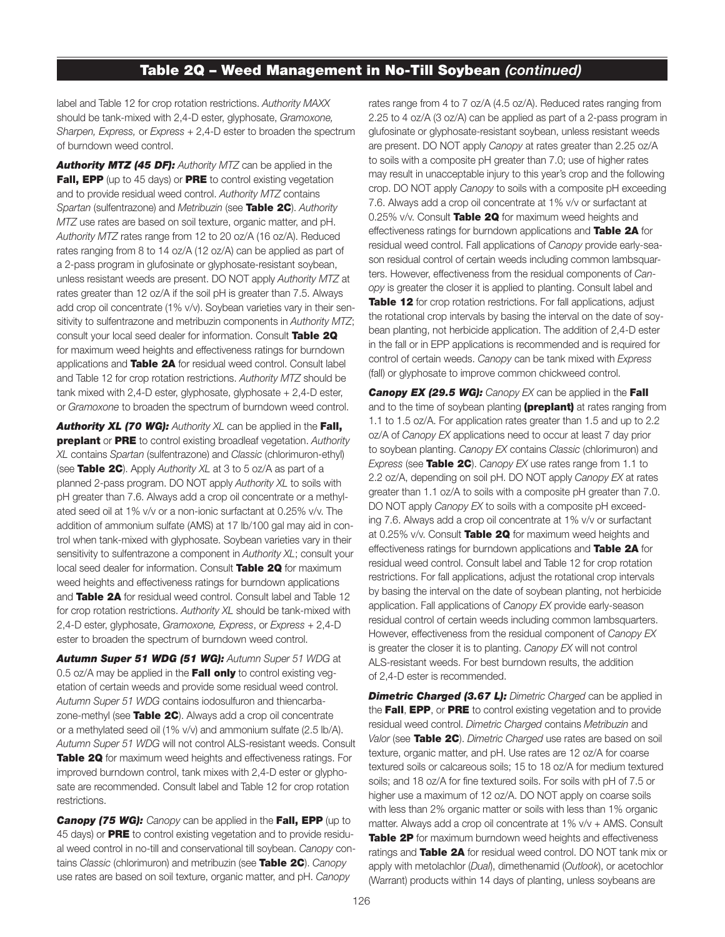label and Table 12 for crop rotation restrictions. *Authority MAXX* should be tank-mixed with 2,4-D ester, glyphosate, *Gramoxone, Sharpen, Express,* or *Express* + 2,4-D ester to broaden the spectrum of burndown weed control.

*Authority MTZ (45 DF): Authority MTZ* can be applied in the **Fall, EPP** (up to 45 days) or PRE to control existing vegetation and to provide residual weed control. *Authority MTZ* contains *Spartan* (sulfentrazone) and *Metribuzin* (see Table 2C). *Authority MTZ* use rates are based on soil texture, organic matter, and pH. *Authority MTZ* rates range from 12 to 20 oz/A (16 oz/A). Reduced rates ranging from 8 to 14 oz/A (12 oz/A) can be applied as part of a 2-pass program in glufosinate or glyphosate-resistant soybean, unless resistant weeds are present. DO NOT apply *Authority MTZ* at rates greater than 12 oz/A if the soil pH is greater than 7.5. Always add crop oil concentrate (1% v/v). Soybean varieties vary in their sensitivity to sulfentrazone and metribuzin components in *Authority MTZ*; consult your local seed dealer for information. Consult Table 2Q for maximum weed heights and effectiveness ratings for burndown applications and Table 2A for residual weed control. Consult label and Table 12 for crop rotation restrictions. *Authority MTZ* should be tank mixed with 2,4-D ester, glyphosate, glyphosate + 2,4-D ester, or *Gramoxone* to broaden the spectrum of burndown weed control.

*Authority XL (70 WG): Authority XL* can be applied in the Fall, preplant or PRE to control existing broadleaf vegetation. *Authority XL* contains *Spartan* (sulfentrazone) and *Classic* (chlorimuron-ethyl) (see Table 2C). Apply *Authority XL* at 3 to 5 oz/A as part of a planned 2-pass program. DO NOT apply *Authority XL* to soils with pH greater than 7.6. Always add a crop oil concentrate or a methylated seed oil at 1% v/v or a non-ionic surfactant at 0.25% v/v. The addition of ammonium sulfate (AMS) at 17 lb/100 gal may aid in control when tank-mixed with glyphosate. Soybean varieties vary in their sensitivity to sulfentrazone a component in *Authority XL*; consult your local seed dealer for information. Consult Table 2Q for maximum weed heights and effectiveness ratings for burndown applications and Table 2A for residual weed control. Consult label and Table 12 for crop rotation restrictions. *Authority XL* should be tank-mixed with 2,4-D ester, glyphosate, *Gramoxone, Express*, or *Express* + 2,4-D ester to broaden the spectrum of burndown weed control.

*Autumn Super 51 WDG (51 WG): Autumn Super 51 WDG* at 0.5 oz/A may be applied in the **Fall only** to control existing vegetation of certain weeds and provide some residual weed control. *Autumn Super 51 WDG* contains iodosulfuron and thiencarbazone-methyl (see Table 2C). Always add a crop oil concentrate or a methylated seed oil (1% v/v) and ammonium sulfate (2.5 lb/A). *Autumn Super 51 WDG* will not control ALS-resistant weeds. Consult Table 2Q for maximum weed heights and effectiveness ratings. For improved burndown control, tank mixes with 2,4-D ester or glyphosate are recommended. Consult label and Table 12 for crop rotation restrictions.

**Canopy (75 WG):** Canopy can be applied in the Fall, EPP (up to 45 days) or PRE to control existing vegetation and to provide residual weed control in no-till and conservational till soybean. *Canopy* contains *Classic* (chlorimuron) and metribuzin (see Table 2C). *Canopy* use rates are based on soil texture, organic matter, and pH. *Canopy*

rates range from 4 to 7 oz/A (4.5 oz/A). Reduced rates ranging from 2.25 to 4 oz/A (3 oz/A) can be applied as part of a 2-pass program in glufosinate or glyphosate-resistant soybean, unless resistant weeds are present. DO NOT apply *Canopy* at rates greater than 2.25 oz/A to soils with a composite pH greater than 7.0; use of higher rates may result in unacceptable injury to this year's crop and the following crop. DO NOT apply *Canopy* to soils with a composite pH exceeding 7.6. Always add a crop oil concentrate at 1% v/v or surfactant at 0.25% v/v. Consult Table 2Q for maximum weed heights and effectiveness ratings for burndown applications and **Table 2A** for residual weed control. Fall applications of *Canopy* provide early-season residual control of certain weeds including common lambsquarters. However, effectiveness from the residual components of *Canopy* is greater the closer it is applied to planting. Consult label and Table 12 for crop rotation restrictions. For fall applications, adjust the rotational crop intervals by basing the interval on the date of soybean planting, not herbicide application. The addition of 2,4-D ester in the fall or in EPP applications is recommended and is required for control of certain weeds. *Canopy* can be tank mixed with *Express* (fall) or glyphosate to improve common chickweed control.

*Canopy EX (29.5 WG): Canopy EX can be applied in the Fall* and to the time of soybean planting (preplant) at rates ranging from 1.1 to 1.5 oz/A. For application rates greater than 1.5 and up to 2.2 oz/A of *Canopy EX* applications need to occur at least 7 day prior to soybean planting. *Canopy EX* contains *Classic* (chlorimuron) and *Express* (see Table 2C). *Canopy EX* use rates range from 1.1 to 2.2 oz/A, depending on soil pH. DO NOT apply *Canopy EX* at rates greater than 1.1 oz/A to soils with a composite pH greater than 7.0. DO NOT apply *Canopy EX* to soils with a composite pH exceeding 7.6. Always add a crop oil concentrate at 1% v/v or surfactant at 0.25% v/v. Consult Table 2Q for maximum weed heights and effectiveness ratings for burndown applications and Table 2A for residual weed control. Consult label and Table 12 for crop rotation restrictions. For fall applications, adjust the rotational crop intervals by basing the interval on the date of soybean planting, not herbicide application. Fall applications of *Canopy EX* provide early-season residual control of certain weeds including common lambsquarters. However, effectiveness from the residual component of *Canopy EX* is greater the closer it is to planting. *Canopy EX* will not control ALS-resistant weeds. For best burndown results, the addition of 2,4-D ester is recommended.

**Dimetric Charged (3.67 L):** Dimetric Charged can be applied in the Fall, EPP, or PRE to control existing vegetation and to provide residual weed control. *Dimetric Charged* contains *Metribuzin* and *Valor* (see Table 2C). *Dimetric Charged* use rates are based on soil texture, organic matter, and pH. Use rates are 12 oz/A for coarse textured soils or calcareous soils; 15 to 18 oz/A for medium textured soils; and 18 oz/A for fine textured soils. For soils with pH of 7.5 or higher use a maximum of 12 oz/A. DO NOT apply on coarse soils with less than 2% organic matter or soils with less than 1% organic matter. Always add a crop oil concentrate at 1% v/v + AMS. Consult Table 2P for maximum burndown weed heights and effectiveness ratings and Table 2A for residual weed control. DO NOT tank mix or apply with metolachlor (*Dual*), dimethenamid (*Outlook*), or acetochlor (Warrant) products within 14 days of planting, unless soybeans are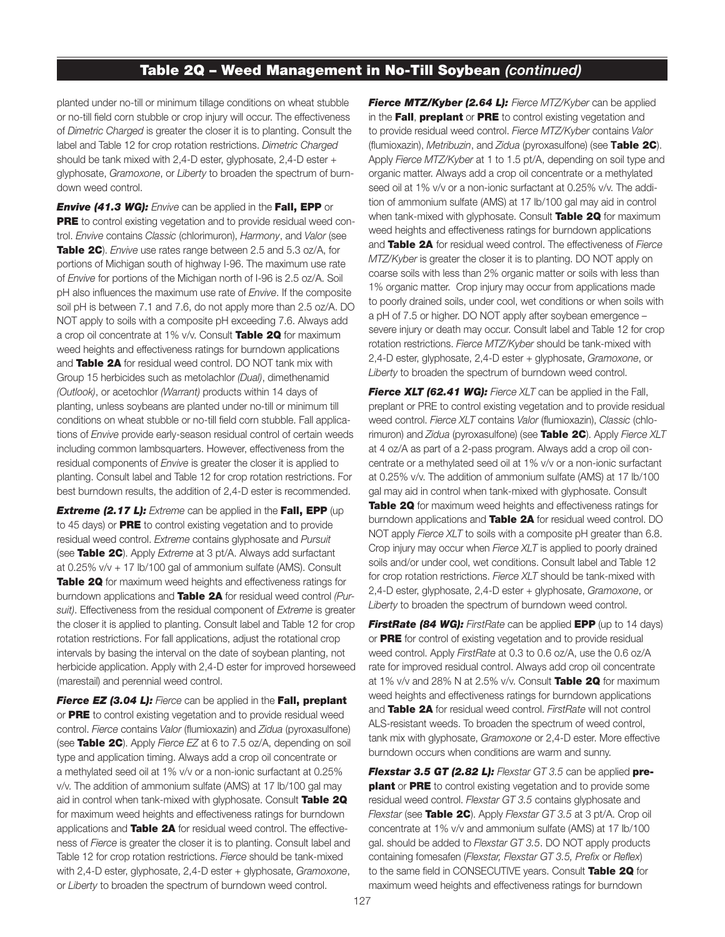planted under no-till or minimum tillage conditions on wheat stubble or no-till field corn stubble or crop injury will occur. The effectiveness of *Dimetric Charged* is greater the closer it is to planting. Consult the label and Table 12 for crop rotation restrictions. *Dimetric Charged*  should be tank mixed with 2,4-D ester, glyphosate, 2,4-D ester + glyphosate, *Gramoxone*, or *Liberty* to broaden the spectrum of burndown weed control.

*Envive (41.3 WG): Envive can be applied in the Fall, EPP or* **PRE** to control existing vegetation and to provide residual weed control. *Envive* contains *Classic* (chlorimuron), *Harmony*, and *Valor* (see Table 2C). *Envive* use rates range between 2.5 and 5.3 oz/A, for portions of Michigan south of highway I-96. The maximum use rate of *Envive* for portions of the Michigan north of I-96 is 2.5 oz/A. Soil pH also influences the maximum use rate of *Envive*. If the composite soil pH is between 7.1 and 7.6, do not apply more than 2.5 oz/A. DO NOT apply to soils with a composite pH exceeding 7.6. Always add a crop oil concentrate at 1% v/v. Consult Table 2Q for maximum weed heights and effectiveness ratings for burndown applications and Table 2A for residual weed control. DO NOT tank mix with Group 15 herbicides such as metolachlor *(Dual)*, dimethenamid *(Outlook)*, or acetochlor *(Warrant)* products within 14 days of planting, unless soybeans are planted under no-till or minimum till conditions on wheat stubble or no-till field corn stubble. Fall applications of *Envive* provide early-season residual control of certain weeds including common lambsquarters. However, effectiveness from the residual components of *Envive* is greater the closer it is applied to planting. Consult label and Table 12 for crop rotation restrictions. For best burndown results, the addition of 2,4-D ester is recommended.

*Extreme (2.17 L): Extreme can be applied in the Fall, EPP (up)* to 45 days) or PRE to control existing vegetation and to provide residual weed control. *Extreme* contains glyphosate and *Pursuit* (see Table 2C). Apply *Extreme* at 3 pt/A. Always add surfactant at 0.25% v/v + 17 lb/100 gal of ammonium sulfate (AMS). Consult Table 2Q for maximum weed heights and effectiveness ratings for burndown applications and Table 2A for residual weed control *(Pursuit)*. Effectiveness from the residual component of *Extreme* is greater the closer it is applied to planting. Consult label and Table 12 for crop rotation restrictions. For fall applications, adjust the rotational crop intervals by basing the interval on the date of soybean planting, not herbicide application. Apply with 2,4-D ester for improved horseweed (marestail) and perennial weed control.

*Fierce EZ (3.04 L): Fierce can be applied in the Fall, preplant* or PRE to control existing vegetation and to provide residual weed control. *Fierce* contains *Valor* (flumioxazin) and *Zidua* (pyroxasulfone) (see Table 2C). Apply *Fierce EZ* at 6 to 7.5 oz/A, depending on soil type and application timing. Always add a crop oil concentrate or a methylated seed oil at 1% v/v or a non-ionic surfactant at 0.25% v/v. The addition of ammonium sulfate (AMS) at 17 lb/100 gal may aid in control when tank-mixed with glyphosate. Consult Table 2Q for maximum weed heights and effectiveness ratings for burndown applications and Table 2A for residual weed control. The effectiveness of *Fierce* is greater the closer it is to planting. Consult label and Table 12 for crop rotation restrictions. *Fierce* should be tank-mixed with 2,4-D ester, glyphosate, 2,4-D ester + glyphosate, *Gramoxone*, or *Liberty* to broaden the spectrum of burndown weed control.

*Fierce MTZ/Kyber (2.64 L): Fierce MTZ/Kyber* can be applied in the Fall, preplant or PRE to control existing vegetation and to provide residual weed control. *Fierce MTZ/Kyber* contains *Valor* (flumioxazin), *Metribuzin*, and *Zidua* (pyroxasulfone) (see Table 2C). Apply *Fierce MTZ/Kyber* at 1 to 1.5 pt/A, depending on soil type and organic matter. Always add a crop oil concentrate or a methylated seed oil at 1% v/v or a non-ionic surfactant at 0.25% v/v. The addition of ammonium sulfate (AMS) at 17 lb/100 gal may aid in control when tank-mixed with glyphosate. Consult Table 2Q for maximum weed heights and effectiveness ratings for burndown applications and Table 2A for residual weed control. The effectiveness of *Fierce MTZ/Kyber* is greater the closer it is to planting. DO NOT apply on coarse soils with less than 2% organic matter or soils with less than 1% organic matter. Crop injury may occur from applications made to poorly drained soils, under cool, wet conditions or when soils with a pH of 7.5 or higher. DO NOT apply after soybean emergence – severe injury or death may occur. Consult label and Table 12 for crop rotation restrictions. *Fierce MTZ/Kyber* should be tank-mixed with 2,4-D ester, glyphosate, 2,4-D ester + glyphosate, *Gramoxone*, or *Liberty* to broaden the spectrum of burndown weed control.

**Fierce XLT (62.41 WG):** Fierce XLT can be applied in the Fall, preplant or PRE to control existing vegetation and to provide residual weed control. *Fierce XLT* contains *Valor* (flumioxazin), *Classic* (chlorimuron) and *Zidua* (pyroxasulfone) (see Table 2C). Apply *Fierce XLT*  at 4 oz/A as part of a 2-pass program. Always add a crop oil concentrate or a methylated seed oil at 1% v/v or a non-ionic surfactant at 0.25% v/v. The addition of ammonium sulfate (AMS) at 17 lb/100 gal may aid in control when tank-mixed with glyphosate. Consult Table 2Q for maximum weed heights and effectiveness ratings for burndown applications and Table 2A for residual weed control. DO NOT apply *Fierce XLT* to soils with a composite pH greater than 6.8. Crop injury may occur when *Fierce XLT* is applied to poorly drained soils and/or under cool, wet conditions. Consult label and Table 12 for crop rotation restrictions. *Fierce XLT* should be tank-mixed with 2,4-D ester, glyphosate, 2,4-D ester + glyphosate, *Gramoxone*, or *Liberty* to broaden the spectrum of burndown weed control.

**FirstRate (84 WG):** FirstRate can be applied **EPP** (up to 14 days) or PRE for control of existing vegetation and to provide residual weed control. Apply *FirstRate* at 0.3 to 0.6 oz/A, use the 0.6 oz/A rate for improved residual control. Always add crop oil concentrate at 1% v/v and 28% N at 2.5% v/v. Consult **Table 2Q** for maximum weed heights and effectiveness ratings for burndown applications and Table 2A for residual weed control. *FirstRate* will not control ALS-resistant weeds. To broaden the spectrum of weed control, tank mix with glyphosate, *Gramoxone* or 2,4-D ester. More effective burndown occurs when conditions are warm and sunny.

*Flexstar 3.5 GT (2.82 L): Flexstar GT 3.5* can be applied pre**plant** or PRE to control existing vegetation and to provide some residual weed control. *Flexstar GT 3.5* contains glyphosate and *Flexstar* (see Table 2C). Apply *Flexstar GT 3.5* at 3 pt/A. Crop oil concentrate at 1% v/v and ammonium sulfate (AMS) at 17 lb/100 gal. should be added to *Flexstar GT 3.5*. DO NOT apply products containing fomesafen (*Flexstar, Flexstar GT 3.5, Prefix* or *Reflex*) to the same field in CONSECUTIVE years. Consult Table 2Q for maximum weed heights and effectiveness ratings for burndown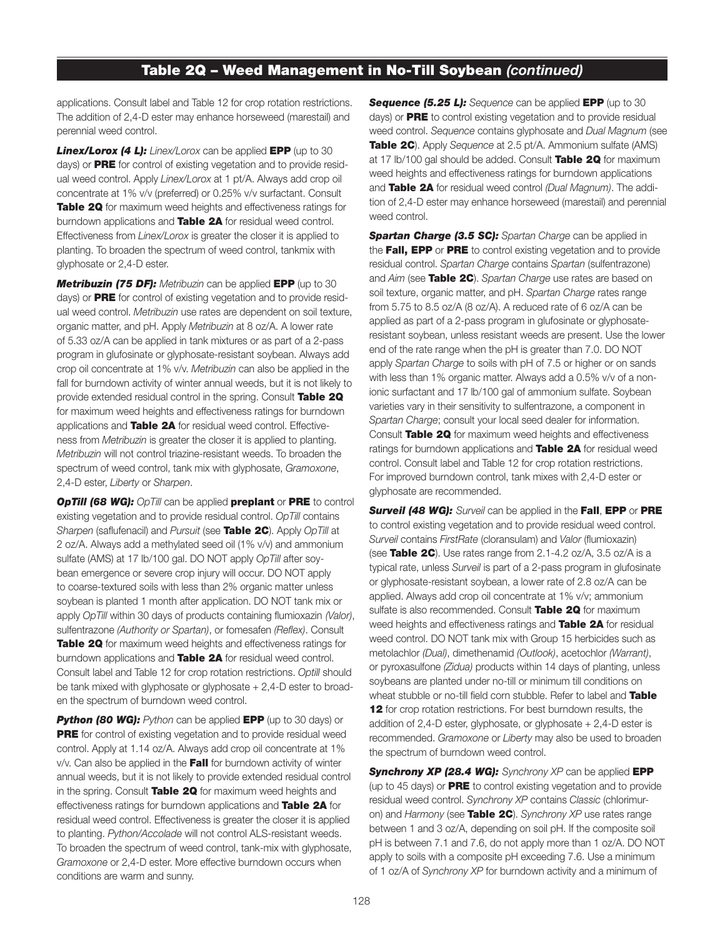applications. Consult label and Table 12 for crop rotation restrictions. The addition of 2,4-D ester may enhance horseweed (marestail) and perennial weed control.

*Linex/Lorox (4 L): Linex/Lorox* can be applied EPP (up to 30 days) or PRE for control of existing vegetation and to provide residual weed control. Apply *Linex/Lorox* at 1 pt/A. Always add crop oil concentrate at 1% v/v (preferred) or 0.25% v/v surfactant. Consult Table 2Q for maximum weed heights and effectiveness ratings for burndown applications and Table 2A for residual weed control. Effectiveness from *Linex/Lorox* is greater the closer it is applied to planting. To broaden the spectrum of weed control, tankmix with glyphosate or 2,4-D ester.

*Metribuzin (75 DF): Metribuzin* can be applied EPP (up to 30 days) or PRE for control of existing vegetation and to provide residual weed control. *Metribuzin* use rates are dependent on soil texture, organic matter, and pH. Apply *Metribuzin* at 8 oz/A. A lower rate of 5.33 oz/A can be applied in tank mixtures or as part of a 2-pass program in glufosinate or glyphosate-resistant soybean. Always add crop oil concentrate at 1% v/v. *Metribuzin* can also be applied in the fall for burndown activity of winter annual weeds, but it is not likely to provide extended residual control in the spring. Consult Table 2Q for maximum weed heights and effectiveness ratings for burndown applications and Table 2A for residual weed control. Effectiveness from *Metribuzin* is greater the closer it is applied to planting. *Metribuzin* will not control triazine-resistant weeds. To broaden the spectrum of weed control, tank mix with glyphosate, *Gramoxone*, 2,4-D ester, *Liberty* or *Sharpen*.

*OpTill (68 WG): OpTill can be applied preplant or PRE to control* existing vegetation and to provide residual control. *OpTill* contains *Sharpen* (saflufenacil) and *Pursuit* (see Table 2C). Apply *OpTill* at 2 oz/A. Always add a methylated seed oil (1% v/v) and ammonium sulfate (AMS) at 17 lb/100 gal. DO NOT apply *OpTill* after soybean emergence or severe crop injury will occur. DO NOT apply to coarse-textured soils with less than 2% organic matter unless soybean is planted 1 month after application. DO NOT tank mix or apply *OpTill* within 30 days of products containing flumioxazin *(Valor)*, sulfentrazone *(Authority or Spartan)*, or fomesafen *(Reflex)*. Consult Table 2Q for maximum weed heights and effectiveness ratings for burndown applications and Table 2A for residual weed control. Consult label and Table 12 for crop rotation restrictions. *Optill* should be tank mixed with glyphosate or glyphosate  $+ 2,4$ -D ester to broaden the spectrum of burndown weed control.

**Python (80 WG):** *Python* can be applied **EPP** (up to 30 days) or PRE for control of existing vegetation and to provide residual weed control. Apply at 1.14 oz/A. Always add crop oil concentrate at 1% v/v. Can also be applied in the Fall for burndown activity of winter annual weeds, but it is not likely to provide extended residual control in the spring. Consult Table 2Q for maximum weed heights and effectiveness ratings for burndown applications and Table 2A for residual weed control. Effectiveness is greater the closer it is applied to planting. *Python/Accolade* will not control ALS-resistant weeds. To broaden the spectrum of weed control, tank-mix with glyphosate, *Gramoxone* or 2,4-D ester. More effective burndown occurs when conditions are warm and sunny.

**Sequence (5.25 L):** Sequence can be applied EPP (up to 30 days) or PRE to control existing vegetation and to provide residual weed control. *Sequence* contains glyphosate and *Dual Magnum* (see Table 2C). Apply *Sequence* at 2.5 pt/A. Ammonium sulfate (AMS) at 17 lb/100 gal should be added. Consult Table 2Q for maximum weed heights and effectiveness ratings for burndown applications and Table 2A for residual weed control *(Dual Magnum)*. The addition of 2,4-D ester may enhance horseweed (marestail) and perennial weed control.

*Spartan Charge (3.5 SC): Spartan Charge* can be applied in the Fall, EPP or PRE to control existing vegetation and to provide residual control. *Spartan Charge* contains *Spartan* (sulfentrazone) and *Aim* (see Table 2C). *Spartan Charge* use rates are based on soil texture, organic matter, and pH. *Spartan Charge* rates range from 5.75 to 8.5 oz/A (8 oz/A). A reduced rate of 6 oz/A can be applied as part of a 2-pass program in glufosinate or glyphosateresistant soybean, unless resistant weeds are present. Use the lower end of the rate range when the pH is greater than 7.0. DO NOT apply *Spartan Charge* to soils with pH of 7.5 or higher or on sands with less than 1% organic matter. Always add a 0.5% v/v of a nonionic surfactant and 17 lb/100 gal of ammonium sulfate. Soybean varieties vary in their sensitivity to sulfentrazone, a component in *Spartan Charge*; consult your local seed dealer for information. Consult Table 2Q for maximum weed heights and effectiveness ratings for burndown applications and Table 2A for residual weed control. Consult label and Table 12 for crop rotation restrictions. For improved burndown control, tank mixes with 2,4-D ester or glyphosate are recommended.

**Surveil (48 WG):** Surveil can be applied in the Fall, EPP or PRE to control existing vegetation and to provide residual weed control. *Surveil* contains *FirstRate* (cloransulam) and *Valor* (flumioxazin) (see Table 2C). Use rates range from 2.1-4.2 oz/A, 3.5 oz/A is a typical rate, unless *Surveil* is part of a 2-pass program in glufosinate or glyphosate-resistant soybean, a lower rate of 2.8 oz/A can be applied. Always add crop oil concentrate at 1% v/v; ammonium sulfate is also recommended. Consult Table 2Q for maximum weed heights and effectiveness ratings and Table 2A for residual weed control. DO NOT tank mix with Group 15 herbicides such as metolachlor *(Dual)*, dimethenamid *(Outlook)*, acetochlor *(Warrant)*, or pyroxasulfone *(Zidua)* products within 14 days of planting, unless soybeans are planted under no-till or minimum till conditions on wheat stubble or no-till field corn stubble. Refer to label and Table 12 for crop rotation restrictions. For best burndown results, the addition of  $2,4$ -D ester, glyphosate, or glyphosate  $+2,4$ -D ester is recommended. *Gramoxone* or *Liberty* may also be used to broaden the spectrum of burndown weed control.

*Synchrony XP (28.4 WG): Synchrony XP can be applied EPP* (up to 45 days) or **PRE** to control existing vegetation and to provide residual weed control. *Synchrony XP* contains *Classic* (chlorimuron) and *Harmony* (see Table 2C). *Synchrony XP* use rates range between 1 and 3 oz/A, depending on soil pH. If the composite soil pH is between 7.1 and 7.6, do not apply more than 1 oz/A. DO NOT apply to soils with a composite pH exceeding 7.6. Use a minimum of 1 oz/A of *Synchrony XP* for burndown activity and a minimum of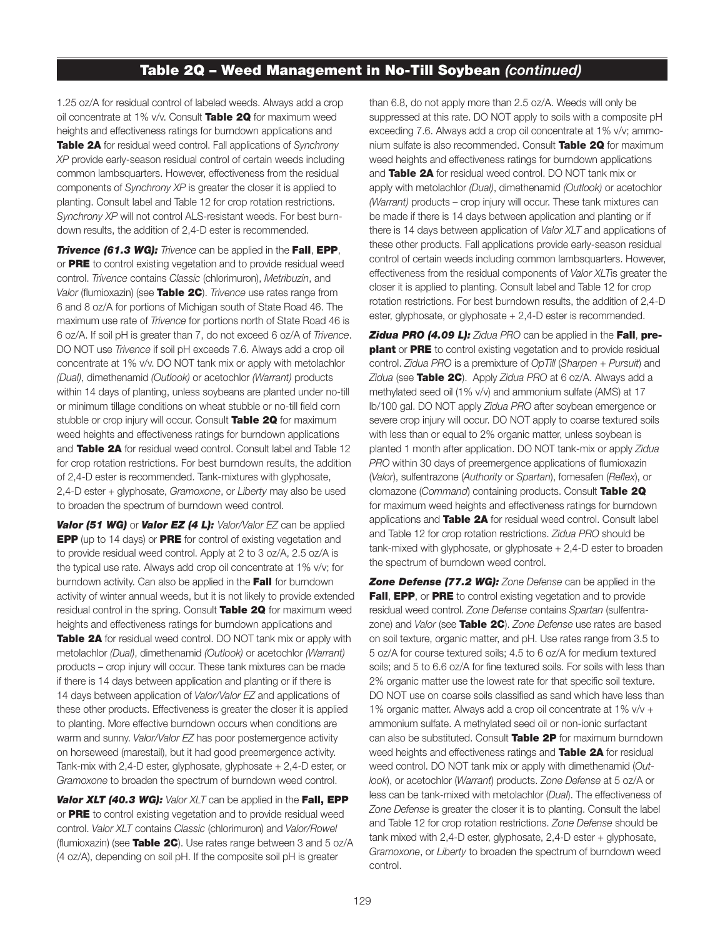1.25 oz/A for residual control of labeled weeds. Always add a crop oil concentrate at 1% v/v. Consult Table 2Q for maximum weed heights and effectiveness ratings for burndown applications and Table 2A for residual weed control. Fall applications of *Synchrony XP* provide early-season residual control of certain weeds including common lambsquarters. However, effectiveness from the residual components of *Synchrony XP* is greater the closer it is applied to planting. Consult label and Table 12 for crop rotation restrictions. *Synchrony XP* will not control ALS-resistant weeds. For best burndown results, the addition of 2,4-D ester is recommended.

*Trivence (61.3 WG): Trivence can be applied in the Fall, EPP.* or PRE to control existing vegetation and to provide residual weed control. *Trivence* contains *Classic* (chlorimuron), *Metribuzin*, and *Valor* (flumioxazin) (see Table 2C). *Trivence* use rates range from 6 and 8 oz/A for portions of Michigan south of State Road 46. The maximum use rate of *Trivence* for portions north of State Road 46 is 6 oz/A. If soil pH is greater than 7, do not exceed 6 oz/A of *Trivence*. DO NOT use *Trivence* if soil pH exceeds 7.6. Always add a crop oil concentrate at 1% v/v. DO NOT tank mix or apply with metolachlor *(Dual)*, dimethenamid *(Outlook)* or acetochlor *(Warrant)* products within 14 days of planting, unless soybeans are planted under no-till or minimum tillage conditions on wheat stubble or no-till field corn stubble or crop injury will occur. Consult Table 2Q for maximum weed heights and effectiveness ratings for burndown applications and Table 2A for residual weed control. Consult label and Table 12 for crop rotation restrictions. For best burndown results, the addition of 2,4-D ester is recommended. Tank-mixtures with glyphosate, 2,4-D ester + glyphosate, *Gramoxone*, or *Liberty* may also be used to broaden the spectrum of burndown weed control.

*Valor (51 WG)* or *Valor EZ (4 L): Valor/Valor EZ* can be applied EPP (up to 14 days) or PRE for control of existing vegetation and to provide residual weed control. Apply at 2 to 3 oz/A, 2.5 oz/A is the typical use rate. Always add crop oil concentrate at 1% v/v; for burndown activity. Can also be applied in the Fall for burndown activity of winter annual weeds, but it is not likely to provide extended residual control in the spring. Consult Table 2Q for maximum weed heights and effectiveness ratings for burndown applications and Table 2A for residual weed control. DO NOT tank mix or apply with metolachlor *(Dual)*, dimethenamid *(Outlook)* or acetochlor *(Warrant)*  products – crop injury will occur. These tank mixtures can be made if there is 14 days between application and planting or if there is 14 days between application of *Valor/Valor EZ* and applications of these other products. Effectiveness is greater the closer it is applied to planting. More effective burndown occurs when conditions are warm and sunny. *Valor/Valor EZ* has poor postemergence activity on horseweed (marestail), but it had good preemergence activity. Tank-mix with 2,4-D ester, glyphosate, glyphosate + 2,4-D ester, or *Gramoxone* to broaden the spectrum of burndown weed control.

**Valor XLT (40.3 WG):** Valor XLT can be applied in the Fall, EPP or PRE to control existing vegetation and to provide residual weed control. *Valor XLT* contains *Classic* (chlorimuron) and *Valor/Rowel* (flumioxazin) (see Table  $2C$ ). Use rates range between 3 and 5 oz/A (4 oz/A), depending on soil pH. If the composite soil pH is greater

than 6.8, do not apply more than 2.5 oz/A. Weeds will only be suppressed at this rate. DO NOT apply to soils with a composite pH exceeding 7.6. Always add a crop oil concentrate at 1% v/v; ammonium sulfate is also recommended. Consult Table 2Q for maximum weed heights and effectiveness ratings for burndown applications and Table 2A for residual weed control. DO NOT tank mix or apply with metolachlor *(Dual)*, dimethenamid *(Outlook)* or acetochlor *(Warrant)* products – crop injury will occur. These tank mixtures can be made if there is 14 days between application and planting or if there is 14 days between application of *Valor XLT* and applications of these other products. Fall applications provide early-season residual control of certain weeds including common lambsquarters. However, effectiveness from the residual components of *Valor XLT*is greater the closer it is applied to planting. Consult label and Table 12 for crop rotation restrictions. For best burndown results, the addition of 2,4-D ester, glyphosate, or glyphosate + 2,4-D ester is recommended.

*Zidua PRO (4.09 L): Zidua PRO* can be applied in the Fall, pre**plant** or PRE to control existing vegetation and to provide residual control. *Zidua PRO* is a premixture of *OpTill* (*Sharpen* + *Pursuit*) and *Zidua* (see Table 2C). Apply *Zidua PRO* at 6 oz/A. Always add a methylated seed oil (1% v/v) and ammonium sulfate (AMS) at 17 lb/100 gal. DO NOT apply *Zidua PRO* after soybean emergence or severe crop injury will occur. DO NOT apply to coarse textured soils with less than or equal to 2% organic matter, unless soybean is planted 1 month after application. DO NOT tank-mix or apply *Zidua PRO* within 30 days of preemergence applications of flumioxazin (*Valor*), sulfentrazone (*Authority* or *Spartan*), fomesafen (*Reflex*), or clomazone (*Command*) containing products. Consult Table 2Q for maximum weed heights and effectiveness ratings for burndown applications and Table 2A for residual weed control. Consult label and Table 12 for crop rotation restrictions. *Zidua PRO* should be tank-mixed with glyphosate, or glyphosate + 2,4-D ester to broaden the spectrum of burndown weed control.

*Zone Defense (77.2 WG): Zone Defense* can be applied in the **Fall, EPP, or PRE** to control existing vegetation and to provide residual weed control. *Zone Defense* contains *Spartan* (sulfentrazone) and *Valor* (see Table 2C). *Zone Defense* use rates are based on soil texture, organic matter, and pH. Use rates range from 3.5 to 5 oz/A for course textured soils; 4.5 to 6 oz/A for medium textured soils; and 5 to 6.6 oz/A for fine textured soils. For soils with less than 2% organic matter use the lowest rate for that specific soil texture. DO NOT use on coarse soils classified as sand which have less than 1% organic matter. Always add a crop oil concentrate at 1% v/v + ammonium sulfate. A methylated seed oil or non-ionic surfactant can also be substituted. Consult Table 2P for maximum burndown weed heights and effectiveness ratings and Table 2A for residual weed control. DO NOT tank mix or apply with dimethenamid (*Outlook*), or acetochlor (*Warrant*) products. Z*one Defense* at 5 oz/A or less can be tank-mixed with metolachlor (*Dual*). The effectiveness of *Zone Defense* is greater the closer it is to planting. Consult the label and Table 12 for crop rotation restrictions. *Zone Defense* should be tank mixed with 2,4-D ester, glyphosate, 2,4-D ester + glyphosate, *Gramoxone*, or *Liberty* to broaden the spectrum of burndown weed control.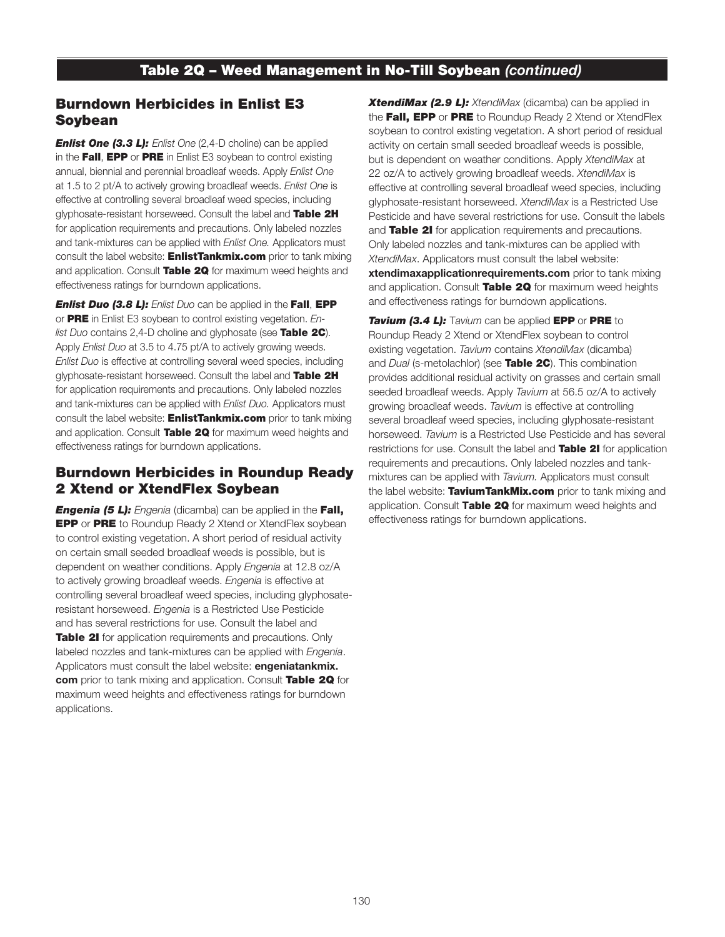#### Burndown Herbicides in Enlist E3 Soybean

*Enlist One (3.3 L): Enlist One (2,4-D choline) can be applied* in the Fall, EPP or PRE in Enlist E3 soybean to control existing annual, biennial and perennial broadleaf weeds. Apply *Enlist One*  at 1.5 to 2 pt/A to actively growing broadleaf weeds. *Enlist One* is effective at controlling several broadleaf weed species, including glyphosate-resistant horseweed. Consult the label and Table 2H for application requirements and precautions. Only labeled nozzles and tank-mixtures can be applied with *Enlist One.* Applicators must consult the label website: **EnlistTankmix.com** prior to tank mixing and application. Consult Table 2Q for maximum weed heights and effectiveness ratings for burndown applications.

*Enlist Duo (3.8 L): Enlist Duo can be applied in the Fall, EPP* or PRE in Enlist E3 soybean to control existing vegetation. *En*list Duo contains 2,4-D choline and glyphosate (see Table 2C). Apply *Enlist Duo* at 3.5 to 4.75 pt/A to actively growing weeds. *Enlist Duo* is effective at controlling several weed species, including glyphosate-resistant horseweed. Consult the label and Table 2H for application requirements and precautions. Only labeled nozzles and tank-mixtures can be applied with *Enlist Duo.* Applicators must consult the label website: **EnlistTankmix.com** prior to tank mixing and application. Consult Table 2Q for maximum weed heights and effectiveness ratings for burndown applications.

#### Burndown Herbicides in Roundup Ready 2 Xtend or XtendFlex Soybean

*Engenia (5 L): Engenia* (dicamba) can be applied in the Fall, **EPP** or PRE to Roundup Ready 2 Xtend or XtendFlex soybean to control existing vegetation. A short period of residual activity on certain small seeded broadleaf weeds is possible, but is dependent on weather conditions. Apply *Engenia* at 12.8 oz/A to actively growing broadleaf weeds. *Engenia* is effective at controlling several broadleaf weed species, including glyphosateresistant horseweed. *Engenia* is a Restricted Use Pesticide and has several restrictions for use. Consult the label and Table 2I for application requirements and precautions. Only labeled nozzles and tank-mixtures can be applied with *Engenia*. Applicators must consult the label website: **engeniatankmix.** com prior to tank mixing and application. Consult Table 2Q for maximum weed heights and effectiveness ratings for burndown applications.

*XtendiMax (2.9 L): XtendiMax* (dicamba) can be applied in the Fall, EPP or PRE to Roundup Ready 2 Xtend or XtendFlex soybean to control existing vegetation. A short period of residual activity on certain small seeded broadleaf weeds is possible, but is dependent on weather conditions. Apply *XtendiMax* at 22 oz/A to actively growing broadleaf weeds. *XtendiMax* is effective at controlling several broadleaf weed species, including glyphosate-resistant horseweed. *XtendiMax* is a Restricted Use Pesticide and have several restrictions for use. Consult the labels and Table 2I for application requirements and precautions. Only labeled nozzles and tank-mixtures can be applied with *XtendiMax*. Applicators must consult the label website: xtendimaxapplicationrequirements.com prior to tank mixing and application. Consult Table 2Q for maximum weed heights and effectiveness ratings for burndown applications.

*Tavium (3.4 L):* Tavium can be applied EPP or PRE to Roundup Ready 2 Xtend or XtendFlex soybean to control existing vegetation. *Tavium* contains *XtendiMax* (dicamba) and *Dual* (s-metolachlor) (see Table 2C). This combination provides additional residual activity on grasses and certain small seeded broadleaf weeds. Apply *Tavium* at 56.5 oz/A to actively growing broadleaf weeds. *Tavium* is effective at controlling several broadleaf weed species, including glyphosate-resistant horseweed. *Tavium* is a Restricted Use Pesticide and has several restrictions for use. Consult the label and Table 2I for application requirements and precautions. Only labeled nozzles and tankmixtures can be applied with *Tavium.* Applicators must consult the label website: TaviumTankMix.com prior to tank mixing and application. Consult Table 2Q for maximum weed heights and effectiveness ratings for burndown applications.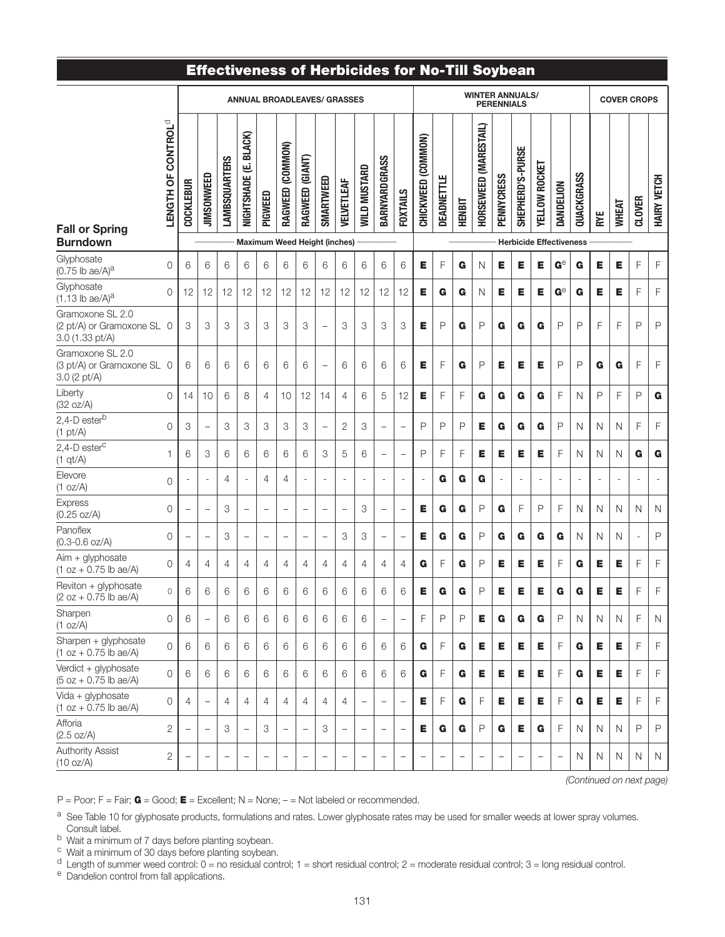#### Effectiveness of Herbicides for No-Till Soybean

|                                                                   |                                          |                          |                          |               | <b>ANNUAL BROADLEAVES/ GRASSES</b>  |                          |                          |                          |                          |                          |                            |                          |                          |                       |             |                          | <b>WINTER ANNUALS/</b>   | <b>PERENNIALS</b> |                   |                                |                          |              |              |                          | <b>COVER CROPS</b>       |              |
|-------------------------------------------------------------------|------------------------------------------|--------------------------|--------------------------|---------------|-------------------------------------|--------------------------|--------------------------|--------------------------|--------------------------|--------------------------|----------------------------|--------------------------|--------------------------|-----------------------|-------------|--------------------------|--------------------------|-------------------|-------------------|--------------------------------|--------------------------|--------------|--------------|--------------------------|--------------------------|--------------|
| <b>Fall or Spring</b>                                             | <b>CONTROL</b> <sup>d</sup><br>LENGTH OF | <b>COCKLEBUR</b>         | JIMSONWEED               | LAMBSQUARTERS | BLACK)<br>e<br>NIGHTSHADE           | PIGWEED                  | RAGWEED (COMMON)         | RAGWEED (GIANT)          | SMARTWEED                | VELVETLEAF               | <b><i>NILD MUSTARD</i></b> | <b>BARNYARDGRASS</b>     | <b>FOXTAILS</b>          | (COMMON)<br>CHICKWEED | DEADNETTLE  | <b>HENBIT</b>            | HORSEWEED (MARESTAIL)    | <b>PENNYCRESS</b> | SHEPHERD'S-PURSE  | YELLOW ROCKET                  | DANDELION                | QUACKGRASS   | RYE          | <b>WHEAT</b>             | <b>CLOVER</b>            | HAIRY VETCH  |
| <b>Burndown</b>                                                   |                                          |                          |                          |               | <b>Maximum Weed Height (inches)</b> |                          |                          |                          |                          |                          |                            |                          |                          |                       |             |                          |                          |                   |                   | <b>Herbicide Effectiveness</b> |                          |              |              |                          |                          |              |
| Glyphosate<br>$(0.75 \text{ lb} \text{ ae/A})^{\text{a}}$         | 0                                        | 6                        | 6                        | 6             | 6                                   | 6                        | 6                        | 6                        | 6                        | 6                        | 6                          | 6                        | 6                        | E                     | F           | G                        | N                        | Е                 | Е                 | Е                              | $\mathbf{G}^{\ominus}$   | G            | Е            | Е                        | F                        | $\mathsf F$  |
| Glyphosate<br>$(1.13 \text{ lb} \text{ ae/A})^{\text{a}}$         | $\Omega$                                 | 12                       | 12                       | 12            | 12                                  | 12                       | 12                       | 12                       | 12                       | 12                       | 12                         | 12                       | 12                       | Е                     | G           | G                        | N                        | Е                 | Е                 | Е                              | $\mathbf{G}^{\ominus}$   | G            | Е            | Е                        | F                        | F            |
| Gramoxone SL 2.0<br>(2 pt/A) or Gramoxone SL 0<br>3.0 (1.33 pt/A) |                                          | 3                        | 3                        | 3             | 3                                   | 3                        | 3                        | 3                        |                          | 3                        | 3                          | 3                        | 3                        | Е                     | P           | G                        | P                        | G                 | G                 | G                              | $\mathsf{P}$             | $\mathsf{P}$ | F            | F                        | P                        | $\mathsf{P}$ |
| Gramoxone SL 2.0<br>(3 pt/A) or Gramoxone SL 0<br>3.0 (2 pt/A)    |                                          | 6                        | 6                        | 6             | 6                                   | 6                        | 6                        | 6                        |                          | 6                        | 6                          | 6                        | 6                        | Е                     | F           | G                        | P                        | Е                 | Е                 | Е                              | P                        | $\mathsf{P}$ | G            | G                        | F                        | F            |
| Liberty<br>(32 oz/A)                                              | $\Omega$                                 | 14                       | 10                       | 6             | 8                                   | 4                        | 10                       | 12                       | 14                       | $\overline{4}$           | 6                          | 5                        | 12                       | Е                     | F           | F                        | G                        | G                 | G                 | G                              | F                        | N            | P            | F                        | P                        | G            |
| 2,4-D ester <sup>b</sup><br>(1 pt/A)                              | 0                                        | 3                        | $\qquad \qquad -$        | 3             | 3                                   | 3                        | 3                        | 3                        |                          | $\overline{2}$           | 3                          | $\qquad \qquad -$        | $\qquad \qquad -$        | P                     | P           | P                        | Е                        | G                 | G                 | G                              | $\mathsf{P}$             | N            | N            | N                        | F                        | $\mathsf F$  |
| 2,4-D ester <sup>c</sup><br>$(1$ qt/A)                            | 1                                        | 6                        | 3                        | 6             | 6                                   | 6                        | 6                        | 6                        | 3                        | 5                        | 6                          | $\overline{\phantom{0}}$ | $\equiv$                 | P                     | F           | F                        | Е                        | Е                 | Е                 | Е                              | F                        | N            | N            | N                        | G                        | G            |
| Elevore<br>(1 oz/A)                                               | $\Omega$                                 |                          | ÷,                       | 4             | $\sim$                              | 4                        | 4                        | $\overline{\phantom{a}}$ | $\sim$                   | $\overline{\phantom{a}}$ | $\sim$                     | ÷,                       | $\overline{\phantom{a}}$ |                       | G           | G                        | G                        | ä,                | $\sim$            | ÷,                             | $\sim$                   |              | ÷,           | $\overline{\phantom{a}}$ |                          | ä,           |
| Express<br>(0.25 oz/A)                                            | 0                                        | $\overline{\phantom{0}}$ | $\overline{\phantom{0}}$ | 3             | $\overline{\phantom{0}}$            | $\qquad \qquad$          | $\overline{\phantom{0}}$ | $\overline{\phantom{m}}$ | $\overline{\phantom{0}}$ | $\qquad \qquad -$        | 3                          | $\overline{\phantom{0}}$ | $\qquad \qquad -$        | Е                     | G           | G                        | P                        | G                 | F                 | P                              | F                        | N            | N            | N                        | N                        | $\mathsf{N}$ |
| Panoflex<br>$(0.3 - 0.6)$ oz/A)                                   | 0                                        |                          | $\qquad \qquad -$        | 3             | $\overline{\phantom{0}}$            | $\overline{\phantom{0}}$ | $\qquad \qquad$          | $\qquad \qquad -$        | $\overline{\phantom{0}}$ | 3                        | 3                          | $\overline{\phantom{0}}$ | $\qquad \qquad -$        | Е                     | G           | G                        | P                        | G                 | G                 | G                              | G                        | N            | N            | N                        | $\overline{\phantom{a}}$ | $\mathsf{P}$ |
| Aim + glyphosate<br>$(1 oz + 0.75 lb ae/A)$                       | 0                                        | 4                        | 4                        | 4             | 4                                   | 4                        | 4                        | 4                        | 4                        | 4                        | 4                          | 4                        | $\overline{4}$           | G                     | F           | G                        | P                        | Е                 | Е                 | Е                              | F                        | G            | Е            | Е                        | F                        | F            |
| Reviton + glyphosate<br>$(2 oz + 0.75 lb ae/A)$                   | $\Omega$                                 | 6                        | 6                        | 6             | 6                                   | 6                        | 6                        | 6                        | 6                        | 6                        | 6                          | 6                        | 6                        | Е                     | G           | G                        | P                        | Е                 | Е                 | Е                              | G                        | G            | Е            | Е                        | F                        | F            |
| Sharpen<br>(1 oz/A)                                               | $\mathsf O$                              | 6                        |                          | 6             | 6                                   | 6                        | 6                        | 6                        | 6                        | 6                        | 6                          |                          |                          | F                     | $\mathsf P$ | P                        | E                        | G                 | G                 | G                              | $\mathsf{P}$             | $\mathsf{N}$ | $\mathsf N$  | $\mathsf{N}$             | F                        | $\mathsf{N}$ |
| Sharpen + glyphosate<br>$(1 oz + 0.75 lb ae/A)$                   | $\mathbf 0$                              | 6                        | 6                        | 6             | 6                                   | 6                        | 6                        | 6                        | 6                        | 6                        | 6                          | 6                        | 6                        | G                     | F           | G                        | E.                       | Е                 | Е                 | Е                              | $\mathsf{F}$             | G            | Е            | Е                        | $\mathsf F$              | $\mathsf F$  |
| Verdict + glyphosate<br>$(5 oz + 0.75 lb ae/A)$                   | 0                                        | 6                        | 6                        | 6             | 6                                   | 6                        | 6                        | 6                        | 6                        | 6                        | 6                          | 6                        | $6\,$                    | G                     | F           | G                        | Е                        | Е                 | Е                 | Е                              | $\overline{F}$           | G            | Е            | Е                        | F                        | F            |
| Vida + glyphosate<br>$(1 oz + 0.75 lb ae/A)$                      | 0                                        | 4                        | $\overline{\phantom{a}}$ | 4             | $\overline{4}$                      | 4                        | $\overline{4}$           | 4                        | 4                        | 4                        | $\overline{\phantom{m}}$   | $\overline{\phantom{m}}$ | $\overline{\phantom{a}}$ | E.                    | F           | G                        | F                        | Е                 | Е                 | Е                              | $\overline{F}$           | G            | Е            | Е                        | F                        | F            |
| Afforia<br>(2.5 oz/A)                                             | 2                                        |                          | $\overline{\phantom{m}}$ | 3             | $\qquad \qquad -$                   | 3                        | $\overline{\phantom{m}}$ | $\qquad \qquad -$        | 3                        | $\overline{\phantom{0}}$ | $\overline{\phantom{m}}$   | $\overline{\phantom{m}}$ | $\overline{\phantom{a}}$ | E.                    | G           | G                        | P                        | G                 | Е                 | G                              | F                        | N            | N            | N                        | P                        | P            |
| <b>Authority Assist</b><br>(10 oz/A)                              | $\mathbf{2}$                             |                          | $\qquad \qquad -$        |               | $\qquad \qquad -$                   | $\qquad \qquad -$        | $\qquad \qquad -$        | $\qquad \qquad -$        |                          | $\qquad \qquad -$        | $\overline{\phantom{0}}$   | $\qquad \qquad -$        | $\qquad \qquad -$        |                       |             | $\overline{\phantom{m}}$ | $\overline{\phantom{0}}$ | $\qquad \qquad -$ | $\qquad \qquad -$ | $\overline{\phantom{m}}$       | $\overline{\phantom{m}}$ | N            | $\mathsf{N}$ | N                        | $\mathsf{N}$             | N            |

*(Continued on next page)*

 $P = Poor; F = Fair; G = Good; E = Excellent; N = None; - = Not labeled or recommended.$ 

a See Table 10 for glyphosate products, formulations and rates. Lower glyphosate rates may be used for smaller weeds at lower spray volumes. Consult label.

b Wait a minimum of 7 days before planting soybean.

<sup>c</sup> Wait a minimum of 30 days before planting soybean.

<sup>d</sup> Length of summer weed control:  $0 =$  no residual control; 1 = short residual control; 2 = moderate residual control; 3 = long residual control.

<sup>e</sup> Dandelion control from fall applications.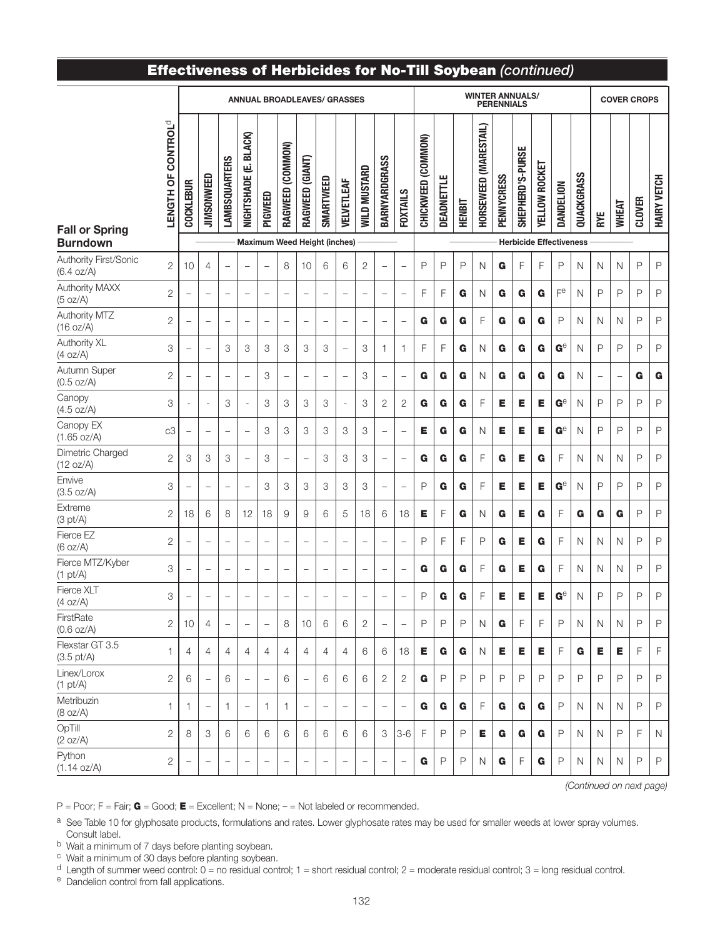#### Effectiveness of Herbicides for No-Till Soybean *(continued)*

|                                         |                                |                          |                          |                          | <b>ANNUAL BROADLEAVES/ GRASSES</b>  |                          |                          |                          |                          |                          |                          |                          |                          |                       |              |               | <b>WINTER ANNUALS/</b> | <b>PERENNIALS</b> |                  |                                |                        |            |                   |                   | <b>COVER CROPS</b> |              |
|-----------------------------------------|--------------------------------|--------------------------|--------------------------|--------------------------|-------------------------------------|--------------------------|--------------------------|--------------------------|--------------------------|--------------------------|--------------------------|--------------------------|--------------------------|-----------------------|--------------|---------------|------------------------|-------------------|------------------|--------------------------------|------------------------|------------|-------------------|-------------------|--------------------|--------------|
| <b>Fall or Spring</b>                   | LENGTH OF CONTROL <sup>d</sup> | <b>COCKLEBUR</b>         | <b>JIMSONWEED</b>        | LAMBSQUARTERS            | <b>BLACK</b><br>۳Ī<br>NIGHTSHADE    | PIGWEED                  | RAGWEED (COMMON)         | RAGWEED (GIANT)          | SMARTWEED                | VELVETLEAF               | <b>WILD MUSTARD</b>      | BARNYARDGRASS            | <b>FOXTAILS</b>          | (COMMON)<br>CHICKWEED | DEADNETTLE   | <b>HENBIT</b> | HORSEWEED (MARESTAIL)  | <b>PENNYCRESS</b> | SHEPHERD'S-PURSE | YELLOW ROCKET                  | DANDELION              | QUACKGRASS | RYE               | <b>WHEAT</b>      | <b>CLOVER</b>      | HAIRY VETCH  |
| <b>Burndown</b>                         |                                |                          |                          |                          | <b>Maximum Weed Height (inches)</b> |                          |                          |                          |                          |                          |                          |                          |                          |                       |              |               |                        |                   |                  | <b>Herbicide Effectiveness</b> |                        |            |                   |                   |                    |              |
| Authority First/Sonic<br>(6.4 oz/A)     | $\overline{c}$                 | 10                       | 4                        | $\qquad \qquad -$        | $\overline{\phantom{0}}$            | $\qquad \qquad -$        | 8                        | 10                       | 6                        | 6                        | 2                        | $\qquad \qquad -$        | $\overline{\phantom{0}}$ | P                     | P            | P             | N                      | G                 | F                | F                              | P                      | N          | $\mathsf{N}$      | N                 | P                  | $\mathsf{P}$ |
| <b>Authority MAXX</b><br>(5 oz/A)       | $\mathbf{2}$                   | $\overline{\phantom{0}}$ | $\overline{\phantom{a}}$ | $\overline{\phantom{0}}$ | $\overline{\phantom{0}}$            | $\overline{\phantom{0}}$ | $\overline{\phantom{0}}$ | $\overline{\phantom{0}}$ | $\overline{\phantom{0}}$ | $\overline{\phantom{0}}$ | $\overline{\phantom{0}}$ | $\overline{\phantom{0}}$ | $\overline{\phantom{0}}$ | F                     | F            | G             | Ν                      | G                 | G                | G                              | F <sup>e</sup>         | N          | P                 | $\mathsf{P}$      | P                  | $\mathsf{P}$ |
| Authority MTZ<br>(16 oz/A)              | $\mathbf{2}$                   | L,                       | $\overline{\phantom{0}}$ | $\qquad \qquad$          | $\qquad \qquad -$                   | $\qquad \qquad -$        | $\overline{\phantom{0}}$ | $\overline{\phantom{0}}$ | $\qquad \qquad -$        | $\overline{\phantom{0}}$ | $\overline{\phantom{0}}$ | $\qquad \qquad -$        | $\qquad \qquad -$        | G                     | G            | G             | F                      | G                 | G                | G                              | P                      | N          | N                 | N                 | P                  | $\mathsf{P}$ |
| Authority XL<br>(4 oz/A)                | 3                              | $\overline{\phantom{0}}$ | $\overline{\phantom{a}}$ | 3                        | 3                                   | 3                        | 3                        | 3                        | 3                        | $\overline{\phantom{0}}$ | 3                        | $\mathbf{1}$             | $\mathbf{1}$             | F                     | F            | G             | N                      | G                 | G                | G                              | $\mathbf{G}^{\ominus}$ | N          | P                 | P                 | P                  | $\mathsf{P}$ |
| Autumn Super<br>(0.5 oz/A)              | $\mathbf{2}$                   | L,                       | $\overline{\phantom{0}}$ | $\overline{\phantom{0}}$ | $\qquad \qquad -$                   | 3                        | $\overline{\phantom{0}}$ | $\overline{\phantom{0}}$ | $\overline{\phantom{0}}$ | $\overline{\phantom{0}}$ | 3                        | $\qquad \qquad -$        | $\qquad \qquad -$        | G                     | G            | G             | N                      | G                 | G                | G                              | G                      | N          | $\qquad \qquad -$ | $\qquad \qquad -$ | G                  | G            |
| Canopy<br>(4.5 oz/A)                    | 3                              | ÷,                       | $\sim$                   | 3                        | $\sim$                              | 3                        | 3                        | 3                        | 3                        | $\sim$                   | 3                        | $\overline{2}$           | $\mathbf{2}$             | G                     | G            | G             | F                      | Е                 | Е                | Е                              | $\mathbf{G}^{\ominus}$ | N          | P                 | $\mathsf{P}$      | P                  | $\mathsf{P}$ |
| Canopy EX<br>(1.65 oz/A)                | c3                             | $\qquad \qquad -$        | $\qquad \qquad -$        | $\overline{\phantom{0}}$ | $\qquad \qquad -$                   | 3                        | 3                        | 3                        | 3                        | 3                        | 3                        | $\overline{\phantom{m}}$ | $\equiv$                 | Е                     | G            | G             | N                      | Е                 | Е                | Е                              | $\mathbf{G}^{\ominus}$ | N          | $\mathsf{P}$      | P                 | P                  | $\mathsf{P}$ |
| Dimetric Charged<br>(12 oz/A)           | $\mathbf{2}$                   | 3                        | 3                        | 3                        | $\qquad \qquad -$                   | 3                        | $\qquad \qquad -$        | $\overline{\phantom{m}}$ | 3                        | 3                        | 3                        | $\qquad \qquad -$        | $\overline{\phantom{0}}$ | G                     | G            | G             | F                      | G                 | Е                | G                              | F                      | N          | N                 | N                 | P                  | $\mathsf{P}$ |
| Envive<br>(3.5 oz/A)                    | 3                              | $\qquad \qquad -$        |                          | $\qquad \qquad -$        | $\qquad \qquad -$                   | 3                        | 3                        | 3                        | 3                        | 3                        | 3                        | $\qquad \qquad -$        | $\qquad \qquad -$        | P                     | G            | G             | F                      | Е                 | Е                | Е                              | $\mathbf{G}^{\ominus}$ | N          | P                 | P                 | P                  | $\mathsf{P}$ |
| Extreme<br>(3 pt/A)                     | $\mathbf{2}$                   | 18                       | 6                        | 8                        | 12                                  | 18                       | 9                        | 9                        | 6                        | 5                        | 18                       | 6                        | 18                       | Е                     | F            | G             | N                      | G                 | Е                | G                              | F                      | G          | G                 | G                 | P                  | $\mathsf{P}$ |
| Fierce EZ<br>(6 oz/A)                   | $\mathbf{2}$                   | L,                       |                          | $\qquad \qquad -$        | $\overline{\phantom{0}}$            | $\overline{\phantom{0}}$ | $\overline{\phantom{0}}$ | $\overline{\phantom{0}}$ | $\overline{\phantom{0}}$ | $\overline{\phantom{0}}$ | $\overline{\phantom{0}}$ | $\qquad \qquad -$        | $\qquad \qquad -$        | P                     | F            | F             | P                      | G                 | Е                | G                              | F                      | N          | N                 | N                 | P                  | $\mathsf{P}$ |
| Fierce MTZ/Kyber<br>(1 pt/A)            | 3                              |                          | $\overline{\phantom{a}}$ | $\overline{\phantom{0}}$ | $\overline{\phantom{0}}$            |                          | $\overline{\phantom{0}}$ | $\overline{\phantom{a}}$ |                          | $\overline{\phantom{0}}$ | $\overline{\phantom{a}}$ | $\overline{\phantom{0}}$ | $\qquad \qquad -$        | G                     | G            | G             | F                      | G                 | Е                | G                              | F                      | N          | N                 | N                 | P                  | $\mathsf{P}$ |
| Fierce XLT<br>(4 oz/A)                  | 3                              |                          |                          |                          |                                     |                          |                          | $\qquad \qquad$          |                          |                          |                          |                          | $\overline{\phantom{a}}$ | P                     | G            | G             | F                      | Е                 | Е                | Е                              | $\mathbf{G}^{\ominus}$ | N          | P                 | P                 | P                  | $\mathsf{P}$ |
| FirstRate<br>(0.6 oz/A)                 | $\overline{c}$                 | 10                       | 4                        | $\qquad \qquad$          | $\overline{\phantom{0}}$            | $\qquad \qquad -$        | 8                        | 10                       | 6                        | 6                        | 2                        |                          | $\overline{\phantom{0}}$ | P                     | P            | $\mathsf{P}$  | N                      | G                 | F                | F                              | P                      | N          | N                 | N                 | $\mathsf{P}$       | $\mathsf{P}$ |
| Flexstar GT 3.5<br>$(3.5 \text{ pt/A})$ | 1.                             | $\overline{4}$           | 4                        | $\overline{4}$           | 4                                   | 4                        | $\overline{4}$           | $\overline{4}$           | $\overline{4}$           | $\overline{4}$           | 6                        | 6                        | 18                       | Е.                    | G            | G             | N.                     | Е.                | Е                | Е                              | F                      | G          | Е                 | Е                 | F                  | F            |
| Linex/Lorox<br>(1 pt/A)                 | $\overline{c}$                 | 6                        | $\overline{\phantom{m}}$ | 6                        | $\overline{\phantom{0}}$            |                          | 6                        | $\overline{\phantom{m}}$ | 6                        | 6                        | 6                        | 2                        | $\mathbf{2}$             | G                     | P            | P             | P                      | P                 | P                | P                              | P                      | P          | P                 | P                 | P                  | $\mathsf{P}$ |
| Metribuzin<br>(8 oz/A)                  | 1                              | 1                        | $\qquad \qquad -$        | 1.                       | $\overline{\phantom{0}}$            | 1                        | $\mathbf{1}$             | $\overline{\phantom{m}}$ |                          | $\qquad \qquad -$        |                          | $\overline{\phantom{0}}$ | $\qquad \qquad -$        | G                     | G            | G             | F                      | G                 | G                | G                              | P                      | N.         | N                 | N                 | P                  | P            |
| OpTill<br>(2 oz/A)                      | $\overline{2}$                 | 8                        | 3                        | 6                        | 6                                   | 6                        | 6                        | 6                        | 6                        | 6                        | 6                        | 3                        | $3-6$                    | F                     | P            | P             | Е                      | G                 | G                | G                              | $\mathsf{P}$           | N          | N                 | P                 | F                  | N            |
| Python<br>(1.14 oz/A)                   | $\mathbf{2}$                   |                          | $\qquad \qquad -$        |                          | $\qquad \qquad -$                   |                          | $\qquad \qquad -$        | $\overline{\phantom{a}}$ |                          | $\overline{\phantom{a}}$ |                          |                          | $\qquad \qquad -$        | G                     | $\mathsf{P}$ | P             | N                      | G                 | F                | G                              | $\mathsf{P}$           | N          | N                 | $\mathsf{N}$      | $\mathsf{P}$       | P            |

*(Continued on next page)*

 $P = Poor; F = Fair; G = Good; E = Excellent; N = None; - = Not labeled or recommended.$ 

a See Table 10 for glyphosate products, formulations and rates. Lower glyphosate rates may be used for smaller weeds at lower spray volumes. Consult label.

<sup>b</sup> Wait a minimum of 7 days before planting soybean.

<sup>c</sup> Wait a minimum of 30 days before planting soybean.

 $d$  Length of summer weed control:  $0 =$  no residual control; 1 = short residual control; 2 = moderate residual control; 3 = long residual control.

<sup>e</sup> Dandelion control from fall applications.